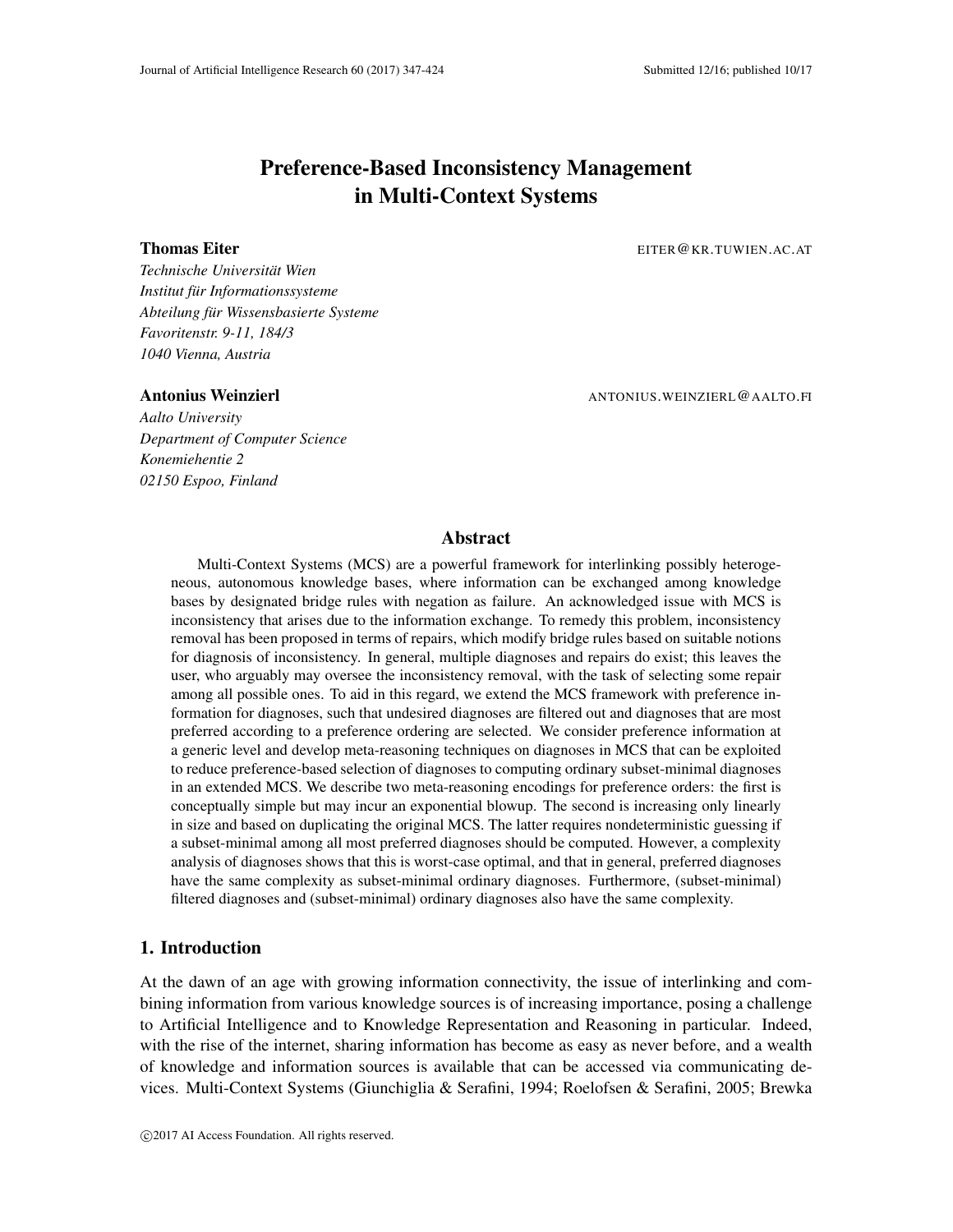# Preference-Based Inconsistency Management in Multi-Context Systems

Thomas Eiter **EITER@KR.TUWIEN.AC.AT** 

*Technische Universitat Wien ¨ Institut fur Informationssysteme ¨ Abteilung fur Wissensbasierte Systeme ¨ Favoritenstr. 9-11, 184/3 1040 Vienna, Austria*

Antonius Weinzierl ANTONIUS.WEINZIERL@AALTO.FI

*Aalto University Department of Computer Science Konemiehentie 2 02150 Espoo, Finland*

## Abstract

Multi-Context Systems (MCS) are a powerful framework for interlinking possibly heterogeneous, autonomous knowledge bases, where information can be exchanged among knowledge bases by designated bridge rules with negation as failure. An acknowledged issue with MCS is inconsistency that arises due to the information exchange. To remedy this problem, inconsistency removal has been proposed in terms of repairs, which modify bridge rules based on suitable notions for diagnosis of inconsistency. In general, multiple diagnoses and repairs do exist; this leaves the user, who arguably may oversee the inconsistency removal, with the task of selecting some repair among all possible ones. To aid in this regard, we extend the MCS framework with preference information for diagnoses, such that undesired diagnoses are filtered out and diagnoses that are most preferred according to a preference ordering are selected. We consider preference information at a generic level and develop meta-reasoning techniques on diagnoses in MCS that can be exploited to reduce preference-based selection of diagnoses to computing ordinary subset-minimal diagnoses in an extended MCS. We describe two meta-reasoning encodings for preference orders: the first is conceptually simple but may incur an exponential blowup. The second is increasing only linearly in size and based on duplicating the original MCS. The latter requires nondeterministic guessing if a subset-minimal among all most preferred diagnoses should be computed. However, a complexity analysis of diagnoses shows that this is worst-case optimal, and that in general, preferred diagnoses have the same complexity as subset-minimal ordinary diagnoses. Furthermore, (subset-minimal) filtered diagnoses and (subset-minimal) ordinary diagnoses also have the same complexity.

## 1. Introduction

At the dawn of an age with growing information connectivity, the issue of interlinking and combining information from various knowledge sources is of increasing importance, posing a challenge to Artificial Intelligence and to Knowledge Representation and Reasoning in particular. Indeed, with the rise of the internet, sharing information has become as easy as never before, and a wealth of knowledge and information sources is available that can be accessed via communicating devices. Multi-Context Systems (Giunchiglia & Serafini, 1994; Roelofsen & Serafini, 2005; Brewka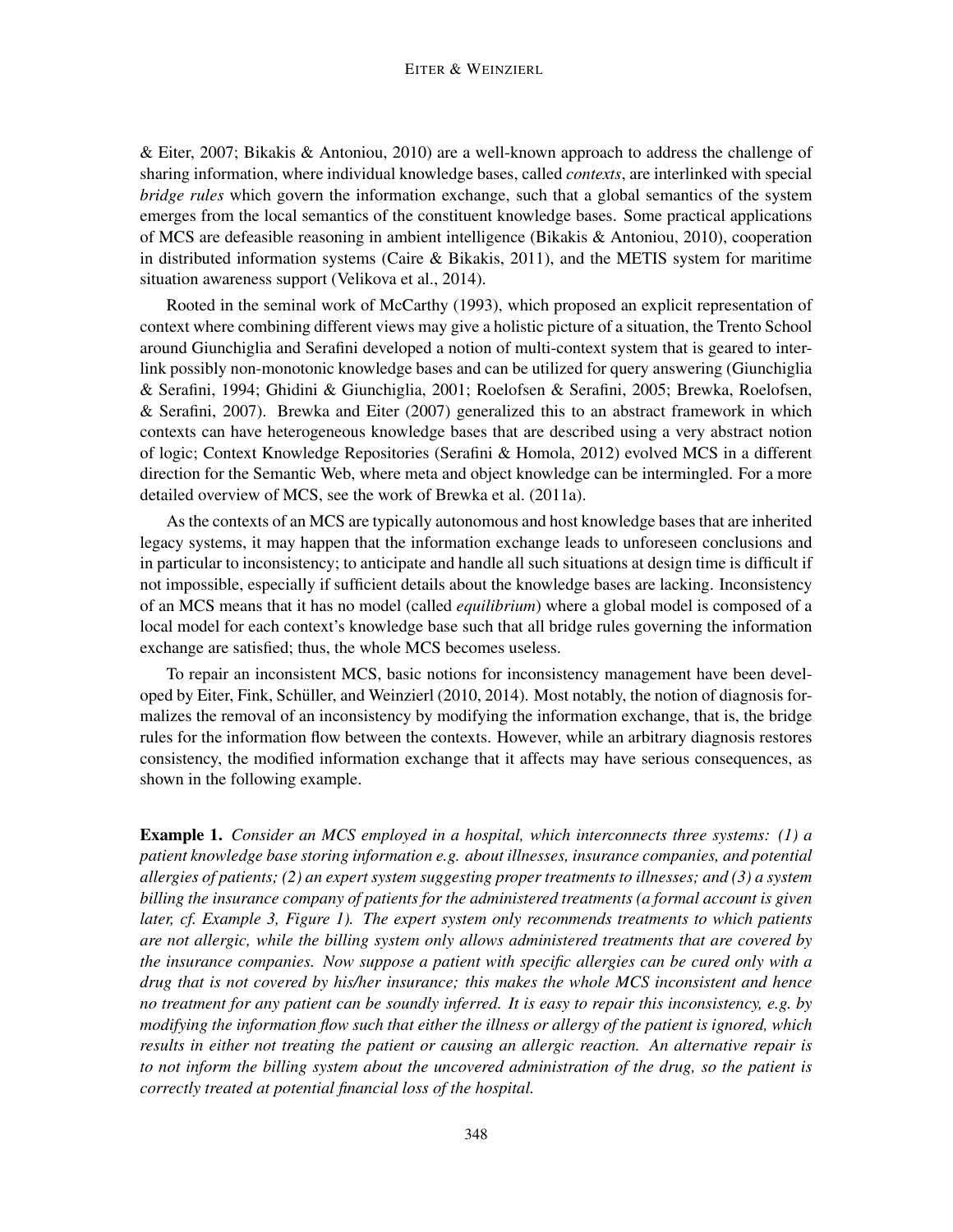& Eiter, 2007; Bikakis & Antoniou, 2010) are a well-known approach to address the challenge of sharing information, where individual knowledge bases, called *contexts*, are interlinked with special *bridge rules* which govern the information exchange, such that a global semantics of the system emerges from the local semantics of the constituent knowledge bases. Some practical applications of MCS are defeasible reasoning in ambient intelligence (Bikakis & Antoniou, 2010), cooperation in distributed information systems (Caire  $\&$  Bikakis, 2011), and the METIS system for maritime situation awareness support (Velikova et al., 2014).

Rooted in the seminal work of McCarthy (1993), which proposed an explicit representation of context where combining different views may give a holistic picture of a situation, the Trento School around Giunchiglia and Serafini developed a notion of multi-context system that is geared to interlink possibly non-monotonic knowledge bases and can be utilized for query answering (Giunchiglia & Serafini, 1994; Ghidini & Giunchiglia, 2001; Roelofsen & Serafini, 2005; Brewka, Roelofsen, & Serafini, 2007). Brewka and Eiter (2007) generalized this to an abstract framework in which contexts can have heterogeneous knowledge bases that are described using a very abstract notion of logic; Context Knowledge Repositories (Serafini & Homola, 2012) evolved MCS in a different direction for the Semantic Web, where meta and object knowledge can be intermingled. For a more detailed overview of MCS, see the work of Brewka et al. (2011a).

As the contexts of an MCS are typically autonomous and host knowledge bases that are inherited legacy systems, it may happen that the information exchange leads to unforeseen conclusions and in particular to inconsistency; to anticipate and handle all such situations at design time is difficult if not impossible, especially if sufficient details about the knowledge bases are lacking. Inconsistency of an MCS means that it has no model (called *equilibrium*) where a global model is composed of a local model for each context's knowledge base such that all bridge rules governing the information exchange are satisfied; thus, the whole MCS becomes useless.

To repair an inconsistent MCS, basic notions for inconsistency management have been developed by Eiter, Fink, Schuller, and Weinzierl (2010, 2014). Most notably, the notion of diagnosis for- ¨ malizes the removal of an inconsistency by modifying the information exchange, that is, the bridge rules for the information flow between the contexts. However, while an arbitrary diagnosis restores consistency, the modified information exchange that it affects may have serious consequences, as shown in the following example.

Example 1. *Consider an MCS employed in a hospital, which interconnects three systems: (1) a patient knowledge base storing information e.g. about illnesses, insurance companies, and potential allergies of patients; (2) an expert system suggesting proper treatments to illnesses; and (3) a system billing the insurance company of patients for the administered treatments (a formal account is given later, cf. Example 3, Figure 1). The expert system only recommends treatments to which patients are not allergic, while the billing system only allows administered treatments that are covered by the insurance companies. Now suppose a patient with specific allergies can be cured only with a drug that is not covered by his/her insurance; this makes the whole MCS inconsistent and hence no treatment for any patient can be soundly inferred. It is easy to repair this inconsistency, e.g. by modifying the information flow such that either the illness or allergy of the patient is ignored, which results in either not treating the patient or causing an allergic reaction. An alternative repair is to not inform the billing system about the uncovered administration of the drug, so the patient is correctly treated at potential financial loss of the hospital.*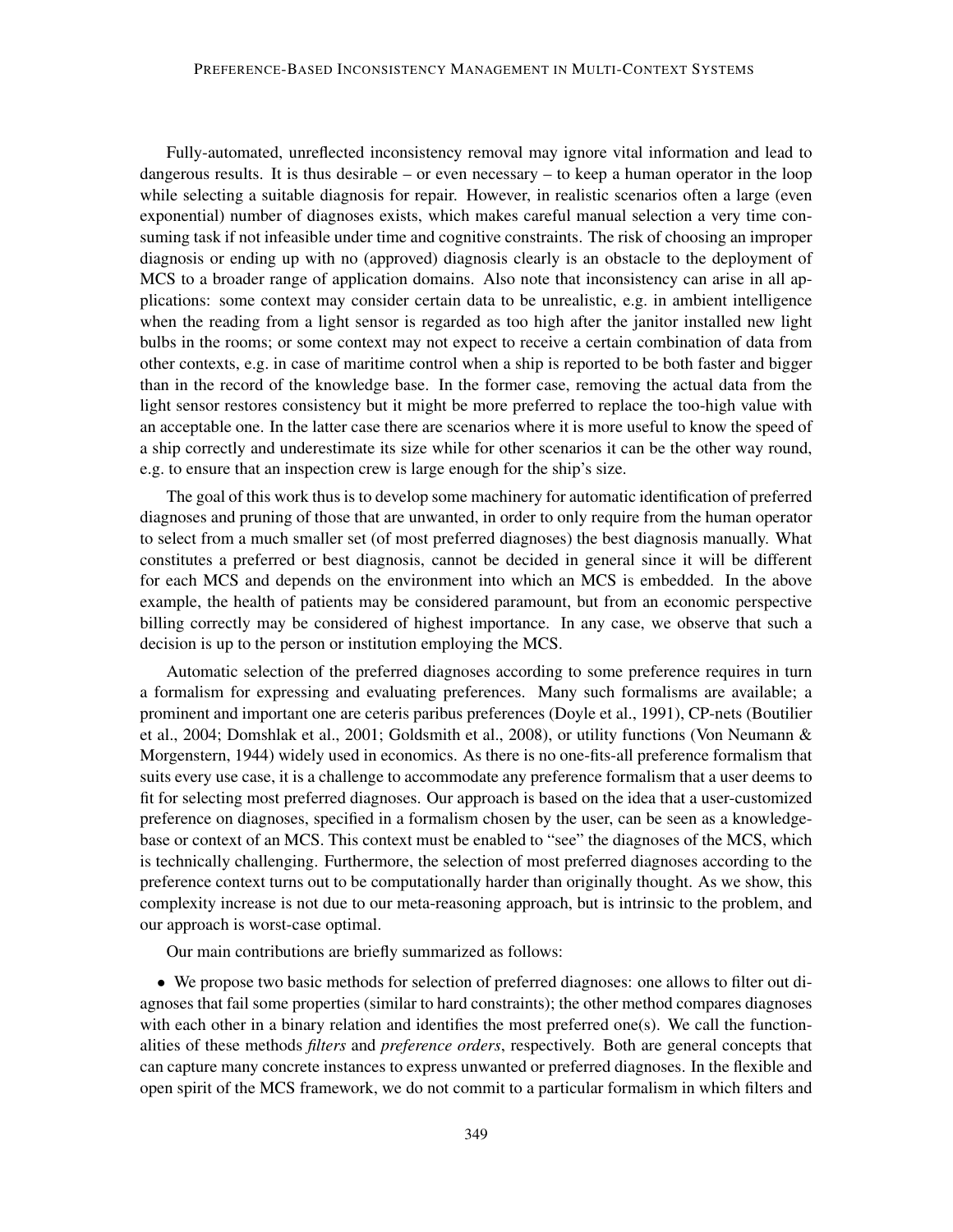Fully-automated, unreflected inconsistency removal may ignore vital information and lead to dangerous results. It is thus desirable – or even necessary – to keep a human operator in the loop while selecting a suitable diagnosis for repair. However, in realistic scenarios often a large (even exponential) number of diagnoses exists, which makes careful manual selection a very time consuming task if not infeasible under time and cognitive constraints. The risk of choosing an improper diagnosis or ending up with no (approved) diagnosis clearly is an obstacle to the deployment of MCS to a broader range of application domains. Also note that inconsistency can arise in all applications: some context may consider certain data to be unrealistic, e.g. in ambient intelligence when the reading from a light sensor is regarded as too high after the janitor installed new light bulbs in the rooms; or some context may not expect to receive a certain combination of data from other contexts, e.g. in case of maritime control when a ship is reported to be both faster and bigger than in the record of the knowledge base. In the former case, removing the actual data from the light sensor restores consistency but it might be more preferred to replace the too-high value with an acceptable one. In the latter case there are scenarios where it is more useful to know the speed of a ship correctly and underestimate its size while for other scenarios it can be the other way round, e.g. to ensure that an inspection crew is large enough for the ship's size.

The goal of this work thus is to develop some machinery for automatic identification of preferred diagnoses and pruning of those that are unwanted, in order to only require from the human operator to select from a much smaller set (of most preferred diagnoses) the best diagnosis manually. What constitutes a preferred or best diagnosis, cannot be decided in general since it will be different for each MCS and depends on the environment into which an MCS is embedded. In the above example, the health of patients may be considered paramount, but from an economic perspective billing correctly may be considered of highest importance. In any case, we observe that such a decision is up to the person or institution employing the MCS.

Automatic selection of the preferred diagnoses according to some preference requires in turn a formalism for expressing and evaluating preferences. Many such formalisms are available; a prominent and important one are ceteris paribus preferences (Doyle et al., 1991), CP-nets (Boutilier et al., 2004; Domshlak et al., 2001; Goldsmith et al., 2008), or utility functions (Von Neumann & Morgenstern, 1944) widely used in economics. As there is no one-fits-all preference formalism that suits every use case, it is a challenge to accommodate any preference formalism that a user deems to fit for selecting most preferred diagnoses. Our approach is based on the idea that a user-customized preference on diagnoses, specified in a formalism chosen by the user, can be seen as a knowledgebase or context of an MCS. This context must be enabled to "see" the diagnoses of the MCS, which is technically challenging. Furthermore, the selection of most preferred diagnoses according to the preference context turns out to be computationally harder than originally thought. As we show, this complexity increase is not due to our meta-reasoning approach, but is intrinsic to the problem, and our approach is worst-case optimal.

Our main contributions are briefly summarized as follows:

• We propose two basic methods for selection of preferred diagnoses: one allows to filter out diagnoses that fail some properties (similar to hard constraints); the other method compares diagnoses with each other in a binary relation and identifies the most preferred one(s). We call the functionalities of these methods *filters* and *preference orders*, respectively. Both are general concepts that can capture many concrete instances to express unwanted or preferred diagnoses. In the flexible and open spirit of the MCS framework, we do not commit to a particular formalism in which filters and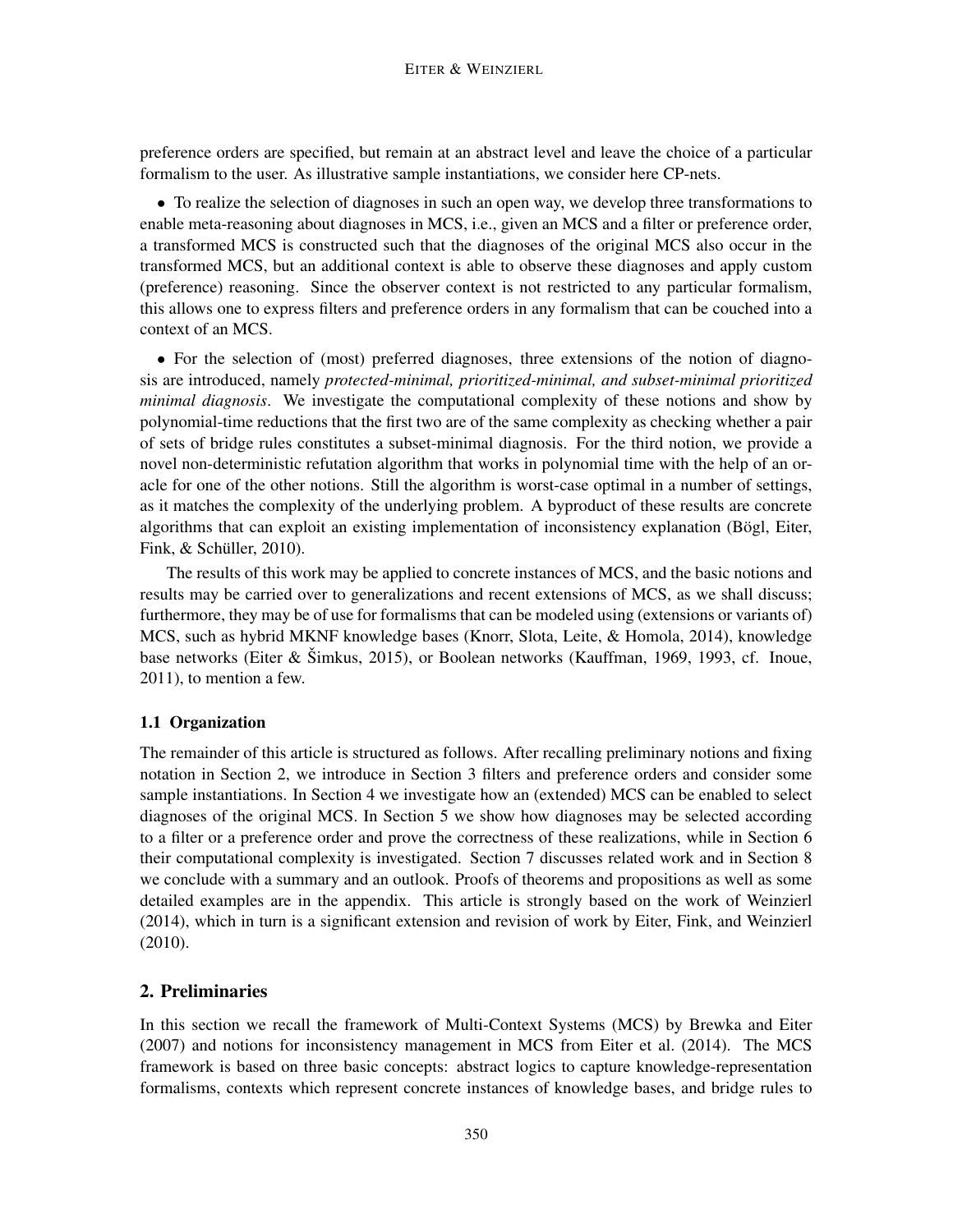preference orders are specified, but remain at an abstract level and leave the choice of a particular formalism to the user. As illustrative sample instantiations, we consider here CP-nets.

• To realize the selection of diagnoses in such an open way, we develop three transformations to enable meta-reasoning about diagnoses in MCS, i.e., given an MCS and a filter or preference order, a transformed MCS is constructed such that the diagnoses of the original MCS also occur in the transformed MCS, but an additional context is able to observe these diagnoses and apply custom (preference) reasoning. Since the observer context is not restricted to any particular formalism, this allows one to express filters and preference orders in any formalism that can be couched into a context of an MCS.

• For the selection of (most) preferred diagnoses, three extensions of the notion of diagnosis are introduced, namely *protected-minimal, prioritized-minimal, and subset-minimal prioritized minimal diagnosis*. We investigate the computational complexity of these notions and show by polynomial-time reductions that the first two are of the same complexity as checking whether a pair of sets of bridge rules constitutes a subset-minimal diagnosis. For the third notion, we provide a novel non-deterministic refutation algorithm that works in polynomial time with the help of an oracle for one of the other notions. Still the algorithm is worst-case optimal in a number of settings, as it matches the complexity of the underlying problem. A byproduct of these results are concrete algorithms that can exploit an existing implementation of inconsistency explanation (Bögl, Eiter, Fink, & Schüller, 2010).

The results of this work may be applied to concrete instances of MCS, and the basic notions and results may be carried over to generalizations and recent extensions of MCS, as we shall discuss; furthermore, they may be of use for formalisms that can be modeled using (extensions or variants of) MCS, such as hybrid MKNF knowledge bases (Knorr, Slota, Leite, & Homola, 2014), knowledge base networks (Eiter & Šimkus, 2015), or Boolean networks (Kauffman, 1969, 1993, cf. Inoue, 2011), to mention a few.

#### 1.1 Organization

The remainder of this article is structured as follows. After recalling preliminary notions and fixing notation in Section 2, we introduce in Section 3 filters and preference orders and consider some sample instantiations. In Section 4 we investigate how an (extended) MCS can be enabled to select diagnoses of the original MCS. In Section 5 we show how diagnoses may be selected according to a filter or a preference order and prove the correctness of these realizations, while in Section 6 their computational complexity is investigated. Section 7 discusses related work and in Section 8 we conclude with a summary and an outlook. Proofs of theorems and propositions as well as some detailed examples are in the appendix. This article is strongly based on the work of Weinzierl (2014), which in turn is a significant extension and revision of work by Eiter, Fink, and Weinzierl (2010).

## 2. Preliminaries

In this section we recall the framework of Multi-Context Systems (MCS) by Brewka and Eiter (2007) and notions for inconsistency management in MCS from Eiter et al. (2014). The MCS framework is based on three basic concepts: abstract logics to capture knowledge-representation formalisms, contexts which represent concrete instances of knowledge bases, and bridge rules to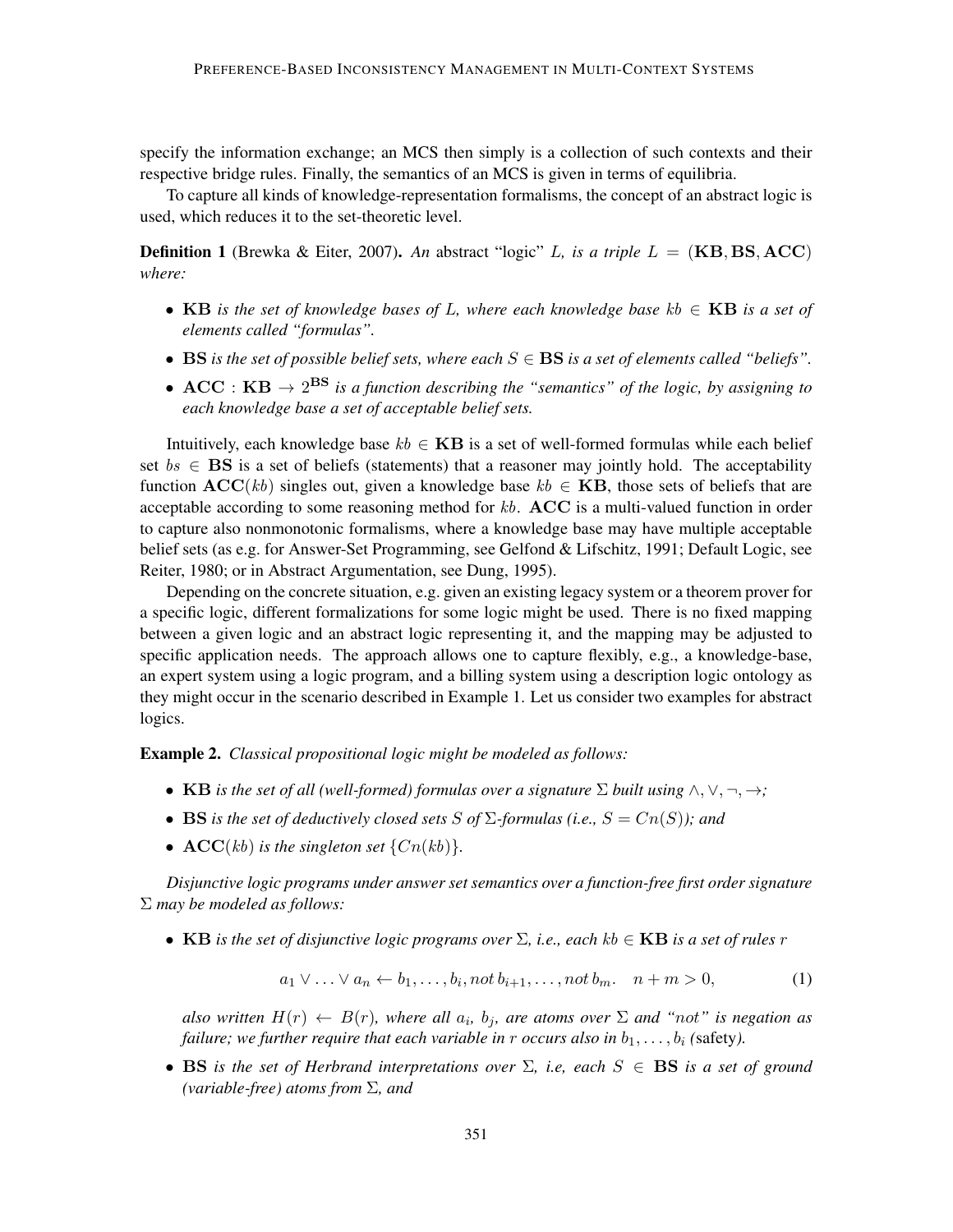specify the information exchange; an MCS then simply is a collection of such contexts and their respective bridge rules. Finally, the semantics of an MCS is given in terms of equilibria.

To capture all kinds of knowledge-representation formalisms, the concept of an abstract logic is used, which reduces it to the set-theoretic level.

Definition 1 (Brewka & Eiter, 2007). *An* abstract "logic" L*, is a triple* L = (KB, BS, ACC) *where:*

- KB *is the set of knowledge bases of* L*, where each knowledge base* kb ∈ KB *is a set of elements called "formulas".*
- BS *is the set of possible belief sets, where each* S ∈ BS *is a set of elements called "beliefs".*
- $ACC: KB \rightarrow 2^{BS}$  is a function describing the "semantics" of the logic, by assigning to *each knowledge base a set of acceptable belief sets.*

Intuitively, each knowledge base  $kb \in \mathbf{KB}$  is a set of well-formed formulas while each belief set  $bs \in BS$  is a set of beliefs (statements) that a reasoner may jointly hold. The acceptability function  $\mathbf{ACC}(kb)$  singles out, given a knowledge base  $kb \in \mathbf{KB}$ , those sets of beliefs that are acceptable according to some reasoning method for  $kb$ .  $\angle$  ACC is a multi-valued function in order to capture also nonmonotonic formalisms, where a knowledge base may have multiple acceptable belief sets (as e.g. for Answer-Set Programming, see Gelfond & Lifschitz, 1991; Default Logic, see Reiter, 1980; or in Abstract Argumentation, see Dung, 1995).

Depending on the concrete situation, e.g. given an existing legacy system or a theorem prover for a specific logic, different formalizations for some logic might be used. There is no fixed mapping between a given logic and an abstract logic representing it, and the mapping may be adjusted to specific application needs. The approach allows one to capture flexibly, e.g., a knowledge-base, an expert system using a logic program, and a billing system using a description logic ontology as they might occur in the scenario described in Example 1. Let us consider two examples for abstract logics.

Example 2. *Classical propositional logic might be modeled as follows:*

- KB *is the set of all (well-formed) formulas over a signature*  $\Sigma$  *built using*  $\wedge$ ,  $\vee$ ,  $\neg$ ,  $\rightarrow$ *;*
- BS *is the set of deductively closed sets* S *of*  $\Sigma$ -formulas (*i.e.*,  $S = Cn(S)$ *); and*
- $\text{ACC}(kb)$  *is the singleton set*  $\{Cn(kb)\}.$

*Disjunctive logic programs under answer set semantics over a function-free first order signature* Σ *may be modeled as follows:*

• KB *is the set of disjunctive logic programs over* Σ*, i.e., each* kb ∈ KB *is a set of rules* r

$$
a_1 \vee \ldots \vee a_n \leftarrow b_1, \ldots, b_i, \text{not } b_{i+1}, \ldots, \text{not } b_m, \quad n+m > 0,\tag{1}
$$

*also written*  $H(r) \leftarrow B(r)$ , where all  $a_i$ ,  $b_j$ , are atoms over  $\Sigma$  and "not" is negation as *failure; we further require that each variable in r occurs also in*  $b_1, \ldots, b_i$  *(safety).* 

• BS *is the set of Herbrand interpretations over* Σ*, i.e, each* S ∈ BS *is a set of ground (variable-free) atoms from* Σ*, and*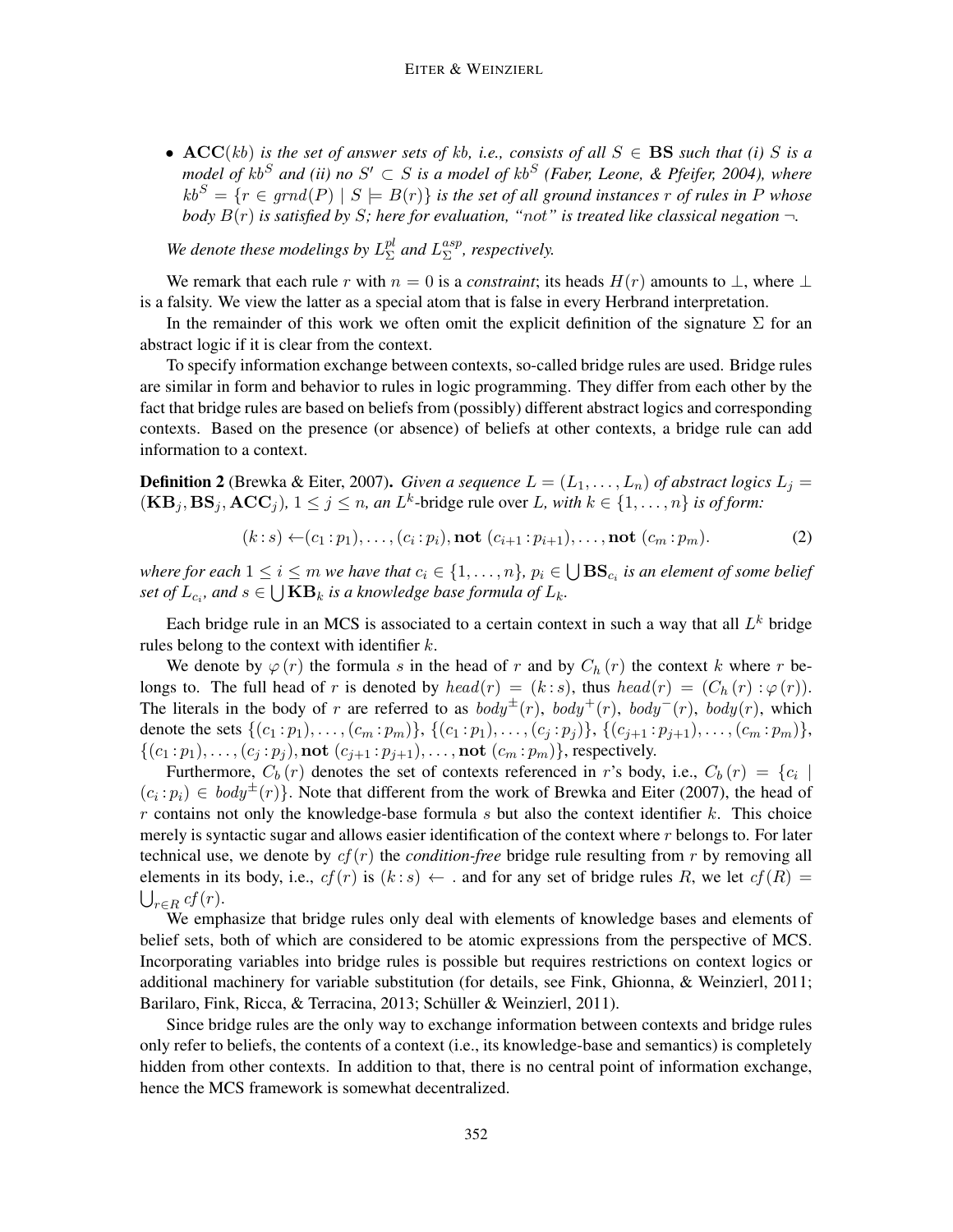•  $ACC(kb)$  *is the set of answer sets of kb, i.e., consists of all*  $S \in BS$  *such that (i)* S *is a* model of  $kb^S$  and (ii) no  $S' \subset S$  is a model of  $kb^S$  (Faber, Leone, & Pfeifer, 2004), where  $kb^S = \{r \in \text{grad}(P) \mid S \models B(r)\}\$ is the set of all ground instances r of rules in P whose *body*  $B(r)$  *is satisfied by S; here for evaluation, "not" is treated like classical negation*  $\neg$ .

We denote these modelings by  $L_{\Sigma}^{pl}$  $_{\Sigma}^{pl}$  and  $L_{\Sigma}^{asp}$  $_{\Sigma}^{asp}$ , respectively.

We remark that each rule r with  $n = 0$  is a *constraint*; its heads  $H(r)$  amounts to  $\perp$ , where  $\perp$ is a falsity. We view the latter as a special atom that is false in every Herbrand interpretation.

In the remainder of this work we often omit the explicit definition of the signature  $\Sigma$  for an abstract logic if it is clear from the context.

To specify information exchange between contexts, so-called bridge rules are used. Bridge rules are similar in form and behavior to rules in logic programming. They differ from each other by the fact that bridge rules are based on beliefs from (possibly) different abstract logics and corresponding contexts. Based on the presence (or absence) of beliefs at other contexts, a bridge rule can add information to a context.

**Definition 2** (Brewka & Eiter, 2007). *Given a sequence*  $L = (L_1, \ldots, L_n)$  *of abstract logics*  $L_i =$  $(KB_j, BS_j, ACC_j), 1 \leq j \leq n$ , an L<sup>k</sup>-bridge rule over L, with  $k \in \{1, ..., n\}$  is of form:

$$
(k:s) \leftarrow (c_1:p_1), \dots, (c_i:p_i), \text{not } (c_{i+1}:p_{i+1}), \dots, \text{not } (c_m:p_m).
$$
 (2)

where for each  $1\leq i\leq m$  we have that  $c_i\in\{1,\ldots,n\}$ ,  $p_i\in\bigcup {\bf BS}_{c_i}$  is an element of some belief set of  $L_{c_i}$ , and  $s \in \bigcup \mathbf{KB}_k$  is a knowledge base formula of  $L_k$ .

Each bridge rule in an MCS is associated to a certain context in such a way that all  $L^k$  bridge rules belong to the context with identifier  $k$ .

We denote by  $\varphi(r)$  the formula s in the head of r and by  $C_h(r)$  the context k where r belongs to. The full head of r is denoted by  $head(r) = (k : s)$ , thus  $head(r) = (C_h(r) : \varphi(r))$ . The literals in the body of r are referred to as  $body^{\pm}(r)$ ,  $body^+(r)$ ,  $body^-(r)$ ,  $body(r)$ , which denote the sets  $\{(c_1 : p_1), \ldots, (c_m : p_m)\}, \{(c_1 : p_1), \ldots, (c_j : p_j)\}, \{(c_{j+1} : p_{j+1}), \ldots, (c_m : p_m)\},\$  $\{(c_1 : p_1), \ldots, (c_j : p_j), \text{not } (c_{j+1} : p_{j+1}), \ldots, \text{not } (c_m : p_m)\}\)$ , respectively.

Furthermore,  $C_b(r)$  denotes the set of contexts referenced in r's body, i.e.,  $C_b(r) = \{c_i \mid$  $(c_i : p_i) \in \text{body}^{\pm}(r)$ . Note that different from the work of Brewka and Eiter (2007), the head of  $r$  contains not only the knowledge-base formula  $s$  but also the context identifier  $k$ . This choice merely is syntactic sugar and allows easier identification of the context where r belongs to. For later technical use, we denote by  $cf(r)$  the *condition-free* bridge rule resulting from r by removing all elements in its body, i.e.,  $cf(r)$  is  $(k: s) \leftarrow$  and for any set of bridge rules R, we let  $cf(R)$  =  $\bigcup_{r\in R} cf(r).$ 

We emphasize that bridge rules only deal with elements of knowledge bases and elements of belief sets, both of which are considered to be atomic expressions from the perspective of MCS. Incorporating variables into bridge rules is possible but requires restrictions on context logics or additional machinery for variable substitution (for details, see Fink, Ghionna, & Weinzierl, 2011; Barilaro, Fink, Ricca, & Terracina, 2013; Schüller & Weinzierl, 2011).

Since bridge rules are the only way to exchange information between contexts and bridge rules only refer to beliefs, the contents of a context (i.e., its knowledge-base and semantics) is completely hidden from other contexts. In addition to that, there is no central point of information exchange, hence the MCS framework is somewhat decentralized.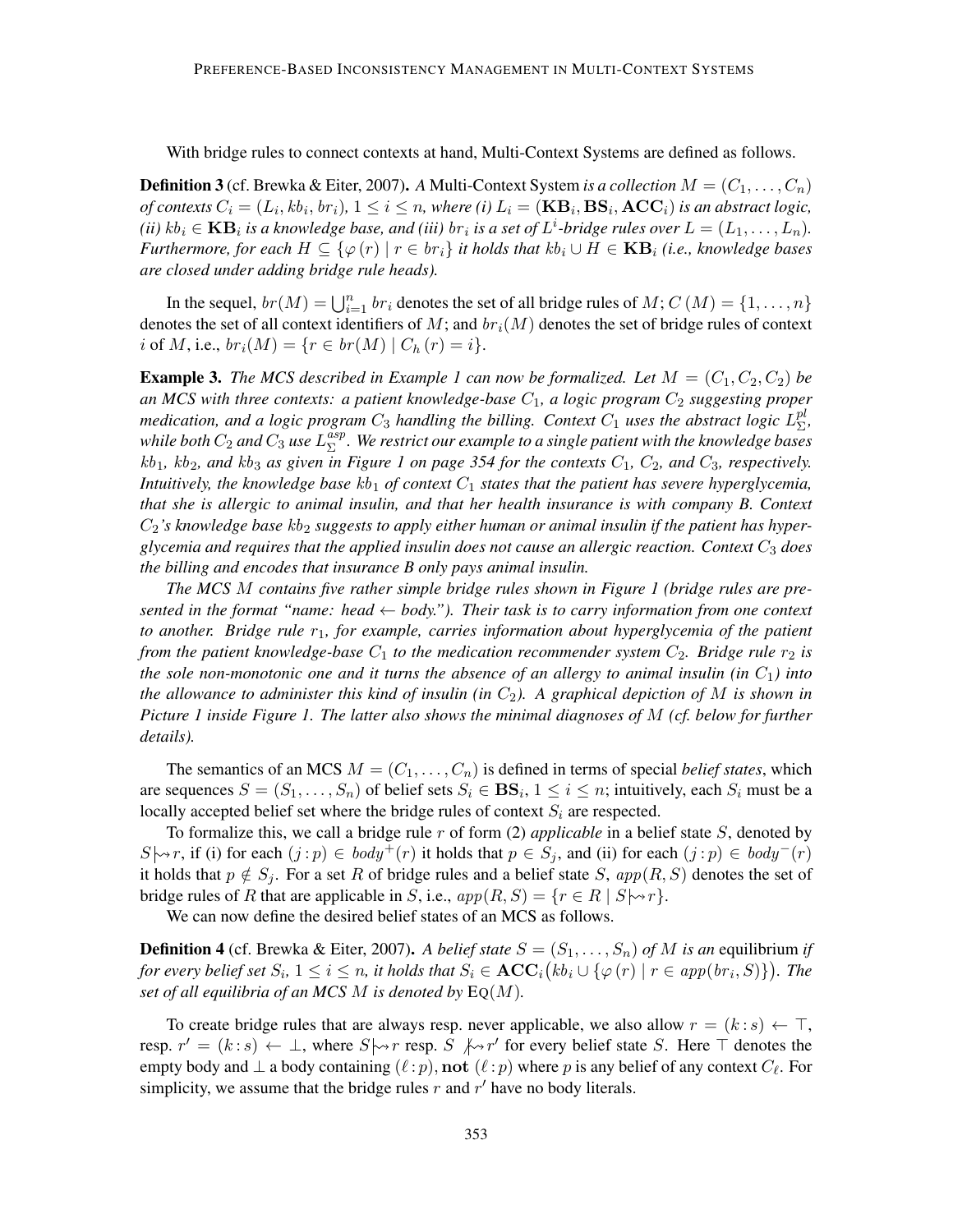With bridge rules to connect contexts at hand, Multi-Context Systems are defined as follows.

**Definition 3** (cf. Brewka & Eiter, 2007). A Multi-Context System *is a collection*  $M = (C_1, \ldots, C_n)$ *of contexts*  $C_i = (L_i, kb_i, br_i), 1 \leq i \leq n$ , where (i)  $L_i = (\mathbf{KB}_i, \mathbf{BS}_i, \mathbf{ACC}_i)$  *is an abstract logic*, *(ii)*  $kb_i \in \mathbf{KB}_i$  is a knowledge base, and *(iii)*  $br_i$  is a set of  $L^i$ -bridge rules over  $L = (L_1, \ldots, L_n)$ . *Furthermore, for each*  $H \subseteq {\varphi(r) \mid r \in br_i}$  *it holds that*  $kb_i \cup H \in \mathbf{KB}_i$  *(i.e., knowledge bases are closed under adding bridge rule heads).*

In the sequel,  $br(M) = \bigcup_{i=1}^{n} br_i$  denotes the set of all bridge rules of  $M$ ;  $C(M) = \{1, ..., n\}$ denotes the set of all context identifiers of M; and  $br_i(M)$  denotes the set of bridge rules of context i of M, i.e.,  $br_i(M) = \{r \in br(M) \mid C_h(r) = i\}.$ 

**Example 3.** The MCS described in Example 1 can now be formalized. Let  $M = (C_1, C_2, C_2)$  be *an MCS with three contexts: a patient knowledge-base* C1*, a logic program* C<sup>2</sup> *suggesting proper medication, and a logic program*  $C_3$  *handling the billing. Context*  $C_1$  *uses the abstract logic*  $L_{\Sigma}^{pl}$ Σ *,* while both  $C_2$  and  $C_3$  use  $L_\Sigma^{asp}$ Σ *. We restrict our example to a single patient with the knowledge bases*  $kb_1$ ,  $kb_2$ , and  $kb_3$  as given in Figure 1 on page 354 for the contexts  $C_1$ ,  $C_2$ , and  $C_3$ , respectively. *Intuitively, the knowledge base*  $kb_1$  *of context*  $C_1$  *states that the patient has severe hyperglycemia, that she is allergic to animal insulin, and that her health insurance is with company B. Context*  $C_2$ 's knowledge base kb<sub>2</sub> suggests to apply either human or animal insulin if the patient has hyper*glycemia and requires that the applied insulin does not cause an allergic reaction. Context* C<sup>3</sup> *does the billing and encodes that insurance B only pays animal insulin.*

*The MCS* M *contains five rather simple bridge rules shown in Figure 1 (bridge rules are presented in the format "name: head* ← *body."). Their task is to carry information from one context to another. Bridge rule r<sub>1</sub>, for example, carries information about hyperglycemia of the patient from the patient knowledge-base*  $C_1$  *to the medication recommender system*  $C_2$ *. Bridge rule*  $r_2$  *is the sole non-monotonic one and it turns the absence of an allergy to animal insulin (in*  $C_1$ ) *into the allowance to administer this kind of insulin (in* C2*). A graphical depiction of* M *is shown in Picture 1 inside Figure 1. The latter also shows the minimal diagnoses of* M *(cf. below for further details).*

The semantics of an MCS  $M = (C_1, \ldots, C_n)$  is defined in terms of special *belief states*, which are sequences  $S = (S_1, \ldots, S_n)$  of belief sets  $S_i \in \mathbf{BS}_i$ ,  $1 \le i \le n$ ; intuitively, each  $S_i$  must be a locally accepted belief set where the bridge rules of context  $S_i$  are respected.

To formalize this, we call a bridge rule r of form (2) *applicable* in a belief state S, denoted by  $S \mapsto r$ , if (i) for each  $(j : p) \in body^+(r)$  it holds that  $p \in S_j$ , and (ii) for each  $(j : p) \in body^-(r)$ it holds that  $p \notin S_i$ . For a set R of bridge rules and a belief state S,  $app(R, S)$  denotes the set of bridge rules of R that are applicable in S, i.e.,  $app(R, S) = \{r \in R \mid S \sim r\}.$ 

We can now define the desired belief states of an MCS as follows.

**Definition 4** (cf. Brewka & Eiter, 2007). A belief state  $S = (S_1, \ldots, S_n)$  of M is an equilibrium if for every belief set  $S_i$ ,  $1\leq i\leq n$ , it holds that  $S_i\in\mathbf{ACC}_i\big(kb_i\cup\{\varphi\left(r\right)\mid r\in app(br_i,S)\}\big)$ . The *set of all equilibria of an MCS* M *is denoted by* EQ(M)*.*

To create bridge rules that are always resp. never applicable, we also allow  $r = (k : s) \leftarrow \top$ , resp.  $r' = (k : s) \leftarrow \perp$ , where  $S \rightarrow r$  resp.  $S \not\rightarrow r'$  for every belief state S. Here  $\top$  denotes the empty body and  $\bot$  a body containing  $(\ell : p)$ , not  $(\ell : p)$  where p is any belief of any context  $C_{\ell}$ . For simplicity, we assume that the bridge rules  $r$  and  $r'$  have no body literals.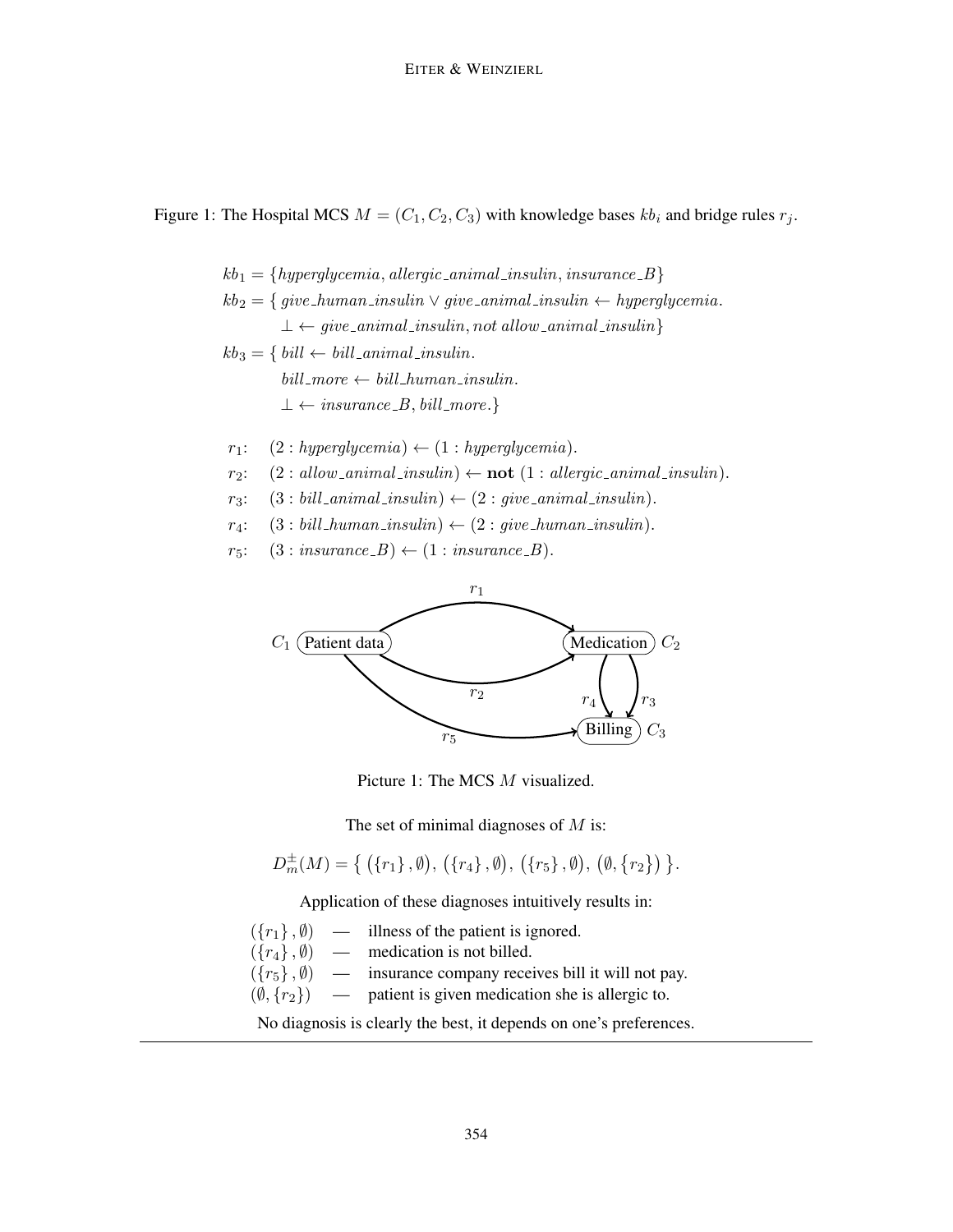Figure 1: The Hospital MCS  $M = (C_1, C_2, C_3)$  with knowledge bases  $kb_i$  and bridge rules  $r_j$ .

$$
kb_1 = \{hyperglycemia, allergic\_animal\_insulin, insurance.B\}
$$
  
\n
$$
kb_2 = \{ give\_human\_insulin \lor give\_animal\_insulin \leftarrow hyperglycemia.
$$
  
\n
$$
\perp \leftarrow give\_animal\_insulin, not allow\_animal\_insulin\}
$$
  
\n
$$
kb_3 = \{ bill \leftarrow bill\_animal\_insulin.
$$
  
\n
$$
bill\_more \leftarrow bill\_human\_insulin.
$$
  
\n
$$
\perp \leftarrow insurance.B, bill\_more.\}
$$

- $r_1$ :  $(2: hyperglycemia) \leftarrow (1: hyperglycemia).$
- $r_2$ :  $(2: allow\_animal\_insulin) \leftarrow not (1: allergic\_animal\_insulin).$
- $r_3$ :  $(3 : bill\_animal\_insulin) \leftarrow (2 : give\_animal\_insulin).$
- $r_4$ :  $(3: bill\_human\_insulin) \leftarrow (2: give\_human\_insulin).$
- $r_5$ :  $(3 : insurance\_B) \leftarrow (1 : insurance\_B)$ .



Picture 1: The MCS M visualized.

The set of minimal diagnoses of  $M$  is:

 $D_m^{\pm}(M) = \{ (\{r_1\}, \emptyset), (\{r_4\}, \emptyset), (\{r_5\}, \emptyset), (\emptyset, \{r_2\}) \}.$ 

Application of these diagnoses intuitively results in:

| $(\lbrace r_1 \rbrace, \emptyset)$                                 |  | — illness of the patient is ignored.                                     |  |  |  |
|--------------------------------------------------------------------|--|--------------------------------------------------------------------------|--|--|--|
| $(\lbrace r_4 \rbrace, \emptyset)$                                 |  | — medication is not billed.                                              |  |  |  |
| $(\lbrace r_5 \rbrace, \emptyset)$                                 |  | - insurance company receives bill it will not pay.                       |  |  |  |
|                                                                    |  | $(\emptyset, \{r_2\})$ — patient is given medication she is allergic to. |  |  |  |
| No diagnosis is clearly the best, it depends on one's preferences. |  |                                                                          |  |  |  |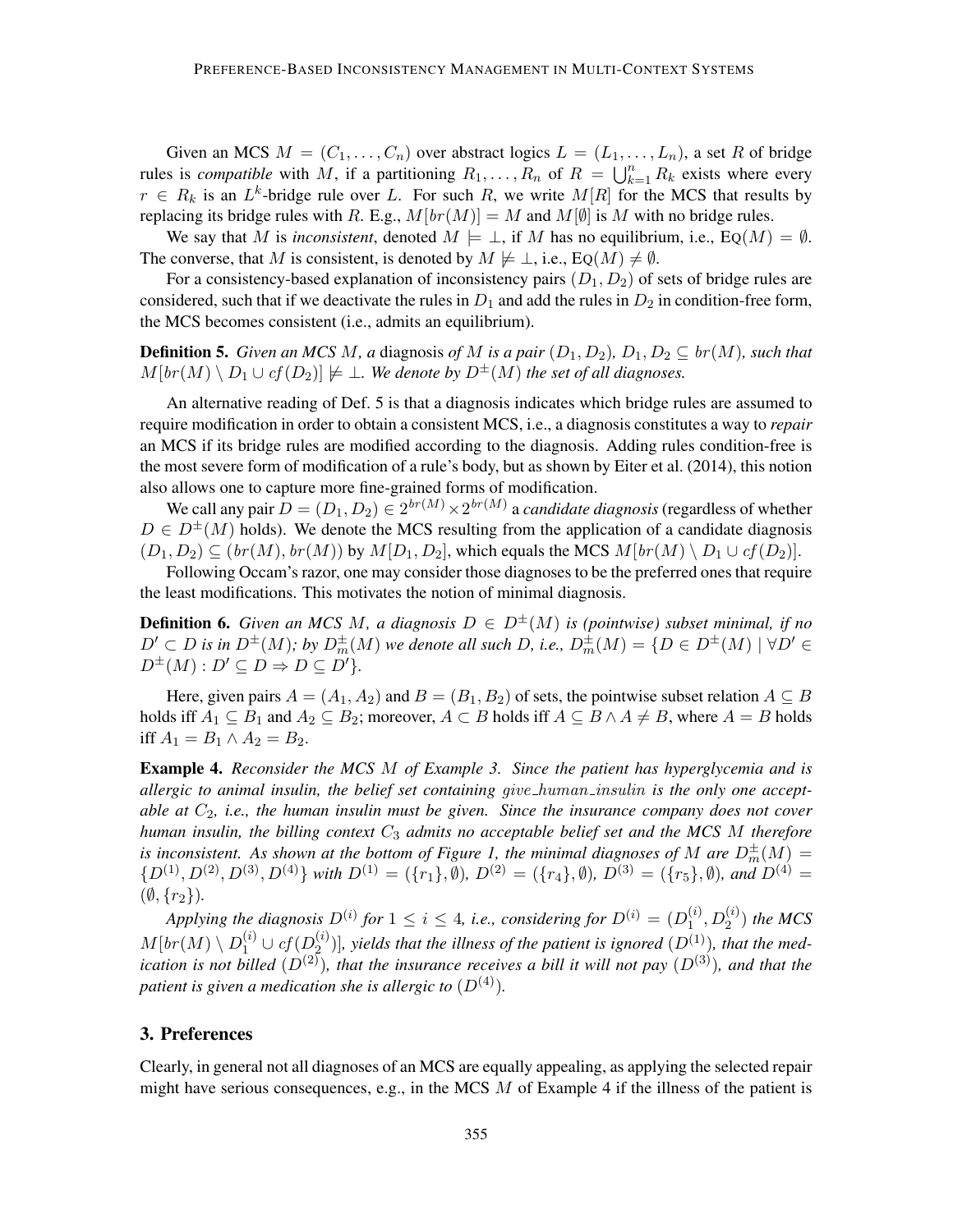Given an MCS  $M = (C_1, \ldots, C_n)$  over abstract logics  $L = (L_1, \ldots, L_n)$ , a set R of bridge rules is *compatible* with M, if a partitioning  $R_1, \ldots, R_n$  of  $R = \bigcup_{k=1}^n R_k$  exists where every  $r \in R_k$  is an  $L^k$ -bridge rule over L. For such R, we write  $M[R]$  for the MCS that results by replacing its bridge rules with R. E.g.,  $M[br(M)] = M$  and  $M[\emptyset]$  is M with no bridge rules.

We say that M is *inconsistent*, denoted  $M \models \bot$ , if M has no equilibrium, i.e., EQ(M) =  $\emptyset$ . The converse, that M is consistent, is denoted by  $M \not\models \bot$ , i.e., EQ(M)  $\neq \emptyset$ .

For a consistency-based explanation of inconsistency pairs  $(D_1, D_2)$  of sets of bridge rules are considered, such that if we deactivate the rules in  $D_1$  and add the rules in  $D_2$  in condition-free form, the MCS becomes consistent (i.e., admits an equilibrium).

**Definition 5.** *Given an MCS M, a* diagnosis *of M is a pair*  $(D_1, D_2)$ *,*  $D_1, D_2 \subseteq br(M)$ *, such that*  $M[br(M) \setminus D_1 \cup cf(D_2)] \not\models \bot$ . We denote by  $D^{\pm}(M)$  the set of all diagnoses.

An alternative reading of Def. 5 is that a diagnosis indicates which bridge rules are assumed to require modification in order to obtain a consistent MCS, i.e., a diagnosis constitutes a way to *repair* an MCS if its bridge rules are modified according to the diagnosis. Adding rules condition-free is the most severe form of modification of a rule's body, but as shown by Eiter et al. (2014), this notion also allows one to capture more fine-grained forms of modification.

We call any pair  $D = (D_1, D_2) \in 2^{br(M)} \times 2^{br(M)}$  a *candidate diagnosis* (regardless of whether  $D \in D^{\pm}(M)$  holds). We denote the MCS resulting from the application of a candidate diagnosis  $(D_1, D_2) \subseteq (br(M), br(M))$  by  $M[D_1, D_2]$ , which equals the MCS  $M[br(M) \setminus D_1 \cup cf(D_2)]$ .

Following Occam's razor, one may consider those diagnoses to be the preferred ones that require the least modifications. This motivates the notion of minimal diagnosis.

**Definition 6.** *Given an MCS M, a diagnosis*  $D \in D^{\pm}(M)$  *is (pointwise) subset minimal, if no*  $D'\subset D$  is in  $D^{\pm}(M)$ ; by  $D^{\pm}_m(M)$  we denote all such D, i.e.,  $D^{\pm}_m(M)=\{D\in D^{\pm}(M)\mid \forall D'\in D\}$  $D^{\pm}(M) : D' \subseteq D \Rightarrow D \subseteq D'$ *}*.

Here, given pairs  $A = (A_1, A_2)$  and  $B = (B_1, B_2)$  of sets, the pointwise subset relation  $A \subseteq B$ holds iff  $A_1 \subseteq B_1$  and  $A_2 \subseteq B_2$ ; moreover,  $A \subset B$  holds iff  $A \subseteq B \land A \neq B$ , where  $A = B$  holds iff  $A_1 = B_1 \wedge A_2 = B_2$ .

Example 4. *Reconsider the MCS* M *of Example 3. Since the patient has hyperglycemia and is allergic to animal insulin, the belief set containing* give human insulin *is the only one acceptable at*  $C_2$ , *i.e., the human insulin must be given. Since the insurance company does not cover human insulin, the billing context*  $C_3$  *admits no acceptable belief set and the MCS M therefore is inconsistent. As shown at the bottom of Figure 1, the minimal diagnoses of* M are  $D_m^{\pm}(M)$  =  $\{D^{(1)}, D^{(2)}, D^{(3)}, D^{(4)}\}$  *with*  $D^{(1)} = (\{r_1\}, \emptyset)$ *,*  $D^{(2)} = (\{r_4\}, \emptyset)$ *,*  $D^{(3)} = (\{r_5\}, \emptyset)$ *, and*  $D^{(4)} =$  $(\emptyset, \{r_2\})$ .

*Applying the diagnosis*  $D^{(i)}$  for  $1 \leq i \leq 4$ , *i.e., considering for*  $D^{(i)} = (D_1^{(i)})$  $\binom{(i)}{1}, D_2^{(i)}$  *the MCS*  $M[br(M) \setminus D_1^{(i)} \cup cf(D_2^{(i)})$  $\binom{\binom{n}{2}}{2}$ , yields that the illness of the patient is ignored  $(D^{(1)})$ , that the med*ication is not billed*  $(D^{(2)})$ *, that the insurance receives a bill it will not pay*  $(D^{(3)})$ *, and that the patient is given a medication she is allergic to*  $(D^{(4)})$ .

### 3. Preferences

Clearly, in general not all diagnoses of an MCS are equally appealing, as applying the selected repair might have serious consequences, e.g., in the MCS  $M$  of Example 4 if the illness of the patient is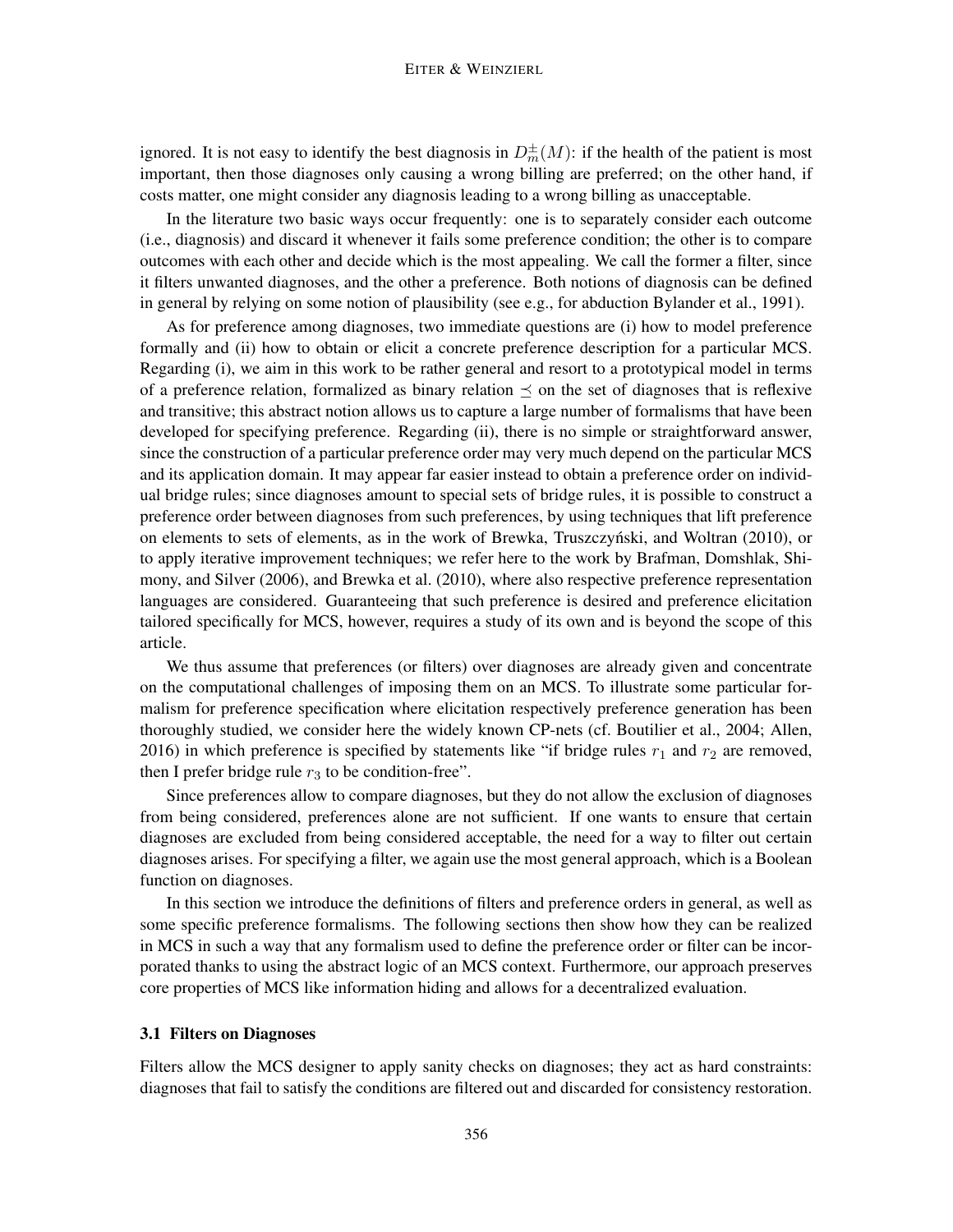ignored. It is not easy to identify the best diagnosis in  $D_m^{\pm}(M)$ : if the health of the patient is most important, then those diagnoses only causing a wrong billing are preferred; on the other hand, if costs matter, one might consider any diagnosis leading to a wrong billing as unacceptable.

In the literature two basic ways occur frequently: one is to separately consider each outcome (i.e., diagnosis) and discard it whenever it fails some preference condition; the other is to compare outcomes with each other and decide which is the most appealing. We call the former a filter, since it filters unwanted diagnoses, and the other a preference. Both notions of diagnosis can be defined in general by relying on some notion of plausibility (see e.g., for abduction Bylander et al., 1991).

As for preference among diagnoses, two immediate questions are (i) how to model preference formally and (ii) how to obtain or elicit a concrete preference description for a particular MCS. Regarding (i), we aim in this work to be rather general and resort to a prototypical model in terms of a preference relation, formalized as binary relation  $\prec$  on the set of diagnoses that is reflexive and transitive; this abstract notion allows us to capture a large number of formalisms that have been developed for specifying preference. Regarding (ii), there is no simple or straightforward answer, since the construction of a particular preference order may very much depend on the particular MCS and its application domain. It may appear far easier instead to obtain a preference order on individual bridge rules; since diagnoses amount to special sets of bridge rules, it is possible to construct a preference order between diagnoses from such preferences, by using techniques that lift preference on elements to sets of elements, as in the work of Brewka, Truszczynski, and Woltran (2010), or ´ to apply iterative improvement techniques; we refer here to the work by Brafman, Domshlak, Shimony, and Silver (2006), and Brewka et al. (2010), where also respective preference representation languages are considered. Guaranteeing that such preference is desired and preference elicitation tailored specifically for MCS, however, requires a study of its own and is beyond the scope of this article.

We thus assume that preferences (or filters) over diagnoses are already given and concentrate on the computational challenges of imposing them on an MCS. To illustrate some particular formalism for preference specification where elicitation respectively preference generation has been thoroughly studied, we consider here the widely known CP-nets (cf. Boutilier et al., 2004; Allen, 2016) in which preference is specified by statements like "if bridge rules  $r_1$  and  $r_2$  are removed, then I prefer bridge rule  $r_3$  to be condition-free".

Since preferences allow to compare diagnoses, but they do not allow the exclusion of diagnoses from being considered, preferences alone are not sufficient. If one wants to ensure that certain diagnoses are excluded from being considered acceptable, the need for a way to filter out certain diagnoses arises. For specifying a filter, we again use the most general approach, which is a Boolean function on diagnoses.

In this section we introduce the definitions of filters and preference orders in general, as well as some specific preference formalisms. The following sections then show how they can be realized in MCS in such a way that any formalism used to define the preference order or filter can be incorporated thanks to using the abstract logic of an MCS context. Furthermore, our approach preserves core properties of MCS like information hiding and allows for a decentralized evaluation.

### 3.1 Filters on Diagnoses

Filters allow the MCS designer to apply sanity checks on diagnoses; they act as hard constraints: diagnoses that fail to satisfy the conditions are filtered out and discarded for consistency restoration.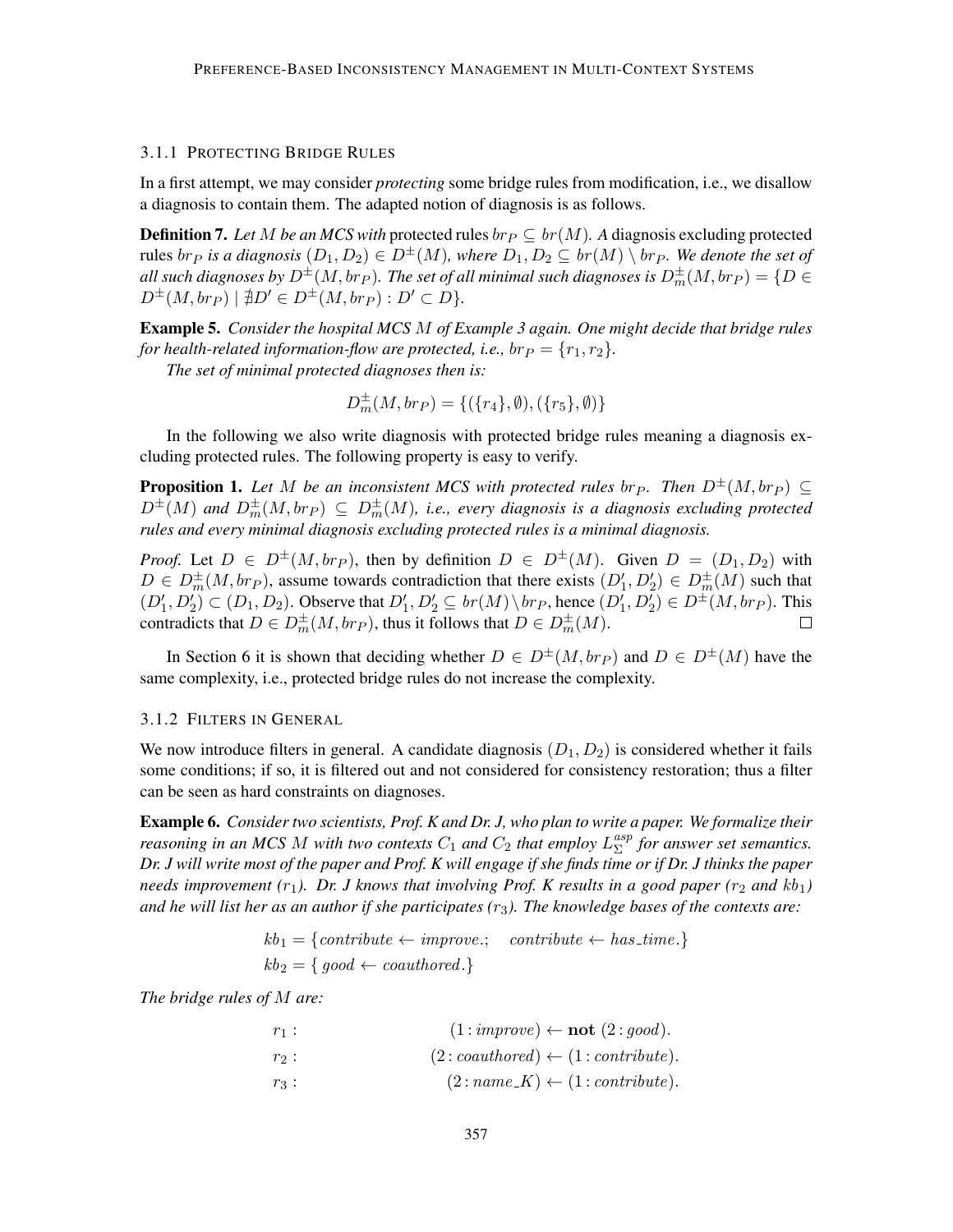#### 3.1.1 PROTECTING BRIDGE RULES

In a first attempt, we may consider *protecting* some bridge rules from modification, i.e., we disallow a diagnosis to contain them. The adapted notion of diagnosis is as follows.

**Definition 7.** Let M be an MCS with protected rules  $br_P \subseteq br(M)$ . A diagnosis excluding protected rules  $br_P$  *is a diagnosis*  $(D_1, D_2) \in D^{\pm}(M)$ *, where*  $D_1, D_2 \subseteq br(M) \setminus br_P$ *. We denote the set of* all such diagnoses by  $D^\pm (M,br_P).$  The set of all minimal such diagnoses is  $D_m^\pm (M,br_P) = \{D \in$  $D^{\pm}(M, b r_P) | \nexists D' \in D^{\pm}(M, b r_P) : D' \subset D$ .

Example 5. *Consider the hospital MCS* M *of Example 3 again. One might decide that bridge rules for health-related information-flow are protected, i.e.,*  $br_P = \{r_1, r_2\}$ .

*The set of minimal protected diagnoses then is:*

$$
D_m^{\pm}(M,br_P) = \{ (\{r_4\}, \emptyset), (\{r_5\}, \emptyset) \}
$$

In the following we also write diagnosis with protected bridge rules meaning a diagnosis excluding protected rules. The following property is easy to verify.

**Proposition 1.** Let M be an inconsistent MCS with protected rules br<sub>P</sub>. Then  $D^{\pm}(M, br_P) \subseteq$  $D^{\pm}(M)$  and  $D_m^{\pm}(M,br_P) \subseteq D_m^{\pm}(M)$ , i.e., every diagnosis is a diagnosis excluding protected *rules and every minimal diagnosis excluding protected rules is a minimal diagnosis.*

*Proof.* Let  $D \in D^{\pm}(M, br_P)$ , then by definition  $D \in D^{\pm}(M)$ . Given  $D = (D_1, D_2)$  with  $D \in D_m^{\pm}(M, br_P)$ , assume towards contradiction that there exists  $(D'_1, D'_2) \in D_m^{\pm}(M)$  such that  $(D'_1, D'_2) \subset (D_1, D_2)$ . Observe that  $D'_1, D'_2 \subseteq br(M) \setminus br_P$ , hence  $(D'_1, D'_2) \in D^{\pm}(M, br_P)$ . This contradicts that  $D \in D_m^{\pm}(M, b r_P)$ , thus it follows that  $D \in D_m^{\pm}(M)$ .  $\Box$ 

In Section 6 it is shown that deciding whether  $D \in D^{\pm}(M, br_P)$  and  $D \in D^{\pm}(M)$  have the same complexity, i.e., protected bridge rules do not increase the complexity.

#### 3.1.2 FILTERS IN GENERAL

We now introduce filters in general. A candidate diagnosis  $(D_1, D_2)$  is considered whether it fails some conditions; if so, it is filtered out and not considered for consistency restoration; thus a filter can be seen as hard constraints on diagnoses.

Example 6. *Consider two scientists, Prof. K and Dr. J, who plan to write a paper. We formalize their reasoning in an MCS M with two contexts*  $C_1$  *and*  $C_2$  *that employ*  $L_{\Sigma}^{asp}$ Σ *for answer set semantics. Dr. J will write most of the paper and Prof. K will engage if she finds time or if Dr. J thinks the paper needs improvement*  $(r_1)$ *. Dr. J knows that involving Prof. K results in a good paper*  $(r_2$  *and*  $kb_1)$ *and he will list her as an author if she participates (*r3*). The knowledge bases of the contexts are:*

$$
kb_1 = \{ contribute \leftarrow improve; \quad contribute \leftarrow has_time.\}
$$
  

$$
kb_2 = \{ good \leftarrow coauthored.\}
$$

*The bridge rules of* M *are:*

| $r_1$ : | $(1: \text{improve}) \leftarrow \text{not} (2: \text{good}).$ |
|---------|---------------------------------------------------------------|
| $r_2$ : | $(2:coauthored) \leftarrow (1:contribute).$                   |
| $r_3$ : | $(2:name_K) \leftarrow (1:contribute).$                       |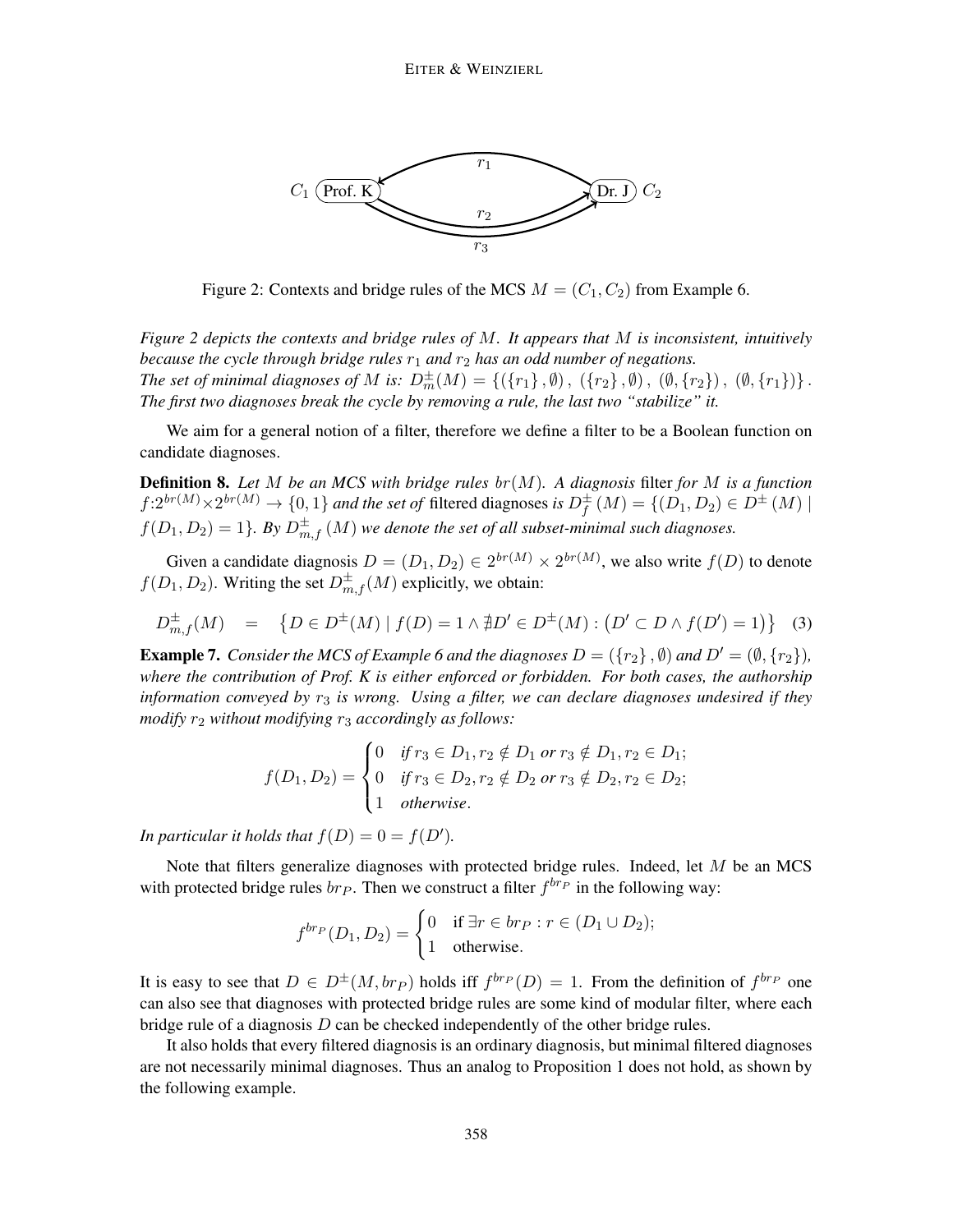

Figure 2: Contexts and bridge rules of the MCS  $M = (C_1, C_2)$  from Example 6.

*Figure 2 depicts the contexts and bridge rules of* M*. It appears that* M *is inconsistent, intuitively because the cycle through bridge rules*  $r_1$  *and*  $r_2$  *has an odd number of negations. The set of minimal diagnoses of*  $M$  *is:*  $D_m^{\pm}(M) = \{(\{r_1\}, \emptyset), (\{r_2\}, \emptyset), (\emptyset, \{r_2\}), (\emptyset, \{r_1\})\}$ . *The first two diagnoses break the cycle by removing a rule, the last two "stabilize" it.*

We aim for a general notion of a filter, therefore we define a filter to be a Boolean function on candidate diagnoses.

Definition 8. *Let* M *be an MCS with bridge rules* br (M)*. A diagnosis* filter *for* M *is a function*  $f:2^{br(M)}\times 2^{br(M)} \rightarrow \{0,1\}$  and the set of filtered diagnoses is  $D_f^{\pm}$  $_{f}^{\pm}(M) = \{(D_1, D_2) \in D^{\pm}(M) \mid$  $f(D_1, D_2) = 1$ }. By  $D_{m,f}^{\pm}(M)$  we denote the set of all subset-minimal such diagnoses.

Given a candidate diagnosis  $D = (D_1, D_2) \in 2^{br(M)} \times 2^{br(M)}$ , we also write  $f(D)$  to denote  $f(D_1, D_2)$ . Writing the set  $D_{m,f}^{\pm}(M)$  explicitly, we obtain:

$$
D_{m,f}^{\pm}(M) = \{ D \in D^{\pm}(M) \mid f(D) = 1 \land \nexists D' \in D^{\pm}(M) : (D' \subset D \land f(D') = 1) \} \tag{3}
$$

**Example 7.** *Consider the MCS of Example 6 and the diagnoses*  $D = (\lbrace r_2 \rbrace, \emptyset)$  *and*  $D' = (\emptyset, \lbrace r_2 \rbrace)$ *, where the contribution of Prof. K is either enforced or forbidden. For both cases, the authorship information conveyed by*  $r_3$  *is wrong. Using a filter, we can declare diagnoses undesired if they modify* r<sup>2</sup> *without modifying* r<sup>3</sup> *accordingly as follows:*

$$
f(D_1, D_2) = \begin{cases} 0 & \text{if } r_3 \in D_1, r_2 \notin D_1 \text{ or } r_3 \notin D_1, r_2 \in D_1; \\ 0 & \text{if } r_3 \in D_2, r_2 \notin D_2 \text{ or } r_3 \notin D_2, r_2 \in D_2; \\ 1 & \text{otherwise.} \end{cases}
$$

*In particular it holds that*  $f(D) = 0 = f(D')$ *.* 

Note that filters generalize diagnoses with protected bridge rules. Indeed, let M be an MCS with protected bridge rules  $br_P$ . Then we construct a filter  $f^{br_P}$  in the following way:

$$
f^{br_P}(D_1, D_2) = \begin{cases} 0 & \text{if } \exists r \in br_P : r \in (D_1 \cup D_2); \\ 1 & \text{otherwise.} \end{cases}
$$

It is easy to see that  $D \in D^{\pm}(M, b_{P})$  holds iff  $f^{br_{P}}(D) = 1$ . From the definition of  $f^{br_{P}}$  one can also see that diagnoses with protected bridge rules are some kind of modular filter, where each bridge rule of a diagnosis  $D$  can be checked independently of the other bridge rules.

It also holds that every filtered diagnosis is an ordinary diagnosis, but minimal filtered diagnoses are not necessarily minimal diagnoses. Thus an analog to Proposition 1 does not hold, as shown by the following example.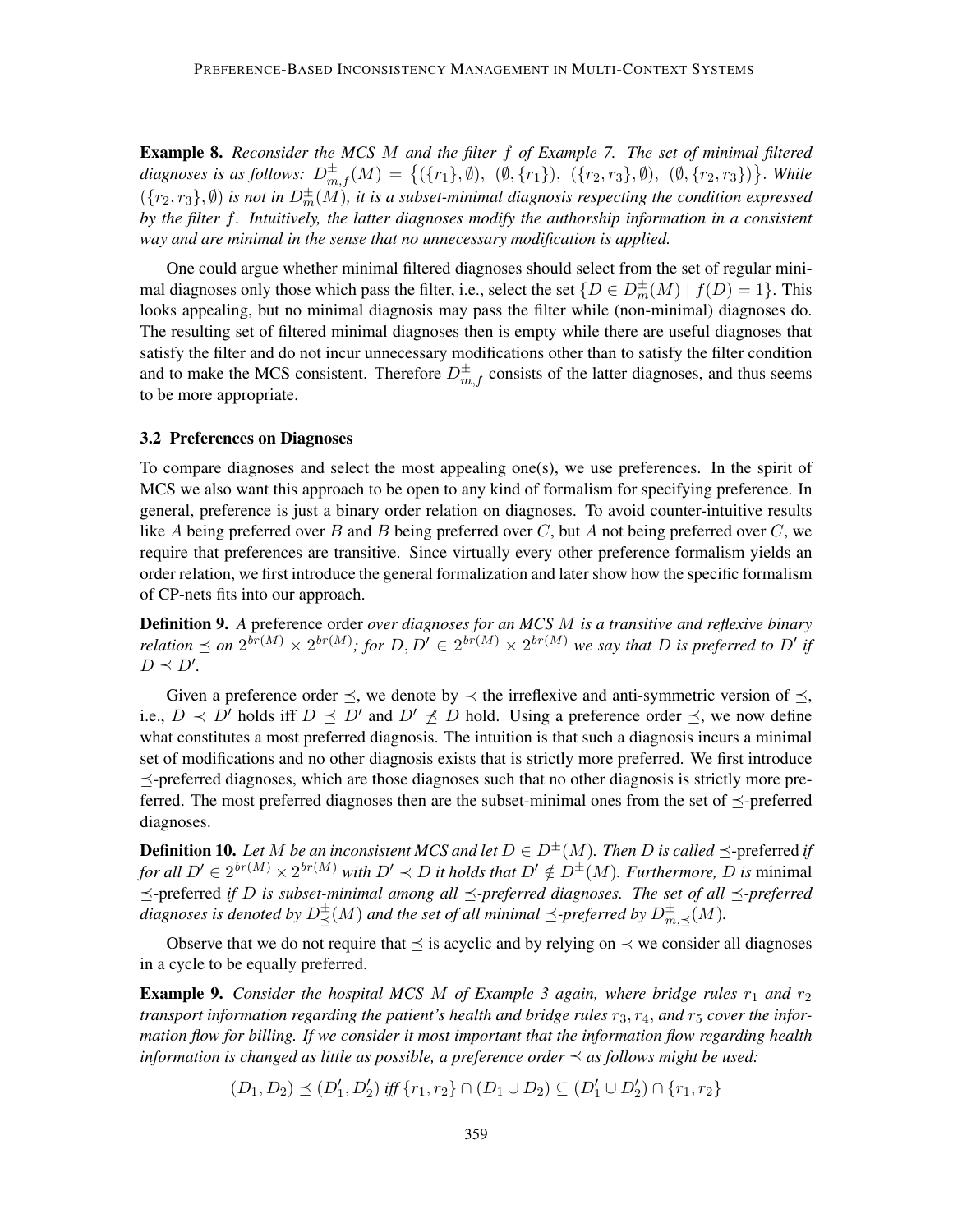Example 8. *Reconsider the MCS* M *and the filter* f *of Example 7. The set of minimal filtered* diagnoses is as follows:  $D_{m,f}^{\pm}(M) = \{(\{r_1\}, \emptyset), \ (\emptyset, \{r_1\}), \ (\{r_2, r_3\}, \emptyset), \ (\emptyset, \{r_2, r_3\})\}$ . While  $(\{r_2, r_3\}, \emptyset)$  is not in  $D_m^{\pm}(M)$ , it is a subset-minimal diagnosis respecting the condition expressed *by the filter* f*. Intuitively, the latter diagnoses modify the authorship information in a consistent way and are minimal in the sense that no unnecessary modification is applied.*

One could argue whether minimal filtered diagnoses should select from the set of regular minimal diagnoses only those which pass the filter, i.e., select the set  $\{D \in D_m^{\pm}(M) \mid f(D) = 1\}$ . This looks appealing, but no minimal diagnosis may pass the filter while (non-minimal) diagnoses do. The resulting set of filtered minimal diagnoses then is empty while there are useful diagnoses that satisfy the filter and do not incur unnecessary modifications other than to satisfy the filter condition and to make the MCS consistent. Therefore  $D_{m,f}^{\pm}$  consists of the latter diagnoses, and thus seems to be more appropriate.

#### 3.2 Preferences on Diagnoses

To compare diagnoses and select the most appealing one(s), we use preferences. In the spirit of MCS we also want this approach to be open to any kind of formalism for specifying preference. In general, preference is just a binary order relation on diagnoses. To avoid counter-intuitive results like A being preferred over B and B being preferred over C, but A not being preferred over C, we require that preferences are transitive. Since virtually every other preference formalism yields an order relation, we first introduce the general formalization and later show how the specific formalism of CP-nets fits into our approach.

Definition 9. *A* preference order *over diagnoses for an MCS* M *is a transitive and reflexive binary relation*  $\preceq$  *on*  $2^{br(M)} \times 2^{br(M)}$ ; for  $D, D' \in 2^{br(M)} \times 2^{br(M)}$  we say that D is preferred to D' if  $D \preceq D'.$ 

Given a preference order  $\preceq$ , we denote by  $\prec$  the irreflexive and anti-symmetric version of  $\preceq$ , i.e.,  $D \prec D'$  holds iff  $D \preceq D'$  and  $D' \not\preceq D$  hold. Using a preference order  $\preceq$ , we now define what constitutes a most preferred diagnosis. The intuition is that such a diagnosis incurs a minimal set of modifications and no other diagnosis exists that is strictly more preferred. We first introduce  $\prec$ -preferred diagnoses, which are those diagnoses such that no other diagnosis is strictly more preferred. The most preferred diagnoses then are the subset-minimal ones from the set of  $\preceq$ -preferred diagnoses.

**Definition 10.** Let M be an inconsistent MCS and let  $D \in D^{\pm}(M)$ . Then D is called  $\preceq$ -preferred if *for all*  $D' \in 2^{br(M)} \times 2^{br(M)}$  *with*  $D' \prec D$  *it holds that*  $D' \notin D^{\pm}(M)$ *. Furthermore, D is minimal*  $\preceq$ -preferred *if* D *is subset-minimal among all*  $\preceq$ -preferred diagnoses. The set of all  $\preceq$ -preferred diagnoses is denoted by  $D^{\pm}_{\preceq}(M)$  and the set of all minimal  $\preceq$ -preferred by  $D^{\pm}_{m,\preceq}(M)$ .

Observe that we do not require that  $\prec$  is acyclic and by relying on  $\prec$  we consider all diagnoses in a cycle to be equally preferred.

**Example 9.** Consider the hospital MCS M of Example 3 again, where bridge rules  $r_1$  and  $r_2$ *transport information regarding the patient's health and bridge rules*  $r_3$ ,  $r_4$ , *and*  $r_5$  *cover the information flow for billing. If we consider it most important that the information flow regarding health information is changed as little as possible, a preference order*  $\preceq$  *as follows might be used:* 

 $(D_1, D_2) \preceq (D'_1, D'_2) \text{ iff } \{r_1, r_2\} \cap (D_1 \cup D_2) \subseteq (D'_1 \cup D'_2) \cap \{r_1, r_2\}$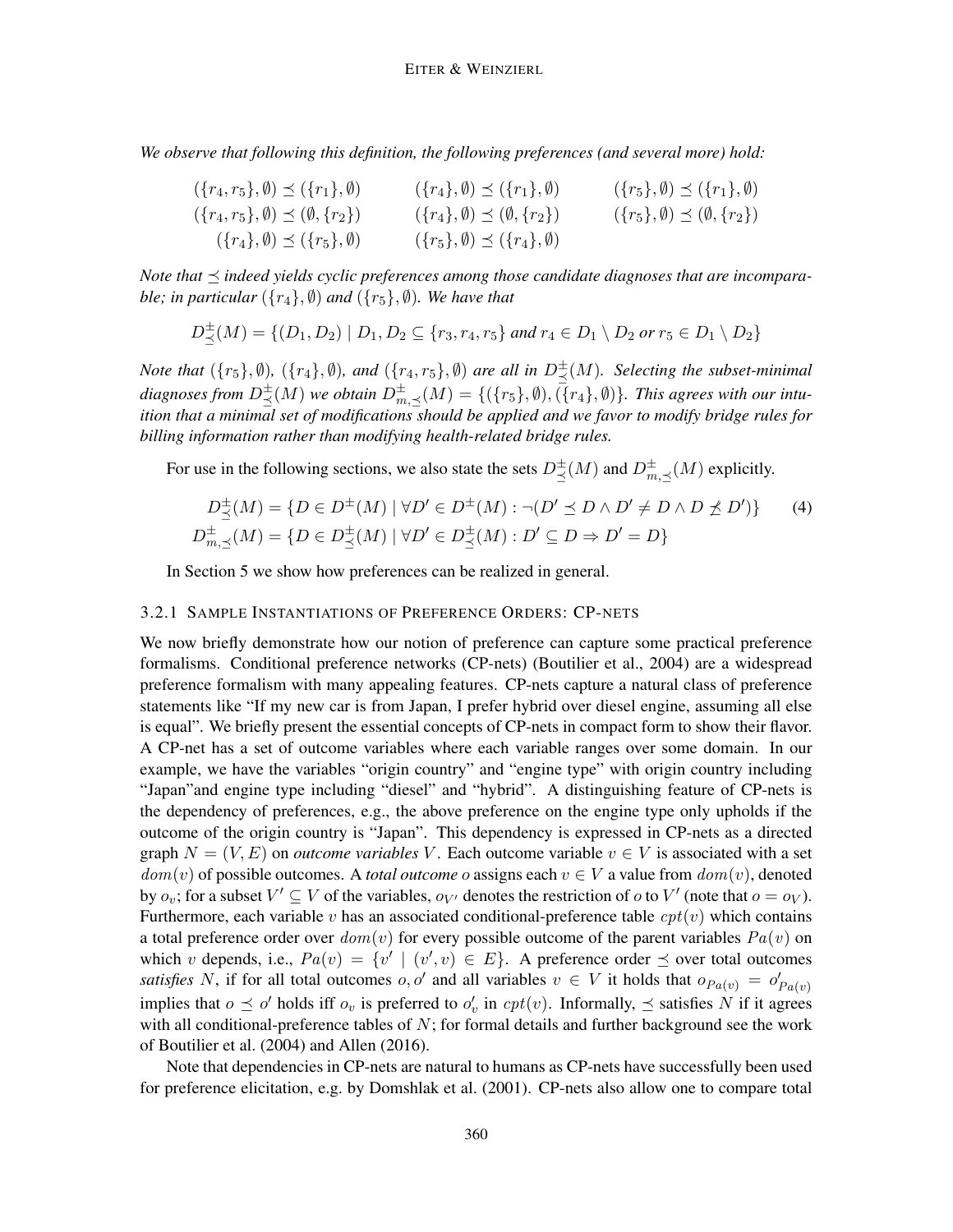*We observe that following this definition, the following preferences (and several more) hold:*

 $({r_4, r_5}, \emptyset) \preceq ({r_1}, \emptyset)$   $({r_4}, \emptyset) \preceq ({r_1}, \emptyset)$   $({r_5}, \emptyset) \preceq ({r_1}, \emptyset)$  $({r_4, r_5}, \emptyset) \preceq (\emptyset, {r_2})$   $({r_4}, \emptyset) \preceq (\emptyset, {r_2})$   $({r_5}, \emptyset) \preceq (\emptyset, {r_2})$  $({r_4}, \emptyset) \preceq ({r_5}, \emptyset)$   $({r_5}, \emptyset) \preceq ({r_4}, \emptyset)$ 

*Note that*  $\preceq$  *indeed yields cyclic preferences among those candidate diagnoses that are incomparable; in particular*  $({r_4}, \emptyset)$  *and*  $({r_5}, \emptyset)$ *. We have that* 

$$
D_{\preceq}^{\pm}(M) = \{(D_1, D_2) \mid D_1, D_2 \subseteq \{r_3, r_4, r_5\} \text{ and } r_4 \in D_1 \setminus D_2 \text{ or } r_5 \in D_1 \setminus D_2\}
$$

*Note that*  $(\{r_5\}, \emptyset)$ ,  $(\{r_4\}, \emptyset)$ , and  $(\{r_4, r_5\}, \emptyset)$  are all in  $D^{\pm}_{\preceq}(M)$ . Selecting the subset-minimal diagnoses from  $D^\pm_{\preceq}(M)$  we obtain  $D^\pm_{m,\preceq}(M)=\{(\{r_5\},\emptyset),\bar{(\{r_4\},\emptyset)}\}$ *. This agrees with our intuition that a minimal set of modifications should be applied and we favor to modify bridge rules for billing information rather than modifying health-related bridge rules.*

For use in the following sections, we also state the sets  $D^{\pm}_{\preceq}(M)$  and  $D^{\pm}_{m,\preceq}(M)$  explicitly.

$$
D^{\pm}_{\preceq}(M) = \{ D \in D^{\pm}(M) \mid \forall D' \in D^{\pm}(M) : \neg (D' \preceq D \land D' \neq D \land D \not\preceq D') \} \tag{4}
$$
  

$$
D^{\pm}_{m,\preceq}(M) = \{ D \in D^{\pm}_{\preceq}(M) \mid \forall D' \in D^{\pm}_{\preceq}(M) : D' \subseteq D \Rightarrow D' = D \}
$$

In Section 5 we show how preferences can be realized in general.

#### 3.2.1 SAMPLE INSTANTIATIONS OF PREFERENCE ORDERS: CP-NETS

We now briefly demonstrate how our notion of preference can capture some practical preference formalisms. Conditional preference networks (CP-nets) (Boutilier et al., 2004) are a widespread preference formalism with many appealing features. CP-nets capture a natural class of preference statements like "If my new car is from Japan, I prefer hybrid over diesel engine, assuming all else is equal". We briefly present the essential concepts of CP-nets in compact form to show their flavor. A CP-net has a set of outcome variables where each variable ranges over some domain. In our example, we have the variables "origin country" and "engine type" with origin country including "Japan"and engine type including "diesel" and "hybrid". A distinguishing feature of CP-nets is the dependency of preferences, e.g., the above preference on the engine type only upholds if the outcome of the origin country is "Japan". This dependency is expressed in CP-nets as a directed graph  $N = (V, E)$  on *outcome variables* V. Each outcome variable  $v \in V$  is associated with a set  $dom(v)$  of possible outcomes. A *total outcome o* assigns each  $v \in V$  a value from  $dom(v)$ , denoted by  $o_v$ ; for a subset  $V' \subseteq V$  of the variables,  $o_{V'}$  denotes the restriction of  $o$  to  $V'$  (note that  $o = o_V$ ). Furthermore, each variable v has an associated conditional-preference table  $cpt(v)$  which contains a total preference order over  $dom(v)$  for every possible outcome of the parent variables  $Pa(v)$  on which v depends, i.e.,  $Pa(v) = \{v' \mid (v', v) \in E\}$ . A preference order  $\preceq$  over total outcomes *satisfies* N, if for all total outcomes o, o' and all variables  $v \in V$  it holds that  $o_{Pa(v)} = o'_{Pa(v)}$ implies that  $o \preceq o'$  holds iff  $o_v$  is preferred to  $o'_v$  in  $cpt(v)$ . Informally,  $\preceq$  satisfies N if it agrees with all conditional-preference tables of  $N$ ; for formal details and further background see the work of Boutilier et al. (2004) and Allen (2016).

Note that dependencies in CP-nets are natural to humans as CP-nets have successfully been used for preference elicitation, e.g. by Domshlak et al. (2001). CP-nets also allow one to compare total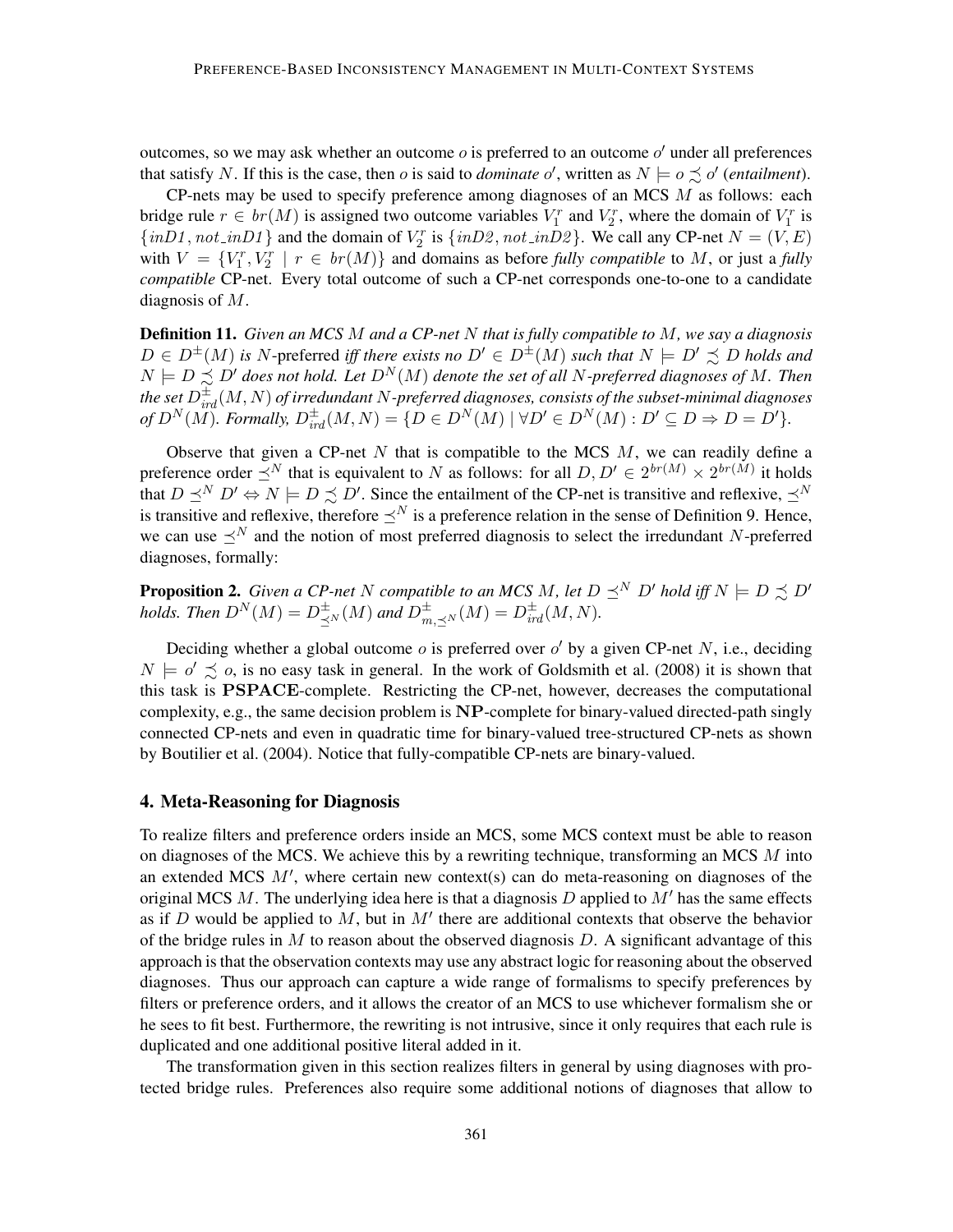outcomes, so we may ask whether an outcome  $o$  is preferred to an outcome  $o'$  under all preferences that satisfy N. If this is the case, then o is said to *dominate* o', written as  $N \models o \precsim o'$  (*entailment*).

 $CP$ -nets may be used to specify preference among diagnoses of an MCS  $M$  as follows: each bridge rule  $r \in br(M)$  is assigned two outcome variables  $V_1^r$  and  $V_2^r$ , where the domain of  $V_1^r$  is  $\{inD1, not\_inD1\}$  and the domain of  $V_2^r$  is  $\{inD2, not\_inD2\}$ . We call any CP-net  $N = (V, E)$ with  $V = \{V_1^r, V_2^r \mid r \in br(M)\}\$  and domains as before *fully compatible* to M, or just a *fully compatible* CP-net. Every total outcome of such a CP-net corresponds one-to-one to a candidate diagnosis of M.

Definition 11. *Given an MCS* M *and a CP-net* N *that is fully compatible to* M*, we say a diagnosis*  $D \in D^{\pm}(M)$  *is* N-preferred *iff there exists no*  $D' \in D^{\pm}(M)$  *such that*  $N \models D' \preceq D$  *holds and*  $N \models D \precsim D'$  does not hold. Let  $D^N(M)$  denote the set of all N-preferred diagnoses of M. Then the set  $D^{\pm}_{ind}(M,N)$  of irredundant  $N$ -preferred diagnoses, consists of the subset-minimal diagnoses *of*  $D^N(M)$ *. Formally,*  $D_{ind}^{\pm}(M, N) = \{D \in D^N(M) \mid \forall D' \in D^N(M) : D' \subseteq D \Rightarrow D = D'\}.$ 

Observe that given a CP-net  $N$  that is compatible to the MCS  $M$ , we can readily define a preference order  $\preceq^N$  that is equivalent to N as follows: for all  $D, D' \in 2^{br(M)} \times 2^{br(M)}$  it holds that  $D \preceq^N D' \Leftrightarrow N \models D \preceq D'$ . Since the entailment of the CP-net is transitive and reflexive,  $\preceq^N$ is transitive and reflexive, therefore  $\preceq^N$  is a preference relation in the sense of Definition 9. Hence, we can use  $\preceq^N$  and the notion of most preferred diagnosis to select the irredundant N-preferred diagnoses, formally:

**Proposition 2.** *Given a CP-net* N *compatible to an MCS M, let*  $D \preceq^N D'$  *hold iff*  $N \models D \preceq D'$ *holds. Then*  $D^N(M) = D^{\pm}_{\preceq^N}(M)$  and  $D^{\pm}_{m,\preceq^N}(M) = D^{\pm}_{ird}(M,N)$ .

Deciding whether a global outcome  $o$  is preferred over  $o'$  by a given CP-net N, i.e., deciding  $N \models o' \preceq o$ , is no easy task in general. In the work of Goldsmith et al. (2008) it is shown that this task is PSPACE-complete. Restricting the CP-net, however, decreases the computational complexity, e.g., the same decision problem is NP-complete for binary-valued directed-path singly connected CP-nets and even in quadratic time for binary-valued tree-structured CP-nets as shown by Boutilier et al. (2004). Notice that fully-compatible CP-nets are binary-valued.

#### 4. Meta-Reasoning for Diagnosis

To realize filters and preference orders inside an MCS, some MCS context must be able to reason on diagnoses of the MCS. We achieve this by a rewriting technique, transforming an MCS  $M$  into an extended MCS  $M'$ , where certain new context(s) can do meta-reasoning on diagnoses of the original MCS  $M$ . The underlying idea here is that a diagnosis  $D$  applied to  $M'$  has the same effects as if  $D$  would be applied to  $M$ , but in  $M'$  there are additional contexts that observe the behavior of the bridge rules in  $M$  to reason about the observed diagnosis  $D$ . A significant advantage of this approach is that the observation contexts may use any abstract logic for reasoning about the observed diagnoses. Thus our approach can capture a wide range of formalisms to specify preferences by filters or preference orders, and it allows the creator of an MCS to use whichever formalism she or he sees to fit best. Furthermore, the rewriting is not intrusive, since it only requires that each rule is duplicated and one additional positive literal added in it.

The transformation given in this section realizes filters in general by using diagnoses with protected bridge rules. Preferences also require some additional notions of diagnoses that allow to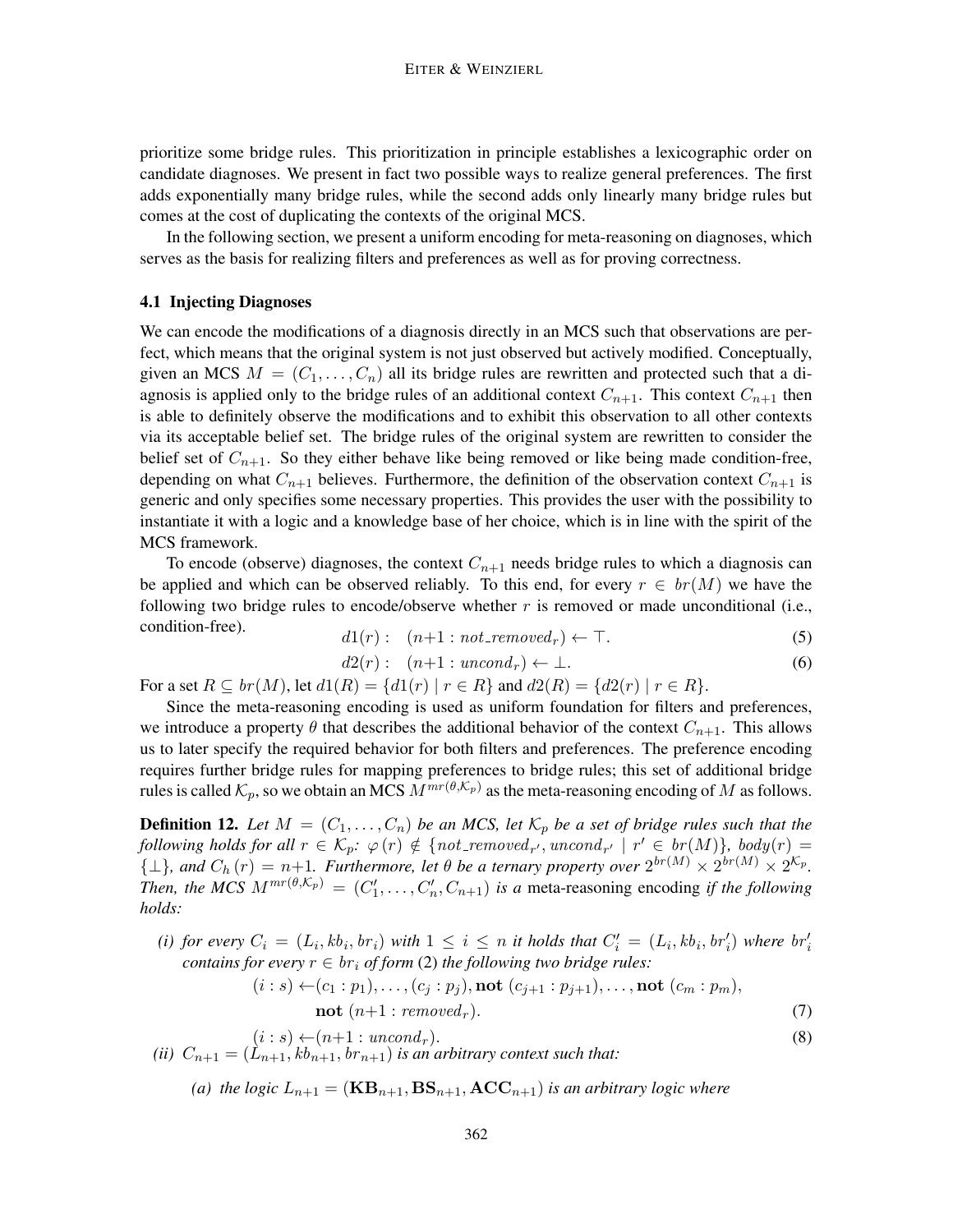prioritize some bridge rules. This prioritization in principle establishes a lexicographic order on candidate diagnoses. We present in fact two possible ways to realize general preferences. The first adds exponentially many bridge rules, while the second adds only linearly many bridge rules but comes at the cost of duplicating the contexts of the original MCS.

In the following section, we present a uniform encoding for meta-reasoning on diagnoses, which serves as the basis for realizing filters and preferences as well as for proving correctness.

#### 4.1 Injecting Diagnoses

We can encode the modifications of a diagnosis directly in an MCS such that observations are perfect, which means that the original system is not just observed but actively modified. Conceptually, given an MCS  $M = (C_1, \ldots, C_n)$  all its bridge rules are rewritten and protected such that a diagnosis is applied only to the bridge rules of an additional context  $C_{n+1}$ . This context  $C_{n+1}$  then is able to definitely observe the modifications and to exhibit this observation to all other contexts via its acceptable belief set. The bridge rules of the original system are rewritten to consider the belief set of  $C_{n+1}$ . So they either behave like being removed or like being made condition-free, depending on what  $C_{n+1}$  believes. Furthermore, the definition of the observation context  $C_{n+1}$  is generic and only specifies some necessary properties. This provides the user with the possibility to instantiate it with a logic and a knowledge base of her choice, which is in line with the spirit of the MCS framework.

To encode (observe) diagnoses, the context  $C_{n+1}$  needs bridge rules to which a diagnosis can be applied and which can be observed reliably. To this end, for every  $r \in br(M)$  we have the following two bridge rules to encode/observe whether  $r$  is removed or made unconditional (i.e., condition-free).  $d1(r): (n+1: not\_removed_r) \leftarrow \top.$  (5)

$$
d1(r): \quad (n+1: not\_removed_r) \leftarrow \top. \tag{5}
$$

$$
d2(r): \quad (n+1: uncond_r) \leftarrow \bot. \tag{6}
$$

For a set  $R \subseteq br(M)$ , let  $d1(R) = \{d1(r) | r \in R\}$  and  $d2(R) = \{d2(r) | r \in R\}$ .

Since the meta-reasoning encoding is used as uniform foundation for filters and preferences, we introduce a property  $\theta$  that describes the additional behavior of the context  $C_{n+1}$ . This allows us to later specify the required behavior for both filters and preferences. The preference encoding requires further bridge rules for mapping preferences to bridge rules; this set of additional bridge rules is called  $\mathcal{K}_p$ , so we obtain an MCS  $M^{mr(\theta,\mathcal{K}_p)}$  as the meta-reasoning encoding of  $M$  as follows.

**Definition 12.** Let  $M = (C_1, \ldots, C_n)$  be an MCS, let  $\mathcal{K}_p$  be a set of bridge rules such that the *following holds for all*  $r \in K_p$ :  $\varphi(r) \notin \{not\_removed_{r'}, uncond_{r'} \mid r' \in br(M)\}, body(r) =$  $\{\perp\}$ , and  $C_h(r) = n+1$ . Furthermore, let  $\theta$  be a ternary property over  $2^{br(M)} \times 2^{br(M)} \times 2^{K_p}$ . *Then, the MCS*  $M^{mr(\theta,\mathcal{K}_p)} = (C'_1, \ldots, C'_n, C_{n+1})$  *is a* meta-reasoning encoding *if the following holds:*

(*i*) *for every*  $C_i = (L_i, kb_i, br_i)$  *with*  $1 \leq i \leq n$  *it holds that*  $C'_i = (L_i, kb_i, br'_i)$  *where*  $br'_i$ *contains for every*  $r \in br_i$  *of form* (2) *the following two bridge rules:* 

$$
(i:s) \leftarrow (c_1:p_1), \dots, (c_j:p_j), \text{not } (c_{j+1}:p_{j+1}), \dots, \text{not } (c_m:p_m),
$$
  
not 
$$
(n+1: removed_r).
$$
 (7)

$$
(i:s) \leftarrow (n+1: uncond_r). \tag{8}
$$

- *(ii)*  $C_{n+1} = (\tilde{L}_{n+1}, kb_{n+1}, br_{n+1})$  *is an arbitrary context such that:* 
	- (a) the logic  $L_{n+1} = (KB_{n+1}, BS_{n+1}, ACC_{n+1})$  *is an arbitrary logic where*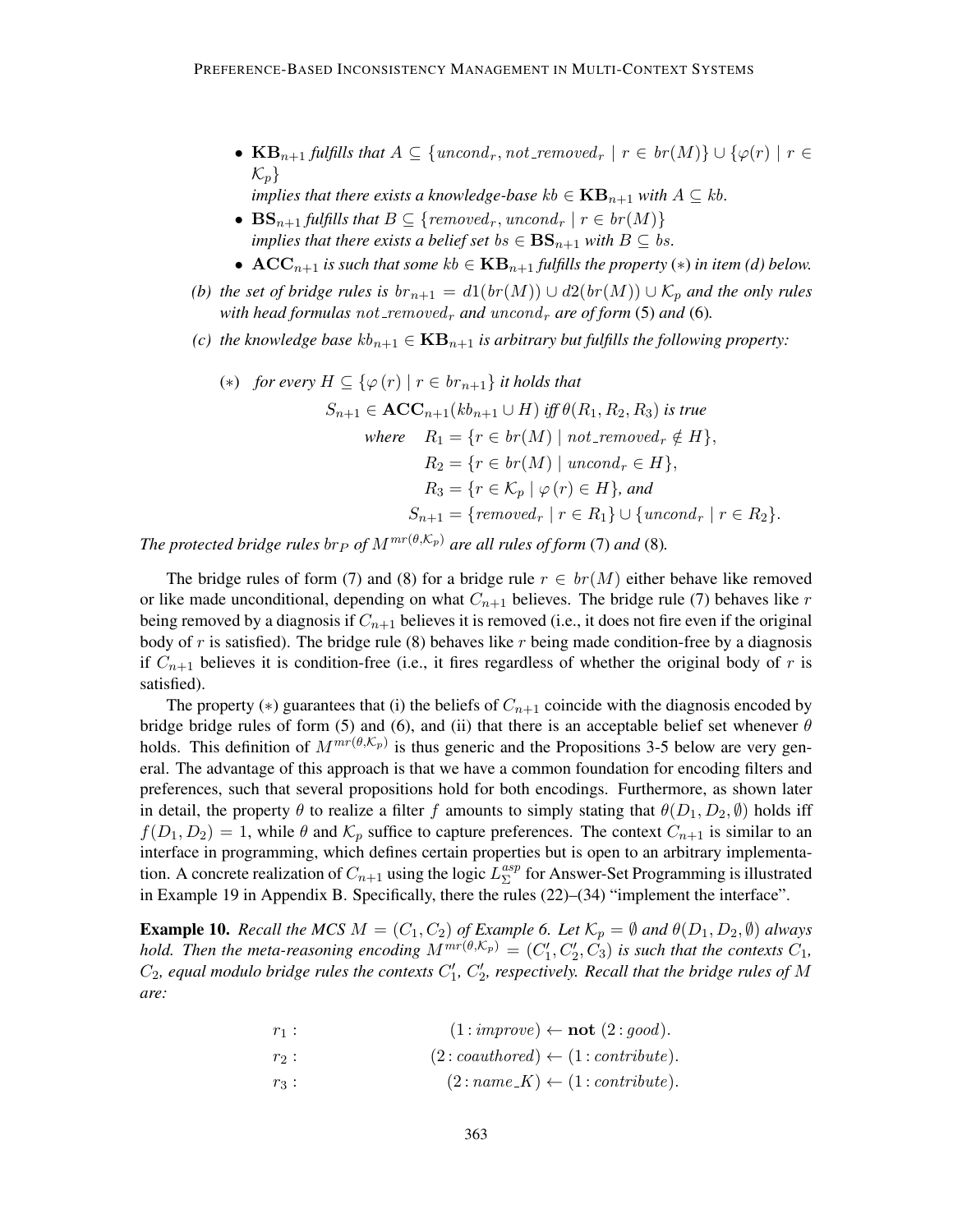- $\mathbf{KB}_{n+1}$  *fulfills that*  $A \subseteq \{uncond_r, not\_removed_r \mid r \in br(M)\} \cup \{\varphi(r) \mid r \in \mathbb{R}\}$  $\mathcal{K}_p$ 
	- *implies that there exists a knowledge-base*  $kb \in \mathbf{KB}_{n+1}$  *with*  $A \subseteq kb$ .
- $BS_{n+1}$  *fulfills that*  $B \subseteq \{removed_r, uncond_r \mid r \in br(M) \}$ *implies that there exists a belief set*  $bs \in \mathbf{BS}_{n+1}$  *with*  $B \subseteq bs$ *.*
- $ACC_{n+1}$  *is such that some kb*  $\in$   $KB_{n+1}$  *fulfills the property* (\*) *in item (d) below.*
- *(b) the set of bridge rules is*  $br_{n+1} = d1(br(M)) \cup d2(br(M)) \cup K_p$  *and the only rules with head formulas not\_removed<sub>r</sub> and uncond<sub>r</sub> are of form* (5) and (6).
- *(c)* the knowledge base  $kb_{n+1} \in \mathbf{KB}_{n+1}$  is arbitrary but fulfills the following property:
	- (\*) *for every*  $H \subseteq \{ \varphi(r) | r \in br_{n+1} \}$  *it holds that*  $S_{n+1} \in \text{ACC}_{n+1}(kb_{n+1} \cup H)$  *iff*  $\theta(R_1, R_2, R_3)$  *is true where*  $R_1 = \{r \in br(M) \mid not\_removed_r \notin H\},\$  $R_2 = \{r \in br(M) \mid uncond_r \in H\},\$  $R_3 = \{r \in \mathcal{K}_p \mid \varphi(r) \in H\}$ *, and*  $S_{n+1} = \{removed_r \mid r \in R_1 \} \cup \{ uncond_r \mid r \in R_2 \}.$

*The protected bridge rules*  $b_{P}$  *of*  $M^{mr}(\theta,\mathcal{K}_p)$  *are all rules of form* (7) *and* (8)*.* 

The bridge rules of form (7) and (8) for a bridge rule  $r \in br(M)$  either behave like removed or like made unconditional, depending on what  $C_{n+1}$  believes. The bridge rule (7) behaves like r being removed by a diagnosis if  $C_{n+1}$  believes it is removed (i.e., it does not fire even if the original body of r is satisfied). The bridge rule (8) behaves like r being made condition-free by a diagnosis if  $C_{n+1}$  believes it is condition-free (i.e., it fires regardless of whether the original body of r is satisfied).

The property (\*) guarantees that (i) the beliefs of  $C_{n+1}$  coincide with the diagnosis encoded by bridge bridge rules of form (5) and (6), and (ii) that there is an acceptable belief set whenever  $\theta$ holds. This definition of  $M^{mr(\theta,\mathcal{K}_p)}$  is thus generic and the Propositions 3-5 below are very general. The advantage of this approach is that we have a common foundation for encoding filters and preferences, such that several propositions hold for both encodings. Furthermore, as shown later in detail, the property  $\theta$  to realize a filter f amounts to simply stating that  $\theta(D_1, D_2, \emptyset)$  holds iff  $f(D_1, D_2) = 1$ , while  $\theta$  and  $\mathcal{K}_p$  suffice to capture preferences. The context  $C_{n+1}$  is similar to an interface in programming, which defines certain properties but is open to an arbitrary implementation. A concrete realization of  $C_{n+1}$  using the logic  $\tilde{L}_{\Sigma}^{asp}$  $\sum_{\Sigma}^{asp}$  for Answer-Set Programming is illustrated in Example 19 in Appendix B. Specifically, there the rules (22)–(34) "implement the interface".

**Example 10.** *Recall the MCS*  $M = (C_1, C_2)$  *of Example 6. Let*  $\mathcal{K}_p = \emptyset$  *and*  $\theta(D_1, D_2, \emptyset)$  *always hold. Then the meta-reasoning encoding*  $M^{mr(\theta,\mathcal{K}_p)} = (C'_1, C'_2, C_3)$  *is such that the contexts*  $C_1$ *,*  $C_2$ , equal modulo bridge rules the contexts  $C_1', C_2',$  respectively. Recall that the bridge rules of M *are:*

| $r_1$ : | $(1: \text{improve}) \leftarrow \text{not} (2: \text{good}).$ |
|---------|---------------------------------------------------------------|
| $r_2$ : | $(2:coauthored) \leftarrow (1:contribute).$                   |
| $r_3$ : | $(2:name_K) \leftarrow (1:contribute).$                       |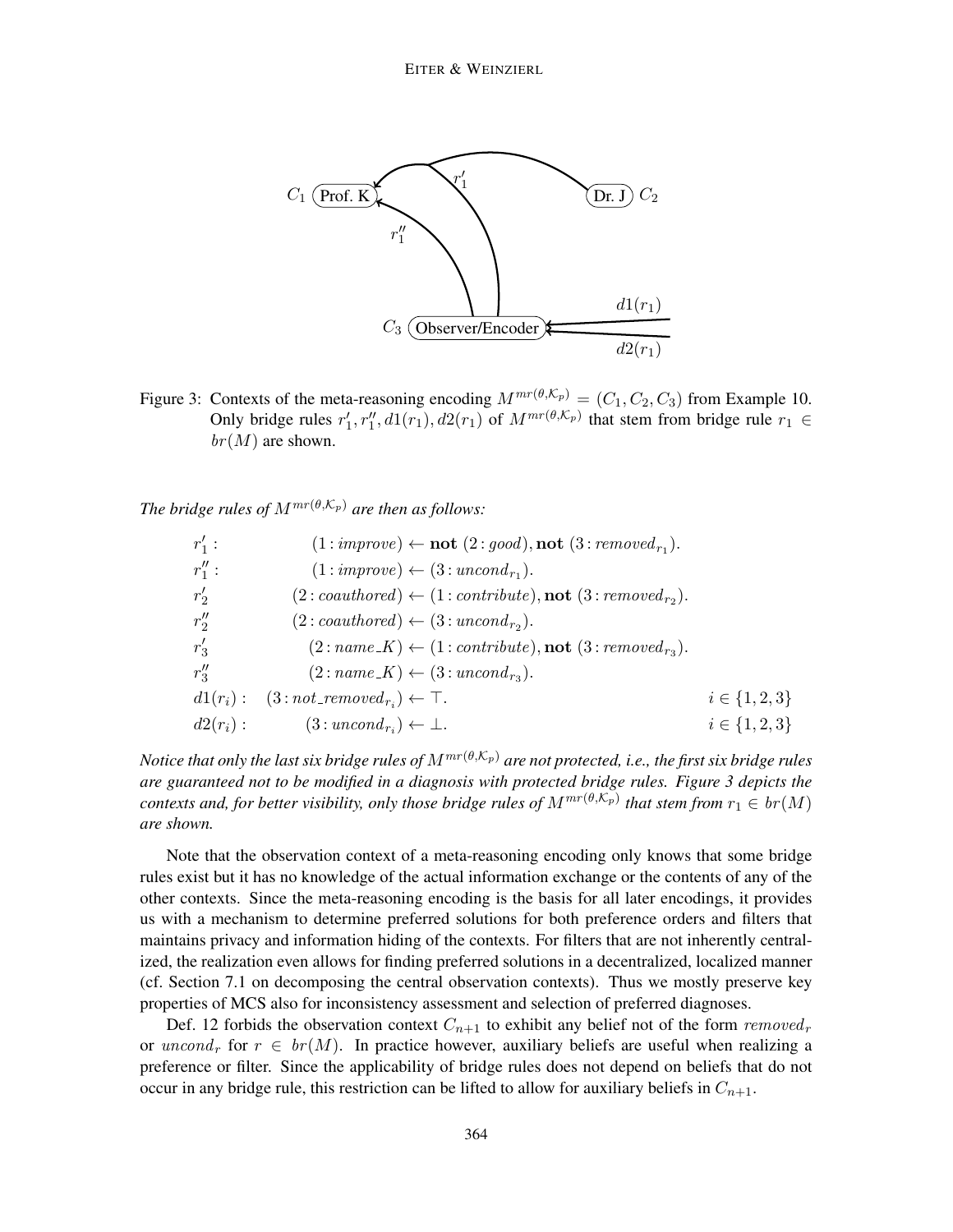

Figure 3: Contexts of the meta-reasoning encoding  $M^{mr(\theta,\mathcal{K}_p)} = (C_1, C_2, C_3)$  from Example 10. Only bridge rules  $r'_1, r''_1, d1(r_1), d2(r_1)$  of  $M^{mr(\theta, \mathcal{K}_p)}$  that stem from bridge rule  $r_1 \in$  $br(M)$  are shown.

*The bridge rules of*  $M^{mr(\theta,\mathcal{K}_p)}$  *are then as follows:* 

$$
r'_1: (1:improve) \leftarrow \text{not } (2:good), \text{not } (3:removed_{r_1}).
$$
  
\n
$$
r''_1: (1:improve) \leftarrow (3:uncond_{r_1}).
$$
  
\n
$$
r'_2: (2:coauthored) \leftarrow (1:contribute), \text{not } (3:removed_{r_2}).
$$
  
\n
$$
r''_2: (2:coauthored) \leftarrow (3:uncond_{r_2}).
$$
  
\n
$$
r''_3: (2:name_K) \leftarrow (1:contribute), \text{not } (3:removed_{r_3}).
$$
  
\n
$$
r''_3: (2:name_K) \leftarrow (3:uncond_{r_3}).
$$
  
\n
$$
d1(r_i): (3:not_rremoved_{r_i}) \leftarrow \top.
$$
  
\n
$$
i \in \{1, 2, 3\}
$$
  
\n
$$
d2(r_i): (3:uncond_{r_i}) \leftarrow \bot.
$$
  
\n
$$
i \in \{1, 2, 3\}
$$

*Notice that only the last six bridge rules of*  $M^{mr}(\theta,\mathcal{K}_p)$  *are not protected, i.e., the first six bridge rules are guaranteed not to be modified in a diagnosis with protected bridge rules. Figure 3 depicts the contexts and, for better visibility, only those bridge rules of*  $M^{mr(\theta,\mathcal{K}_p)}$  *that stem from*  $r_1 \in br(M)$ *are shown.*

Note that the observation context of a meta-reasoning encoding only knows that some bridge rules exist but it has no knowledge of the actual information exchange or the contents of any of the other contexts. Since the meta-reasoning encoding is the basis for all later encodings, it provides us with a mechanism to determine preferred solutions for both preference orders and filters that maintains privacy and information hiding of the contexts. For filters that are not inherently centralized, the realization even allows for finding preferred solutions in a decentralized, localized manner (cf. Section 7.1 on decomposing the central observation contexts). Thus we mostly preserve key properties of MCS also for inconsistency assessment and selection of preferred diagnoses.

Def. 12 forbids the observation context  $C_{n+1}$  to exhibit any belief not of the form removed<sub>r</sub> or uncond<sub>r</sub> for  $r \in br(M)$ . In practice however, auxiliary beliefs are useful when realizing a preference or filter. Since the applicability of bridge rules does not depend on beliefs that do not occur in any bridge rule, this restriction can be lifted to allow for auxiliary beliefs in  $C_{n+1}$ .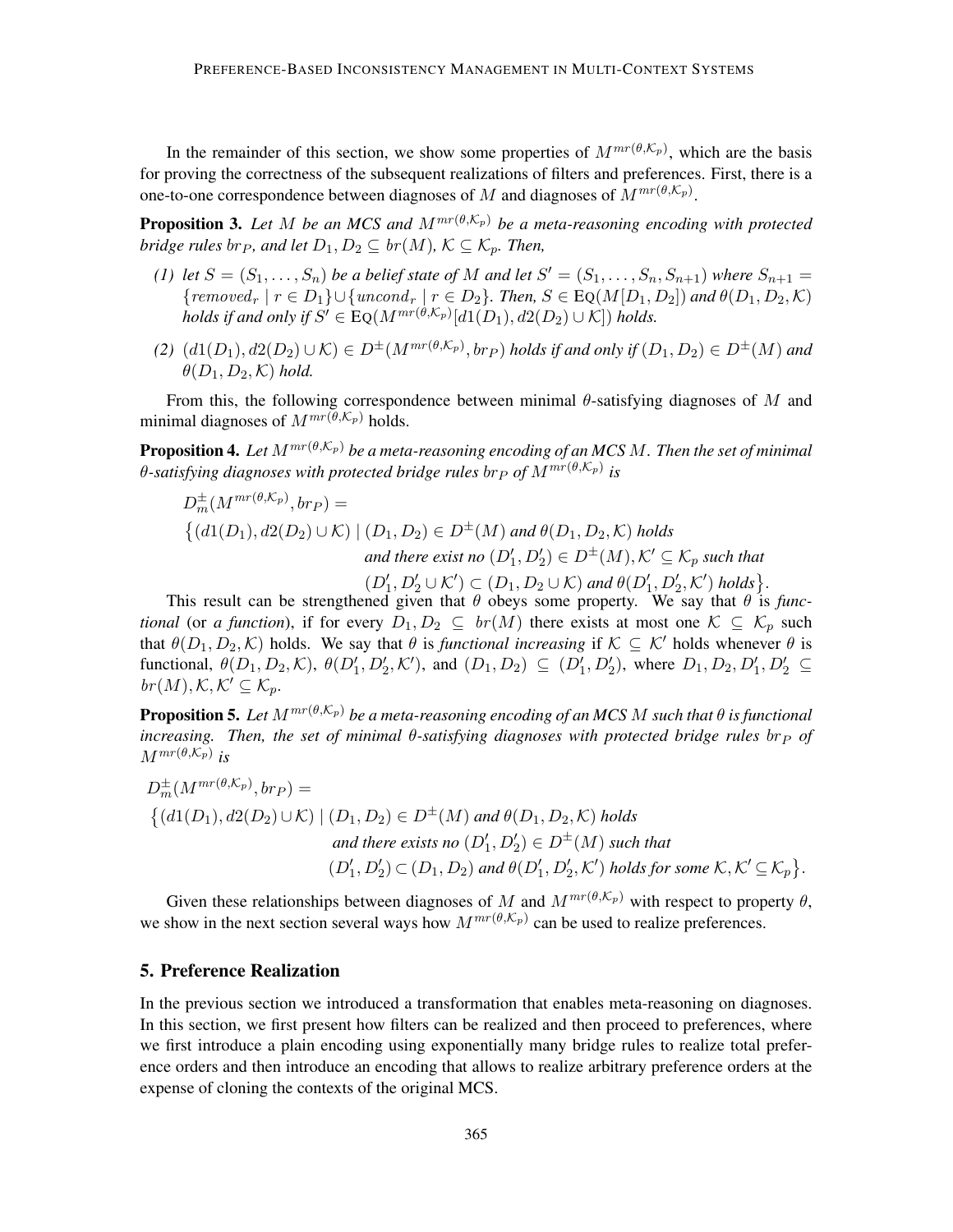In the remainder of this section, we show some properties of  $M^{mr(\theta,\mathcal{K}_p)}$ , which are the basis for proving the correctness of the subsequent realizations of filters and preferences. First, there is a one-to-one correspondence between diagnoses of M and diagnoses of  $M^{mr(\theta,\mathcal{K}_p)}$ .

**Proposition 3.** Let M be an MCS and  $M^{mr(\theta,\mathcal{K}_p)}$  be a meta-reasoning encoding with protected *bridge rules br<sub>P</sub>*, *and let*  $D_1, D_2 \subseteq br(M)$ ,  $K \subseteq K_p$ . *Then,* 

- (1) let  $S = (S_1, \ldots, S_n)$  be a belief state of M and let  $S' = (S_1, \ldots, S_n, S_{n+1})$  where  $S_{n+1} =$  ${removed_r | r \in D_1} \cup {uncond_r | r \in D_2}$ . Then,  $S \in Eq(M[D_1, D_2])$  and  $\theta(D_1, D_2, \mathcal{K})$ *holds if and only if*  $S' \in \text{Eq}(M^{mr(\theta,\mathcal{K}_p)}[d1(D_1), d2(D_2) \cup \mathcal{K}])$  *holds.*
- *(2)*  $(d1(D_1), d2(D_2) ∪ K) ∈ D<sup>±</sup>(M<sup>mr(θ, K_p)</sup>, br<sub>P</sub>) holds if and only if$   $(D_1, D_2) ∈ D<sup>±</sup>(M)$  and $\theta(D_1, D_2, \mathcal{K})$  *hold.*

From this, the following correspondence between minimal  $\theta$ -satisfying diagnoses of M and minimal diagnoses of  $M^{mr(\theta,\mathcal{K}_p)}$  holds.

**Proposition 4.** Let  $M^{mr(\theta,\mathcal{K}_p)}$  be a meta-reasoning encoding of an MCS M. Then the set of minimal  $\theta$ -satisfying diagnoses with protected bridge rules  $br_P$  of  $M^{mr(\theta,\mathcal{K}_p)}$  is

$$
D_m^{\pm}(M^{mr(\theta,\mathcal{K}_p)},br_P) =
$$
  

$$
\{(d1(D_1), d2(D_2) \cup \mathcal{K}) \mid (D_1, D_2) \in D^{\pm}(M) \text{ and } \theta(D_1, D_2, \mathcal{K}) \text{ holds}
$$
  
and there exist no  $(D'_1, D'_2) \in D^{\pm}(M), \mathcal{K}' \subseteq \mathcal{K}_p$  such that  
 $(D'_1, D'_2 \cup \mathcal{K}') \subset (D_1, D_2 \cup \mathcal{K}) \text{ and } \theta(D'_1, D'_2, \mathcal{K}') \text{ holds}\}.$ 

This result can be strengthened given that  $\theta$  obeys some property. We say that  $\theta$  is *functional* (or *a function*), if for every  $D_1, D_2 \subseteq br(M)$  there exists at most one  $K \subseteq K_p$  such that  $\theta(D_1, D_2, \mathcal{K})$  holds. We say that  $\theta$  is *functional increasing* if  $\mathcal{K} \subseteq \mathcal{K}'$  holds whenever  $\theta$  is functional,  $\theta(D_1, D_2, \mathcal{K})$ ,  $\theta(D'_1, D'_2, \mathcal{K}')$ , and  $(D_1, D_2) \subseteq (D'_1, D'_2)$ , where  $D_1, D_2, D'_1, D'_2 \subseteq$  $br(M), \mathcal{K}, \mathcal{K}' \subseteq \mathcal{K}_p.$ 

**Proposition 5.** Let  $M^{mr(\theta,\mathcal{K}_p)}$  be a meta-reasoning encoding of an MCS M such that  $\theta$  is functional *increasing. Then, the set of minimal θ-satisfying diagnoses with protected bridge rules br<sub>P</sub> of*  $M^{mr(\theta,\mathcal{K}_p)}$  is

 $D_m^{\pm}(M^{mr(\theta,\mathcal{K}_p)},br_P)=$  $\{(d1(D_1), d2(D_2) \cup K) | (D_1, D_2) \in D^{\pm}(M) \text{ and } \theta(D_1, D_2, K) \text{ holds}$ and there exists no  $(D'_1, D'_2) \in D^{\pm}(M)$  such that  $(D'_1, D'_2) \subset (D_1, D_2)$  and  $\theta(D'_1, D'_2, \mathcal{K}')$  holds for some  $\mathcal{K}, \mathcal{K}' \subseteq \mathcal{K}_p$ .

Given these relationships between diagnoses of M and  $M^{mr(\theta,\mathcal{K}_p)}$  with respect to property  $\theta$ , we show in the next section several ways how  $M^{mr(\theta,\mathcal{K}_p)}$  can be used to realize preferences.

#### 5. Preference Realization

In the previous section we introduced a transformation that enables meta-reasoning on diagnoses. In this section, we first present how filters can be realized and then proceed to preferences, where we first introduce a plain encoding using exponentially many bridge rules to realize total preference orders and then introduce an encoding that allows to realize arbitrary preference orders at the expense of cloning the contexts of the original MCS.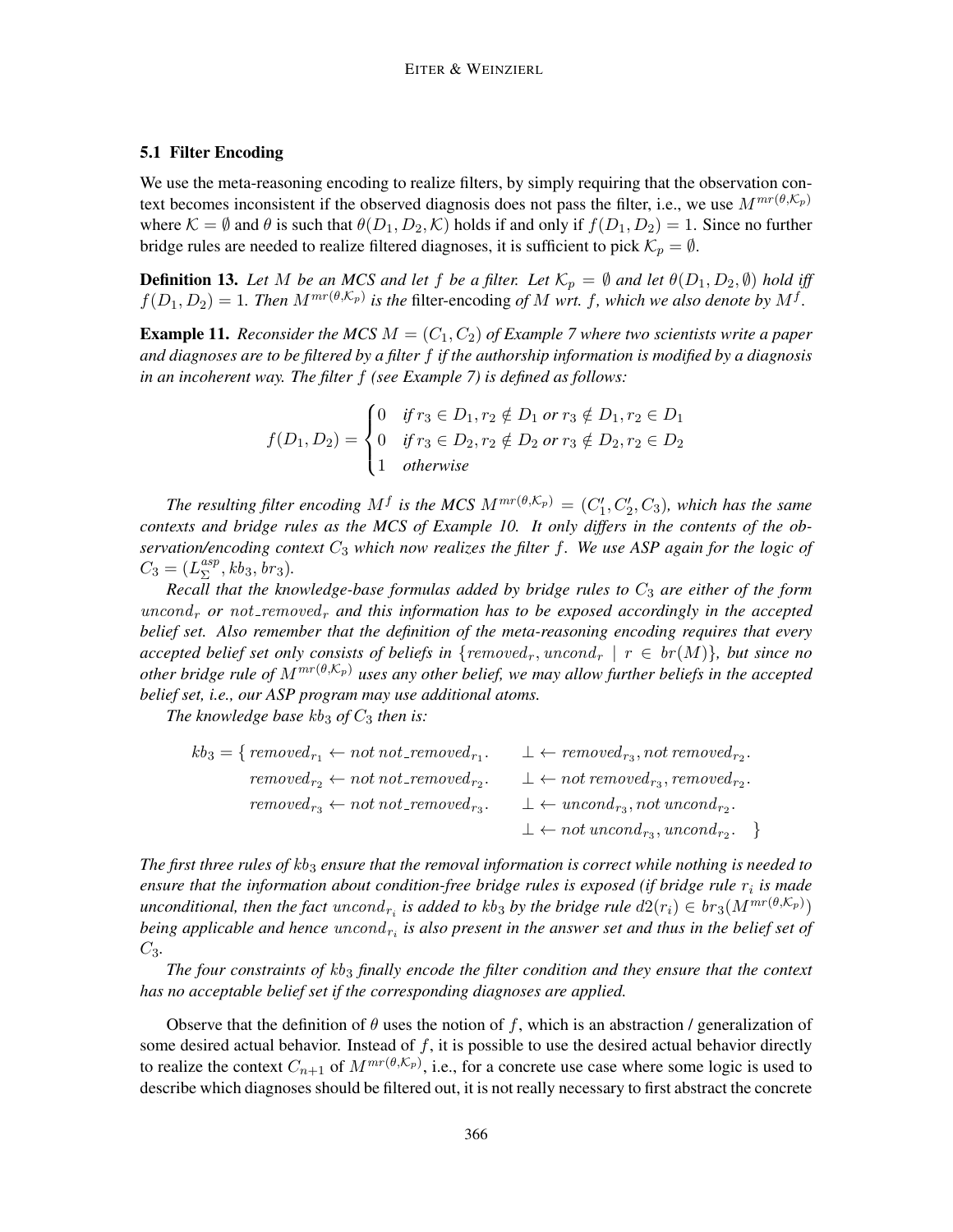### 5.1 Filter Encoding

We use the meta-reasoning encoding to realize filters, by simply requiring that the observation context becomes inconsistent if the observed diagnosis does not pass the filter, i.e., we use  $M^{mr(\theta,\mathcal{K}_p)}$ where  $\mathcal{K} = \emptyset$  and  $\theta$  is such that  $\theta(D_1, D_2, \mathcal{K})$  holds if and only if  $f(D_1, D_2) = 1$ . Since no further bridge rules are needed to realize filtered diagnoses, it is sufficient to pick  $\mathcal{K}_p = \emptyset$ .

**Definition 13.** Let M be an MCS and let f be a filter. Let  $K_p = \emptyset$  and let  $\theta(D_1, D_2, \emptyset)$  hold iff  $f(D_1, D_2) = 1$ . Then  $M^{mr(\theta, K_p)}$  is the filter-encoding of M wrt. f, which we also denote by  $M^f$ .

**Example 11.** *Reconsider the MCS*  $M = (C_1, C_2)$  *of Example 7 where two scientists write a paper and diagnoses are to be filtered by a filter* f *if the authorship information is modified by a diagnosis in an incoherent way. The filter* f *(see Example 7) is defined as follows:*

$$
f(D_1, D_2) = \begin{cases} 0 & \text{if } r_3 \in D_1, r_2 \notin D_1 \text{ or } r_3 \notin D_1, r_2 \in D_1 \\ 0 & \text{if } r_3 \in D_2, r_2 \notin D_2 \text{ or } r_3 \notin D_2, r_2 \in D_2 \\ 1 & \text{otherwise} \end{cases}
$$

The resulting filter encoding  $M^f$  is the MCS  $M^{mr(\theta,\mathcal{K}_p)} = (C'_1, C'_2, C_3)$ , which has the same *contexts and bridge rules as the MCS of Example 10. It only differs in the contents of the observation/encoding context* C<sup>3</sup> *which now realizes the filter* f*. We use ASP again for the logic of*  $C_3 = (L_{\Sigma}^{asp}$  $_{\Sigma}^{asp}, kb_3, br_3).$ 

*Recall that the knowledge-base formulas added by bridge rules to* C<sup>3</sup> *are either of the form* uncond<sub>r</sub> or not removed<sub>r</sub> and this information has to be exposed accordingly in the accepted *belief set. Also remember that the definition of the meta-reasoning encoding requires that every accepted belief set only consists of beliefs in* {removed<sub>r</sub>, uncond<sub>r</sub> |  $r \in br(M)$ }, but since no *other bridge rule of*  $M^{mr(\theta,\mathcal{K}_p)}$  *uses any other belief, we may allow further beliefs in the accepted belief set, i.e., our ASP program may use additional atoms.*

*The knowledge base*  $kb_3$  *of*  $C_3$  *then is:* 

| $kb_3 = \{ removed_{r_1} \leftarrow not\ not\ removed_{r_1}.$ | $\bot \leftarrow removed_{r_3}, not \, removed_{r_2}.$                |
|---------------------------------------------------------------|-----------------------------------------------------------------------|
| $removed_{r_2} \leftarrow not not\_removed_{r_2}.$            | $\bot \leftarrow not$ removed <sub>ra</sub> , removed <sub>ra</sub> . |
| $removed_{r_3} \leftarrow not not\_removed_{r_3}.$            | $\bot \leftarrow uncond_{r_3}, not uncond_{r_2}.$                     |
|                                                               | $\bot \leftarrow not\ uncond_{r_3}, uncond_{r_2}.$                    |

*The first three rules of* kb<sup>3</sup> *ensure that the removal information is correct while nothing is needed to* ensure that the information about condition-free bridge rules is exposed (if bridge rule  $r_i$  is made unconditional, then the fact  $\mathit{uncond}_{r_i}$  is added to  $kb_3$  by the bridge rule  $d2(r_i) \in br_3(M^{mr(\theta, \mathcal{K}_p)})$ being applicable and hence  $\mathit{uncond}_{r_i}$  is also present in the answer set and thus in the belief set of C3*.*

*The four constraints of* kb<sup>3</sup> *finally encode the filter condition and they ensure that the context has no acceptable belief set if the corresponding diagnoses are applied.*

Observe that the definition of  $\theta$  uses the notion of f, which is an abstraction / generalization of some desired actual behavior. Instead of  $f$ , it is possible to use the desired actual behavior directly to realize the context  $C_{n+1}$  of  $M^{mr(\theta,\mathcal{K}_p)}$ , i.e., for a concrete use case where some logic is used to describe which diagnoses should be filtered out, it is not really necessary to first abstract the concrete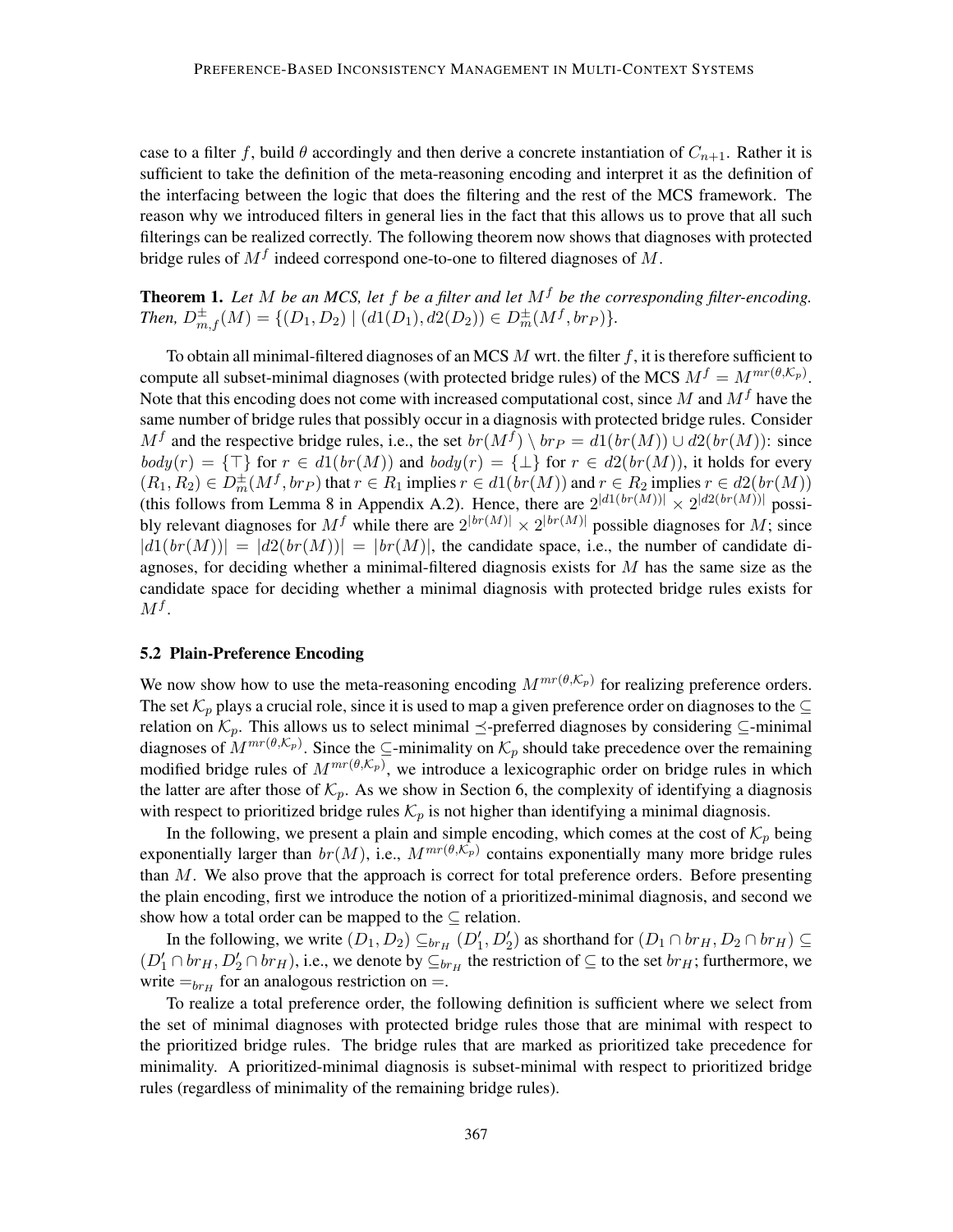case to a filter f, build  $\theta$  accordingly and then derive a concrete instantiation of  $C_{n+1}$ . Rather it is sufficient to take the definition of the meta-reasoning encoding and interpret it as the definition of the interfacing between the logic that does the filtering and the rest of the MCS framework. The reason why we introduced filters in general lies in the fact that this allows us to prove that all such filterings can be realized correctly. The following theorem now shows that diagnoses with protected bridge rules of  $M^f$  indeed correspond one-to-one to filtered diagnoses of M.

Theorem 1. *Let* M *be an MCS, let* f *be a filter and let* M<sup>f</sup> *be the corresponding filter-encoding. Then,*  $D_{m,f}^{\pm}(M) = \{ (D_1, D_2) \mid (d_1(D_1), d_2(D_2)) \in D_m^{\pm}(M^f, br_P) \}.$ 

To obtain all minimal-filtered diagnoses of an MCS  $M$  wrt. the filter  $f$ , it is therefore sufficient to compute all subset-minimal diagnoses (with protected bridge rules) of the MCS  $M^f = M^{mr(\theta,\mathcal{K}_p)}$ . Note that this encoding does not come with increased computational cost, since M and  $M<sup>f</sup>$  have the same number of bridge rules that possibly occur in a diagnosis with protected bridge rules. Consider M<sup>f</sup> and the respective bridge rules, i.e., the set  $br(M^f) \setminus br_P = d1(br(M)) \cup d2(br(M))$ : since  $body(r) = {\top}$  for  $r \in d1(br(M))$  and  $body(r) = {\perp}$  for  $r \in d2(br(M))$ , it holds for every  $(R_1, R_2) \in D_m^{\pm}(M^f, br_P)$  that  $r \in R_1$  implies  $r \in d_1(br(M))$  and  $r \in R_2$  implies  $r \in d_2(br(M))$ (this follows from Lemma 8 in Appendix A.2). Hence, there are  $2^{|d_1(br(M))|} \times 2^{|d_2(br(M))|}$  possibly relevant diagnoses for  $M^f$  while there are  $2^{|br(M)|} \times 2^{|br(M)|}$  possible diagnoses for M; since  $|d1(br(M))| = |d2(br(M))| = |br(M)|$ , the candidate space, i.e., the number of candidate diagnoses, for deciding whether a minimal-filtered diagnosis exists for  $M$  has the same size as the candidate space for deciding whether a minimal diagnosis with protected bridge rules exists for  $M^f$ .

#### 5.2 Plain-Preference Encoding

We now show how to use the meta-reasoning encoding  $M^{mr(\theta,\mathcal{K}_p)}$  for realizing preference orders. The set  $\mathcal{K}_p$  plays a crucial role, since it is used to map a given preference order on diagnoses to the  $\subseteq$ relation on  $\mathcal{K}_p$ . This allows us to select minimal  $\preceq$ -preferred diagnoses by considering  $\subseteq$ -minimal diagnoses of  $M^{mr(\theta,\mathcal{K}_p)}$ . Since the  $\subseteq$ -minimality on  $\mathcal{K}_p$  should take precedence over the remaining modified bridge rules of  $M^{mr(\theta,\mathcal{K}_p)}$ , we introduce a lexicographic order on bridge rules in which the latter are after those of  $\mathcal{K}_p$ . As we show in Section 6, the complexity of identifying a diagnosis with respect to prioritized bridge rules  $\mathcal{K}_p$  is not higher than identifying a minimal diagnosis.

In the following, we present a plain and simple encoding, which comes at the cost of  $\mathcal{K}_p$  being exponentially larger than  $br(M)$ , i.e.,  $M^{mr(\theta,\mathcal{K}_p)}$  contains exponentially many more bridge rules than  $M$ . We also prove that the approach is correct for total preference orders. Before presenting the plain encoding, first we introduce the notion of a prioritized-minimal diagnosis, and second we show how a total order can be mapped to the  $\subset$  relation.

In the following, we write  $(D_1, D_2) \subseteq_{b r_H} (D'_1, D'_2)$  as shorthand for  $(D_1 \cap br_H, D_2 \cap br_H) \subseteq$  $(D'_1 \cap br_H, D'_2 \cap br_H)$ , i.e., we denote by  $\subseteq_{br_H}$  the restriction of  $\subseteq$  to the set  $br_H$ ; furthermore, we write  $=_{b r_H}$  for an analogous restriction on  $=$ .

To realize a total preference order, the following definition is sufficient where we select from the set of minimal diagnoses with protected bridge rules those that are minimal with respect to the prioritized bridge rules. The bridge rules that are marked as prioritized take precedence for minimality. A prioritized-minimal diagnosis is subset-minimal with respect to prioritized bridge rules (regardless of minimality of the remaining bridge rules).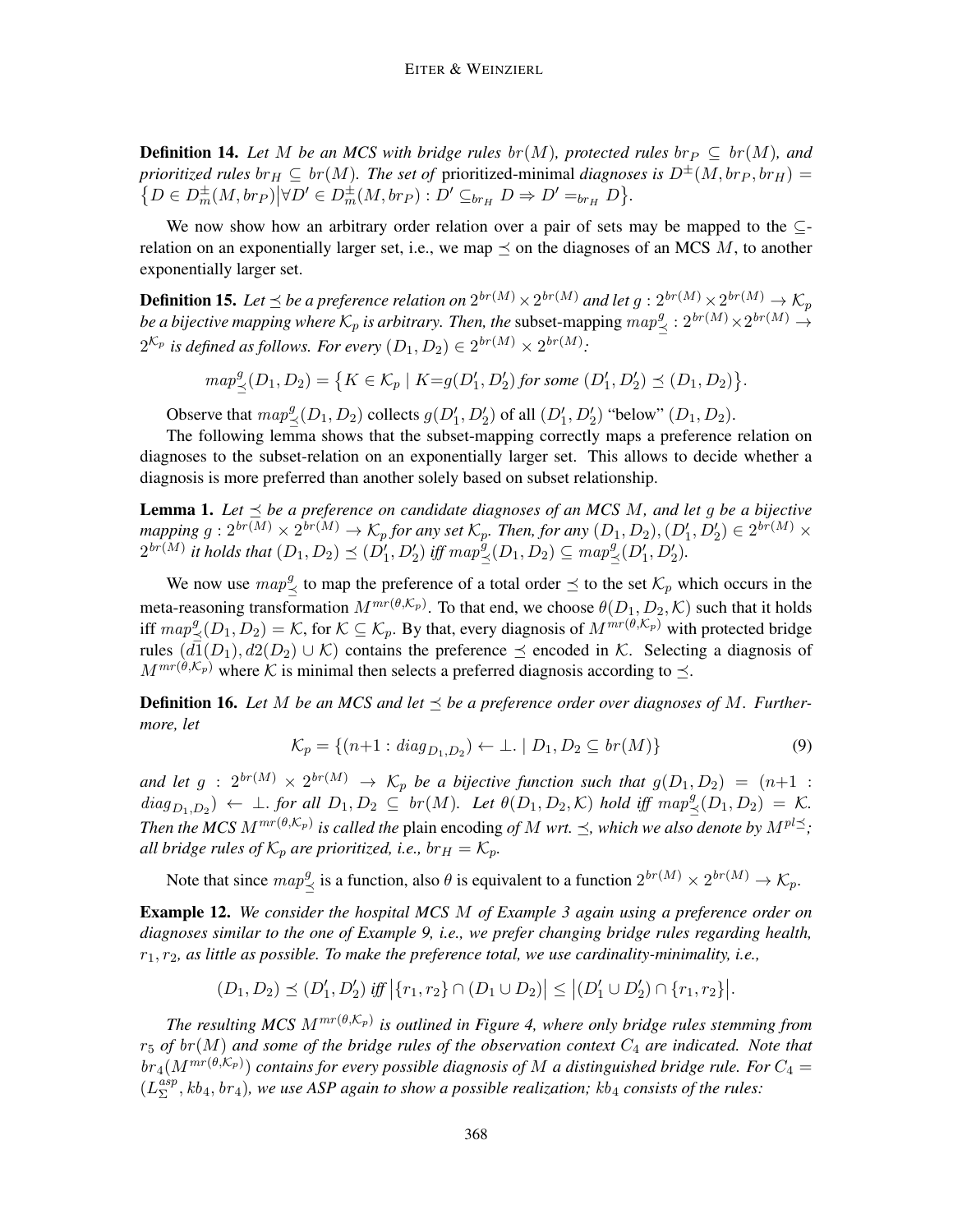**Definition 14.** Let M be an MCS with bridge rules br(M), protected rules br $_P \subseteq br(M)$ , and *prioritized rules* br<sub>H</sub>  $\subseteq$  br(M). The set of prioritized-minimal *diagnoses* is  $D^{\pm}(M, b_{FP}, b_{FR}) =$  $\{D \in D_m^{\pm}(M, br_P) | \forall D' \in D_m^{\pm}(M, br_P) : D' \subseteq_{br_H} D \Rightarrow D' =_{br_H} D\}.$ 

We now show how an arbitrary order relation over a pair of sets may be mapped to the  $\subseteq$ relation on an exponentially larger set, i.e., we map  $\preceq$  on the diagnoses of an MCS M, to another exponentially larger set.

**Definition 15.** Let  $\preceq$  be a preference relation on  $2^{br(M)} \times 2^{br(M)}$  and let  $g: 2^{br(M)} \times 2^{br(M)} \to {\mathcal K}_p$ be a bijective mapping where  $\mathcal{K}_p$  is arbitrary. Then, the subset-mapping  $map^g_{\preceq}$  $\leq^g: 2^{br(M)} \times 2^{br(M)} \rightarrow$  $2^{\mathcal{K}_{p}}$  is defined as follows. For every  $(D_{1},D_{2})\in2^{br(M)}\times2^{br(M)}.$ 

map g  $\frac{g}{\leq}(D_1, D_2) = \left\{K \in \mathcal{K}_p \mid K = g(D'_1, D'_2) \text{ for some } (D'_1, D'_2) \leq (D_1, D_2) \right\}.$ 

Observe that  $map^g$ .  $\frac{g}{\leq}(D_1, D_2)$  collects  $g(D'_1, D'_2)$  of all  $(D'_1, D'_2)$  "below"  $(D_1, D_2)$ .

The following lemma shows that the subset-mapping correctly maps a preference relation on diagnoses to the subset-relation on an exponentially larger set. This allows to decide whether a diagnosis is more preferred than another solely based on subset relationship.

**Lemma 1.** Let  $\leq$  be a preference on candidate diagnoses of an MCS M, and let g be a bijective mapping  $g: 2^{br(M)} \times 2^{br(M)} \to K_p$  for any set  $\mathcal{K}_p$ . Then, for any  $(D_1, D_2), (D'_1, D'_2) \in 2^{br(M)} \times$  $2^{br(M)}$  it holds that  $(D_1, D_2) \preceq (D_1', D_2')$  iff  $map_2^0$  $\mathcal{L}^g(\overline{D_1}, \overline{D_2}) \subseteq \mathit{map}^g_{\preceq}$  $\stackrel{g}{\leq}$ ( $D'_1, D'_2$ ).

We now use  $map^g$ .  $\frac{g}{\leq}$  to map the preference of a total order  $\leq$  to the set  $\mathcal{K}_p$  which occurs in the meta-reasoning transformation  $M^{mr(\theta,\mathcal{K}_p)}$ . To that end, we choose  $\theta(D_1, D_2, \mathcal{K})$  such that it holds iff  $map^g$ .  $(\mathcal{L}_\preceq^g(D_1, D_2) = \mathcal{K}$ , for  $\mathcal{K} \subseteq \mathcal{K}_p$ . By that, every diagnosis of  $M^{mr(\theta, \mathcal{K}_p)}$  with protected bridge rules  $(d_1(D_1), d_2(D_2) \cup \mathcal{K})$  contains the preference  $\preceq$  encoded in  $\mathcal{K}$ . Selecting a diagnosis of  $M^{mr(\theta,\mathcal{K}_p)}$  where  $\mathcal K$  is minimal then selects a preferred diagnosis according to  $\preceq$ .

**Definition 16.** Let M be an MCS and let  $\preceq$  be a preference order over diagnoses of M. Further*more, let*

$$
\mathcal{K}_p = \{ (n+1 : diag_{D_1, D_2}) \leftarrow \bot \ . \ | \ D_1, D_2 \subseteq br(M) \}
$$
\n(9)

and let  $g$  :  $2^{br(M)} \times 2^{br(M)} \rightarrow K_p$  be a bijective function such that  $g(D_1, D_2) = (n+1)$ :  $diag_{D_1,D_2}$   $\leftarrow$   $\perp$ *. for all*  $D_1, D_2 \subseteq \textit{br}(M)$ *. Let*  $\theta(D_1, D_2, \mathcal{K})$  hold iff  $\textit{map}^g$  $_{\leq}^{g}(D_1, D_2) = \mathcal{K}.$ *Then the MCS*  $M^{mr(\theta,\mathcal{K}_p)}$  is called the plain encoding of M wrt.  $\preceq$ , which we also denote by  $M^{pl} \preceq$ ; *all bridge rules of*  $K_p$  *are prioritized, i.e., br* $_H = K_p$ *.* 

Note that since  $map^g$ .  $\frac{g}{\leq}$  is a function, also  $\theta$  is equivalent to a function  $2^{br(M)} \times 2^{br(M)} \to \mathcal{K}_p$ .

Example 12. *We consider the hospital MCS* M *of Example 3 again using a preference order on diagnoses similar to the one of Example 9, i.e., we prefer changing bridge rules regarding health,*  $r_1, r_2$ , as little as possible. To make the preference total, we use cardinality-minimality, i.e.,

$$
(D_1, D_2) \preceq (D'_1, D'_2) \text{ iff } |\{r_1, r_2\} \cap (D_1 \cup D_2)| \leq |(D'_1 \cup D'_2) \cap \{r_1, r_2\}|.
$$

The resulting MCS  $M^{mr(\theta,\mathcal{K}_p)}$  is outlined in Figure 4, where only bridge rules stemming from  $r_5$  of  $br(M)$  and some of the bridge rules of the observation context  $C_4$  are indicated. Note that  $b r_4(M^{mr(\theta,\mathcal{K}_p)})$  contains for every possible diagnosis of M a distinguished bridge rule. For  $C_4$  =  $(L_{\Sigma}^{a\dot{s}p}$  $\sum_{\Sigma}^{asp}$ ,  $kb_4$ ,  $br_4$ ), we use ASP again to show a possible realization;  $kb_4$  consists of the rules: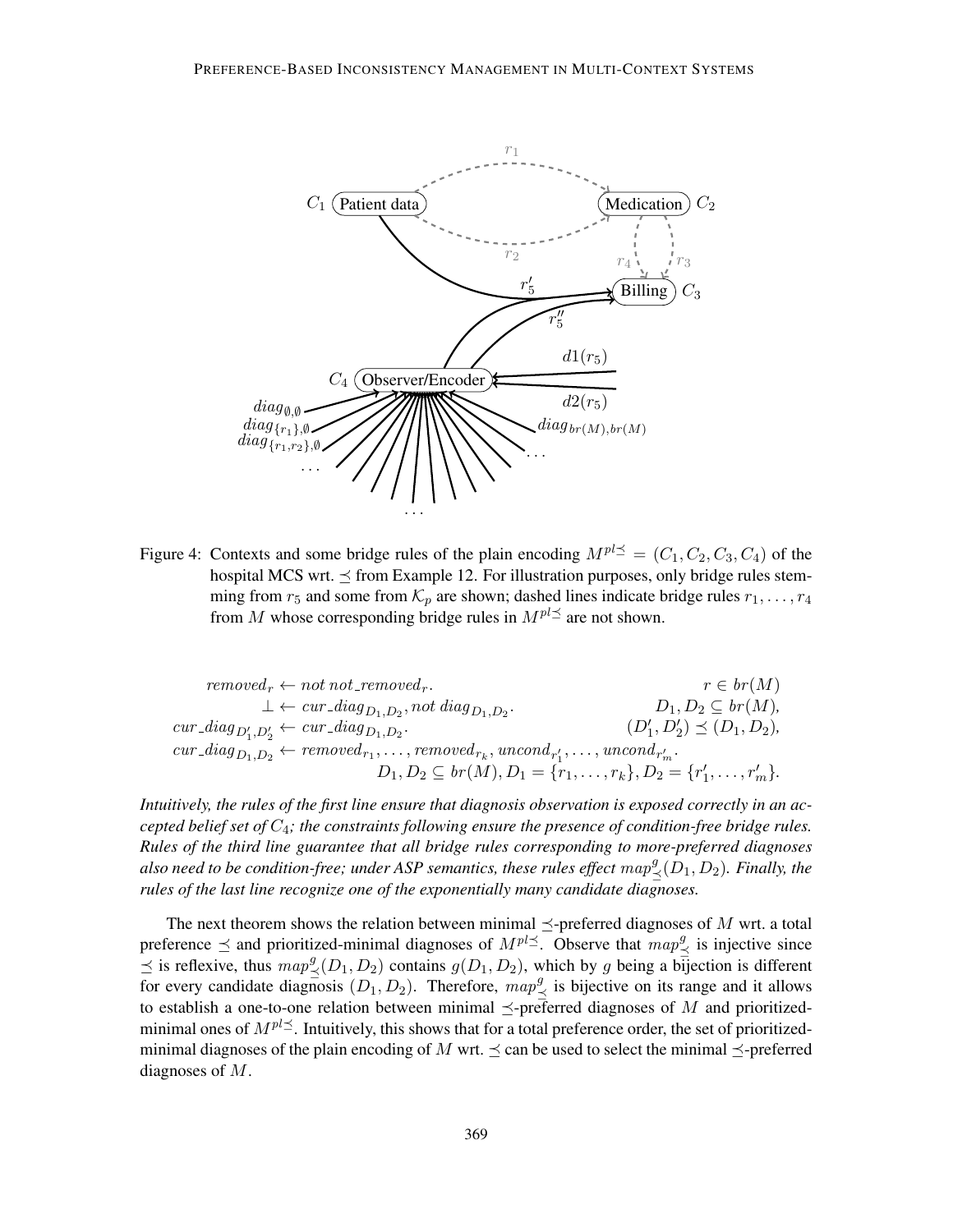

Figure 4: Contexts and some bridge rules of the plain encoding  $M^{pl\preceq} = (C_1, C_2, C_3, C_4)$  of the hospital MCS wrt.  $\leq$  from Example 12. For illustration purposes, only bridge rules stemming from  $r_5$  and some from  $\mathcal{K}_p$  are shown; dashed lines indicate bridge rules  $r_1, \ldots, r_4$ from M whose corresponding bridge rules in  $M^{pl\preceq}$  are not shown.

$$
removedr \leftarrow not not removedr. \n
$$
\perp \leftarrow cur\_diag_{D_1, D_2}, not\ diag_{D_1, D_2}.\n\qquad D_1, D_2 \subseteq br(M),
$$
\n
$$
cur\_diag_{D'_1, D'_2} \leftarrow cur\_diag_{D_1, D_2}.\n\qquad (D'_1, D'_2) \preceq (D_1, D_2),
$$
\n
$$
cur\_diag_{D_1, D_2} \leftarrow removed_{r_1}, \ldots, removed_{r_k}, uncond_{r'_1}, \ldots, uncond_{r'_m}.
$$
\n
$$
D_1, D_2 \subseteq br(M), D_1 = \{r_1, \ldots, r_k\}, D_2 = \{r'_1, \ldots, r'_m\}.
$$
$$

*Intuitively, the rules of the first line ensure that diagnosis observation is exposed correctly in an accepted belief set of* C4*; the constraints following ensure the presence of condition-free bridge rules. Rules of the third line guarantee that all bridge rules corresponding to more-preferred diagnoses also need to be condition-free; under ASP semantics, these rules effect* map g  $\frac{g}{\preceq}(D_1, D_2)$ *. Finally, the rules of the last line recognize one of the exponentially many candidate diagnoses.*

The next theorem shows the relation between minimal  $\preceq$ -preferred diagnoses of M wrt. a total preference  $\preceq$  and prioritized-minimal diagnoses of  $M^{pl} \preceq$ . Observe that  $map^g$ .  $\frac{g}{\leq}$  is injective since  $\preceq$  is reflexive, thus  $map^g$  $\frac{g}{\leq}$  (D<sub>1</sub>, D<sub>2</sub>) contains  $g(D_1, D_2)$ , which by g being a bijection is different for every candidate diagnosis  $(D_1, D_2)$ . Therefore,  $map_2^0$  $\frac{g}{\leq}$  is bijective on its range and it allows to establish a one-to-one relation between minimal  $\prec$ -preferred diagnoses of M and prioritizedminimal ones of  $M^{pl}$ . Intuitively, this shows that for a total preference order, the set of prioritizedminimal diagnoses of the plain encoding of M wrt.  $\preceq$  can be used to select the minimal  $\preceq$ -preferred diagnoses of M.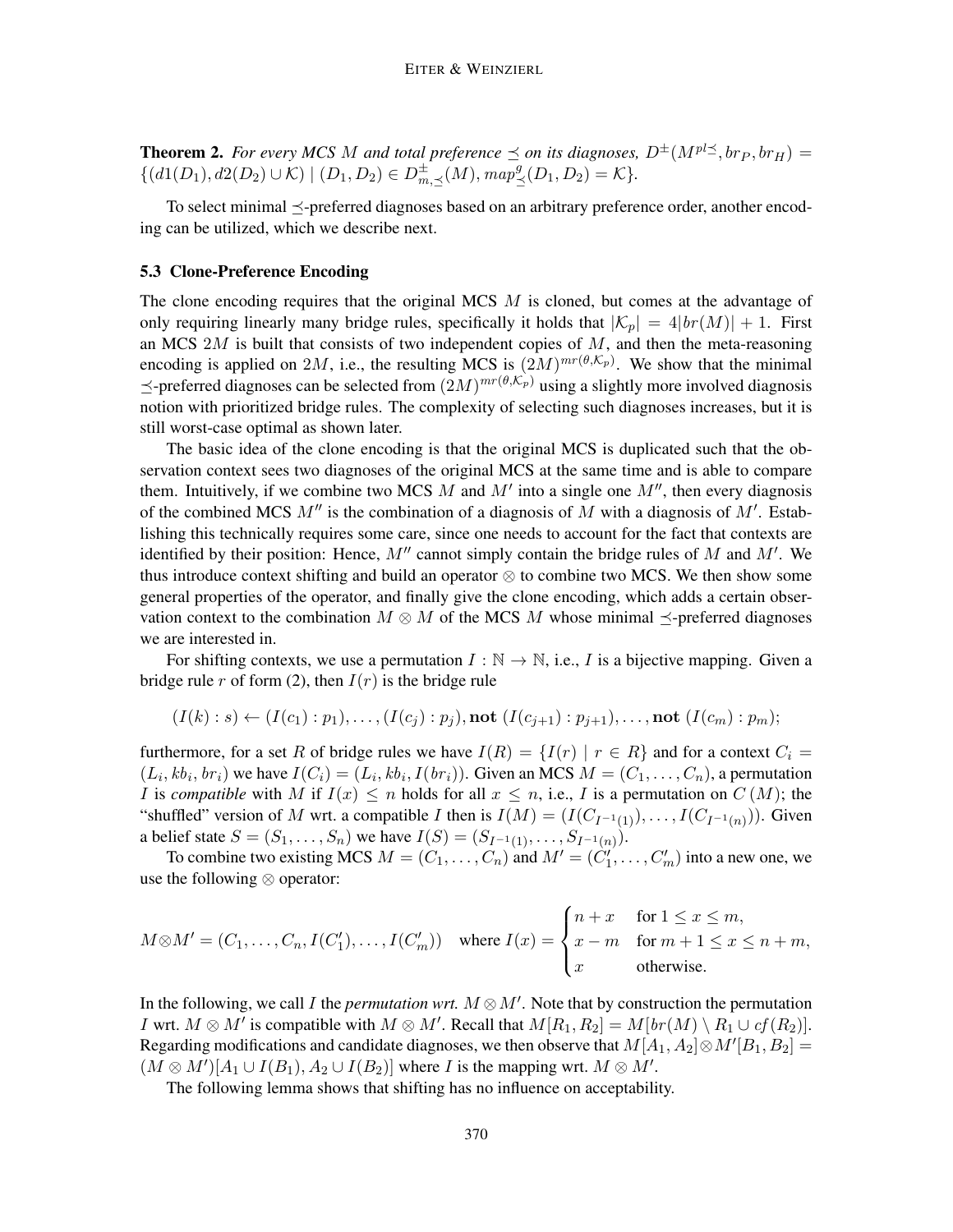**Theorem 2.** For every MCS M and total preference  $\preceq$  on its diagnoses,  $D^{\pm}(M^{pl} \preceq, br_P, br_H)$  =  $\{(d1(D_1), d2(D_2) \cup K) | (D_1, D_2) \in D^{\pm}_{m, \preceq}(M), map_{\preceq}^g\}$  ${}_{\preceq}^{g}(D_1, D_2) = \mathcal{K}$ .

To select minimal  $\prec$ -preferred diagnoses based on an arbitrary preference order, another encoding can be utilized, which we describe next.

#### 5.3 Clone-Preference Encoding

The clone encoding requires that the original MCS  $M$  is cloned, but comes at the advantage of only requiring linearly many bridge rules, specifically it holds that  $|\mathcal{K}_p| = 4|br(M)| + 1$ . First an MCS  $2M$  is built that consists of two independent copies of  $M$ , and then the meta-reasoning encoding is applied on 2M, i.e., the resulting MCS is  $(2M)^{mr(\theta,\mathcal{K}_p)}$ . We show that the minimal  $\preceq$ -preferred diagnoses can be selected from  $(2M)^{mr(\theta,\mathcal{K}_p)}$  using a slightly more involved diagnosis notion with prioritized bridge rules. The complexity of selecting such diagnoses increases, but it is still worst-case optimal as shown later.

The basic idea of the clone encoding is that the original MCS is duplicated such that the observation context sees two diagnoses of the original MCS at the same time and is able to compare them. Intuitively, if we combine two MCS M and  $M'$  into a single one  $M''$ , then every diagnosis of the combined MCS  $M''$  is the combination of a diagnosis of M with a diagnosis of  $M'$ . Establishing this technically requires some care, since one needs to account for the fact that contexts are identified by their position: Hence,  $M''$  cannot simply contain the bridge rules of M and M'. We thus introduce context shifting and build an operator  $\otimes$  to combine two MCS. We then show some general properties of the operator, and finally give the clone encoding, which adds a certain observation context to the combination  $M \otimes M$  of the MCS M whose minimal  $\prec$ -preferred diagnoses we are interested in.

For shifting contexts, we use a permutation  $I : \mathbb{N} \to \mathbb{N}$ , i.e., I is a bijective mapping. Given a bridge rule r of form (2), then  $I(r)$  is the bridge rule

$$
(I(k): s) \leftarrow (I(c_1): p_1), \ldots, (I(c_j): p_j),
$$
 **not**  $(I(c_{j+1}): p_{j+1}), \ldots,$  **not**  $(I(c_m): p_m);$ 

furthermore, for a set R of bridge rules we have  $I(R) = \{I(r) | r \in R\}$  and for a context  $C_i =$  $(L_i, kb_i, br_i)$  we have  $I(C_i) = (L_i, kb_i, I(br_i)$ . Given an MCS  $M = (C_1, \ldots, C_n)$ , a permutation I is *compatible* with M if  $I(x) \leq n$  holds for all  $x \leq n$ , i.e., I is a permutation on  $C(M)$ ; the "shuffled" version of M wrt. a compatible I then is  $I(M) = (I(C_{I^{-1}(1)}), \ldots, I(C_{I^{-1}(n)}))$ . Given a belief state  $S = (S_1, \ldots, S_n)$  we have  $I(S) = (S_{I^{-1}(1)}, \ldots, S_{I^{-1}(n)})$ .

To combine two existing MCS  $M = (C_1, \ldots, C_n)$  and  $M' = (\tilde{C}'_1, \ldots, C'_m)$  into a new one, we use the following ⊗ operator:

$$
M \otimes M' = (C_1, \dots, C_n, I(C'_1), \dots, I(C'_m)) \quad \text{where } I(x) = \begin{cases} n+x & \text{for } 1 \le x \le m, \\ x-m & \text{for } m+1 \le x \le n+m, \\ x & \text{otherwise.} \end{cases}
$$

In the following, we call I the *permutation wrt.*  $M \otimes M'$ . Note that by construction the permutation *I* wrt.  $M \otimes M'$  is compatible with  $M \otimes M'$ . Recall that  $M[R_1, R_2] = M[br(M) \setminus R_1 \cup cf(R_2)]$ . Regarding modifications and candidate diagnoses, we then observe that  $M[A_1,A_2] \otimes M'[B_1,B_2] =$  $(M \otimes M')[A_1 \cup I(B_1), A_2 \cup I(B_2)]$  where I is the mapping wrt.  $M \otimes M'$ .

The following lemma shows that shifting has no influence on acceptability.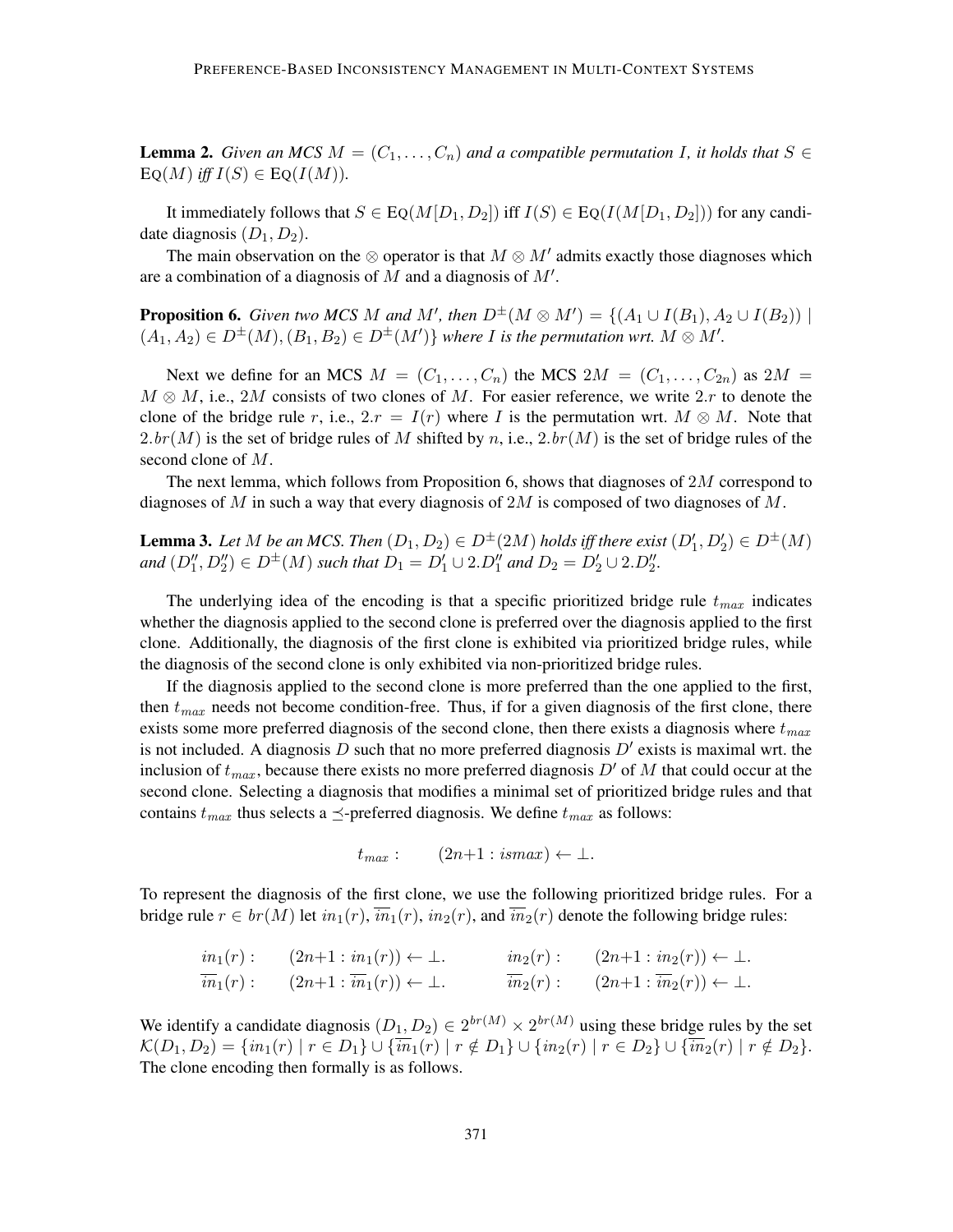**Lemma 2.** *Given an MCS*  $M = (C_1, \ldots, C_n)$  *and a compatible permutation* I, *it holds that*  $S \in$  $EQ(M)$  *iff*  $I(S) \in Eq(I(M))$ .

It immediately follows that  $S \in \text{Eq}(M[D_1, D_2])$  iff  $I(S) \in \text{Eq}(I(M[D_1, D_2]))$  for any candidate diagnosis  $(D_1, D_2)$ .

The main observation on the  $\otimes$  operator is that  $M \otimes M'$  admits exactly those diagnoses which are a combination of a diagnosis of  $M$  and a diagnosis of  $M'$ .

**Proposition 6.** *Given two MCS M and M', then*  $D^{\pm}(M \otimes M') = \{(A_1 \cup I(B_1), A_2 \cup I(B_2)) \mid$  $(A_1, A_2) \in D^{\pm}(M), (B_1, B_2) \in D^{\pm}(M')\}$  where I is the permutation wrt.  $M \otimes M'$ .

Next we define for an MCS  $M = (C_1, \ldots, C_n)$  the MCS  $2M = (C_1, \ldots, C_{2n})$  as  $2M =$  $M \otimes M$ , i.e., 2M consists of two clones of M. For easier reference, we write 2.r to denote the clone of the bridge rule r, i.e.,  $2.r = I(r)$  where I is the permutation wrt.  $M \otimes M$ . Note that  $2.br(M)$  is the set of bridge rules of M shifted by n, i.e.,  $2.br(M)$  is the set of bridge rules of the second clone of M.

The next lemma, which follows from Proposition 6, shows that diagnoses of 2M correspond to diagnoses of M in such a way that every diagnosis of 2M is composed of two diagnoses of  $M$ .

**Lemma 3.** Let M be an MCS. Then  $(D_1, D_2) \in D^{\pm}(2M)$  holds iff there exist  $(D'_1, D'_2) \in D^{\pm}(M)$  $and (D''_1, D''_2) \in D^{\pm}(M)$  *such that*  $D_1 = D'_1 \cup 2.D''_1$  *and*  $D_2 = D'_2 \cup 2.D''_2$ *.* 

The underlying idea of the encoding is that a specific prioritized bridge rule  $t_{max}$  indicates whether the diagnosis applied to the second clone is preferred over the diagnosis applied to the first clone. Additionally, the diagnosis of the first clone is exhibited via prioritized bridge rules, while the diagnosis of the second clone is only exhibited via non-prioritized bridge rules.

If the diagnosis applied to the second clone is more preferred than the one applied to the first, then  $t_{max}$  needs not become condition-free. Thus, if for a given diagnosis of the first clone, there exists some more preferred diagnosis of the second clone, then there exists a diagnosis where  $t_{max}$ is not included. A diagnosis D such that no more preferred diagnosis  $D'$  exists is maximal wrt. the inclusion of  $t_{max}$ , because there exists no more preferred diagnosis D' of M that could occur at the second clone. Selecting a diagnosis that modifies a minimal set of prioritized bridge rules and that contains  $t_{max}$  thus selects a  $\preceq$ -preferred diagnosis. We define  $t_{max}$  as follows:

$$
t_{max}: \qquad (2n+1: \text{ismax}) \leftarrow \perp.
$$

To represent the diagnosis of the first clone, we use the following prioritized bridge rules. For a bridge rule  $r \in br(M)$  let  $in_1(r)$ ,  $\overline{in}_1(r)$ ,  $in_2(r)$ , and  $\overline{in}_2(r)$  denote the following bridge rules:

$$
\frac{i n_1(r) : (2n+1 : i n_1(r)) \leftarrow \perp}{i n_1(r) : (2n+1 : i n_1(r)) \leftarrow \perp} \qquad \frac{i n_2(r) : (2n+1 : i n_2(r)) \leftarrow \perp}{i n_2(r) : (2n+1 : i n_2(r)) \leftarrow \perp}.
$$

We identify a candidate diagnosis  $(D_1, D_2) \in 2^{br(M)} \times 2^{br(M)}$  using these bridge rules by the set  $\mathcal{K}(D_1, D_2) = \{in_1(r) | r \in D_1\} \cup \{\overline{in}_1(r) | r \notin D_1\} \cup \{in_2(r) | r \in D_2\} \cup \{\overline{in}_2(r) | r \notin D_2\}.$ The clone encoding then formally is as follows.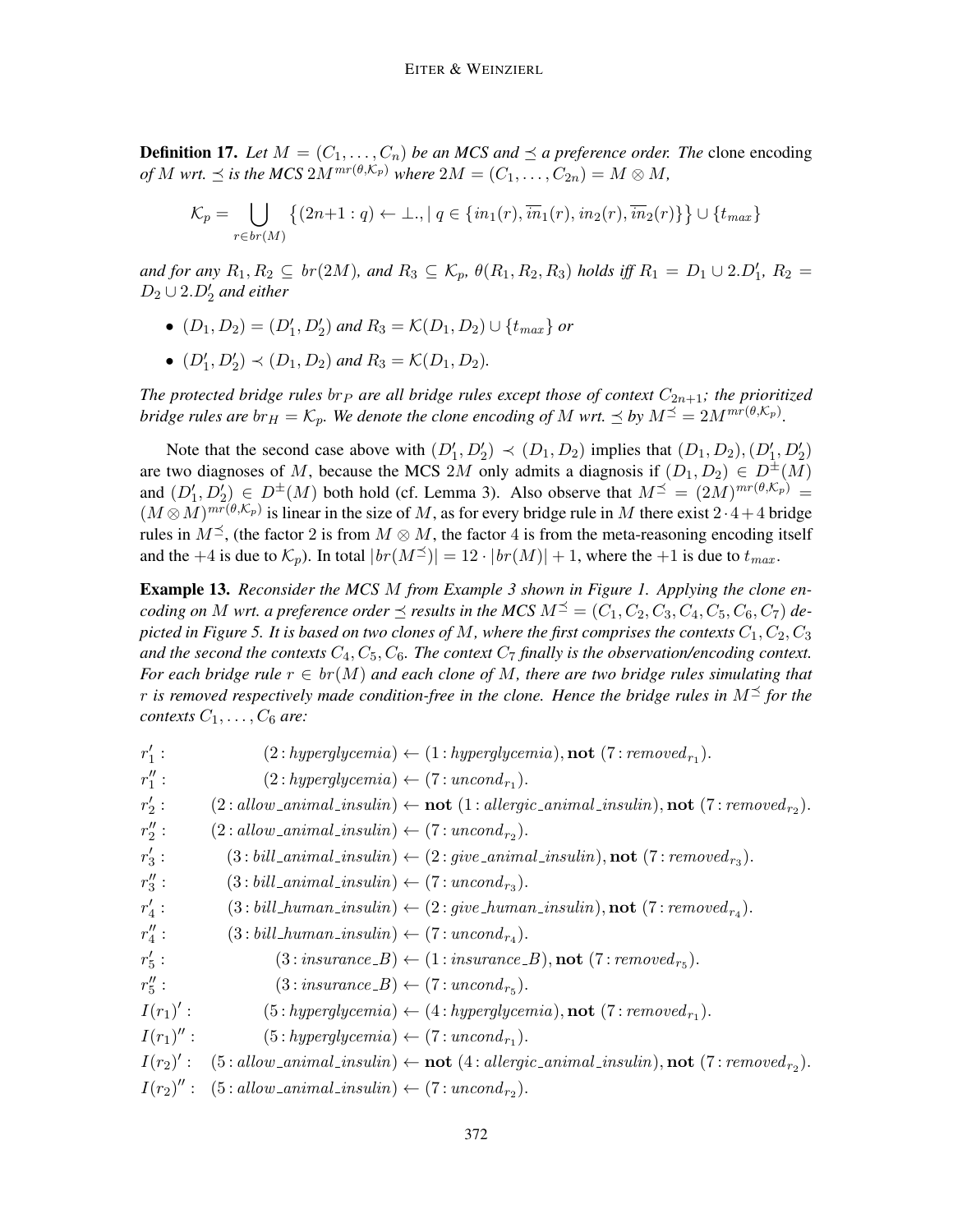**Definition 17.** Let  $M = (C_1, \ldots, C_n)$  be an MCS and  $\preceq$  a preference order. The clone encoding *of* M wrt.  $\preceq$  *is the MCS*  $2M^{mr(\theta,\mathcal{K}_p)}$  *where*  $2M = (C_1, \ldots, C_{2n}) = M \otimes M$ ,

$$
\mathcal{K}_p = \bigcup_{r \in br(M)} \left\{ (2n+1:q) \leftarrow \bot., \mid q \in \{in_1(r), \overline{in}_1(r), in_2(r), \overline{in}_2(r) \} \right\} \cup \{t_{max}\}\right\}
$$

and for any  $R_1, R_2 \subseteq br(2M)$ , and  $R_3 \subseteq \mathcal{K}_p$ ,  $\theta(R_1, R_2, R_3)$  holds iff  $R_1 = D_1 \cup 2.D'_1$ ,  $R_2 =$  $D_2 \cup 2.D'_2$  and either

- $(D_1, D_2) = (D'_1, D'_2)$  and  $R_3 = \mathcal{K}(D_1, D_2) \cup \{t_{max}\}$  or
- $(D'_1, D'_2) \prec (D_1, D_2)$  and  $R_3 = \mathcal{K}(D_1, D_2)$ *.*

*The protected bridge rules br<sub>P</sub> are all bridge rules except those of context*  $C_{2n+1}$ *; the prioritized bridge rules are*  $br_H = \mathcal{K}_p$ *. We denote the clone encoding of M wrt.*  $\preceq$  *by*  $M^{\preceq} = 2M^{mr(\theta,\mathcal{K}_p)}$ .

Note that the second case above with  $(D'_1, D'_2) \prec (D_1, D_2)$  implies that  $(D_1, D_2), (D'_1, D'_2)$ are two diagnoses of M, because the MCS 2M only admits a diagnosis if  $(D_1, D_2) \in D^{\pm}(M)$ and  $(D'_1, D'_2) \in D^{\pm}(M)$  both hold (cf. Lemma 3). Also observe that  $M^{\preceq} = (2M)^{mr(\theta, \mathcal{K}_p)} =$  $(M \otimes M)^{mr(\theta,\mathcal{K}_p)}$  is linear in the size of M, as for every bridge rule in M there exist  $2 \cdot 4 + 4$  bridge rules in  $M^{\preceq}$ , (the factor 2 is from  $M \otimes M$ , the factor 4 is from the meta-reasoning encoding itself and the +4 is due to  $\mathcal{K}_p$ ). In total  $|br(M^{\preceq})| = 12 \cdot |br(M)| + 1$ , where the +1 is due to  $t_{max}$ .

Example 13. *Reconsider the MCS* M *from Example 3 shown in Figure 1. Applying the clone encoding on* M wrt. a preference order  $\preceq$  results in the MCS  $M^{\preceq} = (C_1, C_2, C_3, C_4, C_5, C_6, C_7)$  de*picted in Figure 5. It is based on two clones of M, where the first comprises the contexts*  $C_1, C_2, C_3$ and the second the contexts  $C_4, C_5, C_6$ . The context  $C_7$  finally is the observation/encoding context. *For each bridge rule*  $r \in br(M)$  *and each clone of* M, there are two bridge rules simulating that *r* is removed respectively made condition-free in the clone. Hence the bridge rules in  $M \stackrel{\preceq}{\sim}$  for the *contexts*  $C_1, \ldots, C_6$  *are:* 

 $r_1'$ :  $(2: hyperglycemia) \leftarrow (1: hyperglycemia), \textbf{not} (7: removed<sub>r<sub>1</sub></sub>).$  $r_1''$ :  $(2:hyperglycemia) \leftarrow (7: uncond_{r_1}).$  $r'_2$  $: \qquad (2: allow\_animal\_insulin) \leftarrow \textbf{not} (1: allergic\_animal\_insulin), \textbf{not} (7: removed_{r_2}).$  $r_2''$ :  $(2: allow\_animal\_insulin) \leftarrow (7: uncond_{r_2}).$  $r'_3$  $: (3: bill\_animal\_insulin) \leftarrow (2: give\_animal\_insulin), \textbf{not} (7: removed_{r_3}).$ 

 $r_3''$ :  $(3: bill\_animal\_insulin) \leftarrow (7: uncond_{r_3}).$ 

 $r'_4$  $: (3: bill_human_insulin) \leftarrow (2: give_human_insulin), \textbf{not} (7: removed_{r_4}).$ 

 $r_4''$ :  $(3: bill\_human\_insulin) \leftarrow (7: uncond_{r_4}).$ 

 $r'_5$ :  $(3: insurance \_B) \leftarrow (1: insurance \_B), \text{not } (7: removed_{r_5}).$ 

 $r''_5$ :  $(3: insurance\_B) \leftarrow (7: uncond_{r_5}).$ 

 $I(r_1)$ <sup>'</sup> :  $(5: hyperglycemia) \leftarrow (4: hyperglycemia), \textbf{not} (7: removed<sub>r<sub>1</sub></sub>).$ 

 $I(r_1)''$ : ":  $(5: hyperglycemia) \leftarrow (7: uncond_{r_1}).$ 

 $I(r_2)$ <sup>'</sup>  $: \quad (5: allow\_animal\_insulin) \leftarrow \textbf{not} \ (4:allergic\_animal\_insulin), \textbf{not} \ (7: removed_{r_2}).$ 

 $I(r_2)''$ :  $(5: allow\_animal\_insulin) \leftarrow (7: uncond_{r_2}).$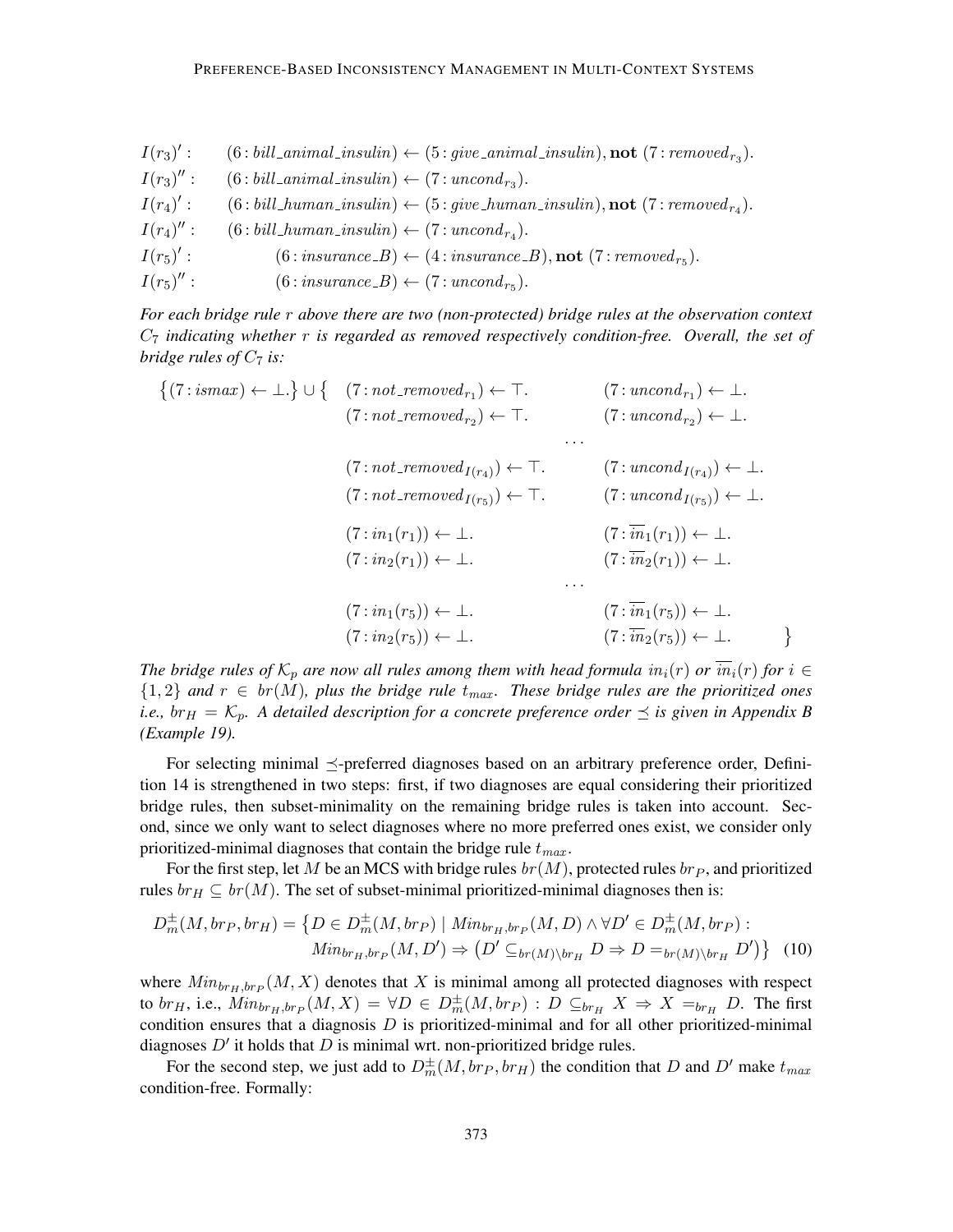$I(r_3)$ <sup>'</sup>  $: \qquad (6: bill\_animal\_insulin) \leftarrow (5: give\_animal\_insulin), \textbf{not} (7: removed_{r_3}).$  $I(r_3)'':$ ":  $(6: bill{\_}animal{\_}insulin) \leftarrow (7: uncond_{r_3}).$  $I(r_4)$ <sup>'</sup>  $: (6: bill\_human\_insulin) \leftarrow (5: give\_human\_insulin), \textbf{not} (7: removed_{r_4}).$  $I(r_4)''$  : ":  $(6: bill\_human\_insulin) \leftarrow (7: uncond_{r_4}).$  $I(r_5)'$ :  $(6: insurance.B) \leftarrow (4: insurance.B), \textbf{not} (7: removed_{r_5}).$  $I(r_5)'':$ ":  $(6: insurance_B) \leftarrow (7: uncond_{r_5}).$ 

*For each bridge rule* r *above there are two (non-protected) bridge rules at the observation context* C<sup>7</sup> *indicating whether* r *is regarded as removed respectively condition-free. Overall, the set of bridge rules of*  $C_7$  *is:* 

 $\{(7:ismax) \leftarrow \bot.\} \cup \{ (7:not\_removed_{r_1}) \leftarrow \top.$   $(7:uncond_{r_1}) \leftarrow \bot.$  $(7: not\_removed_{r_2}) \leftarrow \top.$   $(7: uncond_{r_2}) \leftarrow \bot.$ · · ·  $(7: not$ -removed<sub>I(r<sub>4</sub>)</sub> $) \leftarrow \top$ .  $(7: uncond_{I(r_4)}) \leftarrow \bot$ .  $(7: not$ -removed<sub>I(r<sub>5</sub>)</sub> $\leftarrow \top$ .  $(7: uncond_{I(r_5)}) \leftarrow \bot$ .  $(7: in_1(r_1)) \leftarrow \perp.$   $(7: \overline{in}_1(r_1)) \leftarrow \perp.$  $(7: \overline{in}_2(r_1)) \leftarrow \perp.$   $(7: \overline{in}_2(r_1)) \leftarrow \perp.$ · · ·  $(7:in_1(r_5)) \leftarrow \perp.$   $(7:in_1(r_5)) \leftarrow \perp.$  $(7 : in_2(r_5)) \leftarrow \perp.$   $(7 : \overline{in}_2(r_5)) \leftarrow \perp.$  $\}$ 

*The bridge rules of*  $K_p$  *are now all rules among them with head formula*  $in_i(r)$  *or*  $\overline{in}_i(r)$  *for*  $i \in$  ${1, 2}$  *and*  $r \in br(M)$ *, plus the bridge rule*  $t_{max}$ *. These bridge rules are the prioritized ones i.e.,*  $br_H = K_p$ . A detailed description for a concrete preference order  $\preceq$  *is given in Appendix B (Example 19).*

For selecting minimal  $\prec$ -preferred diagnoses based on an arbitrary preference order, Definition 14 is strengthened in two steps: first, if two diagnoses are equal considering their prioritized bridge rules, then subset-minimality on the remaining bridge rules is taken into account. Second, since we only want to select diagnoses where no more preferred ones exist, we consider only prioritized-minimal diagnoses that contain the bridge rule  $t_{max}$ .

For the first step, let M be an MCS with bridge rules  $br(M)$ , protected rules  $br_P$ , and prioritized rules  $b r_H \subseteq b r(M)$ . The set of subset-minimal prioritized-minimal diagnoses then is:

$$
D_m^{\pm}(M,br_P,br_H) = \left\{ D \in D_m^{\pm}(M,br_P) \mid \underline{Min}_{br_H,br_P}(M, D) \land \forall D' \in D_m^{\pm}(M,br_P) :
$$

$$
\underline{Min}_{br_H,br_P}(M, D') \Rightarrow \left( D' \subseteq_{br(M) \backslash br_H} D \Rightarrow D =_{br(M) \backslash br_H} D' \right\} \tag{10}
$$

where  $Min_{br_H,br_P}(M, X)$  denotes that X is minimal among all protected diagnoses with respect to  $br_H$ , i.e.,  $Min_{br_H,br_P}(M, X) = \forall D \in D_m^{\pm}(M, b r_P) : D \subseteq_{br_H} X \Rightarrow X =_{br_H} D$ . The first condition ensures that a diagnosis  $D$  is prioritized-minimal and for all other prioritized-minimal diagnoses  $D'$  it holds that  $D$  is minimal wrt. non-prioritized bridge rules.

For the second step, we just add to  $D_m^{\pm}(M, br_P, br_H)$  the condition that D and D' make  $t_{max}$ condition-free. Formally: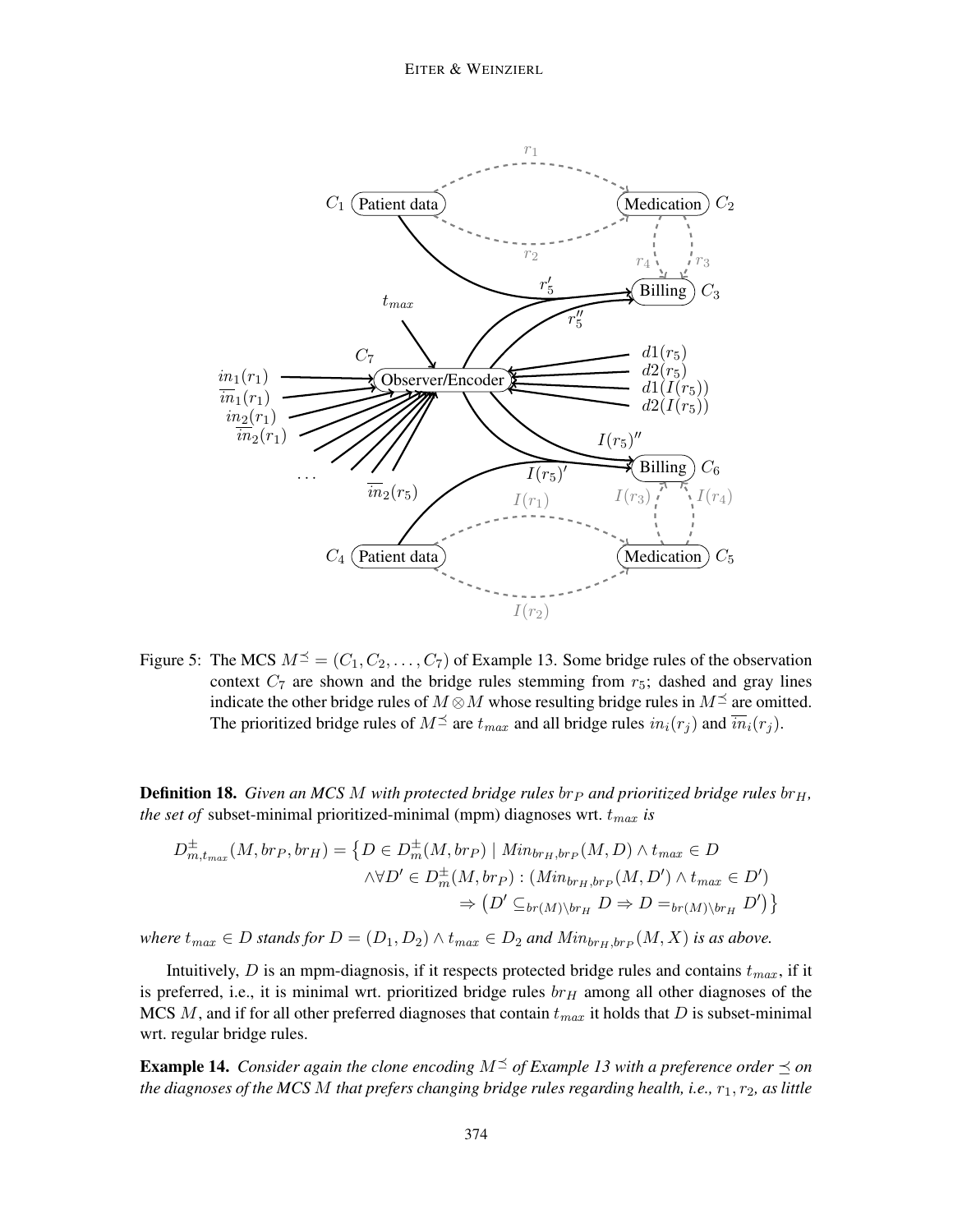

Figure 5: The MCS  $M^{\preceq} = (C_1, C_2, \dots, C_7)$  of Example 13. Some bridge rules of the observation context  $C_7$  are shown and the bridge rules stemming from  $r_5$ ; dashed and gray lines indicate the other bridge rules of  $M \otimes M$  whose resulting bridge rules in  $M^{\preceq}$  are omitted. The prioritized bridge rules of  $M^{\preceq}$  are  $t_{max}$  and all bridge rules  $in_i(r_i)$  and  $\overline{in}_i(r_j)$ .

**Definition 18.** *Given an MCS M with protected bridge rules*  $br_P$  *and prioritized bridge rules*  $br_H$ , *the set of* subset-minimal prioritized-minimal (mpm) diagnoses wrt.  $t_{max}$  *is* 

$$
D^{\pm}_{m,t_{max}}(M,br_P,br_H) = \left\{ D \in D^{\pm}_{m}(M,br_P) \mid Min_{br_H,br_P}(M, D) \land t_{max} \in D
$$
  

$$
\land \forall D' \in D^{\pm}_{m}(M,br_P) : (Min_{br_H,br_P}(M, D') \land t_{max} \in D')
$$
  

$$
\Rightarrow (D' \subseteq_{br(M) \setminus br_H} D \Rightarrow D =_{br(M) \setminus br_H} D') \}
$$

*where*  $t_{max} \in D$  *stands for*  $D = (D_1, D_2) \wedge t_{max} \in D_2$  *and*  $Min_{br_H,br_P}(M, X)$  *is as above.* 

Intuitively, D is an mpm-diagnosis, if it respects protected bridge rules and contains  $t_{max}$ , if it is preferred, i.e., it is minimal wrt. prioritized bridge rules  $b r_H$  among all other diagnoses of the MCS  $M$ , and if for all other preferred diagnoses that contain  $t_{max}$  it holds that  $D$  is subset-minimal wrt. regular bridge rules.

**Example 14.** *Consider again the clone encoding*  $M^{\le}$  *of Example 13 with a preference order*  $\leq$  *on the diagnoses of the MCS M that prefers changing bridge rules regarding health, i.e.,*  $r_1$ ,  $r_2$ *, as little*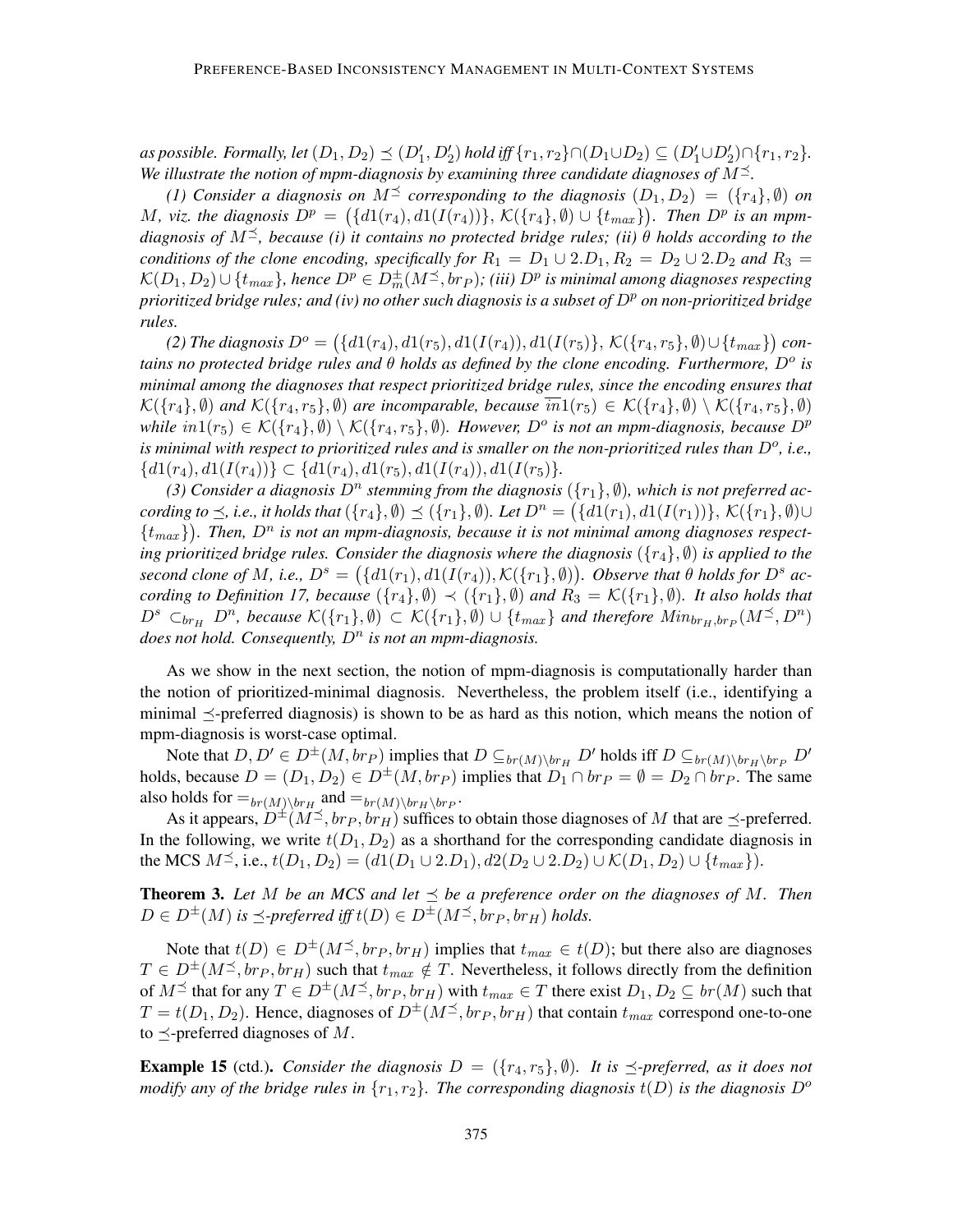$a$ s possible. Formally, let  $(D_1, D_2) \preceq (D'_1, D'_2)$  hold iff  $\{r_1, r_2\} \cap (D_1 \cup D_2) \subseteq (D'_1 \cup D'_2) \cap \{r_1, r_2\}.$ *We illustrate the notion of mpm-diagnosis by examining three candidate diagnoses of*  $M^{\leq}$ .

*(1) Consider a diagnosis on*  $M^{\leq}$  *corresponding to the diagnosis*  $(D_1, D_2) = (\lbrace r_4 \rbrace, \emptyset)$  *on M*, viz. the diagnosis  $D^p = (\{d1(r_4), d1(I(r_4))\}, K(\{r_4\}, \emptyset) \cup \{t_{max}\})$ . Then  $D^p$  is an mpm*diagnosis of* M*, because (i) it contains no protected bridge rules; (ii)* θ *holds according to the conditions of the clone encoding, specifically for*  $R_1 = D_1 \cup 2.D_1$ ,  $R_2 = D_2 \cup 2.D_2$  *and*  $R_3 = D_1 \cup 2.D_2$  $\mathcal{K}(D_1,D_2)\cup\{t_{max}\}$ , hence  $D^p\in D_m^\pm(M^\preceq,\textit{br}_P)$ ; (iii)  $D^p$  is minimal among diagnoses respecting *prioritized bridge rules; and (iv) no other such diagnosis is a subset of*  $D^p$  *on non-prioritized bridge rules.*

(2) The diagnosis  $D^o = (\{d1(r_4), d1(r_5), d1(I(r_4)), d1(I(r_5)\}, K(\{r_4, r_5\}, \emptyset) \cup \{t_{max}\})$  con*tains no protected bridge rules and θ holds as defined by the clone encoding. Furthermore, D<sup>o</sup> is minimal among the diagnoses that respect prioritized bridge rules, since the encoding ensures that*  $\mathcal{K}(\{r_4\}, \emptyset)$  and  $\mathcal{K}(\{r_4, r_5\}, \emptyset)$  are incomparable, because  $\overline{in}1(r_5) \in \mathcal{K}(\{r_4\}, \emptyset) \setminus \mathcal{K}(\{r_4, r_5\}, \emptyset)$  $while \in in1(r_5) \in K(\lbrace r_4 \rbrace, \emptyset) \setminus K(\lbrace r_4, r_5 \rbrace, \emptyset)$ . However,  $D^o$  is not an mpm-diagnosis, because  $D^p$ is minimal with respect to prioritized rules and is smaller on the non-prioritized rules than  $D^{\circ}$ , *i.e.*,  $\{d1(r_4), d1(I(r_4))\} \subset \{d1(r_4), d1(r_5), d1(I(r_4)), d1(I(r_5)\}.$ 

(3) Consider a diagnosis  $D^n$  stemming from the diagnosis  $(\{r_1\}, \emptyset)$ , which is not preferred ac*cording to*  $\preceq$ , *i.e., it holds that*  $({r_4}, \emptyset) \preceq ({r_1}, \emptyset)$ *. Let*  $D^n = ({d_1(r_1), d_1(I(r_1))}, \mathcal{K}({r_1}, \emptyset) \cup$  $\{t_{max}\}\right)$ . Then,  $D^n$  is not an mpm-diagnosis, because it is not minimal among diagnoses respect*ing prioritized bridge rules. Consider the diagnosis where the diagnosis* ( $\{r_4\}$ ,  $\emptyset$ ) *is applied to the second clone of* M, i.e.,  $D^s = (\{d1(r_1), d1(I(r_4)), \mathcal{K}(\{r_1\}, \emptyset)\})$ . Observe that  $\theta$  holds for  $D^s$  ac*cording to Definition 17, because*  $(\{r_4\}, \emptyset) \prec (\{r_1\}, \emptyset)$  *and*  $R_3 = \mathcal{K}(\{r_1\}, \emptyset)$ *. It also holds that*  $D^s \subset_{br_H} D^n$ , because  $\mathcal{K}(\{r_1\}, \emptyset) \subset \mathcal{K}(\{r_1\}, \emptyset) \cup \{t_{max}\}\$ and therefore  $Min_{br_H,br_P}(M^{\preceq}, D^n)$  $does not hold.$  Consequently,  $D^n$  is not an mpm-diagnosis.

As we show in the next section, the notion of mpm-diagnosis is computationally harder than the notion of prioritized-minimal diagnosis. Nevertheless, the problem itself (i.e., identifying a minimal  $\prec$ -preferred diagnosis) is shown to be as hard as this notion, which means the notion of mpm-diagnosis is worst-case optimal.

Note that  $D, D' \in D^{\pm}(M, b_{P})$  implies that  $D \subseteq_{b_{P}(M)\backslash b_{P}} D'$  holds iff  $D \subseteq_{b_{P}(M)\backslash b_{P}} D'$ holds, because  $D = (D_1, D_2) \in D^{\pm}(M, br_P)$  implies that  $D_1 \cap br_P = \emptyset = D_2 \cap br_P$ . The same also holds for  $=_{br(M)\backslash br_H}$  and  $=_{br(M)\backslash br_H\backslash br_P}$ .

As it appears,  $D^{\pm}(M^{\leq}, br_P, br_H)$  suffices to obtain those diagnoses of M that are  $\preceq$ -preferred. In the following, we write  $t(D_1, D_2)$  as a shorthand for the corresponding candidate diagnosis in the MCS  $M^{\preceq}$ , i.e.,  $t(D_1, D_2) = (d_1(D_1 \cup 2.D_1), d_2(D_2 \cup 2.D_2) \cup \mathcal{K}(D_1, D_2) \cup \{t_{max}\}).$ 

**Theorem 3.** Let M be an MCS and let  $\prec$  be a preference order on the diagnoses of M. Then  $D \in D^{\pm}(M)$  *is*  $\preceq$ -preferred iff  $t(D) \in D^{\pm}(M^{\preceq}, br_P, br_H)$  holds.

Note that  $t(D) \in D^{\pm}(M^{\leq}, br_P, br_H)$  implies that  $t_{max} \in t(D)$ ; but there also are diagnoses  $T \in D^{\pm}(M^{\preceq}, br_P, br_H)$  such that  $t_{max} \notin T$ . Nevertheless, it follows directly from the definition of  $M \leq$  that for any  $T \in D^{\pm}(M \leq, br_P, br_H)$  with  $t_{max} \in T$  there exist  $D_1, D_2 \subseteq br(M)$  such that  $T = t(D_1, D_2)$ . Hence, diagnoses of  $D^{\pm}(M^{\preceq}, br_P, br_H)$  that contain  $t_{max}$  correspond one-to-one to  $\preceq$ -preferred diagnoses of M.

**Example 15** (ctd.). *Consider the diagnosis*  $D = (\{r_4, r_5\}, \emptyset)$ *. It is*  $\preceq$ -preferred, as it does not *modify any of the bridge rules in*  $\{r_1, r_2\}$ . The corresponding diagnosis  $t(D)$  is the diagnosis  $D^o$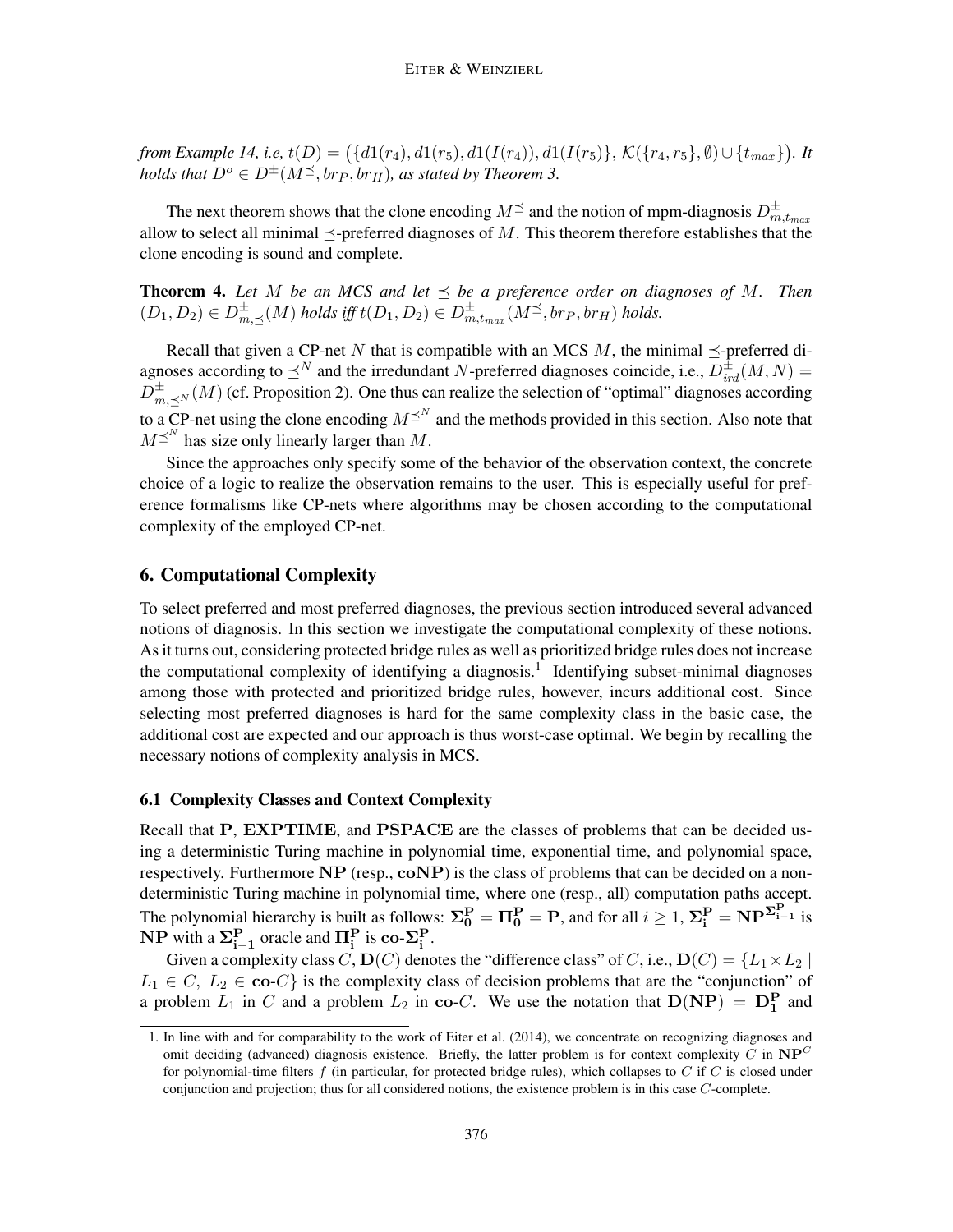*from Example 14, i.e,*  $t(D) = (\{d1(r_4), d1(r_5), d1(I(r_4)), d1(I(r_5)\}, K(\{r_4, r_5\}, \emptyset) \cup \{t_{max}\})$ . It *holds that*  $D^{\circ} \in D^{\pm}(M^{\preceq}, br_P, br_H)$ *, as stated by Theorem 3.* 

The next theorem shows that the clone encoding  $M^{\preceq}$  and the notion of mpm-diagnosis  $D^{\pm}_{m,t_{max}}$ allow to select all minimal  $\prec$ -preferred diagnoses of M. This theorem therefore establishes that the clone encoding is sound and complete.

**Theorem 4.** Let M be an MCS and let  $\preceq$  be a preference order on diagnoses of M. Then  $(D_1, D_2) \in D^{\pm}_{m, \preceq}(M)$  *holds iff*  $t(D_1, D_2) \in D^{\pm}_{m, t_{max}}(M^{\preceq}, br_P, br_H)$  *holds.* 

Recall that given a CP-net N that is compatible with an MCS M, the minimal  $\preceq$ -preferred diagnoses according to  $\preceq^N$  and the irredundant N-preferred diagnoses coincide, i.e.,  $D_{ind}^{\pm}(M, N) =$  $D_{m,\preceq N}^{\pm}(M)$  (cf. Proposition 2). One thus can realize the selection of "optimal" diagnoses according to a CP-net using the clone encoding  $M^{\preceq^N}$  and the methods provided in this section. Also note that  $M^{\preceq^N}$  has size only linearly larger than M.

Since the approaches only specify some of the behavior of the observation context, the concrete choice of a logic to realize the observation remains to the user. This is especially useful for preference formalisms like CP-nets where algorithms may be chosen according to the computational complexity of the employed CP-net.

#### 6. Computational Complexity

To select preferred and most preferred diagnoses, the previous section introduced several advanced notions of diagnosis. In this section we investigate the computational complexity of these notions. As it turns out, considering protected bridge rules as well as prioritized bridge rules does not increase the computational complexity of identifying a diagnosis.<sup>1</sup> Identifying subset-minimal diagnoses among those with protected and prioritized bridge rules, however, incurs additional cost. Since selecting most preferred diagnoses is hard for the same complexity class in the basic case, the additional cost are expected and our approach is thus worst-case optimal. We begin by recalling the necessary notions of complexity analysis in MCS.

#### 6.1 Complexity Classes and Context Complexity

Recall that P, EXPTIME, and PSPACE are the classes of problems that can be decided using a deterministic Turing machine in polynomial time, exponential time, and polynomial space, respectively. Furthermore  $NP$  (resp.,  $coNP$ ) is the class of problems that can be decided on a nondeterministic Turing machine in polynomial time, where one (resp., all) computation paths accept. The polynomial hierarchy is built as follows:  $\Sigma_0^P = \Pi_0^P = P$ , and for all  $i \geq 1$ ,  $\Sigma_i^P = NP^{\Sigma_{i-1}^P}$  is **NP** with a  $\Sigma_{i-1}^P$  oracle and  $\Pi_i^P$  is **co**- $\Sigma_i^P$ .

Given a complexity class C,  $\mathbf{D}(C)$  denotes the "difference class" of C, i.e.,  $\mathbf{D}(C) = \{L_1 \times L_2 \mid$  $L_1 \in C$ ,  $L_2 \in \text{co-}C$  is the complexity class of decision problems that are the "conjunction" of a problem  $L_1$  in C and a problem  $L_2$  in co-C. We use the notation that  $D(NP) = D_1^P$  and

<sup>1.</sup> In line with and for comparability to the work of Eiter et al. (2014), we concentrate on recognizing diagnoses and omit deciding (advanced) diagnosis existence. Briefly, the latter problem is for context complexity C in  $NP<sup>C</sup>$ for polynomial-time filters  $f$  (in particular, for protected bridge rules), which collapses to  $C$  if  $C$  is closed under conjunction and projection; thus for all considered notions, the existence problem is in this case C-complete.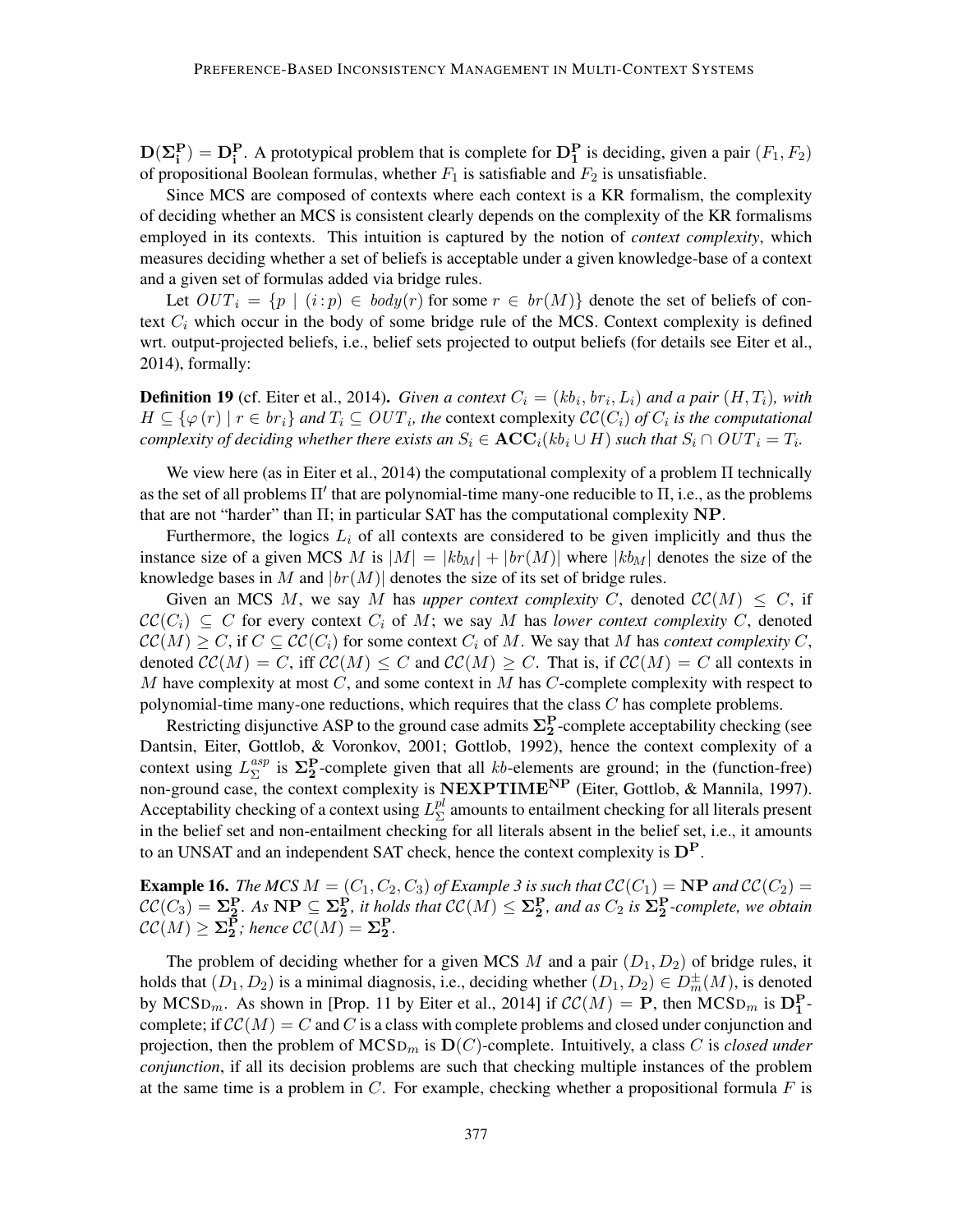$D(\Sigma_i^P) = D_i^P$ . A prototypical problem that is complete for  $D_1^P$  is deciding, given a pair  $(F_1, F_2)$ of propositional Boolean formulas, whether  $F_1$  is satisfiable and  $F_2$  is unsatisfiable.

Since MCS are composed of contexts where each context is a KR formalism, the complexity of deciding whether an MCS is consistent clearly depends on the complexity of the KR formalisms employed in its contexts. This intuition is captured by the notion of *context complexity*, which measures deciding whether a set of beliefs is acceptable under a given knowledge-base of a context and a given set of formulas added via bridge rules.

Let  $OUT_i = \{p \mid (i:p) \in body(r) \text{ for some } r \in br(M)\}\$  denote the set of beliefs of context  $C_i$  which occur in the body of some bridge rule of the MCS. Context complexity is defined wrt. output-projected beliefs, i.e., belief sets projected to output beliefs (for details see Eiter et al., 2014), formally:

**Definition 19** (cf. Eiter et al., 2014). *Given a context*  $C_i = (kb_i, br_i, L_i)$  and a pair  $(H, T_i)$ , with  $H \subseteq \{\varphi(r) \mid r \in br_i\}$  and  $T_i \subseteq OUT_i$ , the context complexity  $\mathcal{CC}(C_i)$  of  $C_i$  is the computational *complexity of deciding whether there exists an*  $S_i \in \mathbf{ACC}_i(kb_i \cup H)$  *such that*  $S_i \cap OUT_i = T_i$ .

We view here (as in Eiter et al., 2014) the computational complexity of a problem  $\Pi$  technically as the set of all problems  $\Pi'$  that are polynomial-time many-one reducible to  $\Pi$ , i.e., as the problems that are not "harder" than  $\Pi$ ; in particular SAT has the computational complexity  $NP$ .

Furthermore, the logics  $L_i$  of all contexts are considered to be given implicitly and thus the instance size of a given MCS M is  $|M| = |kb_M| + |br(M)|$  where  $|kb_M|$  denotes the size of the knowledge bases in M and  $|br(M)|$  denotes the size of its set of bridge rules.

Given an MCS M, we say M has *upper context complexity* C, denoted  $\mathcal{CC}(M) \leq C$ , if  $\mathcal{CC}(C_i) \subseteq C$  for every context  $C_i$  of M; we say M has *lower context complexity* C, denoted  $\mathcal{CC}(M) \geq C$ , if  $C \subseteq \mathcal{CC}(C_i)$  for some context  $C_i$  of M. We say that M has *context complexity* C, denoted  $\mathcal{CC}(M) = C$ , iff  $\mathcal{CC}(M) \leq C$  and  $\mathcal{CC}(M) \geq C$ . That is, if  $\mathcal{CC}(M) = C$  all contexts in M have complexity at most  $C$ , and some context in M has  $C$ -complete complexity with respect to polynomial-time many-one reductions, which requires that the class C has complete problems.

Restricting disjunctive ASP to the ground case admits  $\Sigma^\text{P}_2$ -complete acceptability checking (see Dantsin, Eiter, Gottlob, & Voronkov, 2001; Gottlob, 1992), hence the context complexity of a context using  $L_{\Sigma}^{asp}$  is  $\Sigma_2^P$ -complete given that all kb-elements are ground; in the (function-free) Fracture assignment case, the context complexity is  $N\exp\text{TIME}^{\text{NP}}$  (Eiter, Gottlob, & Mannila, 1997). Acceptability checking of a context using  $L_{\Sigma}^{pl}$  $\sum_{\Sigma}^{\mu}$  amounts to entailment checking for all literals present in the belief set and non-entailment checking for all literals absent in the belief set, i.e., it amounts to an UNSAT and an independent SAT check, hence the context complexity is  $D<sup>P</sup>$ .

**Example 16.** *The MCS*  $M = (C_1, C_2, C_3)$  *of Example 3 is such that*  $CC(C_1) = NP$  *and*  $CC(C_2) =$  $\mathcal{CC}(C_3) = \Sigma_2^P$ . As  $NP \subseteq \Sigma_2^P$ , it holds that  $\mathcal{CC}(M) \leq \Sigma_2^P$ , and as  $C_2$  is  $\Sigma_2^P$ -complete, we obtain  $\mathcal{CC}(M) \geq \Sigma_2^{\mathbf{P}}$ ; hence  $\mathcal{CC}(M) = \Sigma_2^{\mathbf{P}}$ .

The problem of deciding whether for a given MCS M and a pair  $(D_1, D_2)$  of bridge rules, it holds that  $(D_1, D_2)$  is a minimal diagnosis, i.e., deciding whether  $(D_1, D_2) \in D_m^{\pm}(M)$ , is denoted by MCSD<sub>m</sub>. As shown in [Prop. 11 by Eiter et al., 2014] if  $\mathcal{CC}(M) = \mathbf{P}$ , then MCSD<sub>m</sub> is  $\mathbf{D}_1^{\mathbf{P}}$ complete; if  $CC(M) = C$  and C is a class with complete problems and closed under conjunction and projection, then the problem of  $MCSD_m$  is  $D(C)$ -complete. Intuitively, a class C is *closed under conjunction*, if all its decision problems are such that checking multiple instances of the problem at the same time is a problem in C. For example, checking whether a propositional formula  $F$  is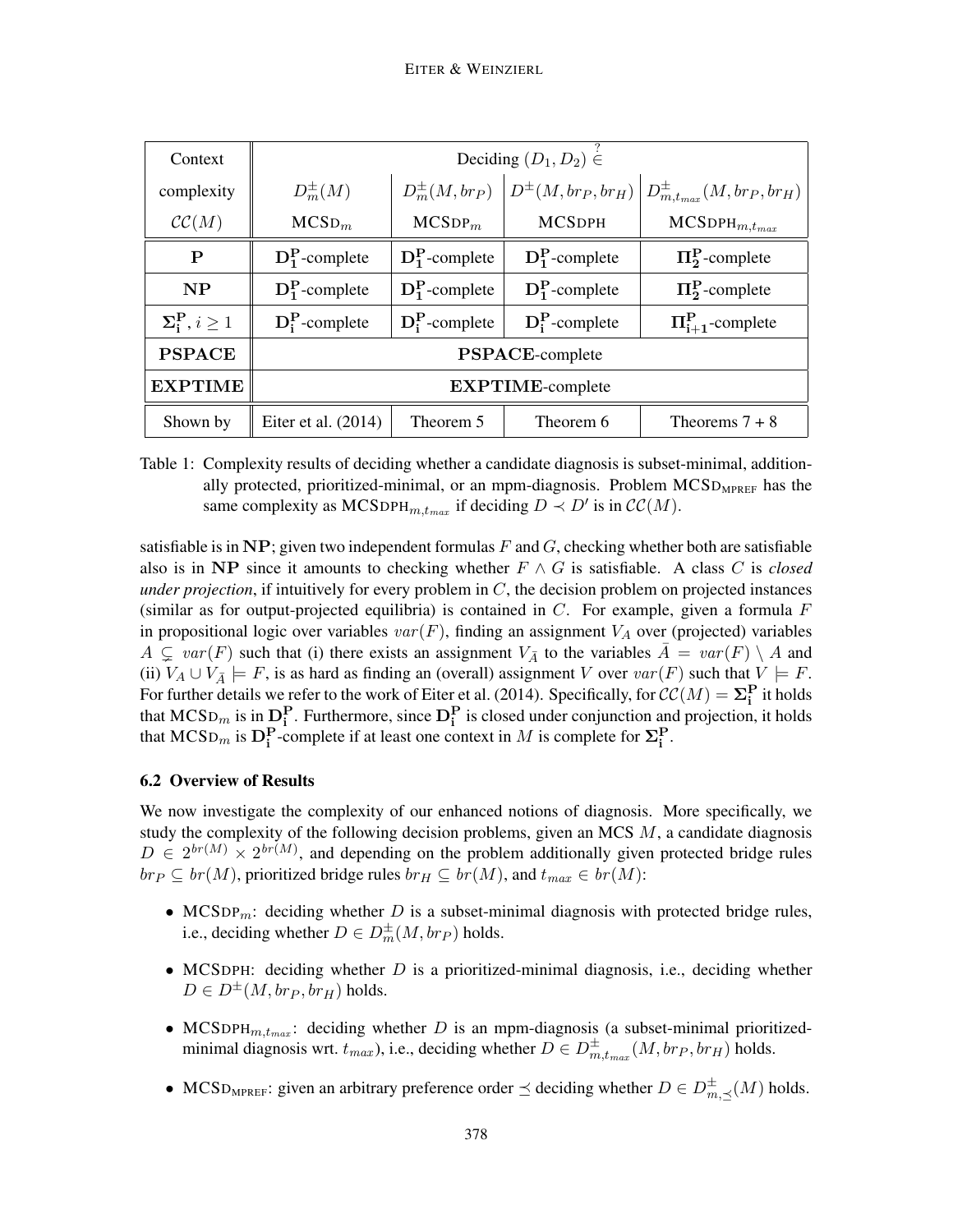| Context                           | Deciding $(D_1, D_2) \in$ |                    |                   |                                                                                             |  |  |  |
|-----------------------------------|---------------------------|--------------------|-------------------|---------------------------------------------------------------------------------------------|--|--|--|
| complexity                        | $D_m^{\pm}(M)$            |                    |                   | $D_m^{\pm}(M,br_P)\left D^{\pm}(M,br_P,br_H)\right D^{\pm}_{m,t_{max}}(M,br_P,br_H)\right $ |  |  |  |
| $\mathcal{CC}(M)$                 | MCSD <sub>m</sub>         | MCSDP <sub>m</sub> | <b>MCSDPH</b>     | MCSDPH <sub>m,t<sub>max</sub></sub>                                                         |  |  |  |
| P                                 | $D_1^P$ -complete         | $D_1^P$ -complete  | $D_1^P$ -complete | $\Pi_2^{\rm P}$ -complete                                                                   |  |  |  |
| $\bf NP$                          | $D_1^P$ -complete         | $D_1^P$ -complete  | $D_1^P$ -complete | $\Pi_2^{\rm P}$ -complete                                                                   |  |  |  |
| $\Sigma_i^{\mathbf{P}}, i \geq 1$ | $D_i^P$ -complete         | $D_i^P$ -complete  | $D_i^P$ -complete | $\Pi_{i+1}^{\mathbf{P}}$ -complete                                                          |  |  |  |
| <b>PSPACE</b>                     | PSPACE-complete           |                    |                   |                                                                                             |  |  |  |
| <b>EXPTIME</b>                    | <b>EXPTIME-complete</b>   |                    |                   |                                                                                             |  |  |  |
| Shown by                          | Eiter et al. $(2014)$     | Theorem 5          | Theorem 6         | Theorems $7 + 8$                                                                            |  |  |  |

Table 1: Complexity results of deciding whether a candidate diagnosis is subset-minimal, additionally protected, prioritized-minimal, or an mpm-diagnosis. Problem  $MCSD<sub>MPREF</sub>$  has the same complexity as MCSDPH<sub>m,tmax</sub> if deciding  $D \prec D'$  is in  $\mathcal{CC}(M)$ .

satisfiable is in NP; given two independent formulas  $F$  and  $G$ , checking whether both are satisfiable also is in NP since it amounts to checking whether  $F \wedge G$  is satisfiable. A class C is *closed under projection*, if intuitively for every problem in C, the decision problem on projected instances (similar as for output-projected equilibria) is contained in  $C$ . For example, given a formula  $F$ in propositional logic over variables  $var(F)$ , finding an assignment  $V_A$  over (projected) variables  $A \subsetneq var(F)$  such that (i) there exists an assignment  $V_{\overline{A}}$  to the variables  $\overline{A} = var(F) \setminus A$  and (ii)  $V_A \cup V_{\overline{A}} \models F$ , is as hard as finding an (overall) assignment V over  $var(F)$  such that  $V \models F$ . For further details we refer to the work of Eiter et al. (2014). Specifically, for  $CC(M) = \Sigma_i^{\mathbf{P}}$  it holds that MCSD<sub>m</sub> is in  $\mathbf{D_i^P}$ . Furthermore, since  $\mathbf{D_i^P}$  is closed under conjunction and projection, it holds that MCSD<sub>m</sub> is D<sup>P</sup>-complete if at least one context in M is complete for  $\Sigma_i^P$ .

## 6.2 Overview of Results

We now investigate the complexity of our enhanced notions of diagnosis. More specifically, we study the complexity of the following decision problems, given an MCS  $M$ , a candidate diagnosis  $D \in 2^{br(M)} \times 2^{br(M)}$ , and depending on the problem additionally given protected bridge rules  $br_P \subseteq br(M)$ , prioritized bridge rules  $br_H \subseteq br(M)$ , and  $t_{max} \in br(M)$ :

- MCSDP<sub>m</sub>: deciding whether  $D$  is a subset-minimal diagnosis with protected bridge rules, i.e., deciding whether  $D \in D_m^{\pm}(M, br_P)$  holds.
- MCSDPH: deciding whether  $D$  is a prioritized-minimal diagnosis, i.e., deciding whether  $D \in D^{\pm}(M, b r_P, b r_H)$  holds.
- MCSDPH<sub>m,tmax</sub>: deciding whether D is an mpm-diagnosis (a subset-minimal prioritizedminimal diagnosis wrt.  $t_{max}$ ), i.e., deciding whether  $D \in D^{\pm}_{m,t_{max}}(M, br_P, br_H)$  holds.
- MCSD<sub>MPREF</sub>: given an arbitrary preference order  $\preceq$  deciding whether  $D \in D_{m,\preceq}^{\pm}(M)$  holds.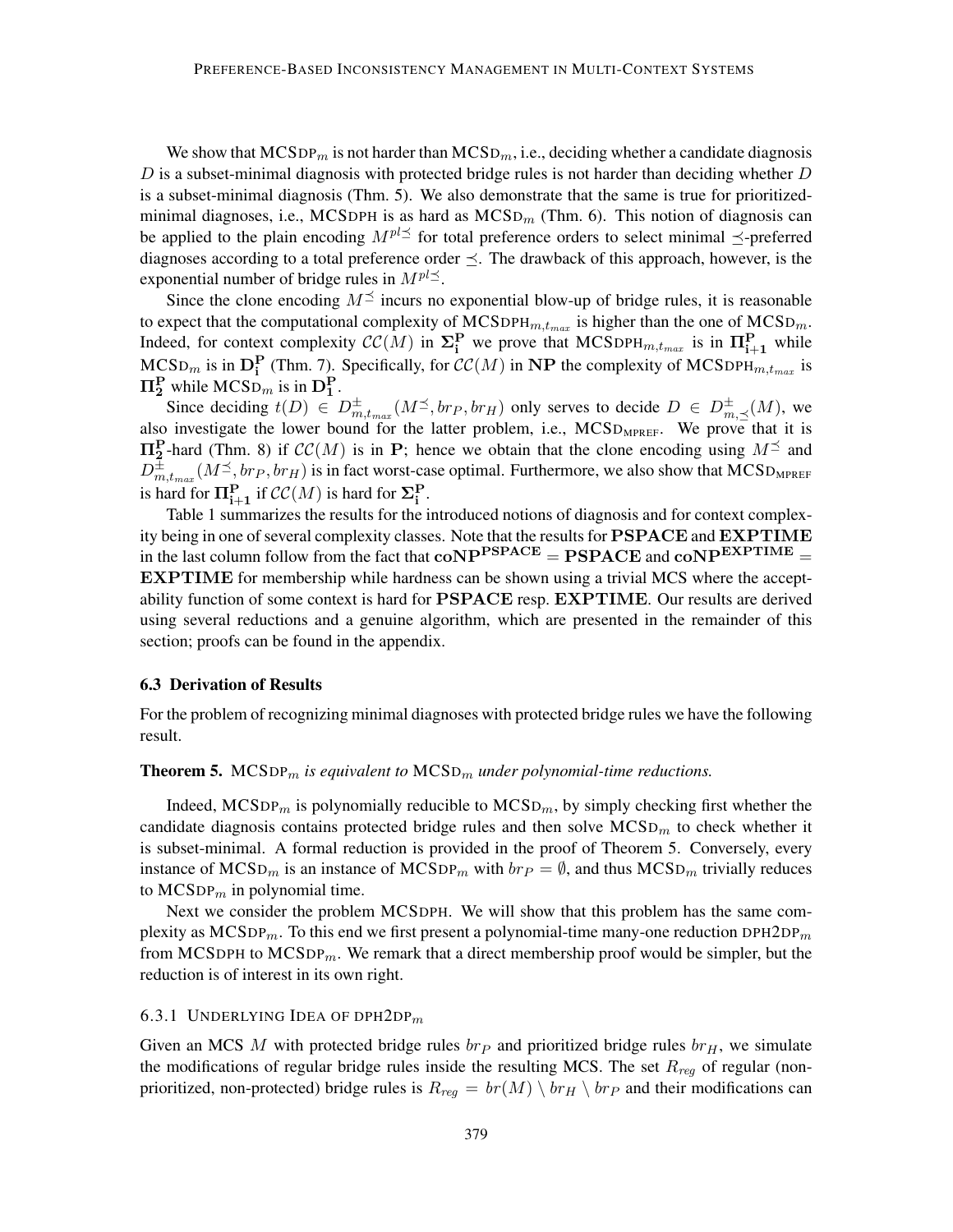We show that  $MCSDP_m$  is not harder than  $MCSD_m$ , i.e., deciding whether a candidate diagnosis  $D$  is a subset-minimal diagnosis with protected bridge rules is not harder than deciding whether  $D$ is a subset-minimal diagnosis (Thm. 5). We also demonstrate that the same is true for prioritizedminimal diagnoses, i.e., MCSDPH is as hard as  $MCSD_m$  (Thm. 6). This notion of diagnosis can be applied to the plain encoding  $M^{pl} \preceq$  for total preference orders to select minimal  $\preceq$ -preferred diagnoses according to a total preference order  $\prec$ . The drawback of this approach, however, is the exponential number of bridge rules in  $M^{pl} \leq$ .

Since the clone encoding  $M^{\leq}$  incurs no exponential blow-up of bridge rules, it is reasonable to expect that the computational complexity of MCSDPH $_{m,t_{max}}$  is higher than the one of MCSD<sub>m</sub>. Indeed, for context complexity  $\mathcal{CC}(M)$  in  $\Sigma_i^{\mathbf{P}}$  we prove that MCSDPH $_{m,t_{max}}$  is in  $\Pi_{i+1}^{\mathbf{P}}$  while  $MCSD_m$  is in  $D_i^P$  (Thm. 7). Specifically, for  $\mathcal{CC}(M)$  in NP the complexity of MCSDPH $_{m,t_{max}}$  is  $\Pi_2^{\rm P}$  while MCSD<sub>m</sub> is in  ${\rm D}_1^{\rm P}$ .

Since deciding  $t(D) \in D^{\pm}_{m,t_{max}}(M^{\preceq}, br_P, br_H)$  only serves to decide  $D \in D^{\pm}_{m,\preceq}(M)$ , we also investigate the lower bound for the latter problem, i.e.,  $MCSD_{MPREF}$ . We prove that it is  $\Pi_2^{\mathbf{P}}$ -hard (Thm. 8) if  $\mathcal{CC}(M)$  is in P; hence we obtain that the clone encoding using  $M^{\preceq}$  and  $D_{m,t_{max}}^{\pm}(M^{\preceq}, br_P, br_H)$  is in fact worst-case optimal. Furthermore, we also show that MCSD<sub>MPREF</sub> is hard for  $\Pi_{i+1}^{\mathbf{P}}$  if  $\mathcal{CC}(M)$  is hard for  $\Sigma_i^{\mathbf{P}}$ .

Table 1 summarizes the results for the introduced notions of diagnosis and for context complexity being in one of several complexity classes. Note that the results for PSPACE and EXPTIME in the last column follow from the fact that  $\text{coNP}^{\text{PSPACE}} = \text{PSPACE}$  and  $\text{coNP}^{\text{EXPTIME}} =$ EXPTIME for membership while hardness can be shown using a trivial MCS where the acceptability function of some context is hard for PSPACE resp. EXPTIME. Our results are derived using several reductions and a genuine algorithm, which are presented in the remainder of this section; proofs can be found in the appendix.

#### 6.3 Derivation of Results

For the problem of recognizing minimal diagnoses with protected bridge rules we have the following result.

#### **Theorem 5.** MCSDP<sub>m</sub> is equivalent to  $MCSD_m$  under polynomial-time reductions.

Indeed,  $MCSDP_m$  is polynomially reducible to  $MCSD_m$ , by simply checking first whether the candidate diagnosis contains protected bridge rules and then solve  $MCSD_m$  to check whether it is subset-minimal. A formal reduction is provided in the proof of Theorem 5. Conversely, every instance of MCSD<sub>m</sub> is an instance of MCSDP<sub>m</sub> with  $brp = \emptyset$ , and thus MCSD<sub>m</sub> trivially reduces to MCSDP<sub>m</sub> in polynomial time.

Next we consider the problem MCSDPH. We will show that this problem has the same complexity as MCSDP<sub>m</sub>. To this end we first present a polynomial-time many-one reduction DPH2DP<sub>m</sub> from MCSDPH to MCSDP $<sub>m</sub>$ . We remark that a direct membership proof would be simpler, but the</sub> reduction is of interest in its own right.

#### 6.3.1 UNDERLYING IDEA OF DPH2DP $<sub>m</sub>$ </sub>

Given an MCS M with protected bridge rules  $b_{\text{FP}}$  and prioritized bridge rules  $b_{\text{TF}}$ , we simulate the modifications of regular bridge rules inside the resulting MCS. The set  $R_{req}$  of regular (nonprioritized, non-protected) bridge rules is  $R_{req} = br(M) \setminus br_H \setminus br_P$  and their modifications can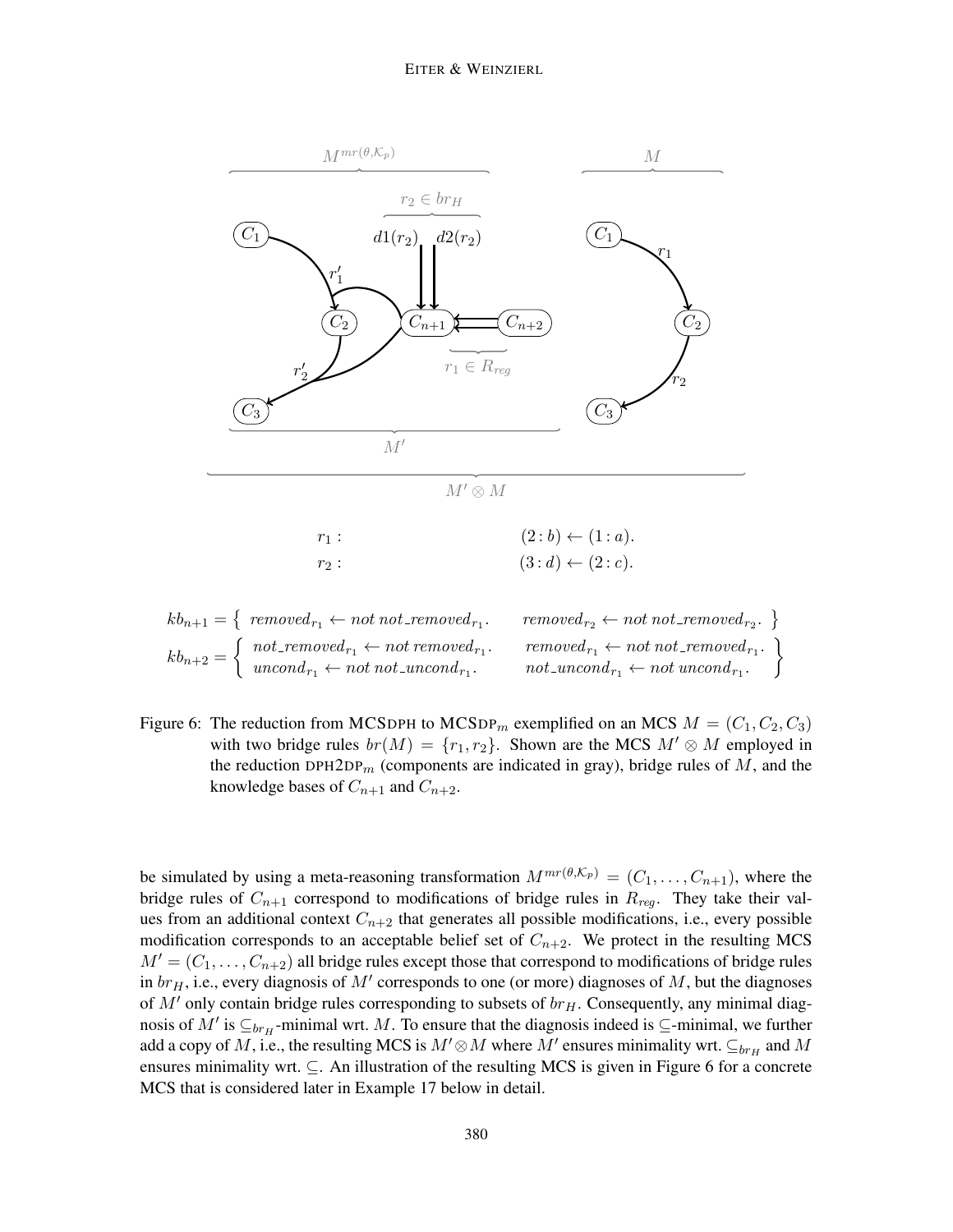#### EITER & WEINZIERL



kbn+1 = removedr<sup>1</sup> ← not not removedr<sup>1</sup> . removedr<sup>2</sup> ← not not removedr<sup>2</sup> . kbn+2 = not removedr<sup>1</sup> ← not removedr<sup>1</sup> . removedr<sup>1</sup> ← not not removedr<sup>1</sup> . uncondr<sup>1</sup> ← not not uncondr<sup>1</sup> . not uncondr<sup>1</sup> ← not uncondr<sup>1</sup> . 

## Figure 6: The reduction from MCSDPH to MCSDP<sub>m</sub> exemplified on an MCS  $M = (C_1, C_2, C_3)$ with two bridge rules  $br(M) = \{r_1, r_2\}$ . Shown are the MCS  $M' \otimes M$  employed in the reduction DPH2DP<sub>m</sub> (components are indicated in gray), bridge rules of  $M$ , and the knowledge bases of  $C_{n+1}$  and  $C_{n+2}$ .

be simulated by using a meta-reasoning transformation  $M^{mr(\theta,\mathcal{K}_p)} = (C_1, \ldots, C_{n+1}),$  where the bridge rules of  $C_{n+1}$  correspond to modifications of bridge rules in  $R_{reg}$ . They take their values from an additional context  $C_{n+2}$  that generates all possible modifications, i.e., every possible modification corresponds to an acceptable belief set of  $C_{n+2}$ . We protect in the resulting MCS  $M' = (C_1, \ldots, C_{n+2})$  all bridge rules except those that correspond to modifications of bridge rules in  $br_H$ , i.e., every diagnosis of  $M'$  corresponds to one (or more) diagnoses of M, but the diagnoses of  $M'$  only contain bridge rules corresponding to subsets of  $br_H$ . Consequently, any minimal diagnosis of  $M'$  is  $\subseteq_{b r_H}$ -minimal wrt. M. To ensure that the diagnosis indeed is  $\subseteq$ -minimal, we further add a copy of M, i.e., the resulting MCS is  $M' \otimes M$  where  $M'$  ensures minimality wrt.  $\subseteq_{b r_H}$  and  $M$ ensures minimality wrt. ⊆. An illustration of the resulting MCS is given in Figure 6 for a concrete MCS that is considered later in Example 17 below in detail.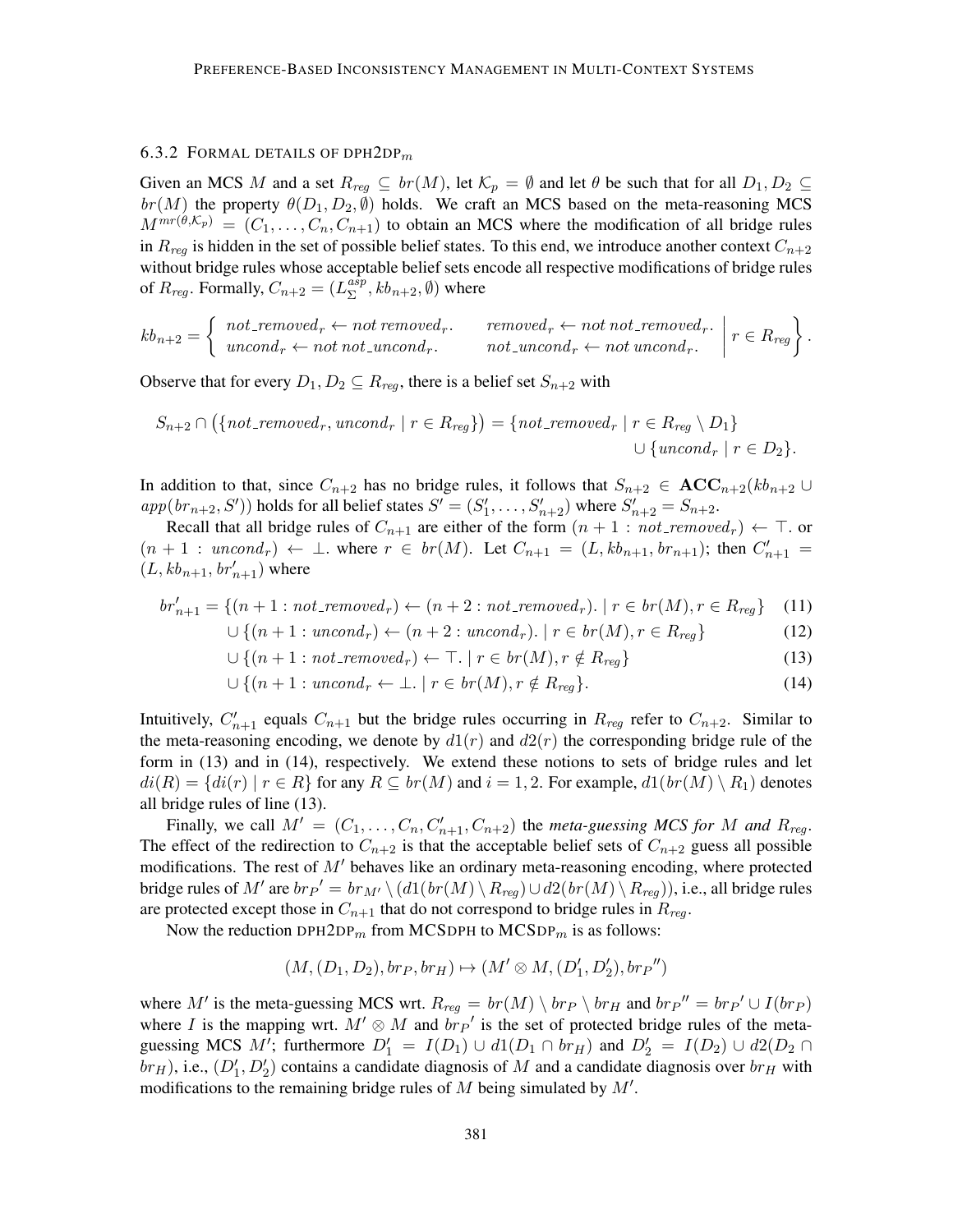### 6.3.2 FORMAL DETAILS OF DPH2DP $<sub>m</sub>$ </sub>

Given an MCS M and a set  $R_{reg} \subseteq br(M)$ , let  $\mathcal{K}_p = \emptyset$  and let  $\theta$  be such that for all  $D_1, D_2 \subseteq$  $br(M)$  the property  $\theta(D_1, D_2, \emptyset)$  holds. We craft an MCS based on the meta-reasoning MCS  $M^{mr(\theta,\mathcal{K}_p)} = (C_1, \ldots, C_n, C_{n+1})$  to obtain an MCS where the modification of all bridge rules in  $R_{req}$  is hidden in the set of possible belief states. To this end, we introduce another context  $C_{n+2}$ without bridge rules whose acceptable belief sets encode all respective modifications of bridge rules of  $R_{reg}$ . Formally,  $C_{n+2} = (L_{\Sigma}^{asp})$  $_{\Sigma}^{asp}, kb_{n+2}, \emptyset)$  where

$$
kb_{n+2} = \begin{cases} not_{\text{remodel}} + \text{not removed}_{r}, & \text{re moved}_{r} \leftarrow not not_{\text{remodel}}_{r}, \\ uncond_{r} \leftarrow not not_{\text{uncond}_{r},} & \text{not\_uncond}_{r} \leftarrow not uncond_{r}. \end{cases} r \in R_{reg} \bigg\}.
$$

Observe that for every  $D_1, D_2 \subseteq R_{req}$ , there is a belief set  $S_{n+2}$  with

$$
S_{n+2} \cap (\{not\_removed_r, uncond_r \mid r \in R_{reg}\}) = \{not\_removed_r \mid r \in R_{reg} \setminus D_1\}
$$
  

$$
\cup \{uncond_r \mid r \in D_2\}.
$$

In addition to that, since  $C_{n+2}$  has no bridge rules, it follows that  $S_{n+2} \in ACC_{n+2}(kb_{n+2} \cup$  $app(br_{n+2}, S')$  holds for all belief states  $S' = (S'_1, \ldots, S'_{n+2})$  where  $S'_{n+2} = S_{n+2}$ .

Recall that all bridge rules of  $C_{n+1}$  are either of the form  $(n + 1 : not\_removed_r) \leftarrow \top$ . or  $(n+1: uncond_r) \leftarrow \perp$  where  $r \in br(M)$ . Let  $C_{n+1} = (L, kb_{n+1}, br_{n+1})$ ; then  $C'_{n+1} =$  $(L, kb_{n+1}, br'_{n+1})$  where

$$
br'_{n+1} = \{(n+1:not\_removed_r) \leftarrow (n+2:not\_removed_r). \mid r \in br(M), r \in R_{reg}\} \quad (11)
$$

$$
\bigcup \{(n+1: uncond_r) \leftarrow (n+2: uncond_r). \mid r \in br(M), r \in R_{reg}\}\tag{12}
$$

$$
\cup \left\{ (n+1: not\_removed_r) \leftarrow \top. \mid r \in br(M), r \notin R_{reg} \right\} \tag{13}
$$

$$
\cup \{ (n+1: uncond_r \leftarrow \bot) \mid r \in br(M), r \notin R_{reg} \}. \tag{14}
$$

Intuitively,  $C'_{n+1}$  equals  $C_{n+1}$  but the bridge rules occurring in  $R_{reg}$  refer to  $C_{n+2}$ . Similar to the meta-reasoning encoding, we denote by  $d1(r)$  and  $d2(r)$  the corresponding bridge rule of the form in (13) and in (14), respectively. We extend these notions to sets of bridge rules and let  $di(R) = \{di(r) | r \in R\}$  for any  $R \subseteq br(M)$  and  $i = 1, 2$ . For example,  $d1(br(M) \setminus R_1)$  denotes all bridge rules of line (13).

Finally, we call  $M' = (C_1, \ldots, C_n, C'_{n+1}, C_{n+2})$  the *meta-guessing MCS for* M and  $R_{reg}$ . The effect of the redirection to  $C_{n+2}$  is that the acceptable belief sets of  $C_{n+2}$  guess all possible modifications. The rest of  $M'$  behaves like an ordinary meta-reasoning encoding, where protected bridge rules of  $M'$  are  $brp' = br_{M'} \setminus (d1(br(M) \setminus R_{reg}) \cup d2(br(M) \setminus R_{reg})),$  i.e., all bridge rules are protected except those in  $C_{n+1}$  that do not correspond to bridge rules in  $R_{rea}$ .

Now the reduction DPH2DP<sub>m</sub> from MCSDPH to MCSDP<sub>m</sub> is as follows:

$$
(M,(D_1,D_2),br_P,br_H) \mapsto (M' \otimes M,(D'_1,D'_2),br_P'')
$$

where M' is the meta-guessing MCS wrt.  $R_{reg} = br(M) \setminus br_P \setminus br_H$  and  $br_p'' = br_P' \cup I(br_P)$ where I is the mapping wrt.  $M' \otimes M$  and  $\overline{br}p'$  is the set of protected bridge rules of the metaguessing MCS M'; furthermore  $D'_1 = I(D_1) \cup d1(D_1 \cap br_H)$  and  $D'_2 = I(D_2) \cup d2(D_2 \cap$  $br<sub>H</sub>$ ), i.e.,  $(D'_1, D'_2)$  contains a candidate diagnosis of M and a candidate diagnosis over  $br<sub>H</sub>$  with modifications to the remaining bridge rules of  $M$  being simulated by  $M'$ .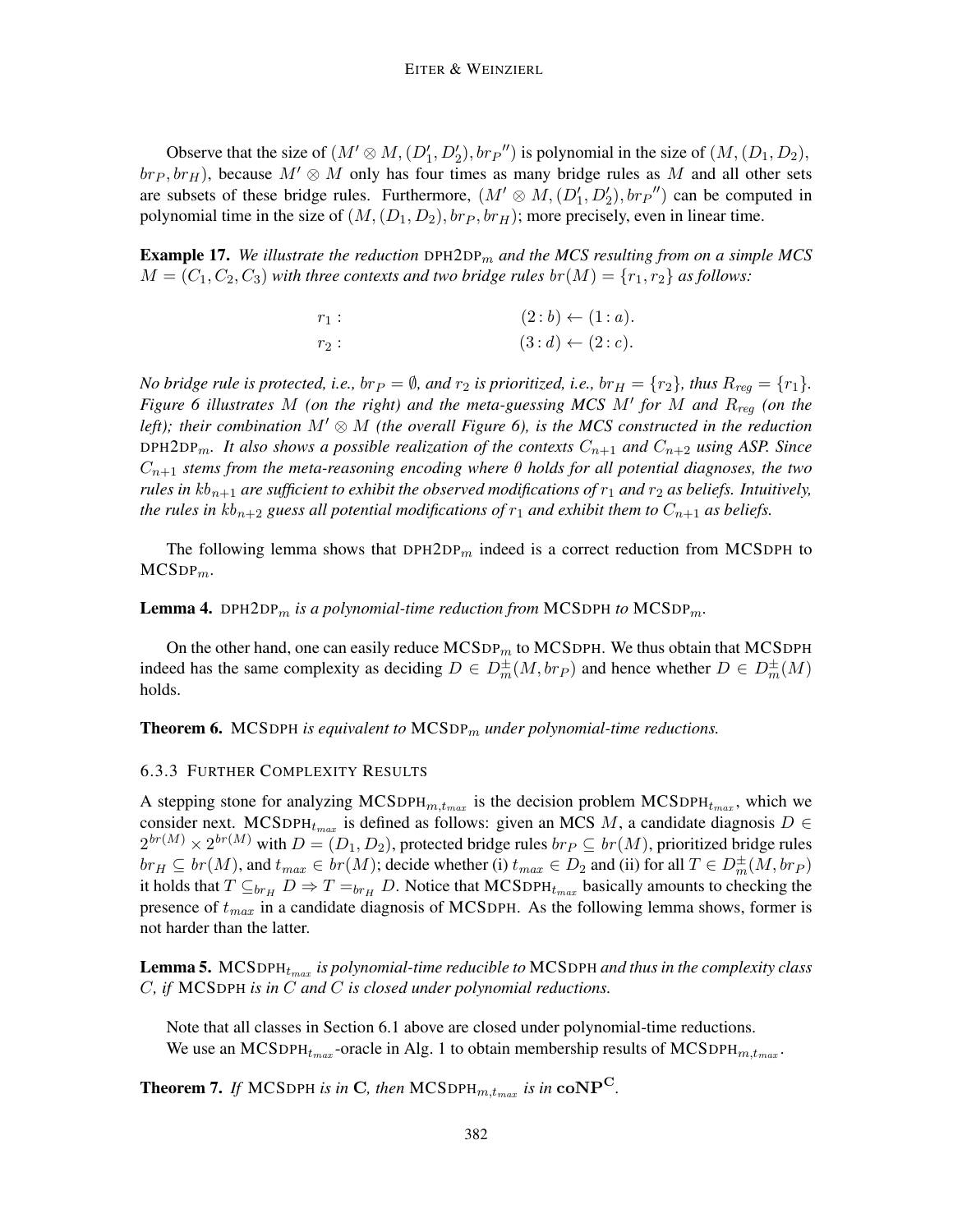Observe that the size of  $(M' \otimes M, (D'_1, D'_2), brp'')$  is polynomial in the size of  $(M, (D_1, D_2),$  $b_{FP}, b_{TH}$ ), because  $M' \otimes M$  only has four times as many bridge rules as M and all other sets are subsets of these bridge rules. Furthermore,  $(M' \otimes M, (D'_1, D'_2), brp'')$  can be computed in polynomial time in the size of  $(M,(D_1, D_2), br_P, br_H)$ ; more precisely, even in linear time.

Example 17. We illustrate the reduction DPH2DP<sub>m</sub> and the MCS resulting from on a simple MCS  $M = (C_1, C_2, C_3)$  *with three contexts and two bridge rules*  $br(M) = \{r_1, r_2\}$  *as follows:* 

> $r_1:$   $(2:b) \leftarrow (1:a).$  $r_2$ :  $(3:d) \leftarrow (2:c).$

*No bridge rule is protected, i.e.,*  $br_P = \emptyset$ *, and*  $r_2$  *is prioritized, i.e.,*  $br_H = \{r_2\}$ *, thus*  $R_{req} = \{r_1\}$ *. Figure 6 illustrates M (on the right) and the meta-guessing MCS M' for M and*  $R_{reg}$  *(on the left); their combination*  $M' \otimes M$  *(the overall Figure 6), is the MCS constructed in the reduction* DPH2DP<sub>m</sub>. It also shows a possible realization of the contexts  $C_{n+1}$  and  $C_{n+2}$  using ASP. Since  $C_{n+1}$  *stems from the meta-reasoning encoding where*  $\theta$  *holds for all potential diagnoses, the two rules in*  $kb_{n+1}$  *are sufficient to exhibit the observed modifications of*  $r_1$  *and*  $r_2$  *as beliefs. Intuitively, the rules in kb*<sub>n+2</sub> *guess all potential modifications of*  $r_1$  *and exhibit them to*  $C_{n+1}$  *as beliefs.* 

The following lemma shows that  $DPH2DP_m$  indeed is a correct reduction from MCSDPH to  $MCSDP_m$ .

**Lemma 4.** DPH2DP<sub>m</sub> is a polynomial-time reduction from MCSDPH to MCSDP<sub>m</sub>.

On the other hand, one can easily reduce  $MCSDP_m$  to  $MCSDPH$ . We thus obtain that MCSDPH indeed has the same complexity as deciding  $D \in D_m^{\pm}(M, br_P)$  and hence whether  $D \in D_m^{\pm}(M)$ holds.

**Theorem 6.** MCSDPH is equivalent to  $MCSDP_m$  under polynomial-time reductions.

#### 6.3.3 FURTHER COMPLEXITY RESULTS

A stepping stone for analyzing MCSDPH $_{m,t_{max}}$  is the decision problem MCSDPH $_{t_{max}}$ , which we consider next. MCSDPH<sub>tmax</sub> is defined as follows: given an MCS M, a candidate diagnosis  $D \in$  $2^{br(M)} \times 2^{br(M)}$  with  $D=(D_1,D_2),$  protected bridge rules  $br_P \subseteq br(M),$  prioritized bridge rules  $br_H \subseteq br(M)$ , and  $t_{max} \in br(M)$ ; decide whether (i)  $t_{max} \in D_2$  and (ii) for all  $T \in D_m^{\pm}(M,br_P)$ it holds that  $T \subseteq_{b r_H} D \Rightarrow T =_{b r_H} D$ . Notice that MCSDPH<sub>tmax</sub> basically amounts to checking the presence of  $t_{max}$  in a candidate diagnosis of MCSDPH. As the following lemma shows, former is not harder than the latter.

Lemma 5. MCSDPH<sub>tmax</sub> is polynomial-time reducible to MCSDPH and thus in the complexity class C*, if* MCSDPH *is in* C *and* C *is closed under polynomial reductions.*

Note that all classes in Section 6.1 above are closed under polynomial-time reductions. We use an MCSDPH<sub>tmax</sub>-oracle in Alg. 1 to obtain membership results of MCSDPH<sub>m,tmax</sub>.

**Theorem 7.** If MCSDPH is in C, then MCSDPH $_{m,t_{max}}$  is in coNP<sup>C</sup>.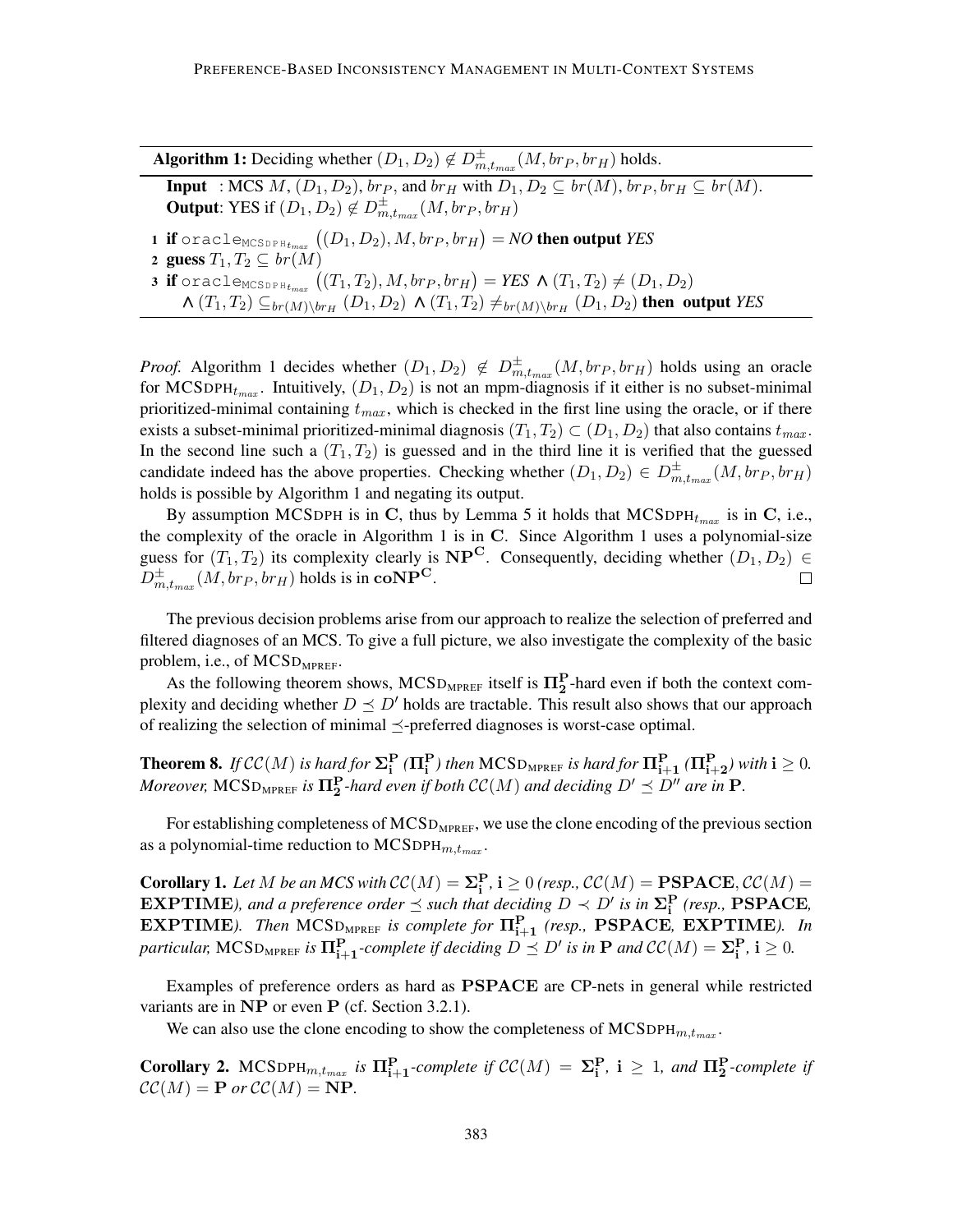**Algorithm 1:** Deciding whether  $(D_1, D_2) \notin D^{\pm}_{m, t_{max}}(M, br_P, br_H)$  holds.

**Input** : MCS M,  $(D_1, D_2)$ ,  $br_P$ , and  $br_H$  with  $D_1, D_2 \subseteq br(M)$ ,  $br_P, br_H \subseteq br(M)$ . **Output:** YES if  $(D_1, D_2) \notin D^{\pm}_{m,t_{max}}(M, br_P, br_H)$  ${\bf 1}$   ${\bf if}$   $\texttt{oracle}_\texttt{MCSDPHt_{max}}\left((D_1,D_2),M,br_P,br_H\right)=\textit{NO}$  then  ${\bf output}$   $\textit{YES}$ 

2 guess  $T_1, T_2 \subseteq br(M)$ 

 ${\bf 3}$  if  $\texttt{oracle}_{\texttt{MCSDPH}_{\texttt{f}_{max}}}\left((T_1,T_2), M, br_P, br_H\right)=\textit{YES}\;\bm{\wedge}\,(T_1,T_2)\neq (D_1,D_2)$  $\blacktriangle(T_1,T_2)\subseteq_{br(M)\backslash br_H}(D_1,D_2)\blacktriangle(Y_1,T_2)\neq_{br(M)\backslash br_H}(D_1,D_2)$  then output *YES* 

*Proof.* Algorithm 1 decides whether  $(D_1, D_2) \notin D^{\pm}_{m, t_{max}}(M, br_P, br_H)$  holds using an oracle for MCSDPH<sub>tmax</sub>. Intuitively,  $(D_1, D_2)$  is not an mpm-diagnosis if it either is no subset-minimal prioritized-minimal containing  $t_{max}$ , which is checked in the first line using the oracle, or if there exists a subset-minimal prioritized-minimal diagnosis  $(T_1, T_2) \subset (D_1, D_2)$  that also contains  $t_{max}$ . In the second line such a  $(T_1, T_2)$  is guessed and in the third line it is verified that the guessed candidate indeed has the above properties. Checking whether  $(D_1, D_2) \in D^{\pm}_{m, t_{max}}(M, br_P, br_H)$ holds is possible by Algorithm 1 and negating its output.

By assumption MCSDPH is in C, thus by Lemma 5 it holds that MCSDPH<sub>tmax</sub> is in C, i.e., the complexity of the oracle in Algorithm 1 is in C. Since Algorithm 1 uses a polynomial-size guess for  $(T_1, T_2)$  its complexity clearly is  $\mathbf{NP}^{\mathbf{C}}$ . Consequently, deciding whether  $(D_1, D_2) \in$  $D^{\pm}_{m,t_{max}}(M, b r_{P}, b r_{H})$  holds is in  $\mathbf{coNP^C}.$  $\Box$ 

The previous decision problems arise from our approach to realize the selection of preferred and filtered diagnoses of an MCS. To give a full picture, we also investigate the complexity of the basic problem, i.e., of  $MCSD_{MPREF}$ .

As the following theorem shows,  $MCSD_{MPREF}$  itself is  $\Pi_2^P$ -hard even if both the context complexity and deciding whether  $D \preceq D'$  holds are tractable. This result also shows that our approach of realizing the selection of minimal  $\preceq$ -preferred diagnoses is worst-case optimal.

**Theorem 8.** If  $\mathcal{CC}(M)$  is hard for  $\Sigma_i^P(\Pi_i^P)$  then  $\mathrm{MCSD}_{\mathrm{MPREF}}$  is hard for  $\Pi_{i+1}^P(\Pi_{i+2}^P)$  with  $i \geq 0$ . *Moreover,* MCSD<sub>MPREF</sub> is  $\Pi_2^{\mathbf{P}}$ -hard even if both  $\mathcal{CC}(M)$  and deciding  $D' \preceq D''$  are in  $\mathbf{P}$ .

For establishing completeness of MCSD<sub>MPREF</sub>, we use the clone encoding of the previous section as a polynomial-time reduction to  $MCSDPH_{m,t_{max}}$ .

**Corollary 1.** Let M be an MCS with  $CC(M) = \Sigma_i^P$ ,  $i \geq 0$  (resp.,  $CC(M) = PSPACE$ ,  $CC(M) =$ **EXPTIME**), and a preference order  $\preceq$  such that deciding  $D \prec D'$  is in  $\Sigma_i^{\mathbf{P}}$  (resp., **PSPACE**,  $\bf EXPTIME$ ). Then  $\bf MCSD_{MPREF}$  is complete for  $\Pi_{i+1}^{\bf P}$  (resp.,  $\bf PSPACE$ ,  $\bf EXPTIME$ ). In *particular,* MCSD<sub>MPREF</sub> is  $\mathbf{\Pi}_{i+1}^{\mathbf{P}}$ -complete if deciding  $D \preceq D'$  is in  $\mathbf{P}$  and  $\mathcal{CC}(M) = \mathbf{\Sigma}_{i}^{\mathbf{P}}, \, i \geq 0$ .

Examples of preference orders as hard as PSPACE are CP-nets in general while restricted variants are in  $\bf NP$  or even  $\bf P$  (cf. Section 3.2.1).

We can also use the clone encoding to show the completeness of  $MCSDPH_{m,t_{max}}$ .

**Corollary 2.** MCSDPH<sub>m,tmax</sub> is  $\prod_{i=1}^{P}$ -complete if  $CC(M) = \sum_{i=1}^{P}$ ,  $i \geq 1$ , and  $\prod_{i=1}^{P}$ -complete if  $\mathcal{CC}(M) = \mathbf{P}$  or  $\mathcal{CC}(M) = \mathbf{NP}$ .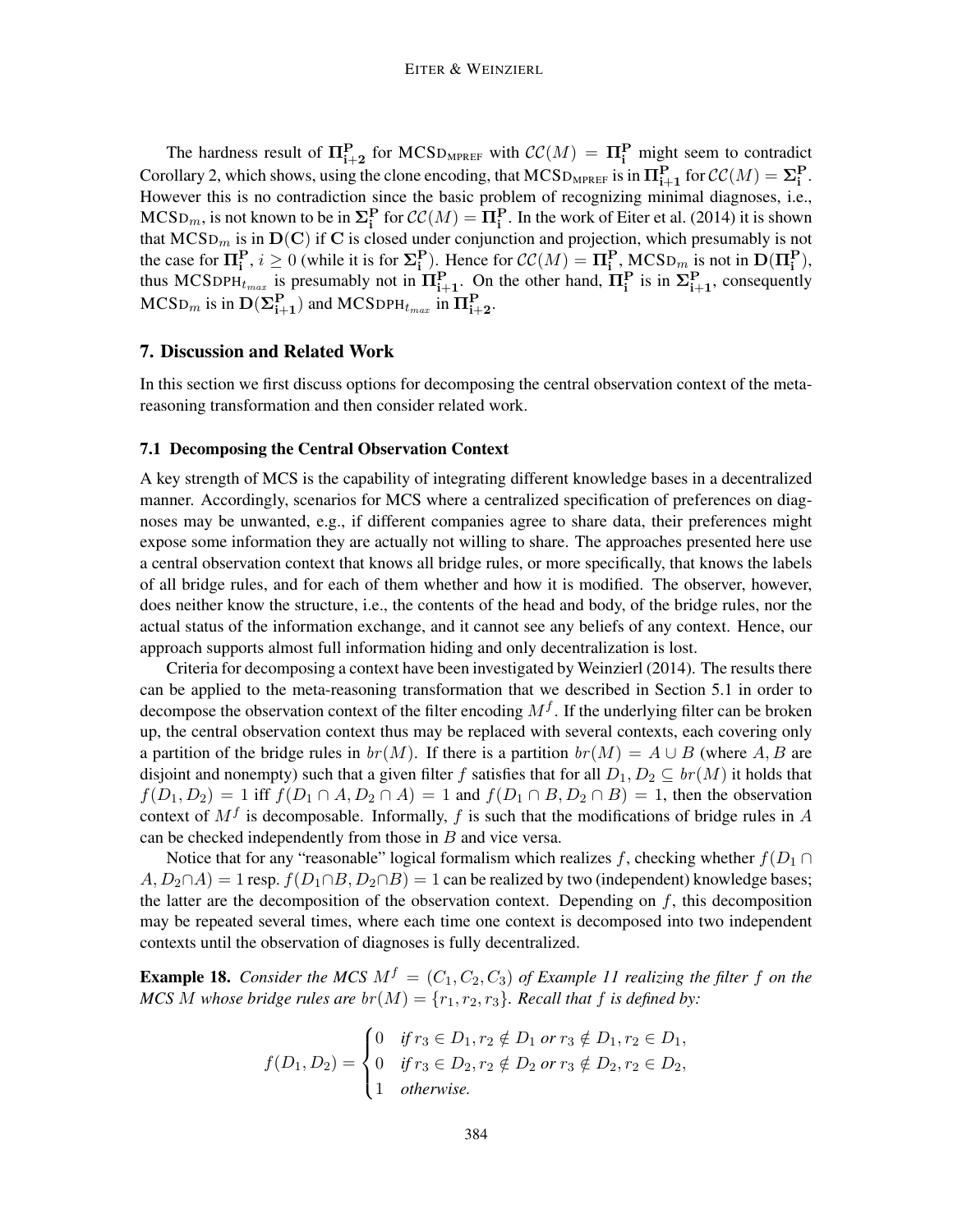The hardness result of  $\mathbf{\Pi}_{i+2}^{\mathbf{P}}$  for MCSD<sub>MPREF</sub> with  $\mathcal{CC}(M) = \mathbf{\Pi}_{i}^{\mathbf{P}}$  might seem to contradict Corollary 2, which shows, using the clone encoding, that  $MCSD_{MPREF}$  is in  $\Pi_{i+1}^P$  for  $\mathcal{CC}(M) = \Sigma_i^P$ . However this is no contradiction since the basic problem of recognizing minimal diagnoses, i.e.,  $MCSD_m$ , is not known to be in  $\Sigma_i^{\mathbf{P}}$  for  $\mathcal{CC}(M) = \Pi_i^{\mathbf{P}}$ . In the work of Eiter et al. (2014) it is shown that  $MCSD_m$  is in  $D(C)$  if C is closed under conjunction and projection, which presumably is not the case for  $\mathbf{\Pi_i^P}$ ,  $i \ge 0$  (while it is for  $\mathbf{\Sigma_i^P}$ ). Hence for  $\mathcal{CC}(M) = \mathbf{\Pi_i^P}$ ,  $\mathbf{MCSD}_m$  is not in  $\mathbf{D}(\mathbf{\Pi_i^P})$ , thus MCSDPH<sub>tmax</sub> is presumably not in  $\Pi_{i+1}^P$ . On the other hand,  $\Pi_i^P$  is in  $\Sigma_{i+1}^P$ , consequently  $\text{MCSD}_{m}$  is in  $\text{D}(\Sigma^{\text{P}}_{\text{i+1}})$  and  $\text{MCSDPH}_{t_{max}}$  in  $\Pi^{\text{P}}_{\text{i+2}}$ .

# 7. Discussion and Related Work

In this section we first discuss options for decomposing the central observation context of the metareasoning transformation and then consider related work.

#### 7.1 Decomposing the Central Observation Context

A key strength of MCS is the capability of integrating different knowledge bases in a decentralized manner. Accordingly, scenarios for MCS where a centralized specification of preferences on diagnoses may be unwanted, e.g., if different companies agree to share data, their preferences might expose some information they are actually not willing to share. The approaches presented here use a central observation context that knows all bridge rules, or more specifically, that knows the labels of all bridge rules, and for each of them whether and how it is modified. The observer, however, does neither know the structure, i.e., the contents of the head and body, of the bridge rules, nor the actual status of the information exchange, and it cannot see any beliefs of any context. Hence, our approach supports almost full information hiding and only decentralization is lost.

Criteria for decomposing a context have been investigated by Weinzierl (2014). The results there can be applied to the meta-reasoning transformation that we described in Section 5.1 in order to decompose the observation context of the filter encoding  $M<sup>f</sup>$ . If the underlying filter can be broken up, the central observation context thus may be replaced with several contexts, each covering only a partition of the bridge rules in  $br(M)$ . If there is a partition  $br(M) = A \cup B$  (where A, B are disjoint and nonempty) such that a given filter f satisfies that for all  $D_1, D_2 \subseteq br(M)$  it holds that  $f(D_1, D_2) = 1$  iff  $f(D_1 \cap A, D_2 \cap A) = 1$  and  $f(D_1 \cap B, D_2 \cap B) = 1$ , then the observation context of  $M<sup>f</sup>$  is decomposable. Informally, f is such that the modifications of bridge rules in A can be checked independently from those in  $B$  and vice versa.

Notice that for any "reasonable" logical formalism which realizes f, checking whether  $f(D_1 \cap$  $A, D_2 \cap A$ ) = 1 resp.  $f(D_1 \cap B, D_2 \cap B) = 1$  can be realized by two (independent) knowledge bases; the latter are the decomposition of the observation context. Depending on  $f$ , this decomposition may be repeated several times, where each time one context is decomposed into two independent contexts until the observation of diagnoses is fully decentralized.

**Example 18.** Consider the MCS  $M^f = (C_1, C_2, C_3)$  of Example 11 realizing the filter f on the *MCS M* whose bridge rules are  $br(M) = \{r_1, r_2, r_3\}$ . Recall that f is defined by:

$$
f(D_1, D_2) = \begin{cases} 0 & \text{if } r_3 \in D_1, r_2 \notin D_1 \text{ or } r_3 \notin D_1, r_2 \in D_1, \\ 0 & \text{if } r_3 \in D_2, r_2 \notin D_2 \text{ or } r_3 \notin D_2, r_2 \in D_2, \\ 1 & \text{otherwise.} \end{cases}
$$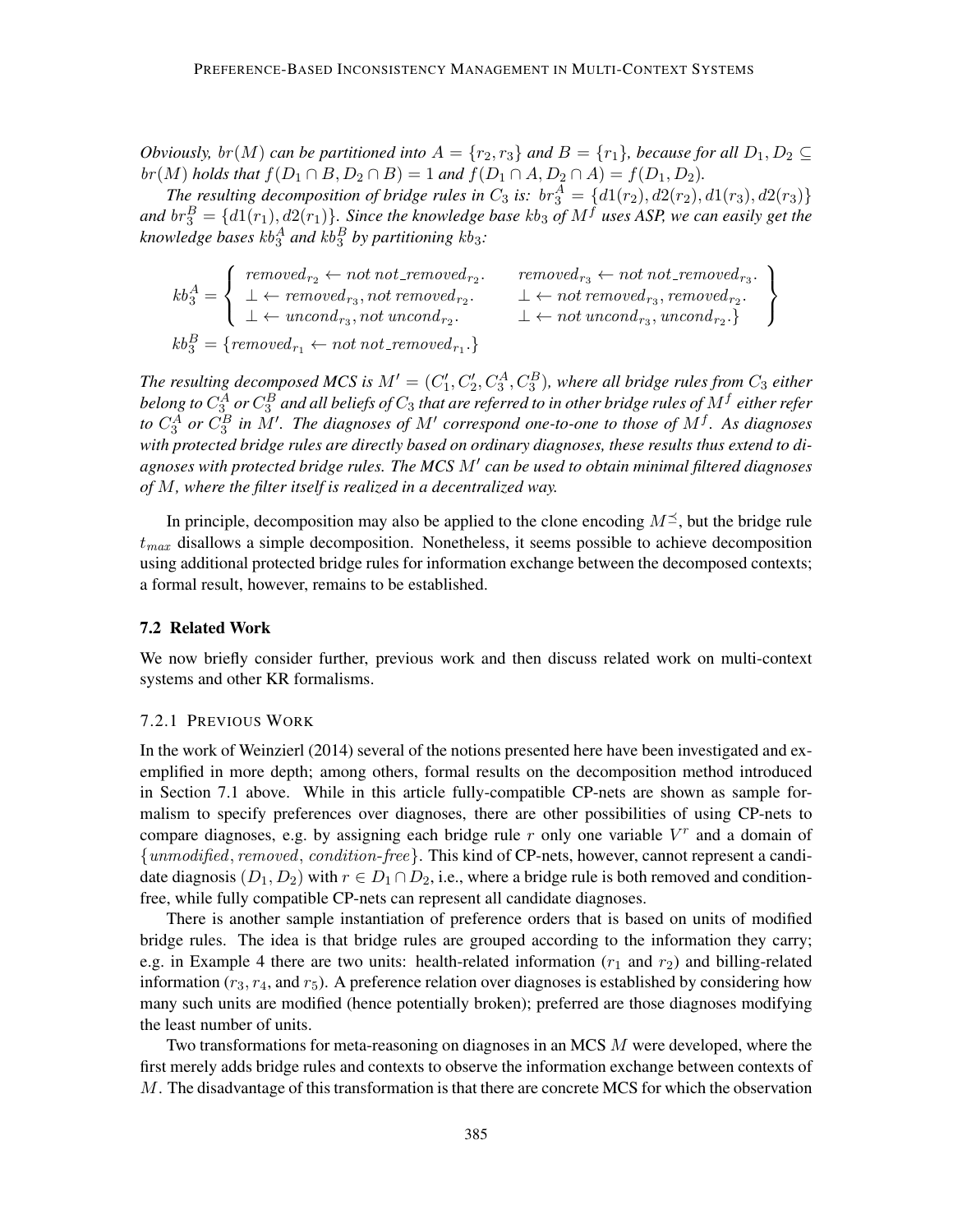*Obviously, br*(*M*) *can be partitioned into*  $A = \{r_2, r_3\}$  *and*  $B = \{r_1\}$ *, because for all*  $D_1, D_2 \subseteq$  $br(M)$  *holds that*  $f(D_1 \cap B, D_2 \cap B) = 1$  *and*  $f(D_1 \cap A, D_2 \cap A) = f(D_1, D_2)$ *.* 

The resulting decomposition of bridge rules in  $C_3$  is:  $br^A_3 = \{d1(r_2), d2(r_2), d1(r_3), d2(r_3)\}$ and  $br_3^B = \{d1(r_1), d2(r_1)\}$ . Since the knowledge base kb<sub>3</sub> of  $M^f$  uses ASP, we can easily get the knowledge bases  $kb_3^A$  and  $kb_3^B$  by partitioning  $kb_3$ :

 $kb_3^A=$  $\sqrt{ }$  $\left| \right|$  $\mathcal{L}$  $removed_{r_2} \leftarrow not~not\_removed_{r_2}.$  removed  $r_3 \leftarrow not~not\_removed_{r_3}.$  $\bot \leftarrow removed_{r_3}, not \ removed_{r_2}.$   $\bot \leftarrow not \ removed_{r_3}, removed_{r_2}.$  $\bot \leftarrow uncond_{r_3}, not uncond_{r_2}.$   $\bot \leftarrow not uncond_{r_3}, uncond_{r_2}.$  $\mathcal{L}$  $\mathcal{L}$  $\mathsf{I}$  $kb_3^B = {removed}_{r_1} \leftarrow not\ not\ removed_{r_1}$ .}

The resulting decomposed MCS is  $M' = (C'_1, C'_2, C^A_3, C^B_3)$ , where all bridge rules from  $C_3$  either belong to  $C_3^A$  or  $C_3^B$  and all beliefs of  $C_3$  that are referred to in other bridge rules of  $M^f$  either refer *to*  $C_3^A$  *or*  $C_3^B$  *in*  $M'$ . The diagnoses of  $M'$  correspond one-to-one to those of  $M^f$ . As diagnoses *with protected bridge rules are directly based on ordinary diagnoses, these results thus extend to di*agnoses with protected bridge rules. The MCS  $M'$  can be used to obtain minimal filtered diagnoses *of* M*, where the filter itself is realized in a decentralized way.*

In principle, decomposition may also be applied to the clone encoding  $M^{\preceq}$ , but the bridge rule  $t_{max}$  disallows a simple decomposition. Nonetheless, it seems possible to achieve decomposition using additional protected bridge rules for information exchange between the decomposed contexts; a formal result, however, remains to be established.

#### 7.2 Related Work

We now briefly consider further, previous work and then discuss related work on multi-context systems and other KR formalisms.

#### 7.2.1 PREVIOUS WORK

In the work of Weinzierl (2014) several of the notions presented here have been investigated and exemplified in more depth; among others, formal results on the decomposition method introduced in Section 7.1 above. While in this article fully-compatible CP-nets are shown as sample formalism to specify preferences over diagnoses, there are other possibilities of using CP-nets to compare diagnoses, e.g. by assigning each bridge rule  $r$  only one variable  $V^r$  and a domain of {unmodified, removed, condition-free}. This kind of CP-nets, however, cannot represent a candidate diagnosis  $(D_1, D_2)$  with  $r \in D_1 \cap D_2$ , i.e., where a bridge rule is both removed and conditionfree, while fully compatible CP-nets can represent all candidate diagnoses.

There is another sample instantiation of preference orders that is based on units of modified bridge rules. The idea is that bridge rules are grouped according to the information they carry; e.g. in Example 4 there are two units: health-related information  $(r_1$  and  $r_2)$  and billing-related information  $(r_3, r_4,$  and  $r_5)$ . A preference relation over diagnoses is established by considering how many such units are modified (hence potentially broken); preferred are those diagnoses modifying the least number of units.

Two transformations for meta-reasoning on diagnoses in an MCS M were developed, where the first merely adds bridge rules and contexts to observe the information exchange between contexts of  $M$ . The disadvantage of this transformation is that there are concrete MCS for which the observation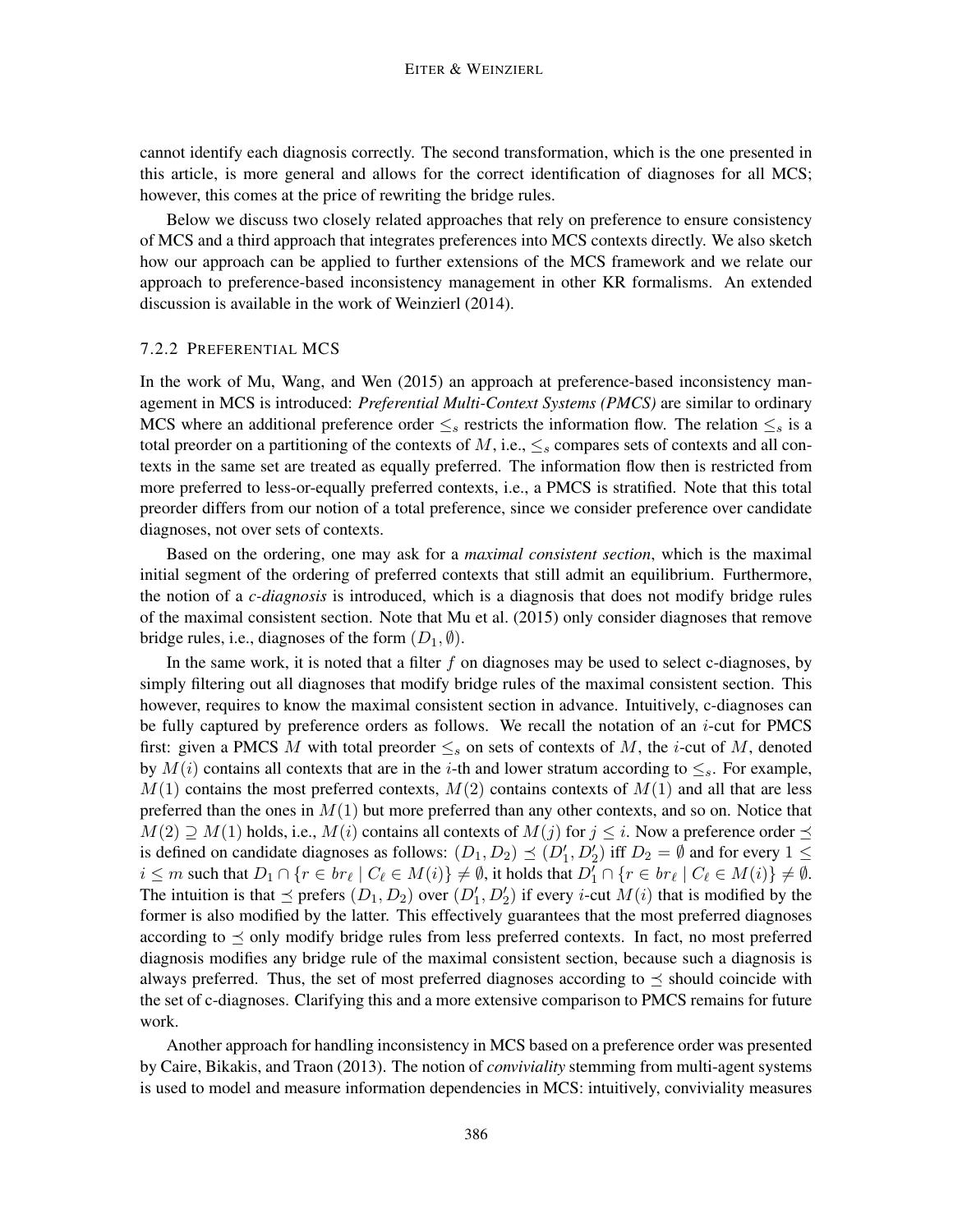cannot identify each diagnosis correctly. The second transformation, which is the one presented in this article, is more general and allows for the correct identification of diagnoses for all MCS; however, this comes at the price of rewriting the bridge rules.

Below we discuss two closely related approaches that rely on preference to ensure consistency of MCS and a third approach that integrates preferences into MCS contexts directly. We also sketch how our approach can be applied to further extensions of the MCS framework and we relate our approach to preference-based inconsistency management in other KR formalisms. An extended discussion is available in the work of Weinzierl (2014).

#### 7.2.2 PREFERENTIAL MCS

In the work of Mu, Wang, and Wen (2015) an approach at preference-based inconsistency management in MCS is introduced: *Preferential Multi-Context Systems (PMCS)* are similar to ordinary MCS where an additional preference order  $\leq_s$  restricts the information flow. The relation  $\leq_s$  is a total preorder on a partitioning of the contexts of M, i.e.,  $\leq_s$  compares sets of contexts and all contexts in the same set are treated as equally preferred. The information flow then is restricted from more preferred to less-or-equally preferred contexts, i.e., a PMCS is stratified. Note that this total preorder differs from our notion of a total preference, since we consider preference over candidate diagnoses, not over sets of contexts.

Based on the ordering, one may ask for a *maximal consistent section*, which is the maximal initial segment of the ordering of preferred contexts that still admit an equilibrium. Furthermore, the notion of a *c-diagnosis* is introduced, which is a diagnosis that does not modify bridge rules of the maximal consistent section. Note that Mu et al. (2015) only consider diagnoses that remove bridge rules, i.e., diagnoses of the form  $(D_1, \emptyset)$ .

In the same work, it is noted that a filter  $f$  on diagnoses may be used to select c-diagnoses, by simply filtering out all diagnoses that modify bridge rules of the maximal consistent section. This however, requires to know the maximal consistent section in advance. Intuitively, c-diagnoses can be fully captured by preference orders as follows. We recall the notation of an  $i$ -cut for PMCS first: given a PMCS M with total preorder  $\leq_s$  on sets of contexts of M, the *i*-cut of M, denoted by  $M(i)$  contains all contexts that are in the *i*-th and lower stratum according to  $\leq_s$ . For example,  $M(1)$  contains the most preferred contexts,  $M(2)$  contains contexts of  $M(1)$  and all that are less preferred than the ones in  $M(1)$  but more preferred than any other contexts, and so on. Notice that  $M(2) \supseteq M(1)$  holds, i.e.,  $M(i)$  contains all contexts of  $M(j)$  for  $j \leq i$ . Now a preference order  $\preceq$ is defined on candidate diagnoses as follows:  $(D_1, D_2) \preceq (D'_1, D'_2)$  iff  $D_2 = \emptyset$  and for every  $1 \leq$  $i \leq m$  such that  $D_1 \cap \{r \in br_\ell \mid C_\ell \in M(i)\} \neq \emptyset$ , it holds that  $D'_1 \cap \{r \in br_\ell \mid C_\ell \in M(i)\} \neq \emptyset$ . The intuition is that  $\preceq$  prefers  $(D_1, D_2)$  over  $(D'_1, D'_2)$  if every *i*-cut  $M(i)$  that is modified by the former is also modified by the latter. This effectively guarantees that the most preferred diagnoses according to  $\preceq$  only modify bridge rules from less preferred contexts. In fact, no most preferred diagnosis modifies any bridge rule of the maximal consistent section, because such a diagnosis is always preferred. Thus, the set of most preferred diagnoses according to  $\preceq$  should coincide with the set of c-diagnoses. Clarifying this and a more extensive comparison to PMCS remains for future work.

Another approach for handling inconsistency in MCS based on a preference order was presented by Caire, Bikakis, and Traon (2013). The notion of *conviviality* stemming from multi-agent systems is used to model and measure information dependencies in MCS: intuitively, conviviality measures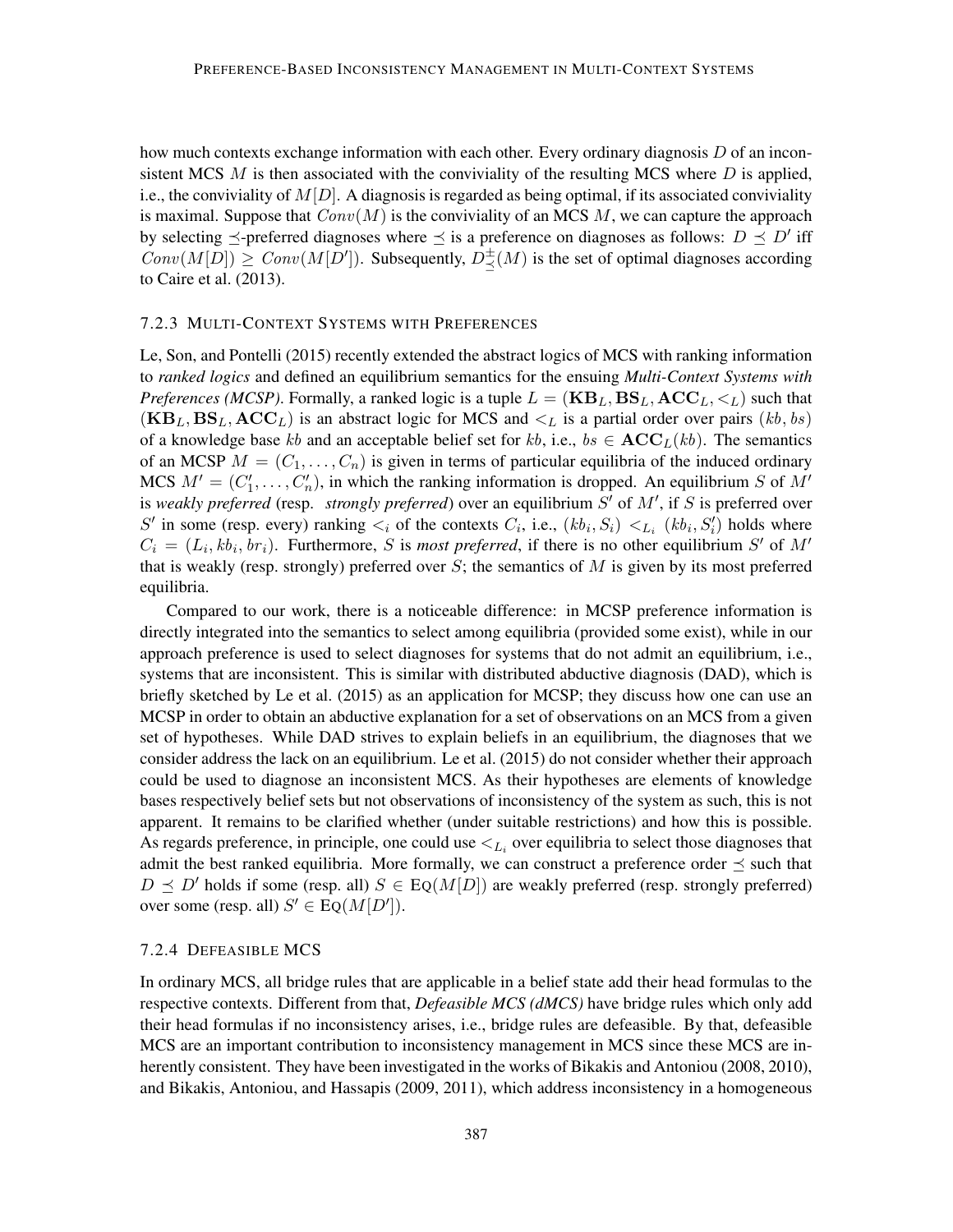how much contexts exchange information with each other. Every ordinary diagnosis  $D$  of an inconsistent MCS  $M$  is then associated with the conviviality of the resulting MCS where  $D$  is applied, i.e., the conviviality of  $M[D]$ . A diagnosis is regarded as being optimal, if its associated conviviality is maximal. Suppose that  $Conv(M)$  is the conviviality of an MCS M, we can capture the approach by selecting  $\preceq$ -preferred diagnoses where  $\preceq$  is a preference on diagnoses as follows:  $D \preceq D'$  iff  $Conv(M[D]) \geq Conv(M[D'])$ . Subsequently,  $D^{\pm}_{\leq}(M)$  is the set of optimal diagnoses according to Caire et al. (2013).

#### 7.2.3 MULTI-CONTEXT SYSTEMS WITH PREFERENCES

Le, Son, and Pontelli (2015) recently extended the abstract logics of MCS with ranking information to *ranked logics* and defined an equilibrium semantics for the ensuing *Multi-Context Systems with Preferences (MCSP)*. Formally, a ranked logic is a tuple  $L = (\mathbf{KB}_L, \mathbf{BS}_L, \mathbf{ACC}_L, \lt_L)$  such that  $(\mathbf{KB}_L, \mathbf{BS}_L, \mathbf{ACC}_L)$  is an abstract logic for MCS and  $\lt_L$  is a partial order over pairs  $(kb, bs)$ of a knowledge base kb and an acceptable belief set for kb, i.e.,  $bs \in \text{ACC}_L(kb)$ . The semantics of an MCSP  $M = (C_1, \ldots, C_n)$  is given in terms of particular equilibria of the induced ordinary MCS  $M' = (C'_1, \ldots, C'_n)$ , in which the ranking information is dropped. An equilibrium S of M' is *weakly preferred* (resp. *strongly preferred*) over an equilibrium  $S'$  of  $M'$ , if  $S$  is preferred over S' in some (resp. every) ranking  $\lt_i$  of the contexts  $C_i$ , i.e.,  $(kb_i, S_i) \lt_{L_i} (kb_i, S'_i)$  holds where  $C_i = (L_i, kb_i, br_i)$ . Furthermore, *S* is *most preferred*, if there is no other equilibrium *S'* of M' that is weakly (resp. strongly) preferred over  $S$ ; the semantics of  $M$  is given by its most preferred equilibria.

Compared to our work, there is a noticeable difference: in MCSP preference information is directly integrated into the semantics to select among equilibria (provided some exist), while in our approach preference is used to select diagnoses for systems that do not admit an equilibrium, i.e., systems that are inconsistent. This is similar with distributed abductive diagnosis (DAD), which is briefly sketched by Le et al. (2015) as an application for MCSP; they discuss how one can use an MCSP in order to obtain an abductive explanation for a set of observations on an MCS from a given set of hypotheses. While DAD strives to explain beliefs in an equilibrium, the diagnoses that we consider address the lack on an equilibrium. Le et al. (2015) do not consider whether their approach could be used to diagnose an inconsistent MCS. As their hypotheses are elements of knowledge bases respectively belief sets but not observations of inconsistency of the system as such, this is not apparent. It remains to be clarified whether (under suitable restrictions) and how this is possible. As regards preference, in principle, one could use  $\lt_{L_i}$  over equilibria to select those diagnoses that admit the best ranked equilibria. More formally, we can construct a preference order  $\preceq$  such that  $D \preceq D'$  holds if some (resp. all)  $S \in \text{Eq}(M[D])$  are weakly preferred (resp. strongly preferred) over some (resp. all)  $S' \in \text{Eq}(M[D'])$ .

### 7.2.4 DEFEASIBLE MCS

In ordinary MCS, all bridge rules that are applicable in a belief state add their head formulas to the respective contexts. Different from that, *Defeasible MCS (dMCS)* have bridge rules which only add their head formulas if no inconsistency arises, i.e., bridge rules are defeasible. By that, defeasible MCS are an important contribution to inconsistency management in MCS since these MCS are inherently consistent. They have been investigated in the works of Bikakis and Antoniou (2008, 2010), and Bikakis, Antoniou, and Hassapis (2009, 2011), which address inconsistency in a homogeneous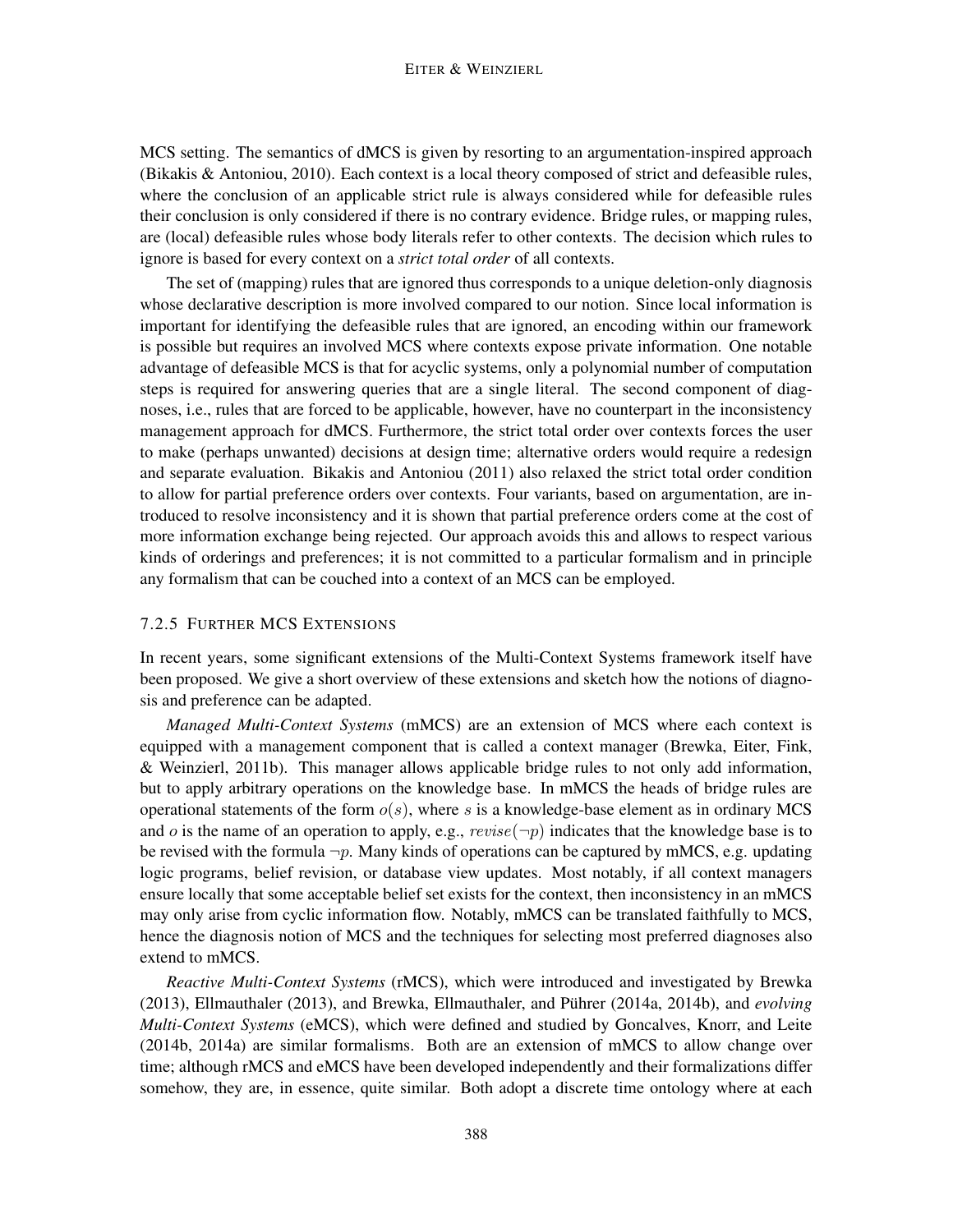MCS setting. The semantics of dMCS is given by resorting to an argumentation-inspired approach (Bikakis & Antoniou, 2010). Each context is a local theory composed of strict and defeasible rules, where the conclusion of an applicable strict rule is always considered while for defeasible rules their conclusion is only considered if there is no contrary evidence. Bridge rules, or mapping rules, are (local) defeasible rules whose body literals refer to other contexts. The decision which rules to ignore is based for every context on a *strict total order* of all contexts.

The set of (mapping) rules that are ignored thus corresponds to a unique deletion-only diagnosis whose declarative description is more involved compared to our notion. Since local information is important for identifying the defeasible rules that are ignored, an encoding within our framework is possible but requires an involved MCS where contexts expose private information. One notable advantage of defeasible MCS is that for acyclic systems, only a polynomial number of computation steps is required for answering queries that are a single literal. The second component of diagnoses, i.e., rules that are forced to be applicable, however, have no counterpart in the inconsistency management approach for dMCS. Furthermore, the strict total order over contexts forces the user to make (perhaps unwanted) decisions at design time; alternative orders would require a redesign and separate evaluation. Bikakis and Antoniou (2011) also relaxed the strict total order condition to allow for partial preference orders over contexts. Four variants, based on argumentation, are introduced to resolve inconsistency and it is shown that partial preference orders come at the cost of more information exchange being rejected. Our approach avoids this and allows to respect various kinds of orderings and preferences; it is not committed to a particular formalism and in principle any formalism that can be couched into a context of an MCS can be employed.

### 7.2.5 FURTHER MCS EXTENSIONS

In recent years, some significant extensions of the Multi-Context Systems framework itself have been proposed. We give a short overview of these extensions and sketch how the notions of diagnosis and preference can be adapted.

*Managed Multi-Context Systems* (mMCS) are an extension of MCS where each context is equipped with a management component that is called a context manager (Brewka, Eiter, Fink, & Weinzierl, 2011b). This manager allows applicable bridge rules to not only add information, but to apply arbitrary operations on the knowledge base. In mMCS the heads of bridge rules are operational statements of the form  $o(s)$ , where s is a knowledge-base element as in ordinary MCS and o is the name of an operation to apply, e.g.,  $revise(\neg p)$  indicates that the knowledge base is to be revised with the formula  $\neg p$ . Many kinds of operations can be captured by mMCS, e.g. updating logic programs, belief revision, or database view updates. Most notably, if all context managers ensure locally that some acceptable belief set exists for the context, then inconsistency in an mMCS may only arise from cyclic information flow. Notably, mMCS can be translated faithfully to MCS, hence the diagnosis notion of MCS and the techniques for selecting most preferred diagnoses also extend to mMCS.

*Reactive Multi-Context Systems* (rMCS), which were introduced and investigated by Brewka  $(2013)$ , Ellmauthaler  $(2013)$ , and Brewka, Ellmauthaler, and Pührer  $(2014a, 2014b)$ , and *evolving Multi-Context Systems* (eMCS), which were defined and studied by Goncalves, Knorr, and Leite (2014b, 2014a) are similar formalisms. Both are an extension of mMCS to allow change over time; although rMCS and eMCS have been developed independently and their formalizations differ somehow, they are, in essence, quite similar. Both adopt a discrete time ontology where at each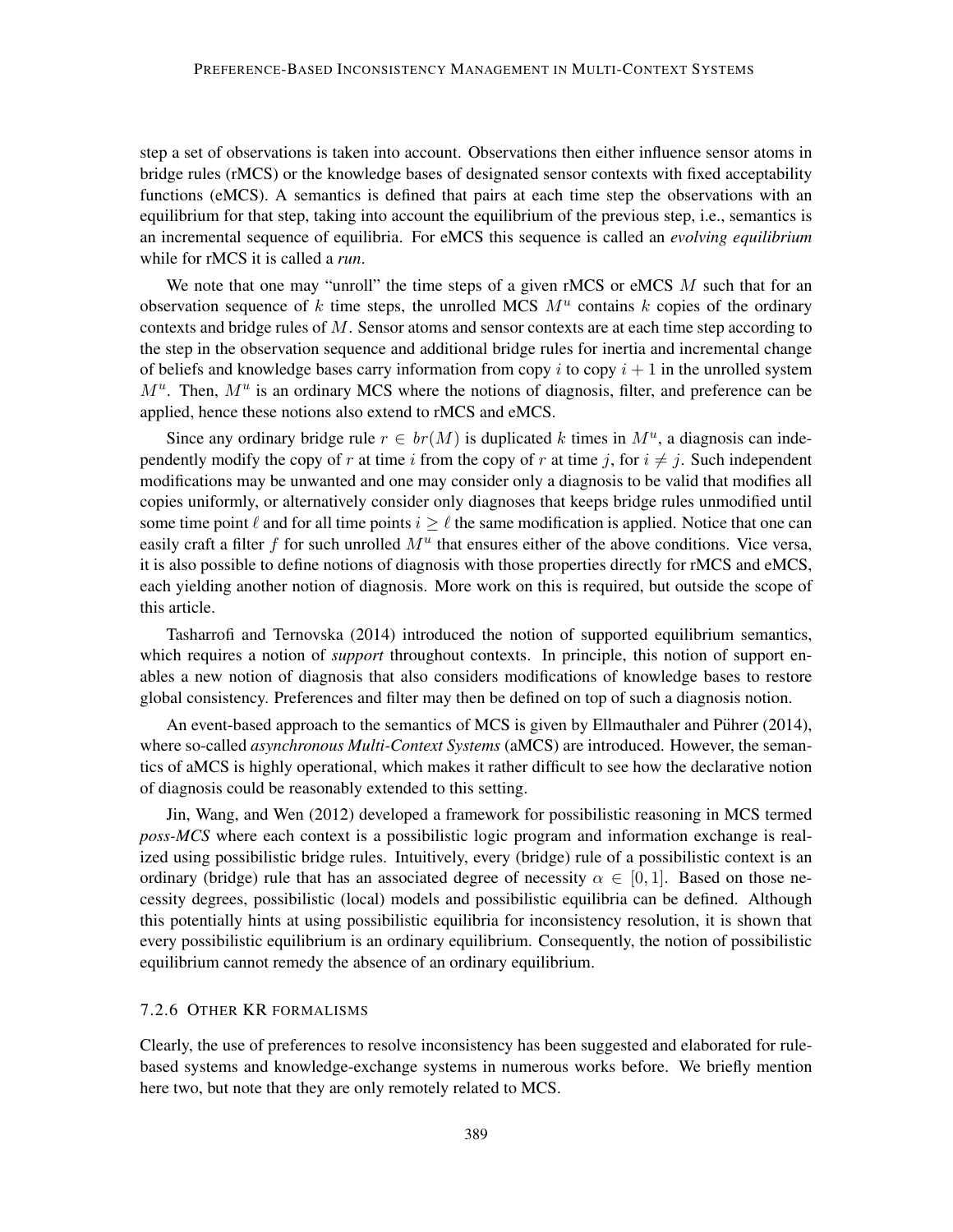step a set of observations is taken into account. Observations then either influence sensor atoms in bridge rules (rMCS) or the knowledge bases of designated sensor contexts with fixed acceptability functions (eMCS). A semantics is defined that pairs at each time step the observations with an equilibrium for that step, taking into account the equilibrium of the previous step, i.e., semantics is an incremental sequence of equilibria. For eMCS this sequence is called an *evolving equilibrium* while for rMCS it is called a *run*.

We note that one may "unroll" the time steps of a given rMCS or eMCS  $M$  such that for an observation sequence of k time steps, the unrolled MCS  $M^u$  contains k copies of the ordinary contexts and bridge rules of  $M$ . Sensor atoms and sensor contexts are at each time step according to the step in the observation sequence and additional bridge rules for inertia and incremental change of beliefs and knowledge bases carry information from copy i to copy  $i + 1$  in the unrolled system  $M^u$ . Then,  $M^u$  is an ordinary MCS where the notions of diagnosis, filter, and preference can be applied, hence these notions also extend to rMCS and eMCS.

Since any ordinary bridge rule  $r \in br(M)$  is duplicated k times in  $M^u$ , a diagnosis can independently modify the copy of r at time i from the copy of r at time j, for  $i \neq j$ . Such independent modifications may be unwanted and one may consider only a diagnosis to be valid that modifies all copies uniformly, or alternatively consider only diagnoses that keeps bridge rules unmodified until some time point  $\ell$  and for all time points  $i \geq \ell$  the same modification is applied. Notice that one can easily craft a filter f for such unrolled  $M^u$  that ensures either of the above conditions. Vice versa, it is also possible to define notions of diagnosis with those properties directly for rMCS and eMCS, each yielding another notion of diagnosis. More work on this is required, but outside the scope of this article.

Tasharrofi and Ternovska (2014) introduced the notion of supported equilibrium semantics, which requires a notion of *support* throughout contexts. In principle, this notion of support enables a new notion of diagnosis that also considers modifications of knowledge bases to restore global consistency. Preferences and filter may then be defined on top of such a diagnosis notion.

An event-based approach to the semantics of MCS is given by Ellmauthaler and Pührer (2014), where so-called *asynchronous Multi-Context Systems* (aMCS) are introduced. However, the semantics of aMCS is highly operational, which makes it rather difficult to see how the declarative notion of diagnosis could be reasonably extended to this setting.

Jin, Wang, and Wen (2012) developed a framework for possibilistic reasoning in MCS termed *poss-MCS* where each context is a possibilistic logic program and information exchange is realized using possibilistic bridge rules. Intuitively, every (bridge) rule of a possibilistic context is an ordinary (bridge) rule that has an associated degree of necessity  $\alpha \in [0, 1]$ . Based on those necessity degrees, possibilistic (local) models and possibilistic equilibria can be defined. Although this potentially hints at using possibilistic equilibria for inconsistency resolution, it is shown that every possibilistic equilibrium is an ordinary equilibrium. Consequently, the notion of possibilistic equilibrium cannot remedy the absence of an ordinary equilibrium.

# 7.2.6 OTHER KR FORMALISMS

Clearly, the use of preferences to resolve inconsistency has been suggested and elaborated for rulebased systems and knowledge-exchange systems in numerous works before. We briefly mention here two, but note that they are only remotely related to MCS.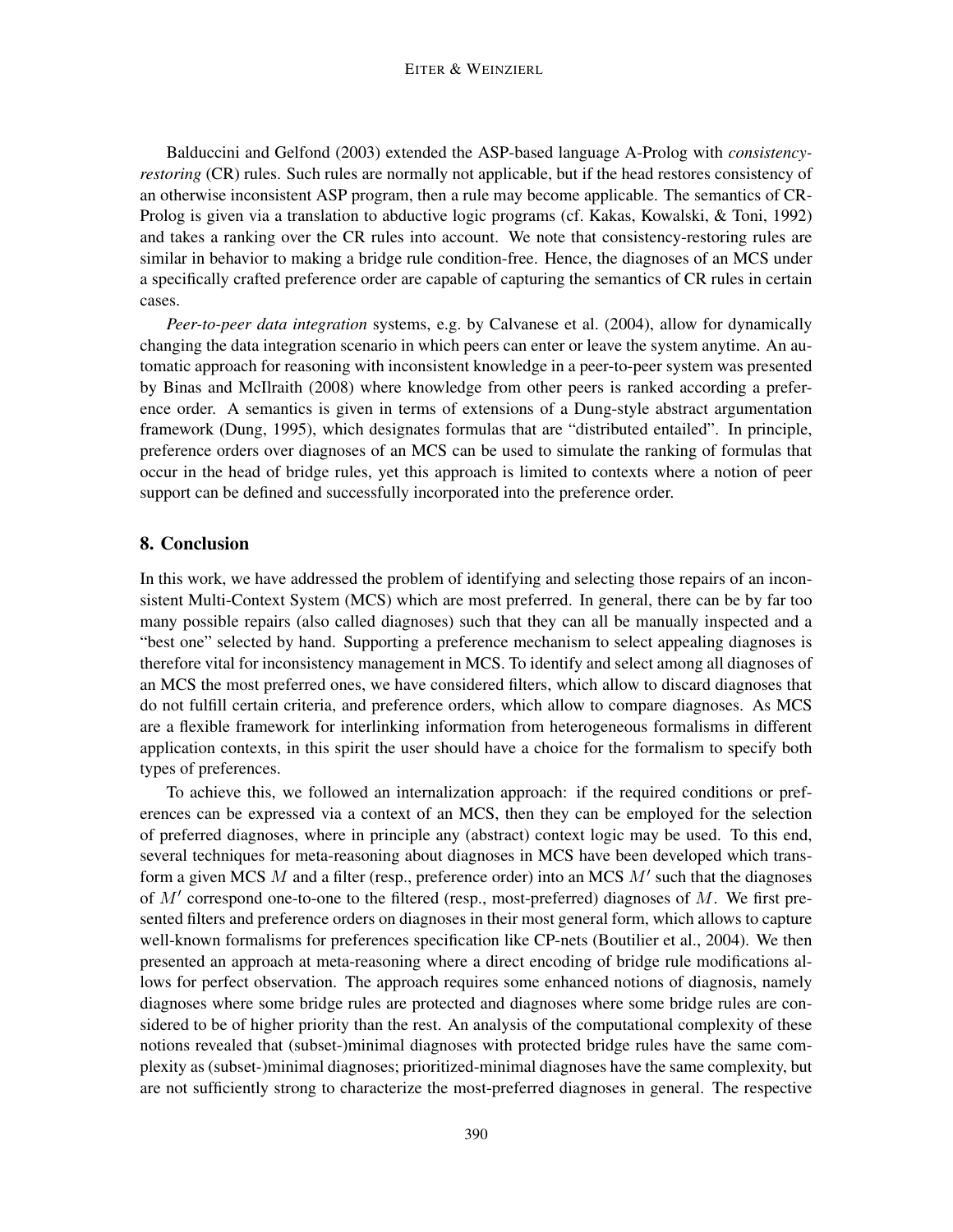Balduccini and Gelfond (2003) extended the ASP-based language A-Prolog with *consistencyrestoring* (CR) rules. Such rules are normally not applicable, but if the head restores consistency of an otherwise inconsistent ASP program, then a rule may become applicable. The semantics of CR-Prolog is given via a translation to abductive logic programs (cf. Kakas, Kowalski, & Toni, 1992) and takes a ranking over the CR rules into account. We note that consistency-restoring rules are similar in behavior to making a bridge rule condition-free. Hence, the diagnoses of an MCS under a specifically crafted preference order are capable of capturing the semantics of CR rules in certain cases.

*Peer-to-peer data integration* systems, e.g. by Calvanese et al. (2004), allow for dynamically changing the data integration scenario in which peers can enter or leave the system anytime. An automatic approach for reasoning with inconsistent knowledge in a peer-to-peer system was presented by Binas and McIlraith (2008) where knowledge from other peers is ranked according a preference order. A semantics is given in terms of extensions of a Dung-style abstract argumentation framework (Dung, 1995), which designates formulas that are "distributed entailed". In principle, preference orders over diagnoses of an MCS can be used to simulate the ranking of formulas that occur in the head of bridge rules, yet this approach is limited to contexts where a notion of peer support can be defined and successfully incorporated into the preference order.

# 8. Conclusion

In this work, we have addressed the problem of identifying and selecting those repairs of an inconsistent Multi-Context System (MCS) which are most preferred. In general, there can be by far too many possible repairs (also called diagnoses) such that they can all be manually inspected and a "best one" selected by hand. Supporting a preference mechanism to select appealing diagnoses is therefore vital for inconsistency management in MCS. To identify and select among all diagnoses of an MCS the most preferred ones, we have considered filters, which allow to discard diagnoses that do not fulfill certain criteria, and preference orders, which allow to compare diagnoses. As MCS are a flexible framework for interlinking information from heterogeneous formalisms in different application contexts, in this spirit the user should have a choice for the formalism to specify both types of preferences.

To achieve this, we followed an internalization approach: if the required conditions or preferences can be expressed via a context of an MCS, then they can be employed for the selection of preferred diagnoses, where in principle any (abstract) context logic may be used. To this end, several techniques for meta-reasoning about diagnoses in MCS have been developed which transform a given MCS  $M$  and a filter (resp., preference order) into an MCS  $M'$  such that the diagnoses of  $M'$  correspond one-to-one to the filtered (resp., most-preferred) diagnoses of  $M$ . We first presented filters and preference orders on diagnoses in their most general form, which allows to capture well-known formalisms for preferences specification like CP-nets (Boutilier et al., 2004). We then presented an approach at meta-reasoning where a direct encoding of bridge rule modifications allows for perfect observation. The approach requires some enhanced notions of diagnosis, namely diagnoses where some bridge rules are protected and diagnoses where some bridge rules are considered to be of higher priority than the rest. An analysis of the computational complexity of these notions revealed that (subset-)minimal diagnoses with protected bridge rules have the same complexity as (subset-)minimal diagnoses; prioritized-minimal diagnoses have the same complexity, but are not sufficiently strong to characterize the most-preferred diagnoses in general. The respective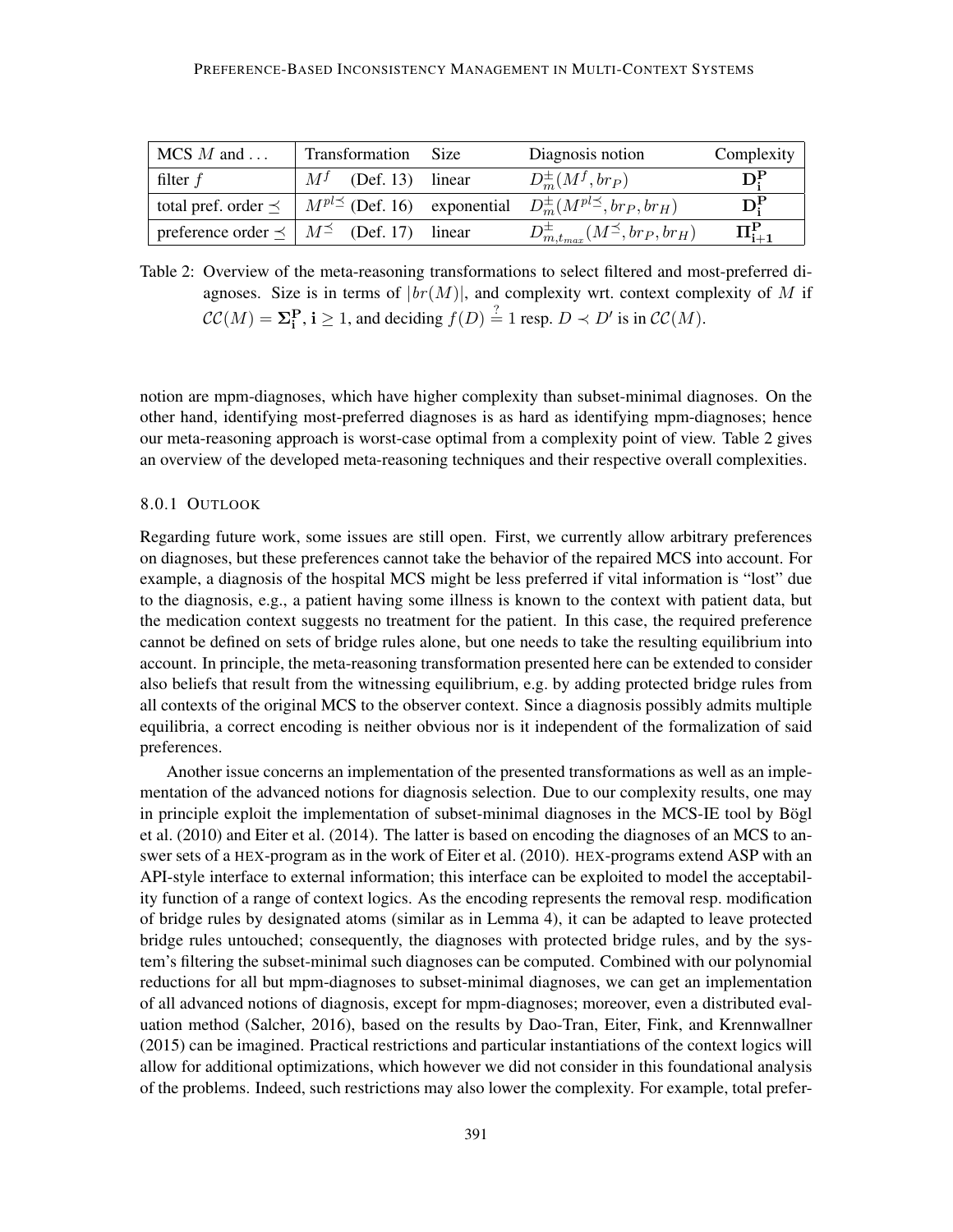| $MCS M$ and $\ldots$                                        | Transformation Size |                       | Diagnosis notion                                                                                              | Complexity                |
|-------------------------------------------------------------|---------------------|-----------------------|---------------------------------------------------------------------------------------------------------------|---------------------------|
| filter $f$                                                  |                     | $Mf$ (Def. 13) linear | $D_m^{\pm}(M^f,b r_P)$                                                                                        | $\mathbf{D}_{\mathbf{F}}$ |
|                                                             |                     |                       | total pref. order $\preceq \int M^{pl} \preceq$ (Def. 16) exponential $D_m^{\pm}(M^{pl} \preceq, br_P, br_H)$ | D <sub>f</sub>            |
| preference order $\preceq$   $M^{\preceq}$ (Def. 17) linear |                     |                       | $D^{\pm}_{m,t_{max}}(M^{\preceq},br_P,br_H)$                                                                  | $\Pi_{i+1}^{\mathbf{P}}$  |

Table 2: Overview of the meta-reasoning transformations to select filtered and most-preferred diagnoses. Size is in terms of  $|br(M)|$ , and complexity wrt. context complexity of M if  $\mathcal{CC}(M) = \Sigma_i^{\mathbf{P}}, i \geq 1$ , and deciding  $f(D) \stackrel{?}{=} 1$  resp.  $D \prec D'$  is in  $\mathcal{CC}(M)$ .

notion are mpm-diagnoses, which have higher complexity than subset-minimal diagnoses. On the other hand, identifying most-preferred diagnoses is as hard as identifying mpm-diagnoses; hence our meta-reasoning approach is worst-case optimal from a complexity point of view. Table 2 gives an overview of the developed meta-reasoning techniques and their respective overall complexities.

#### 8.0.1 OUTLOOK

Regarding future work, some issues are still open. First, we currently allow arbitrary preferences on diagnoses, but these preferences cannot take the behavior of the repaired MCS into account. For example, a diagnosis of the hospital MCS might be less preferred if vital information is "lost" due to the diagnosis, e.g., a patient having some illness is known to the context with patient data, but the medication context suggests no treatment for the patient. In this case, the required preference cannot be defined on sets of bridge rules alone, but one needs to take the resulting equilibrium into account. In principle, the meta-reasoning transformation presented here can be extended to consider also beliefs that result from the witnessing equilibrium, e.g. by adding protected bridge rules from all contexts of the original MCS to the observer context. Since a diagnosis possibly admits multiple equilibria, a correct encoding is neither obvious nor is it independent of the formalization of said preferences.

Another issue concerns an implementation of the presented transformations as well as an implementation of the advanced notions for diagnosis selection. Due to our complexity results, one may in principle exploit the implementation of subset-minimal diagnoses in the MCS-IE tool by Bögl et al. (2010) and Eiter et al. (2014). The latter is based on encoding the diagnoses of an MCS to answer sets of a HEX-program as in the work of Eiter et al. (2010). HEX-programs extend ASP with an API-style interface to external information; this interface can be exploited to model the acceptability function of a range of context logics. As the encoding represents the removal resp. modification of bridge rules by designated atoms (similar as in Lemma 4), it can be adapted to leave protected bridge rules untouched; consequently, the diagnoses with protected bridge rules, and by the system's filtering the subset-minimal such diagnoses can be computed. Combined with our polynomial reductions for all but mpm-diagnoses to subset-minimal diagnoses, we can get an implementation of all advanced notions of diagnosis, except for mpm-diagnoses; moreover, even a distributed evaluation method (Salcher, 2016), based on the results by Dao-Tran, Eiter, Fink, and Krennwallner (2015) can be imagined. Practical restrictions and particular instantiations of the context logics will allow for additional optimizations, which however we did not consider in this foundational analysis of the problems. Indeed, such restrictions may also lower the complexity. For example, total prefer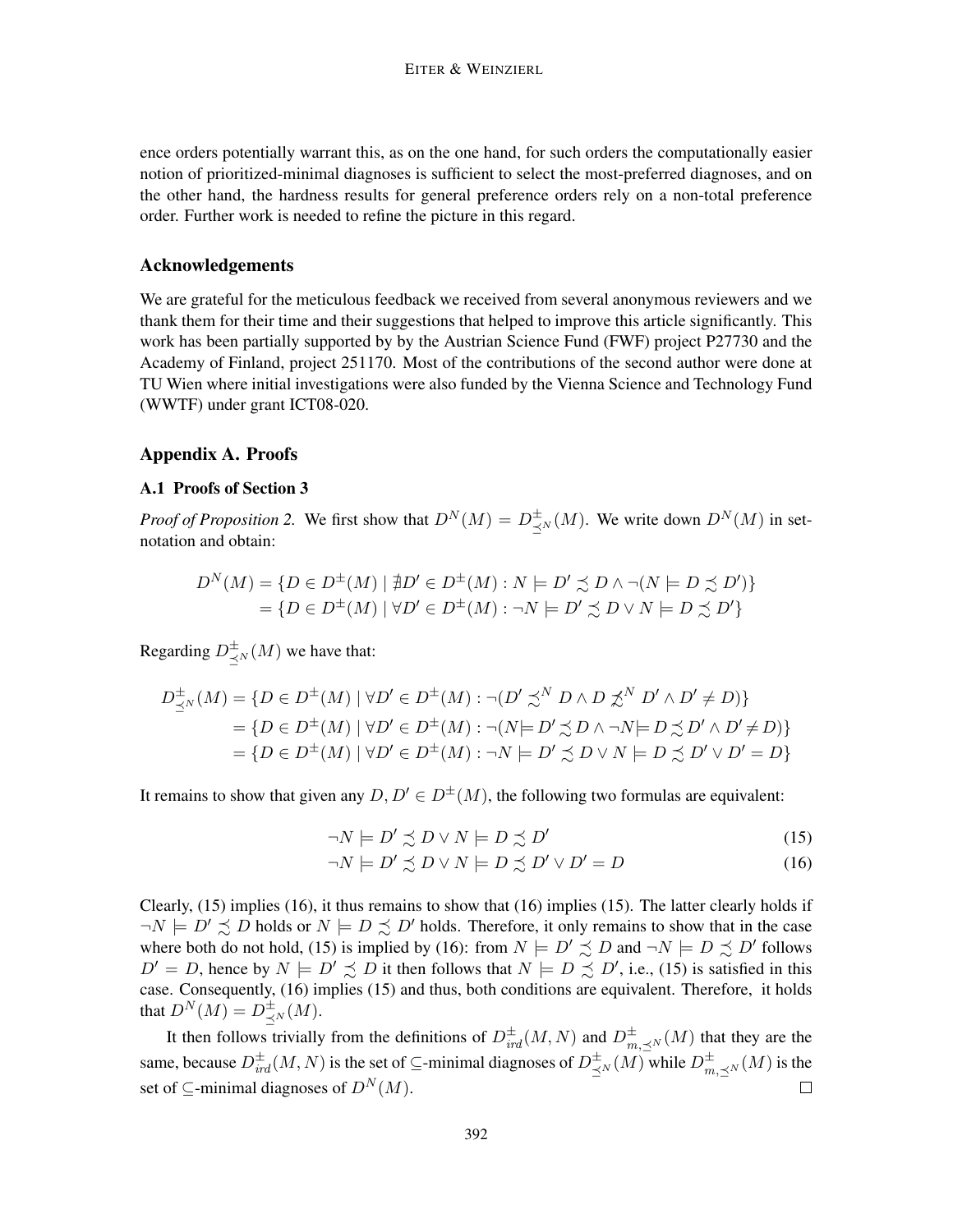ence orders potentially warrant this, as on the one hand, for such orders the computationally easier notion of prioritized-minimal diagnoses is sufficient to select the most-preferred diagnoses, and on the other hand, the hardness results for general preference orders rely on a non-total preference order. Further work is needed to refine the picture in this regard.

### Acknowledgements

We are grateful for the meticulous feedback we received from several anonymous reviewers and we thank them for their time and their suggestions that helped to improve this article significantly. This work has been partially supported by by the Austrian Science Fund (FWF) project P27730 and the Academy of Finland, project 251170. Most of the contributions of the second author were done at TU Wien where initial investigations were also funded by the Vienna Science and Technology Fund (WWTF) under grant ICT08-020.

### Appendix A. Proofs

# A.1 Proofs of Section 3

*Proof of Proposition 2.* We first show that  $D^N(M) = D_{\preceq^N}^{\pm}(M)$ . We write down  $D^N(M)$  in setnotation and obtain:

$$
D^N(M) = \{ D \in D^{\pm}(M) \mid \nexists D' \in D^{\pm}(M) : N \models D' \precsim D \land \neg(N \models D \precsim D') \}
$$
  
= 
$$
\{ D \in D^{\pm}(M) \mid \forall D' \in D^{\pm}(M) : \neg N \models D' \precsim D \lor N \models D \precsim D' \}
$$

Regarding  $D_{\preceq^N}^{\pm}(M)$  we have that:

$$
D_{\preceq^N}^{\pm}(M) = \{ D \in D^{\pm}(M) \mid \forall D' \in D^{\pm}(M) : \neg (D' \preceq^N D \land D \not\preceq^N D' \land D' \neq D) \}
$$
  
= 
$$
\{ D \in D^{\pm}(M) \mid \forall D' \in D^{\pm}(M) : \neg (N \models D' \preceq D \land \neg N \models D \preceq D' \land D' \neq D) \}
$$
  
= 
$$
\{ D \in D^{\pm}(M) \mid \forall D' \in D^{\pm}(M) : \neg N \models D' \preceq D \lor N \models D \preceq D' \lor D' = D \}
$$

It remains to show that given any  $D, D' \in D^{\pm}(M)$ , the following two formulas are equivalent:

$$
\neg N \models D' \precsim D \lor N \models D \precsim D' \tag{15}
$$

$$
\neg N \models D' \preceq D \lor N \models D \preceq D' \lor D' = D \tag{16}
$$

Clearly, (15) implies (16), it thus remains to show that (16) implies (15). The latter clearly holds if  $\neg N \models D' \preceq D$  holds or  $N \models D \preceq D'$  holds. Therefore, it only remains to show that in the case where both do not hold, (15) is implied by (16): from  $N \models D' \precsim D$  and  $\neg N \models D \precsim D'$  follows  $D' = D$ , hence by  $N \models D' \preceq D$  it then follows that  $N \models D \preceq D'$ , i.e., (15) is satisfied in this case. Consequently, (16) implies (15) and thus, both conditions are equivalent. Therefore, it holds that  $D^N(M) = D_{\preceq^N}^{\pm}(M)$ .

It then follows trivially from the definitions of  $D_{ind}^{\pm}(M, N)$  and  $D_{m,\preceq^N}^{\pm}(M)$  that they are the same, because  $D_{ind}^{\pm}(M,N)$  is the set of ⊆-minimal diagnoses of  $D_{\preceq^N}^{\pm}(M)$  while  $D_{m,\preceq^N}^{\pm}(M)$  is the set of ⊂-minimal diagnoses of  $D^N(M)$ .  $\Box$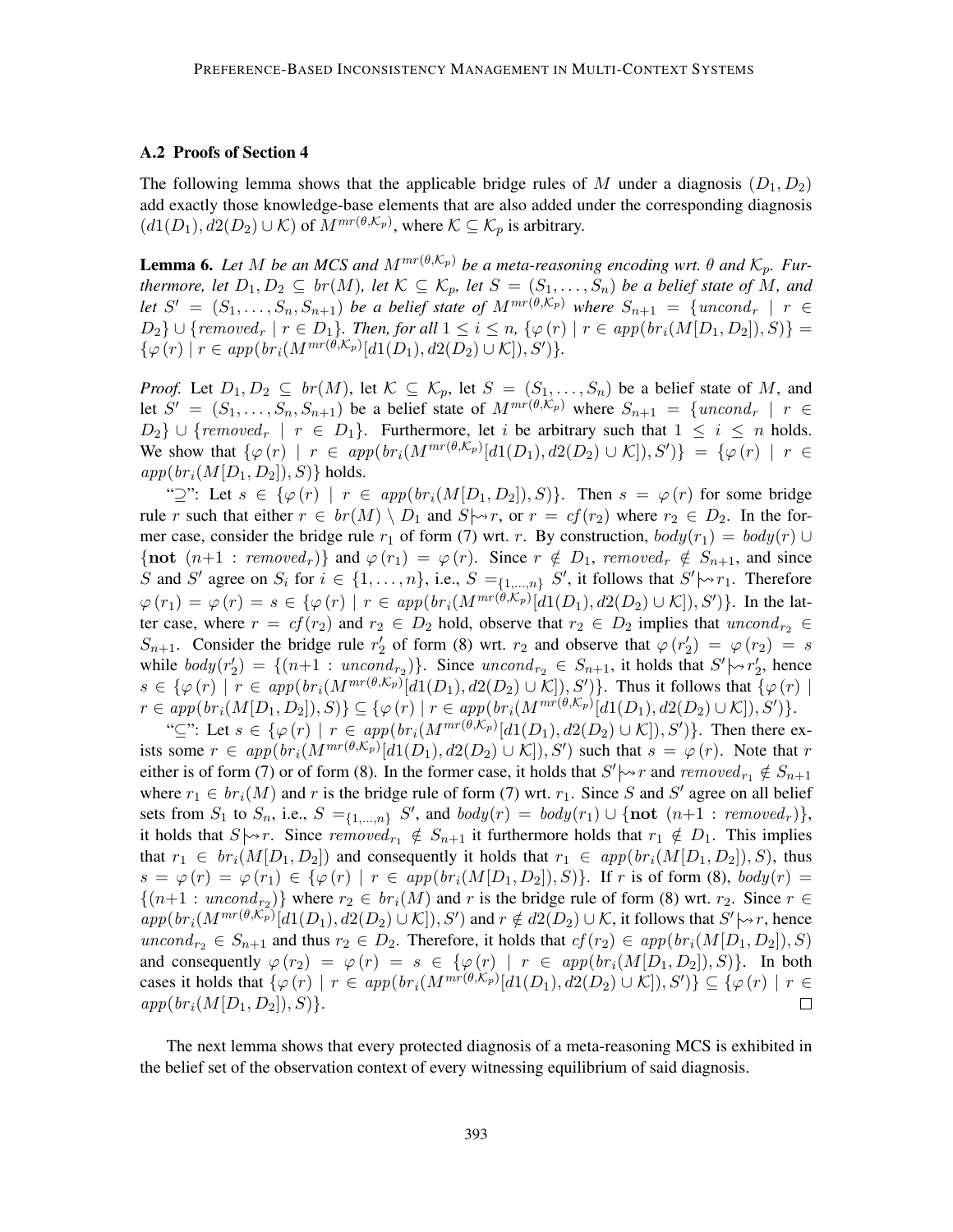#### A.2 Proofs of Section 4

The following lemma shows that the applicable bridge rules of M under a diagnosis  $(D_1, D_2)$ add exactly those knowledge-base elements that are also added under the corresponding diagnosis  $(d1(D_1), d2(D_2) \cup \mathcal{K})$  of  $M^{mr(\theta,\mathcal{K}_p)}$ , where  $\mathcal{K} \subseteq \mathcal{K}_p$  is arbitrary.

**Lemma 6.** Let M be an MCS and  $M^{mr}(\theta, K_p)$  be a meta-reasoning encoding wrt.  $\theta$  and  $K_p$ . Fur*thermore, let*  $D_1, D_2 \subseteq br(M)$ *, let*  $K \subseteq K_p$ *, let*  $S = (S_1, \ldots, S_n)$  *be a belief state of* M*, and let*  $S' = (S_1, \ldots, S_n, S_{n+1})$  *be a belief state of*  $M^{mr(\theta, \mathcal{K}_p)}$  where  $S_{n+1} = \{uncond_r \mid r \in$  $D_1 \cup \{removed_r \mid r \in D_1\}.$  Then, for all  $1 \leq i \leq n$ ,  $\{\varphi(r) \mid r \in app(br_i(M[D_1, D_2]), S)\}$  $\{\varphi(r) \mid r \in app(br_i(M^{mr(\theta,\mathcal{K}_p)}[d1(D_1), d2(D_2) \cup \mathcal{K}]), S')\}.$ 

*Proof.* Let  $D_1, D_2 \subseteq br(M)$ , let  $K \subseteq K_p$ , let  $S = (S_1, \ldots, S_n)$  be a belief state of M, and let  $S' = (S_1, \ldots, S_n, S_{n+1})$  be a belief state of  $M^{mr(\theta, \mathcal{K}_p)}$  where  $S_{n+1} = \{uncond_r \mid r \in$  $D_2$  ∪ {removed<sub>r</sub> |  $r \in D_1$ }. Furthermore, let i be arbitrary such that  $1 \leq i \leq n$  holds. We show that  $\{\varphi(r) | r \in app(br_i(M^{mr(\theta,\mathcal{K}_p)}[d1(D_1), d2(D_2) \cup \mathcal{K}]), S')\} = \{\varphi(r) | r \in$  $app(br_i(M[D_1, D_2]), S)$ } holds.

" $\supseteq$ ": Let  $s \in {\varphi(r) \mid r \in app(br_i(M[D_1, D_2]), S)}$ . Then  $s = \varphi(r)$  for some bridge rule r such that either  $r \in br(M) \setminus D_1$  and  $S \rightarrow r$ , or  $r = cf(r_2)$  where  $r_2 \in D_2$ . In the former case, consider the bridge rule  $r_1$  of form (7) wrt. r. By construction,  $body(r_1) = body(r) \cup$ {not  $(n+1 : removed_r)$ } and  $\varphi(r_1) = \varphi(r)$ . Since  $r \notin D_1$ , removed,  $\notin S_{n+1}$ , and since S and S' agree on  $S_i$  for  $i \in \{1, ..., n\}$ , i.e.,  $S = \{1, ..., n\}$  S', it follows that  $S' \rightarrow r_1$ . Therefore  $\varphi(r_1) = \varphi(r) = s \in {\{\varphi(r) \mid r \in app(br_i(M^{mr(\theta, \mathcal{K}_p)}[d1(D_1), d2(D_2) \cup \mathcal{K}]), S')\}}$ . In the latter case, where  $r = cf(r_2)$  and  $r_2 \in D_2$  hold, observe that  $r_2 \in D_2$  implies that  $uncond_{r_2} \in D_2$  $S_{n+1}$ . Consider the bridge rule  $r'_2$  of form (8) wrt.  $r_2$  and observe that  $\varphi(r'_2) = \varphi(r_2) = s$ while  $body(r'_2) = \{(n+1: uncond_{r_2})\}\)$ . Since  $uncond_{r_2} \in S_{n+1}$ , it holds that  $S' \rightarrow r'_2$ , hence  $s \in {\varphi(r) \mid r \in app(br_i(M^{mr(\theta,\mathcal{K}_p)}[d1(D_1), d2(D_2) \cup \mathcal{K}]), S')}.$  Thus it follows that  ${\varphi(r) \mid r \in app(tr_i(M^{mr(\theta,\mathcal{K}_p)}[d1(D_1), d2(D_2) \cup \mathcal{K}]), S')}.$  $r \in app(br_i(M[D_1, D_2]), S) \subseteq {\varphi(r) | r \in app(br_i(M^{mr(\theta, \mathcal{K}_p)}[d1(D_1), d2(D_2) \cup \mathcal{K}]), S')}.$ 

" $\subseteq$ ": Let  $s \in \{\varphi(r) \mid r \in app(br_i(M^{mr(\theta,\mathcal{K}_p)}[d1(D_1), d2(D_2) \cup \mathcal{K}]), S')\}$ . Then there exists some  $r \in app(br_i(M^{mr(\theta,\mathcal{K}_p)}[d1(D_1), d2(D_2) \cup \mathcal{K}]), S')$  such that  $s = \varphi(r)$ . Note that r either is of form (7) or of form (8). In the former case, it holds that  $S' \rightarrow r$  and  $removed_{r_1} \notin S_{n+1}$ where  $r_1 \in br_i(M)$  and r is the bridge rule of form (7) wrt.  $r_1$ . Since S and S' agree on all belief sets from  $S_1$  to  $S_n$ , i.e.,  $S = \{1,...,n\}$   $S'$ , and  $body(r) = body(r_1) \cup \{not (n+1 : removed_r)\},$ it holds that  $S \rightarrow r$ . Since removed<sub>r1</sub>  $\notin S_{n+1}$  it furthermore holds that  $r_1 \notin D_1$ . This implies that  $r_1 \in br_i(M[D_1, D_2])$  and consequently it holds that  $r_1 \in app(br_i(M[D_1, D_2]), S)$ , thus  $s = \varphi(r) = \varphi(r_1) \in {\varphi(r) \mid r \in app(br_i(M[D_1, D_2]), S)}$ . If r is of form (8),  $body(r) =$  $\{(n+1: uncond_{r_2})\}$  where  $r_2 \in br_i(M)$  and r is the bridge rule of form (8) wrt.  $r_2$ . Since  $r \in$  $app(br_i(M^{mr(\theta,\mathcal{K}_p)}[d1(D_1), d2(D_2) \cup \mathcal{K}]), S')$  and  $r \notin d2(D_2) \cup \mathcal{K}$ , it follows that  $S' \rightarrow r$ , hence uncond<sub>r2</sub>  $\in S_{n+1}$  and thus  $r_2 \in D_2$ . Therefore, it holds that  $cf(r_2) \in app(br_i(M[D_1, D_2]), S)$ and consequently  $\varphi(r_2) = \varphi(r) = s \in {\varphi(r) \mid r \in app(br_i(M[D_1, D_2]), S)}.$  In both cases it holds that  $\{\varphi(r) \mid r \in app(br_i(M^{mr(\theta,\mathcal{K}_p)}[d1(D_1), d2(D_2) \cup \mathcal{K}]), S')\} \subseteq \{\varphi(r) \mid r \in$  $app(br_i(M[D_1, D_2]), S)$ .  $\Box$ 

The next lemma shows that every protected diagnosis of a meta-reasoning MCS is exhibited in the belief set of the observation context of every witnessing equilibrium of said diagnosis.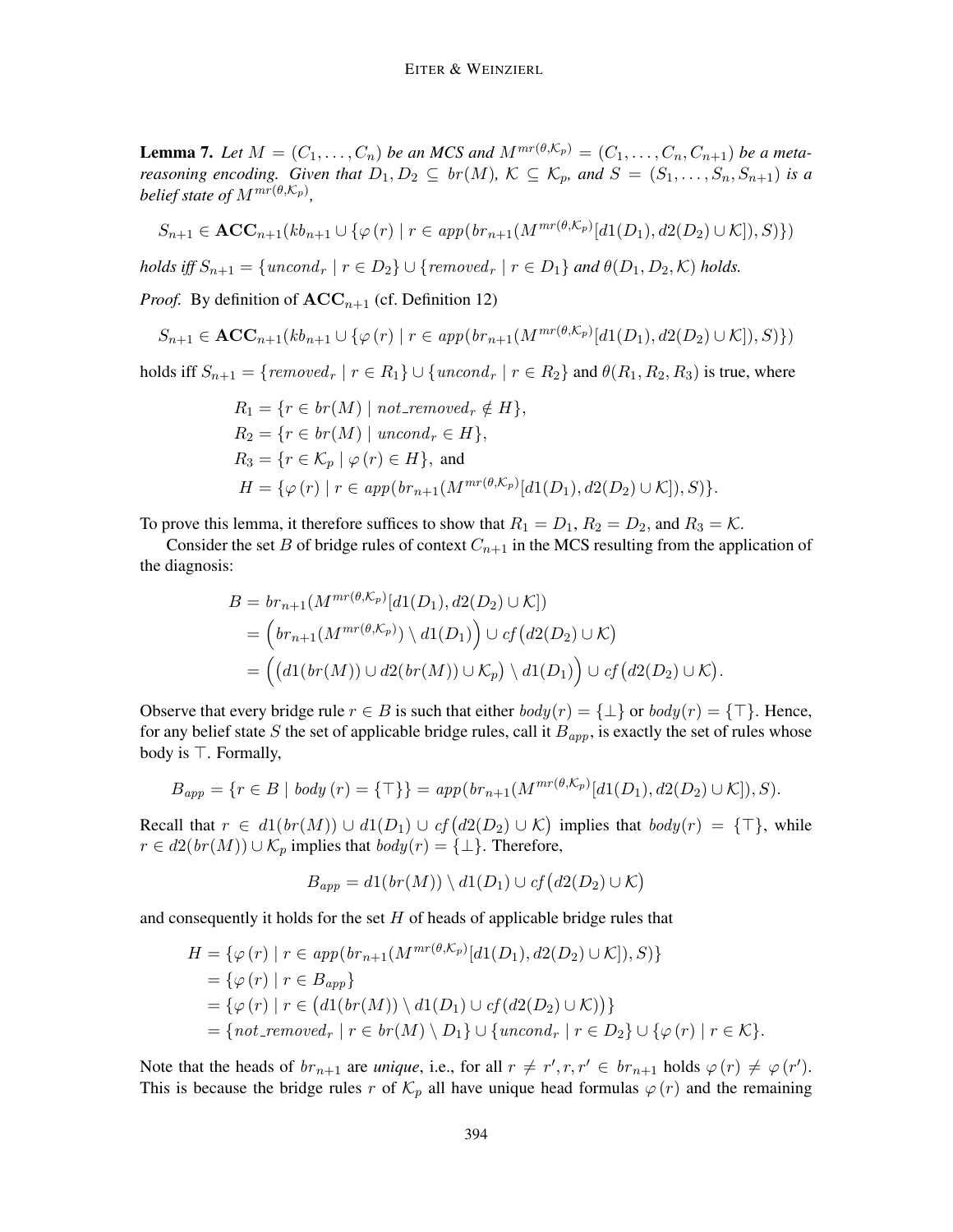**Lemma 7.** Let  $M = (C_1, ..., C_n)$  be an MCS and  $M^{mr(\theta, K_p)} = (C_1, ..., C_n, C_{n+1})$  be a meta*reasoning encoding. Given that*  $D_1, D_2 \subseteq br(M)$ ,  $K \subseteq K_p$ , and  $S = (S_1, \ldots, S_n, S_{n+1})$  *is a belief state of*  $M^{mr(\theta,\mathcal{K}_p)}$ ,

$$
S_{n+1} \in \mathbf{ACC}_{n+1}(kb_{n+1} \cup \{\varphi(r) \mid r \in app(br_{n+1}(M^{mr(\theta,\mathcal{K}_p)}[d1(D_1), d2(D_2) \cup \mathcal{K}]), S)\})
$$

*holds iff*  $S_{n+1} = \{uncond_r \mid r \in D_2\} \cup \{removed_r \mid r \in D_1\}$  and  $\theta(D_1, D_2, \mathcal{K})$  *holds.* 

*Proof.* By definition of  $ACC_{n+1}$  (cf. Definition 12)

$$
S_{n+1} \in \mathbf{ACC}_{n+1}(kb_{n+1} \cup \{ \varphi(r) \mid r \in app(br_{n+1}(M^{mr(\theta,\mathcal{K}_p)}[d1(D_1), d2(D_2) \cup \mathcal{K}]), S) \})
$$

holds iff  $S_{n+1} = \{removed_r \mid r \in R_1 \} \cup \{ uncond_r \mid r \in R_2 \}$  and  $\theta(R_1, R_2, R_3)$  is true, where

$$
R_1 = \{r \in br(M) \mid not\_removed_r \notin H\},
$$
  
\n
$$
R_2 = \{r \in br(M) \mid uncond_r \in H\},
$$
  
\n
$$
R_3 = \{r \in K_p \mid \varphi(r) \in H\},
$$
 and  
\n
$$
H = \{\varphi(r) \mid r \in app(br_{n+1}(M^{mr(\theta,\mathcal{K}_p)}[d_1(D_1), d_2(D_2) \cup \mathcal{K}]), S)\}.
$$

To prove this lemma, it therefore suffices to show that  $R_1 = D_1$ ,  $R_2 = D_2$ , and  $R_3 = K$ .

Consider the set B of bridge rules of context  $C_{n+1}$  in the MCS resulting from the application of the diagnosis:

$$
B = br_{n+1}(M^{mr(\theta,\mathcal{K}_p)}[d_1(D_1), d_2(D_2) \cup \mathcal{K}])
$$
  
= 
$$
(br_{n+1}(M^{mr(\theta,\mathcal{K}_p)}) \setminus d_1(D_1)) \cup cf(d_2(D_2) \cup \mathcal{K})
$$
  
= 
$$
((d_1(br(M)) \cup d_2(br(M)) \cup \mathcal{K}_p) \setminus d_1(D_1)) \cup cf(d_2(D_2) \cup \mathcal{K}).
$$

Observe that every bridge rule  $r \in B$  is such that either  $body(r) = \{\perp\}$  or  $body(r) = \{\top\}$ . Hence, for any belief state S the set of applicable bridge rules, call it  $B_{app}$ , is exactly the set of rules whose body is  $\top$ . Formally,

$$
B_{app} = \{r \in B \mid body(r) = {\top}\} = app(br_{n+1}(M^{mr(\theta,\mathcal{K}_p)}[d1(D_1), d2(D_2) \cup \mathcal{K}]), S).
$$

Recall that  $r \in d1(br(M)) \cup d1(D_1) \cup cf(d2(D_2) \cup K)$  implies that  $body(r) = {\top}$ , while  $r \in d2(br(M)) \cup \mathcal{K}_p$  implies that  $body(r) = {\perp}.$  Therefore,

$$
B_{app} = d1(br(M)) \setminus d1(D_1) \cup cf(d2(D_2) \cup K)
$$

and consequently it holds for the set  $H$  of heads of applicable bridge rules that

$$
H = \{ \varphi(r) \mid r \in app(br_{n+1}(M^{mr(\theta,\mathcal{K}_p)}[d1(D_1), d2(D_2) \cup \mathcal{K}]), S) \}
$$
  
=  $\{ \varphi(r) \mid r \in B_{app} \}$   
=  $\{ \varphi(r) \mid r \in (d1(br(M)) \setminus d1(D_1) \cup cf(d2(D_2) \cup \mathcal{K})) \}$   
=  $\{ not\_removed_r \mid r \in br(M) \setminus D_1 \} \cup \{ uncond_r \mid r \in D_2 \} \cup \{ \varphi(r) \mid r \in \mathcal{K} \}.$ 

Note that the heads of  $br_{n+1}$  are *unique*, i.e., for all  $r \neq r', r, r' \in br_{n+1}$  holds  $\varphi(r) \neq \varphi(r')$ . This is because the bridge rules r of  $\mathcal{K}_p$  all have unique head formulas  $\varphi(r)$  and the remaining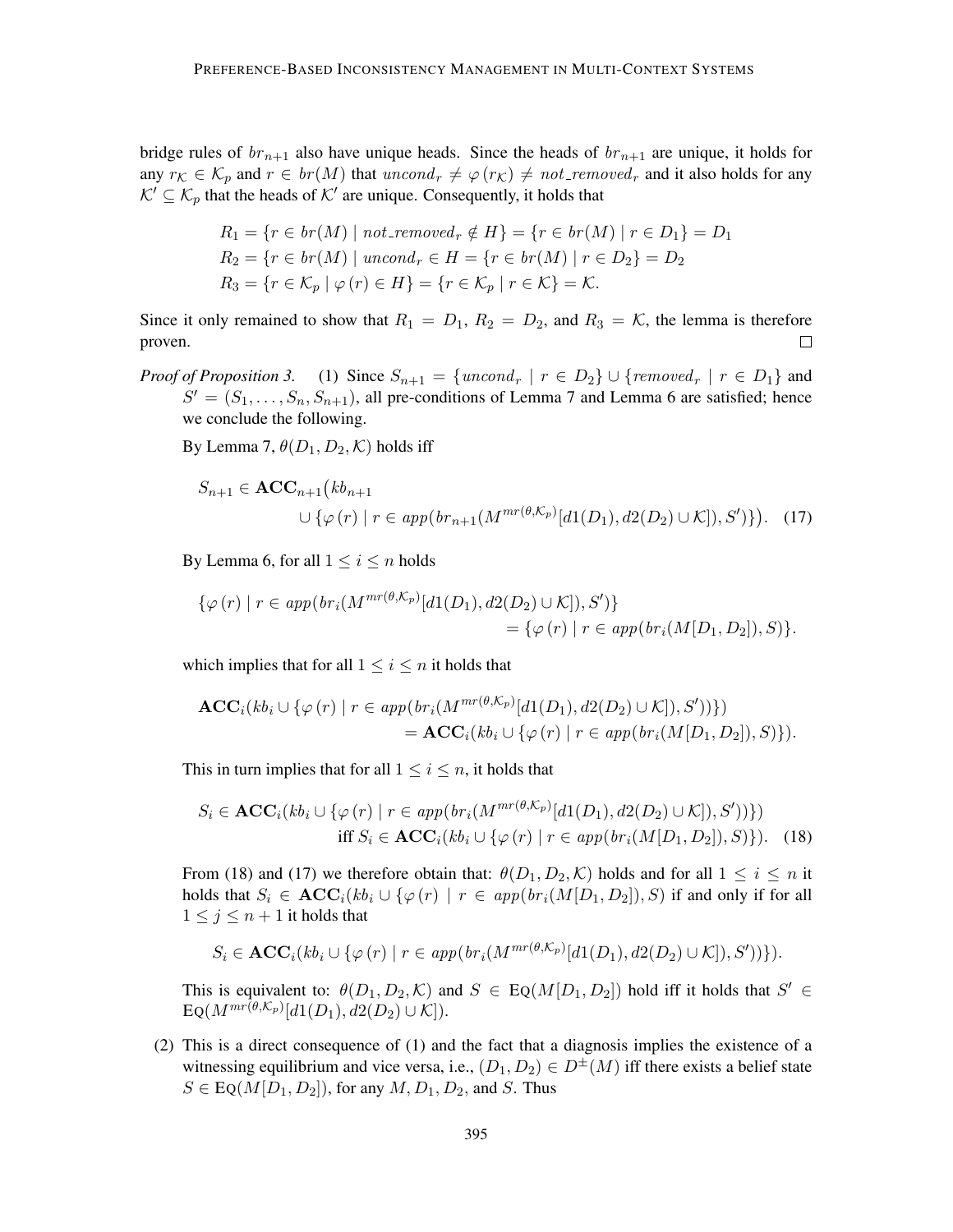bridge rules of  $br_{n+1}$  also have unique heads. Since the heads of  $br_{n+1}$  are unique, it holds for any  $r_K \in \mathcal{K}_p$  and  $r \in br(M)$  that  $uncond_r \neq \varphi(r_K) \neq not\_removed_r$  and it also holds for any  $K' \subseteq \mathcal{K}_p$  that the heads of  $\mathcal{K}'$  are unique. Consequently, it holds that

$$
R_1 = \{r \in br(M) \mid not\_removed_r \notin H\} = \{r \in br(M) \mid r \in D_1\} = D_1
$$
  
\n
$$
R_2 = \{r \in br(M) \mid uncond_r \in H = \{r \in br(M) \mid r \in D_2\} = D_2
$$
  
\n
$$
R_3 = \{r \in K_p \mid \varphi(r) \in H\} = \{r \in K_p \mid r \in K\} = K.
$$

Since it only remained to show that  $R_1 = D_1$ ,  $R_2 = D_2$ , and  $R_3 = K$ , the lemma is therefore proven.  $\Box$ 

*Proof of Proposition 3.* (1) Since  $S_{n+1} = \{uncond_r \mid r \in D_2\} \cup \{removed_r \mid r \in D_1\}$  and  $S' = (S_1, \ldots, S_n, S_{n+1})$ , all pre-conditions of Lemma 7 and Lemma 6 are satisfied; hence we conclude the following.

By Lemma 7,  $\theta(D_1, D_2, \mathcal{K})$  holds iff

$$
S_{n+1} \in \mathbf{ACC}_{n+1}(kb_{n+1} \\ \cup \{ \varphi(r) \mid r \in app(br_{n+1}(M^{mr(\theta,\mathcal{K}_p)}[d1(D_1), d2(D_2) \cup \mathcal{K}]), S') \}). \tag{17}
$$

By Lemma 6, for all  $1 \le i \le n$  holds

$$
\{\varphi(r) \mid r \in app(br_i(M^{mr(\theta,\mathcal{K}_p)}[d1(D_1), d2(D_2) \cup \mathcal{K}]), S')\} \\
= \{\varphi(r) \mid r \in app(br_i(M[D_1, D_2]), S)\}.
$$

which implies that for all  $1 \leq i \leq n$  it holds that

$$
\mathbf{ACC}_{i}(kb_{i} \cup \{\varphi(r) \mid r \in app(br_{i}(M^{mr(\theta,\mathcal{K}_{p})}[d1(D_{1}), d2(D_{2}) \cup \mathcal{K}]), S'))\})
$$
  
= 
$$
\mathbf{ACC}_{i}(kb_{i} \cup \{\varphi(r) \mid r \in app(br_{i}(M[D_{1}, D_{2}]), S)\}).
$$

This in turn implies that for all  $1 \leq i \leq n$ , it holds that

$$
S_i \in \mathbf{ACC}_i(kb_i \cup \{ \varphi(r) \mid r \in app(br_i(M^{mr(\theta,\mathcal{K}_p)}[d_1(D_1), d_2(D_2) \cup \mathcal{K}]), S')) \}
$$
  
iff 
$$
S_i \in \mathbf{ACC}_i(kb_i \cup \{ \varphi(r) \mid r \in app(br_i(M[D_1, D_2]), S) \}).
$$
 (18)

From (18) and (17) we therefore obtain that:  $\theta(D_1, D_2, \mathcal{K})$  holds and for all  $1 \leq i \leq n$  it holds that  $S_i \in \text{ACC}_i(kb_i \cup \{ \varphi(r) \mid r \in app(br_i(M[D_1, D_2]), S)$  if and only if for all  $1 \leq j \leq n+1$  it holds that

$$
S_i \in \mathbf{ACC}_i(kb_i \cup \{ \varphi(r) \mid r \in app(br_i(M^{mr(\theta,\mathcal{K}_p)}[d_1(D_1), d_2(D_2) \cup \mathcal{K}]), S'))\}.
$$

This is equivalent to:  $\theta(D_1, D_2, \mathcal{K})$  and  $S \in Eq(M[D_1, D_2])$  hold iff it holds that  $S' \in$  $\textsf{Eq}(M^{mr(\theta,\mathcal{K}_p)}[d1(D_1),d2(D_2)\cup\mathcal{K}]).$ 

(2) This is a direct consequence of (1) and the fact that a diagnosis implies the existence of a witnessing equilibrium and vice versa, i.e.,  $(D_1, D_2) \in D^{\pm}(M)$  iff there exists a belief state  $S \in Eq(M[D_1, D_2])$ , for any  $M, D_1, D_2$ , and S. Thus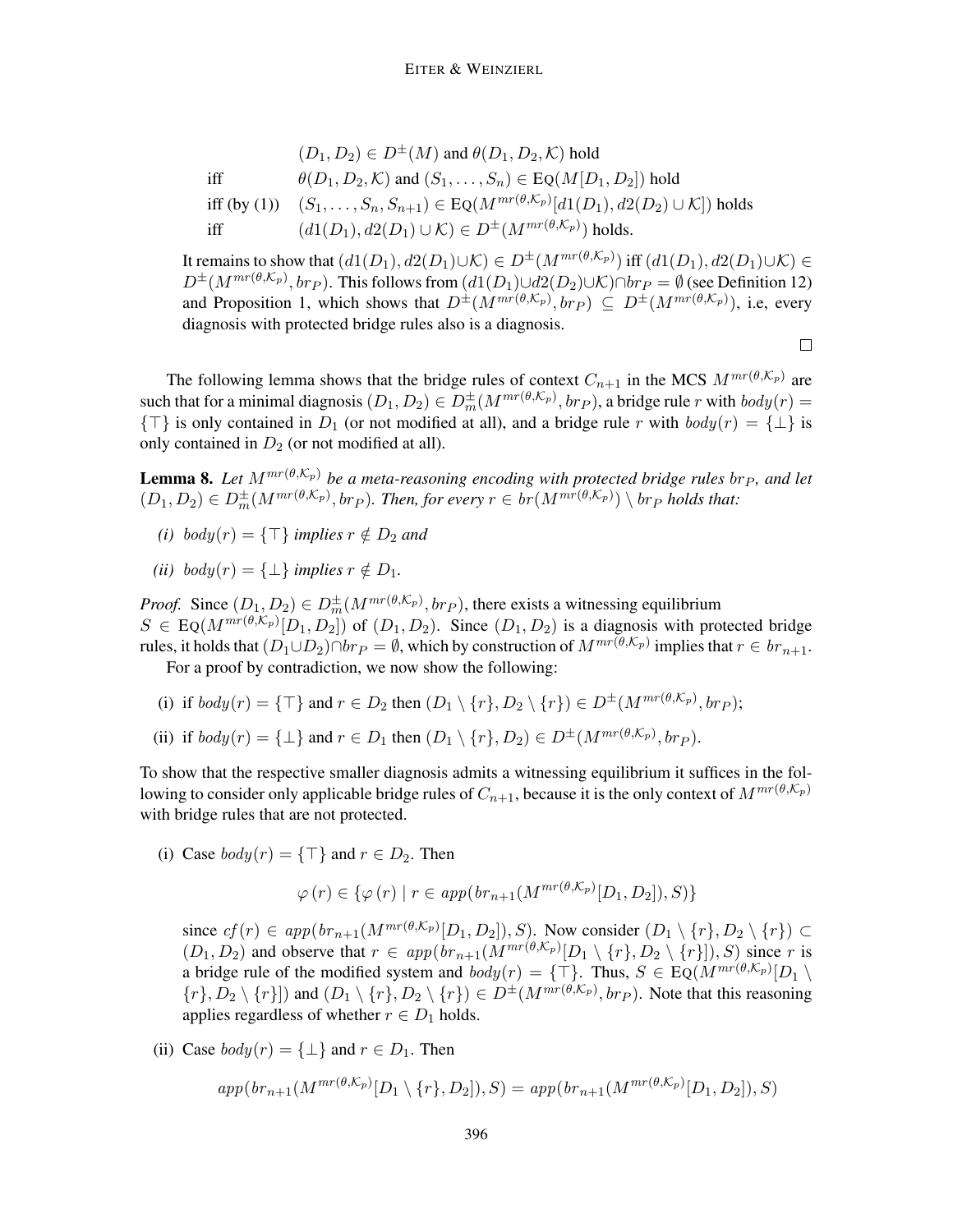$$
(D_1, D_2) \in D^{\pm}(M) \text{ and } \theta(D_1, D_2, \mathcal{K}) \text{ hold}
$$
  
iff  

$$
\theta(D_1, D_2, \mathcal{K}) \text{ and } (S_1, \dots, S_n) \in \text{Eq}(M[D_1, D_2]) \text{ hold}
$$
  
iff (by (1)) 
$$
(S_1, \dots, S_n, S_{n+1}) \in \text{Eq}(M^{mr(\theta, \mathcal{K}_p)}[d_1(D_1), d_2(D_2) \cup \mathcal{K}]) \text{ holds}
$$
  
iff  

$$
(d_1(D_1), d_2(D_1) \cup \mathcal{K}) \in D^{\pm}(M^{mr(\theta, \mathcal{K}_p)}) \text{ holds.}
$$

It remains to show that  $(d1(D_1), d2(D_1) \cup \mathcal{K}) \in D^{\pm}(M^{mr(\theta, \mathcal{K}_p)})$  iff  $(d1(D_1), d2(D_1) \cup \mathcal{K}) \in$  $D^{\pm}(M^{mr(\theta,\mathcal{K}_p)},br_P)$ . This follows from  $(d1(D_1)\cup d2(D_2)\cup \mathcal{K}) \cap br_P = \emptyset$  (see Definition 12) and Proposition 1, which shows that  $D^{\pm}(M^{mr(\theta,\mathcal{K}_p)},br_P) \subseteq D^{\pm}(M^{mr(\theta,\mathcal{K}_p)})$ , i.e, every diagnosis with protected bridge rules also is a diagnosis.

 $\Box$ 

The following lemma shows that the bridge rules of context  $C_{n+1}$  in the MCS  $M^{mr(\theta,\mathcal{K}_p)}$  are such that for a minimal diagnosis  $(D_1, D_2) \in D_m^{\pm}(M^{mr(\theta, \mathcal{K}_p)}, br_P)$ , a bridge rule  $r$  with  $body(r) =$  ${\{\top\}}$  is only contained in  $D_1$  (or not modified at all), and a bridge rule r with  $body(r) = {\{\bot\}}$  is only contained in  $D_2$  (or not modified at all).

**Lemma 8.** Let  $M^{mr(\theta,\mathcal{K}_p)}$  be a meta-reasoning encoding with protected bridge rules br<sub>P</sub>, and let  $(D_1, D_2) \in D_m^{\pm}(M^{mr(\theta, \mathcal{K}_p)}, br_P)$ . Then, for every  $r \in br(M^{mr(\theta, \mathcal{K}_p)}) \setminus br_P$  holds that:

- *(i)*  $body(r) = \{\top\}$  *implies*  $r \notin D_2$  *and*
- *(ii)*  $body(r) = \{\perp\}$  *implies*  $r \notin D_1$ .

*Proof.* Since  $(D_1, D_2) \in D_m^{\pm}(M^{mr(\theta, \mathcal{K}_p)}, br_P)$ , there exists a witnessing equilibrium  $S \in \text{Eq}(M^{mr(\theta,\mathcal{K}_p)}[D_1, D_2])$  of  $(D_1, D_2)$ . Since  $(D_1, D_2)$  is a diagnosis with protected bridge rules, it holds that  $(D_1\cup D_2)\cap br_P=\emptyset$ , which by construction of  $M^{mr(\theta,\mathcal{K}_p)}$  implies that  $r\in br_{n+1}.$ 

For a proof by contradiction, we now show the following:

(i) if  $body(r) = {\top}$  and  $r \in D_2$  then  $(D_1 \setminus \{r\}, D_2 \setminus \{r\}) \in D^{\pm}(M^{mr(\theta,\mathcal{K}_p)}, br_P);$ 

(ii) if  $body(r) = {\perp}$  and  $r \in D_1$  then  $(D_1 \setminus \{r\}, D_2) \in D^{\pm}(M^{mr(\theta, \mathcal{K}_p)}, br_P)$ .

To show that the respective smaller diagnosis admits a witnessing equilibrium it suffices in the following to consider only applicable bridge rules of  $C_{n+1}$ , because it is the only context of  $M^{mr(\theta,\mathcal{K}_p)}$ with bridge rules that are not protected.

(i) Case  $body(r) = {\top}$  and  $r \in D_2$ . Then

$$
\varphi(r) \in \{ \varphi(r) \mid r \in app(br_{n+1}(M^{mr(\theta,\mathcal{K}_p)}[D_1, D_2]), S) \}
$$

since  $cf(r) \in app(br_{n+1}(M^{mr(\theta,\mathcal{K}_p)}[D_1, D_2]), S)$ . Now consider  $(D_1 \setminus \{r\}, D_2 \setminus \{r\}) \subset$  $(D_1, D_2)$  and observe that  $r \in app(br_{n+1}(M^{mr(\theta,\mathcal{K}_p)}[D_1 \setminus \{r\}, D_2 \setminus \{r\}]), S)$  since r is a bridge rule of the modified system and  $body(r) = {\{\top\}}$ . Thus,  $S \in \text{Eq}(M^{mr(\theta,\mathcal{K}_p)}[D_1 \setminus$  $\{r\}, D_2 \setminus \{r\}$ ) and  $(D_1 \setminus \{r\}, D_2 \setminus \{r\}) \in D^{\pm}(M^{mr(\theta,\mathcal{K}_p)}, br_P)$ . Note that this reasoning applies regardless of whether  $r \in D_1$  holds.

(ii) Case  $body(r) = \{\perp\}$  and  $r \in D_1$ . Then

$$
app(br_{n+1}(M^{mr(\theta,\mathcal{K}_p)}[D_1 \setminus \{r\}, D_2]), S) = app(br_{n+1}(M^{mr(\theta,\mathcal{K}_p)}[D_1, D_2]), S)
$$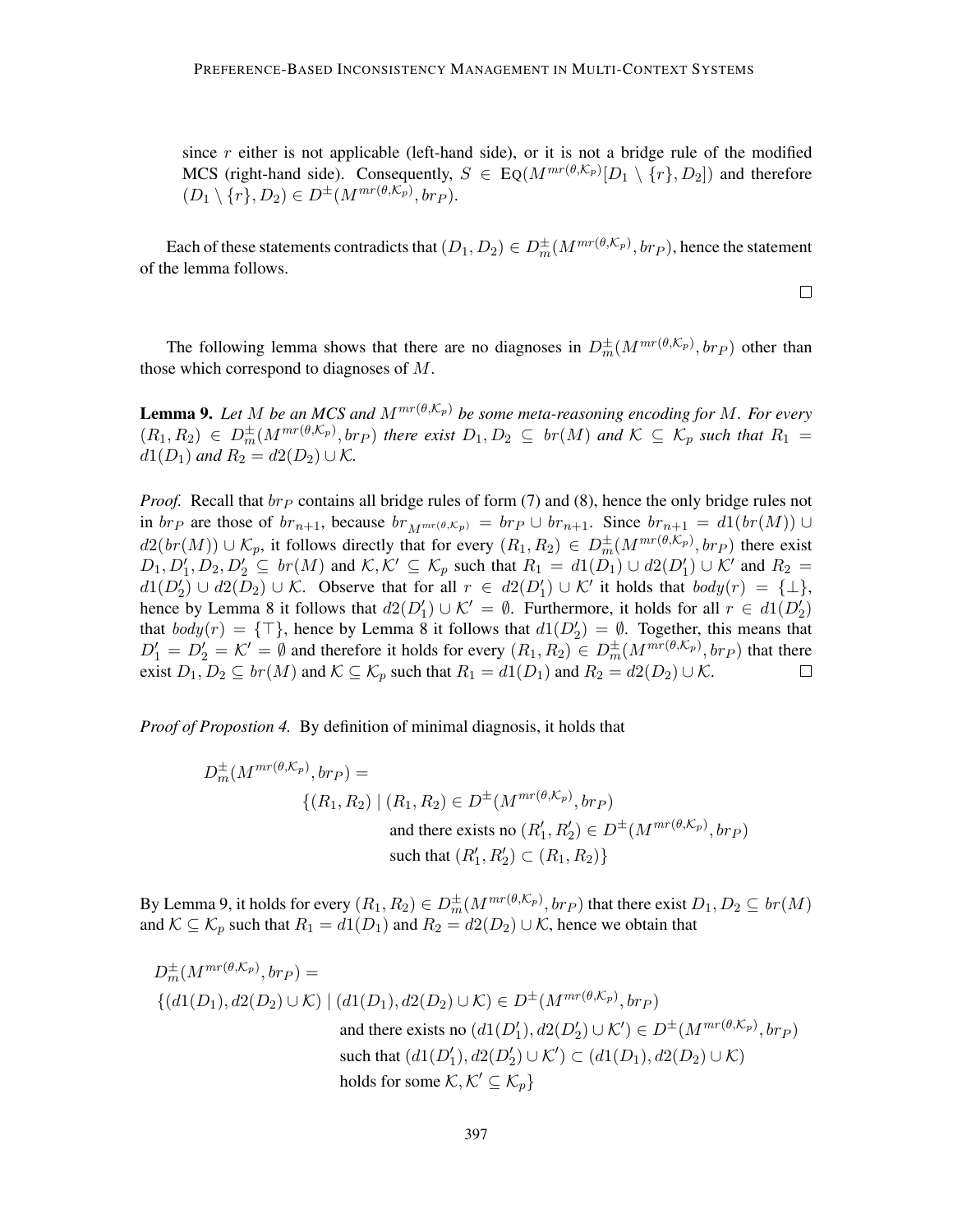since  $r$  either is not applicable (left-hand side), or it is not a bridge rule of the modified MCS (right-hand side). Consequently,  $S \in \text{Eq}(M^{mr(\theta,\mathcal{K}_p)}[D_1 \setminus \{r\}, D_2])$  and therefore  $(D_1 \setminus \{r\}, D_2) \in D^{\pm}(M^{mr(\theta, \mathcal{K}_p)}, br_P).$ 

Each of these statements contradicts that  $(D_1,D_2)\in D_m^\pm(M^{mr(\theta,\mathcal{K}_p)},br_P),$  hence the statement of the lemma follows.

 $\Box$ 

The following lemma shows that there are no diagnoses in  $D_m^{\pm}(M^{mr(\theta,\mathcal{K}_p)}, br_P)$  other than those which correspond to diagnoses of  $M$ .

**Lemma 9.** Let M be an MCS and  $M^{mr}(\theta,\mathcal{K}_p)$  be some meta-reasoning encoding for M. For every  $(R_1,R_2) \in D_m^{\pm}(M^{mr(\theta,\mathcal{K}_p)},br_P)$  there exist  $D_1,D_2 \subseteq br(M)$  and  $\mathcal{K} \subseteq \mathcal{K}_p$  such that  $R_1 =$  $d1(D_1)$  *and*  $R_2 = d2(D_2) \cup K$ .

*Proof.* Recall that  $brp$  contains all bridge rules of form (7) and (8), hence the only bridge rules not in br<sub>P</sub> are those of br<sub>n+1</sub>, because br<sub>Mmr( $\theta$ , $\kappa_p$ ) = br<sub>P</sub> ∪ br<sub>n+1</sub>. Since br<sub>n+1</sub> = d1(br(M)) ∪</sub>  $d2(br(M)) \cup \mathcal{K}_p$ , it follows directly that for every  $(R_1, R_2) \in D_m^{\pm}(M^{mr(\theta, \mathcal{K}_p)}, br_P)$  there exist  $D_1, D'_1, D_2, D'_2 \subseteq br(M)$  and  $K, K' \subseteq K_p$  such that  $R_1 = d1(D_1) \cup d2(D'_1) \cup K'$  and  $R_2 =$  $d1(D'_2) \cup d2(D_2) \cup \mathcal{K}$ . Observe that for all  $r \in d2(D'_1) \cup \mathcal{K}'$  it holds that  $body(r) = {\perp},$ hence by Lemma 8 it follows that  $d2(D'_1) \cup \mathcal{K}' = \emptyset$ . Furthermore, it holds for all  $r \in d1(D'_2)$ that  $body(r) = {\top}$ , hence by Lemma 8 it follows that  $d1(D'_2) = \emptyset$ . Together, this means that  $D_1' = D_2' = \mathcal{K}' = \emptyset$  and therefore it holds for every  $(R_1, R_2) \in D_m^{\pm}(M^{mr(\theta, \mathcal{K}_p)}, br_P)$  that there exist  $D_1, D_2 \subseteq br(M)$  and  $K \subseteq K_p$  such that  $R_1 = d1(D_1)$  and  $R_2 = d2(D_2) \cup K$ .  $\perp$ 

*Proof of Propostion 4.* By definition of minimal diagnosis, it holds that

$$
D_m^{\pm}(M^{mr(\theta,\mathcal{K}_p)},br_P) =
$$
  
\n
$$
\{(R_1, R_2) | (R_1, R_2) \in D^{\pm}(M^{mr(\theta,\mathcal{K}_p)},br_P)
$$
  
\nand there exists no  $(R'_1, R'_2) \in D^{\pm}(M^{mr(\theta,\mathcal{K}_p)},br_P)$   
\nsuch that  $(R'_1, R'_2) \subset (R_1, R_2)\}$ 

By Lemma 9, it holds for every  $(R_1,R_2)\in D_m^\pm(M^{mr(\theta,\mathcal{K}_p)},br_P)$  that there exist  $D_1,D_2\subseteq br(M)$ and  $\mathcal{K} \subseteq \mathcal{K}_p$  such that  $R_1 = d_1(D_1)$  and  $R_2 = d_2(D_2) \cup \mathcal{K}$ , hence we obtain that

$$
D_m^{\pm}(M^{mr(\theta,\mathcal{K}_p)},br_P) =
$$
  
\n
$$
\{(d1(D_1), d2(D_2) \cup \mathcal{K}) \mid (d1(D_1), d2(D_2) \cup \mathcal{K}) \in D^{\pm}(M^{mr(\theta,\mathcal{K}_p)},br_P)
$$
  
\nand there exists no  $(d1(D'_1), d2(D'_2) \cup \mathcal{K}') \in D^{\pm}(M^{mr(\theta,\mathcal{K}_p)},br_P)$   
\nsuch that  $(d1(D'_1), d2(D'_2) \cup \mathcal{K}') \subset (d1(D_1), d2(D_2) \cup \mathcal{K})$   
\nholds for some  $\mathcal{K}, \mathcal{K}' \subseteq \mathcal{K}_p\}$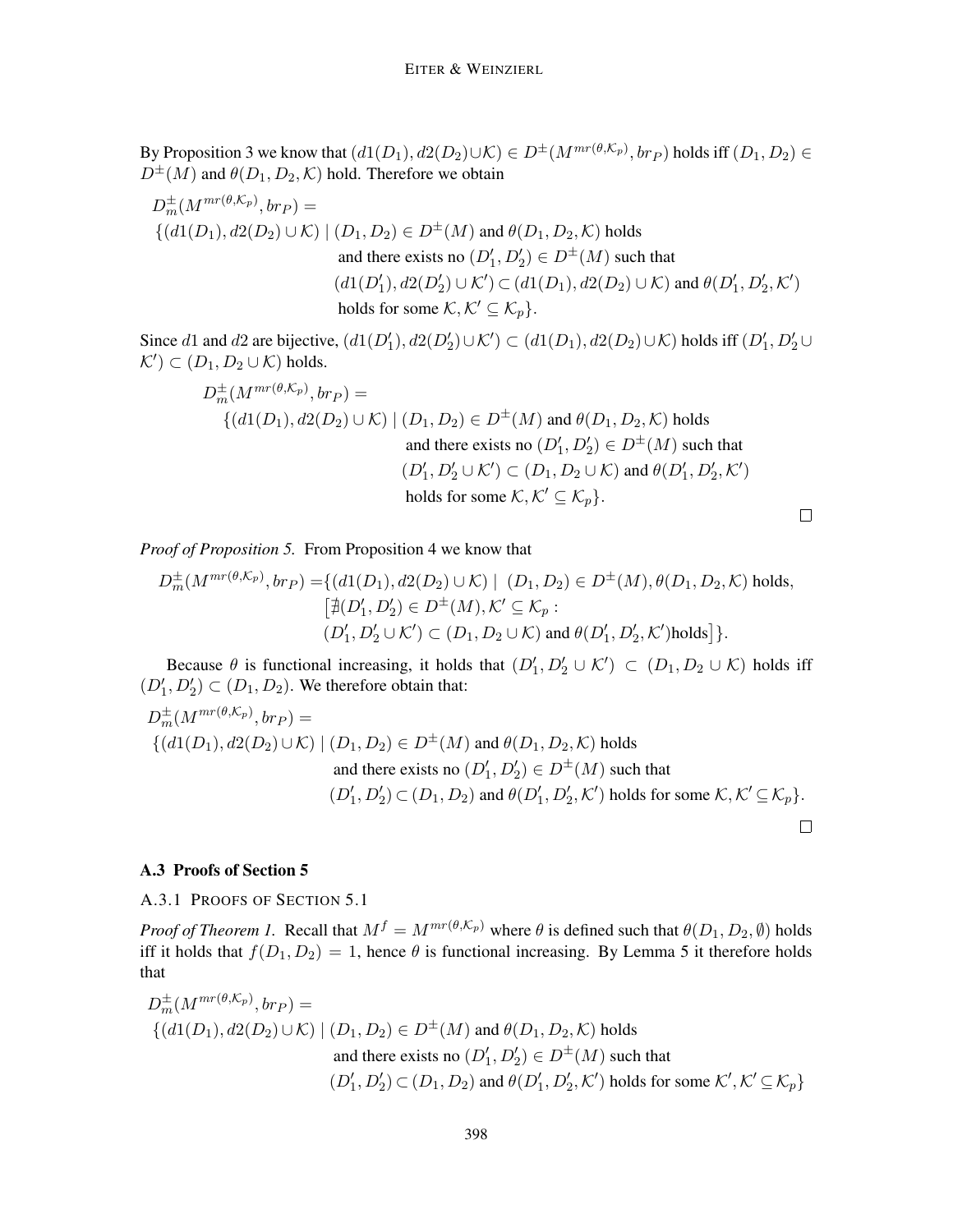By Proposition 3 we know that  $(d1(D_1), d2(D_2) \cup \mathcal{K}) \in D^{\pm}(M^{mr(\theta, \mathcal{K}_p)}, br_P)$  holds iff  $(D_1, D_2) \in D$  $D^{\pm}(M)$  and  $\theta(D_1, D_2, \mathcal{K})$  hold. Therefore we obtain

$$
D_m^{\pm}(M^{mr(\theta,\mathcal{K}_p)},br_P) =
$$
  
\n
$$
\{(d1(D_1), d2(D_2) \cup \mathcal{K}) \mid (D_1, D_2) \in D^{\pm}(M) \text{ and } \theta(D_1, D_2, \mathcal{K}) \text{ holds}
$$
  
\nand there exists no  $(D'_1, D'_2) \in D^{\pm}(M)$  such that  
\n
$$
(d1(D'_1), d2(D'_2) \cup \mathcal{K}') \subset (d1(D_1), d2(D_2) \cup \mathcal{K}) \text{ and } \theta(D'_1, D'_2, \mathcal{K}')
$$
  
\nholds for some  $\mathcal{K}, \mathcal{K}' \subseteq \mathcal{K}_p\}.$ 

Since d1 and d2 are bijective,  $(d1(D'_1), d2(D'_2) \cup \mathcal{K}') \subset (d1(D_1), d2(D_2) \cup \mathcal{K})$  holds iff  $(D'_1, D'_2 \cup$  $\mathcal{K}' \subset (D_1, D_2 \cup \mathcal{K})$  holds.

$$
D_m^{\pm}(M^{mr(\theta,\mathcal{K}_p)},br_P) =
$$
  
\n
$$
\{(d1(D_1), d2(D_2) \cup \mathcal{K}) \mid (D_1, D_2) \in D^{\pm}(M) \text{ and } \theta(D_1, D_2, \mathcal{K}) \text{ holds}
$$
  
\nand there exists no  $(D'_1, D'_2) \in D^{\pm}(M)$  such that  
\n $(D'_1, D'_2 \cup \mathcal{K}') \subset (D_1, D_2 \cup \mathcal{K}) \text{ and } \theta(D'_1, D'_2, \mathcal{K}')$   
\nholds for some  $\mathcal{K}, \mathcal{K}' \subseteq \mathcal{K}_p$ .

 $\Box$ 

# *Proof of Proposition 5.* From Proposition 4 we know that

$$
D_m^{\pm}(M^{mr(\theta,\mathcal{K}_p)},br_P) = \{(d1(D_1), d2(D_2) \cup \mathcal{K}) \mid (D_1, D_2) \in D^{\pm}(M), \theta(D_1, D_2, \mathcal{K}) \text{ holds},
$$
  

$$
[\nexists (D'_1, D'_2) \in D^{\pm}(M), \mathcal{K}' \subseteq \mathcal{K}_p :
$$
  

$$
(D'_1, D'_2 \cup \mathcal{K}') \subset (D_1, D_2 \cup \mathcal{K}) \text{ and } \theta(D'_1, D'_2, \mathcal{K}') \text{holds}]\}.
$$

Because  $\theta$  is functional increasing, it holds that  $(D'_1, D'_2 \cup \mathcal{K}') \subset (D_1, D_2 \cup \mathcal{K})$  holds iff  $(D'_1, D'_2) \subset (D_1, D_2)$ . We therefore obtain that:

$$
D_m^{\pm}(M^{mr(\theta,\mathcal{K}_p)},br_P) =
$$
  
\n
$$
\{(d1(D_1), d2(D_2) \cup \mathcal{K}) \mid (D_1, D_2) \in D^{\pm}(M) \text{ and } \theta(D_1, D_2, \mathcal{K}) \text{ holds}
$$
  
\nand there exists no  $(D'_1, D'_2) \in D^{\pm}(M)$  such that  
\n $(D'_1, D'_2) \subset (D_1, D_2) \text{ and } \theta(D'_1, D'_2, \mathcal{K}')$  holds for some  $\mathcal{K}, \mathcal{K}' \subseteq \mathcal{K}_p\}$ .

### A.3 Proofs of Section 5

#### A.3.1 PROOFS OF SECTION 5.1

*Proof of Theorem 1.* Recall that  $M^f = M^{mr(\theta,\mathcal{K}_p)}$  where  $\theta$  is defined such that  $\theta(D_1, D_2, \emptyset)$  holds iff it holds that  $f(D_1, D_2) = 1$ , hence  $\theta$  is functional increasing. By Lemma 5 it therefore holds that

$$
D_m^{\pm}(M^{mr(\theta,\mathcal{K}_p)},br_P) =
$$
  
\n
$$
\{(d1(D_1), d2(D_2) \cup \mathcal{K}) \mid (D_1, D_2) \in D^{\pm}(M) \text{ and } \theta(D_1, D_2, \mathcal{K}) \text{ holds}
$$
  
\nand there exists no  $(D'_1, D'_2) \in D^{\pm}(M)$  such that  
\n $(D'_1, D'_2) \subset (D_1, D_2) \text{ and } \theta(D'_1, D'_2, \mathcal{K}')$  holds for some  $\mathcal{K}', \mathcal{K}' \subseteq \mathcal{K}_p\}$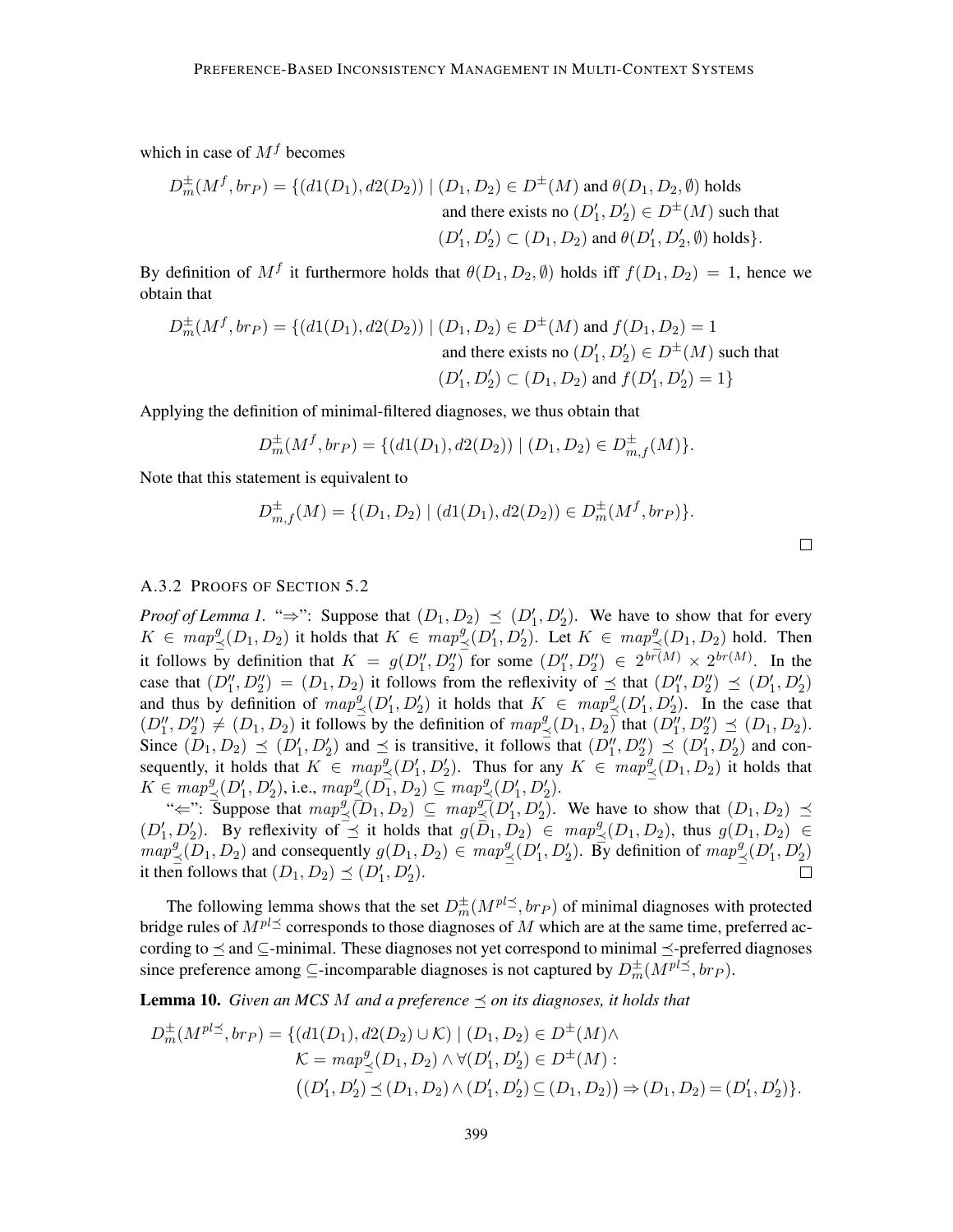which in case of  $M<sup>f</sup>$  becomes

$$
D_m^{\pm}(M^f, br_P) = \{ (d1(D_1), d2(D_2)) \mid (D_1, D_2) \in D^{\pm}(M) \text{ and } \theta(D_1, D_2, \emptyset) \text{ holds} \}
$$
  
and there exists no  $(D'_1, D'_2) \in D^{\pm}(M)$  such that  
 $(D'_1, D'_2) \subset (D_1, D_2)$  and  $\theta(D'_1, D'_2, \emptyset)$  holds.

By definition of  $M^f$  it furthermore holds that  $\theta(D_1, D_2, \emptyset)$  holds iff  $f(D_1, D_2) = 1$ , hence we obtain that

$$
D_m^{\pm}(M^f, br_P) = \{(d1(D_1), d2(D_2)) | (D_1, D_2) \in D^{\pm}(M) \text{ and } f(D_1, D_2) = 1
$$
  
and there exists no  $(D'_1, D'_2) \in D^{\pm}(M)$  such that  
 $(D'_1, D'_2) \subset (D_1, D_2)$  and  $f(D'_1, D'_2) = 1\}$ 

Applying the definition of minimal-filtered diagnoses, we thus obtain that

$$
D_m^{\pm}(M^f, br_P) = \{ (d1(D_1), d2(D_2)) \mid (D_1, D_2) \in D_{m,f}^{\pm}(M) \}.
$$

Note that this statement is equivalent to

$$
D_{m,f}^{\pm}(M) = \{ (D_1, D_2) \mid (d1(D_1), d2(D_2)) \in D_m^{\pm}(M^f, br_P) \}.
$$

#### A.3.2 PROOFS OF SECTION 5.2

*Proof of Lemma 1.* " $\Rightarrow$ ": Suppose that  $(D_1, D_2) \preceq (D'_1, D'_2)$ . We have to show that for every  $K \in \mathfrak{map}^g$  $\frac{g}{\leq}(D_1, D_2)$  it holds that  $K \in \mathbb{R}^n$  $\frac{g}{\leq}(D'_1, D'_2)$ . Let  $K \in map^g$  $\frac{g}{\leq}(D_1, D_2)$  hold. Then it follows by definition that  $K = g(D''_1, D''_2)$  for some  $(D''_1, D''_2) \in 2^{br(M)} \times 2^{br(M)}$ . In the case that  $(D''_1, D''_2) = (D_1, D_2)$  it follows from the reflexivity of  $\preceq$  that  $(D''_1, D''_2) \preceq (D'_1, D'_2)$ and thus by definition of  $map^g$ .  $\frac{g}{\leq}(D_1', D_2')$  it holds that  $K \in \text{map}_{\preceq}^g$  $\leq^g (D'_1, D'_2)$ . In the case that  $(D''_1, D''_2) \neq (D_1, D_2)$  it follows by the definition of  $map^g$  $\frac{g}{\leq}(D_1, D_2)$  that  $(D''_1, D''_2) \preceq (D_1, D_2)$ . Since  $(D_1, D_2) \preceq (D'_1, D'_2)$  and  $\preceq$  is transitive, it follows that  $(D''_1, D''_2) \preceq (D'_1, D'_2)$  and consequently, it holds that  $K \in map^g$ .  $\frac{g}{\leq}(D_1', D_2')$ . Thus for any  $K \in \text{map}_{\preceq}^g$  $\leq^g(D_1, D_2)$  it holds that  $K \in map^g$  $\stackrel{g}{\leq}$  $(D'_1, D'_2)$ , i.e.,  $map^g$  $\frac{g}{\preceq}(D_1,D_2) \subseteq map^g$  $\stackrel{g}{\leq}$   $(D'_1, D'_2)$ .

" $\Leftarrow$ ": Suppose that  $map^g$  $(\overline{D}_1, D_2) \subseteq map^g$  $\frac{g}{\leq}(D_1', D_2')$ . We have to show that  $(D_1, D_2) \preceq$  $(D'_1, D'_2)$ . By reflexivity of  $\preceq$  it holds that  $g(D_1, D_2) \preceq map_2^g$  $\stackrel{g}{\preceq}(D_1, D_2)$ , thus  $g(D_1, D_2) \in$  $map^g$  $\sum_{n=1}^{g} (D_1, D_2)$  and consequently  $g(D_1, D_2) \in map_{\preceq}^g$  $\frac{g}{\leq}(D_1', D_2')$ . By definition of  $map_{\frac{3}{2}}^g$  $\stackrel{g}{\preceq}(D_1', D_2')$ it then follows that  $(D_1, D_2) \preceq (D'_1, D'_2)$ .

The following lemma shows that the set  $D_m^{\pm}(M^{pl} \leq, br_P)$  of minimal diagnoses with protected bridge rules of  $M^{pl} \preceq$  corresponds to those diagnoses of M which are at the same time, preferred according to  $\leq$  and  $\subseteq$ -minimal. These diagnoses not yet correspond to minimal  $\leq$ -preferred diagnoses since preference among  $\subseteq$ -incomparable diagnoses is not captured by  $D_m^{\pm}(M^{pl} \preceq, br_P)$ .

**Lemma 10.** *Given an MCS M and a preference*  $\leq$  *on its diagnoses, it holds that* 

$$
D_m^{\pm}(M^{pl\preceq}, br_P) = \{ (d1(D_1), d2(D_2) \cup \mathcal{K}) \mid (D_1, D_2) \in D^{\pm}(M) \wedge \mathcal{K} = map_{\preceq}^q(D_1, D_2) \wedge \forall (D'_1, D'_2) \in D^{\pm}(M) : ((D'_1, D'_2) \preceq (D_1, D_2) \wedge (D'_1, D'_2) \subseteq (D_1, D_2)) \Rightarrow (D_1, D_2) = (D'_1, D'_2) \}.
$$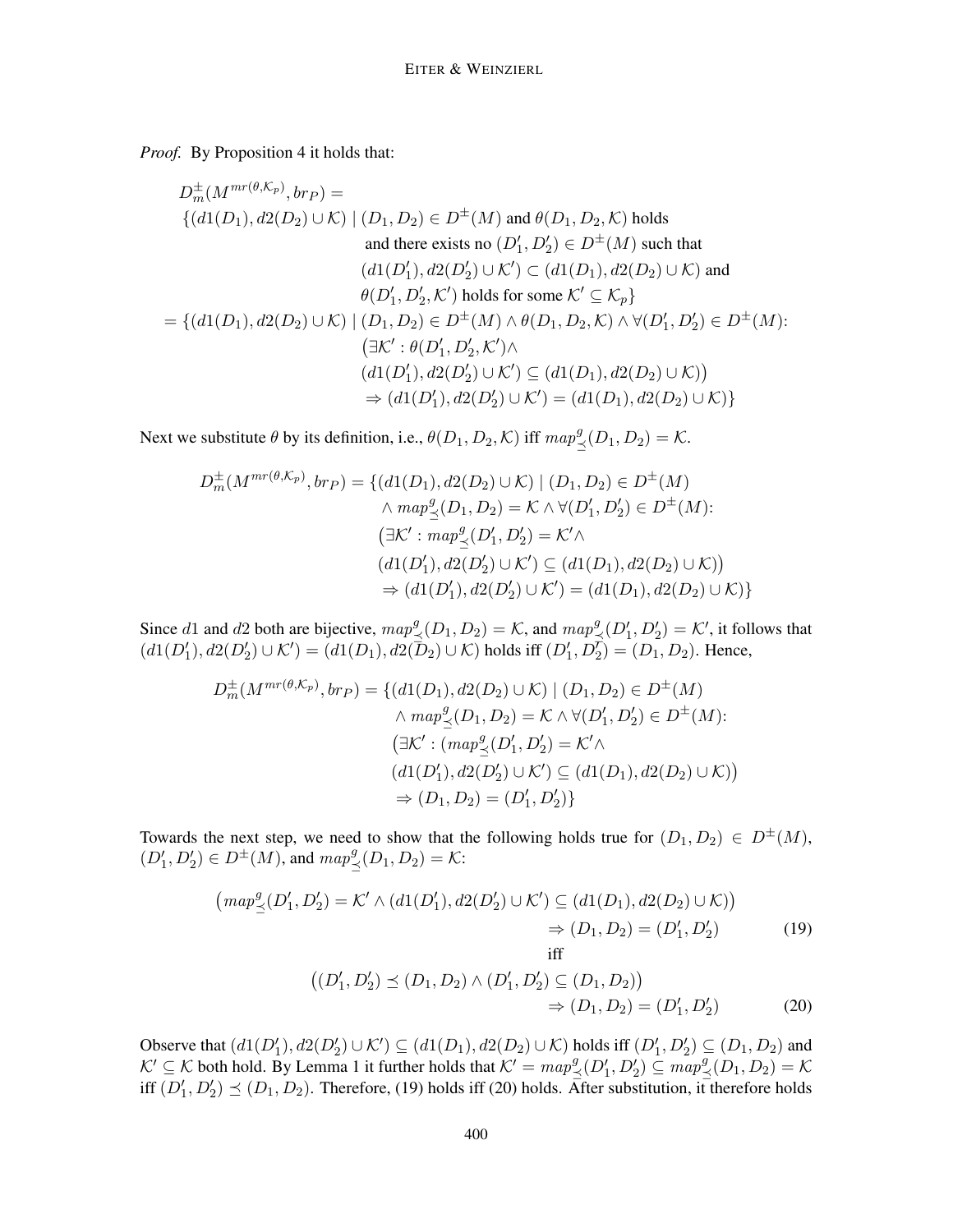*Proof.* By Proposition 4 it holds that:

$$
D_m^{\pm}(M^{mr(\theta,\mathcal{K}_p)},br_P) =
$$
  
\n
$$
\{(d1(D_1), d2(D_2) \cup \mathcal{K}) | (D_1, D_2) \in D^{\pm}(M) \text{ and } \theta(D_1, D_2, \mathcal{K}) \text{ holds}
$$
  
\nand there exists no  $(D'_1, D'_2) \in D^{\pm}(M)$  such that  
\n
$$
(d1(D'_1), d2(D'_2) \cup \mathcal{K}') \subset (d1(D_1), d2(D_2) \cup \mathcal{K}) \text{ and}
$$
  
\n
$$
\theta(D'_1, D'_2, \mathcal{K}') \text{ holds for some } \mathcal{K}' \subseteq \mathcal{K}_p\}
$$
  
\n
$$
= \{(d1(D_1), d2(D_2) \cup \mathcal{K}) | (D_1, D_2) \in D^{\pm}(M) \land \theta(D_1, D_2, \mathcal{K}) \land \forall (D'_1, D'_2) \in D^{\pm}(M) \colon
$$
  
\n
$$
(\exists \mathcal{K}' : \theta(D'_1, D'_2, \mathcal{K}') \land
$$
  
\n
$$
(d1(D'_1), d2(D'_2) \cup \mathcal{K}') \subseteq (d1(D_1), d2(D_2) \cup \mathcal{K})\}
$$
  
\n
$$
\Rightarrow (d1(D'_1), d2(D'_2) \cup \mathcal{K}') = (d1(D_1), d2(D_2) \cup \mathcal{K})\}
$$

Next we substitute  $\theta$  by its definition, i.e.,  $\theta(D_1, D_2, \mathcal{K})$  iff  $map^0$ .  ${}_{\preceq}^{g}(D_1, D_2) = \mathcal{K}.$ 

$$
D_m^{\pm}(M^{mr(\theta,\mathcal{K}_p)},br_P) = \{(d1(D_1), d2(D_2) \cup \mathcal{K}) \mid (D_1, D_2) \in D^{\pm}(M) \wedge map_{\preceq}^g(D_1, D_2) = \mathcal{K} \wedge \forall (D'_1, D'_2) \in D^{\pm}(M): (\exists \mathcal{K}' : map_{\preceq}^g(D'_1, D'_2) = \mathcal{K}' \wedge (d1(D'_1), d2(D'_2) \cup \mathcal{K}') \subseteq (d1(D_1), d2(D_2) \cup \mathcal{K}) \Rightarrow (d1(D'_1), d2(D'_2) \cup \mathcal{K}') = (d1(D_1), d2(D_2) \cup \mathcal{K}) \}
$$

Since d1 and d2 both are bijective,  $map^g$ .  $\frac{g}{\leq}(D_1, D_2) = \mathcal{K}$ , and  $map_{\preceq}^g$  $\frac{g}{\preceq}(D_1', D_2') = \mathcal{K}'$ , it follows that  $(d1(D'_1), d2(D'_2) \cup \mathcal{K}') = (d1(D_1), d2(\overline{D}_2) \cup \mathcal{K})$  holds iff  $(D'_1, D'_2) = (D_1, D_2)$ . Hence,

$$
D_m^{\pm}(M^{mr(\theta,\mathcal{K}_p)},br_P) = \{(d1(D_1), d2(D_2) \cup \mathcal{K}) \mid (D_1, D_2) \in D^{\pm}(M) \land map_{\preceq}^g(D_1, D_2) = \mathcal{K} \land \forall (D'_1, D'_2) \in D^{\pm}(M): (\exists \mathcal{K}' : (map_{\preceq}^g(D'_1, D'_2) = \mathcal{K}' \land (d1(D'_1), d2(D'_2) \cup \mathcal{K}') \subseteq (d1(D_1), d2(D_2) \cup \mathcal{K}) \Rightarrow (D_1, D_2) = (D'_1, D'_2)\}
$$

Towards the next step, we need to show that the following holds true for  $(D_1, D_2) \in D^{\pm}(M)$ ,  $(D'_1, D'_2) \in D^{\pm}(M)$ , and  $map^g$  $\frac{g}{\preceq}(D_1, D_2) = \mathcal{K}$ :

$$
(map_{\preceq}^{g}(D'_{1}, D'_{2}) = \mathcal{K}' \wedge (d1(D'_{1}), d2(D'_{2}) \cup \mathcal{K}') \subseteq (d1(D_{1}), d2(D_{2}) \cup \mathcal{K}))
$$
  
\n
$$
\Rightarrow (D_{1}, D_{2}) = (D'_{1}, D'_{2})
$$
  
\niff  
\n
$$
((D'_{1}, D'_{2}) \preceq (D_{1}, D_{2}) \wedge (D'_{1}, D'_{2}) \subseteq (D_{1}, D_{2}))
$$
  
\n
$$
\Rightarrow (D_{1}, D_{2}) = (D'_{1}, D'_{2})
$$
  
\n
$$
(20)
$$

Observe that  $(d_1(D'_1), d_2(D'_2) \cup \mathcal{K}') \subseteq (d_1(D_1), d_2(D_2) \cup \mathcal{K})$  holds iff  $(D'_1, D'_2) \subseteq (D_1, D_2)$  and  $K' \subseteq K$  both hold. By Lemma 1 it further holds that  $K' = map^g$ .  $\leq^g(D'_1, D'_2) \subseteq map^g$  $\frac{g}{\preceq}(D_1, D_2) = \mathcal{K}$ iff  $(D'_1, D'_2) \preceq (D_1, D_2)$ . Therefore, (19) holds iff (20) holds. After substitution, it therefore holds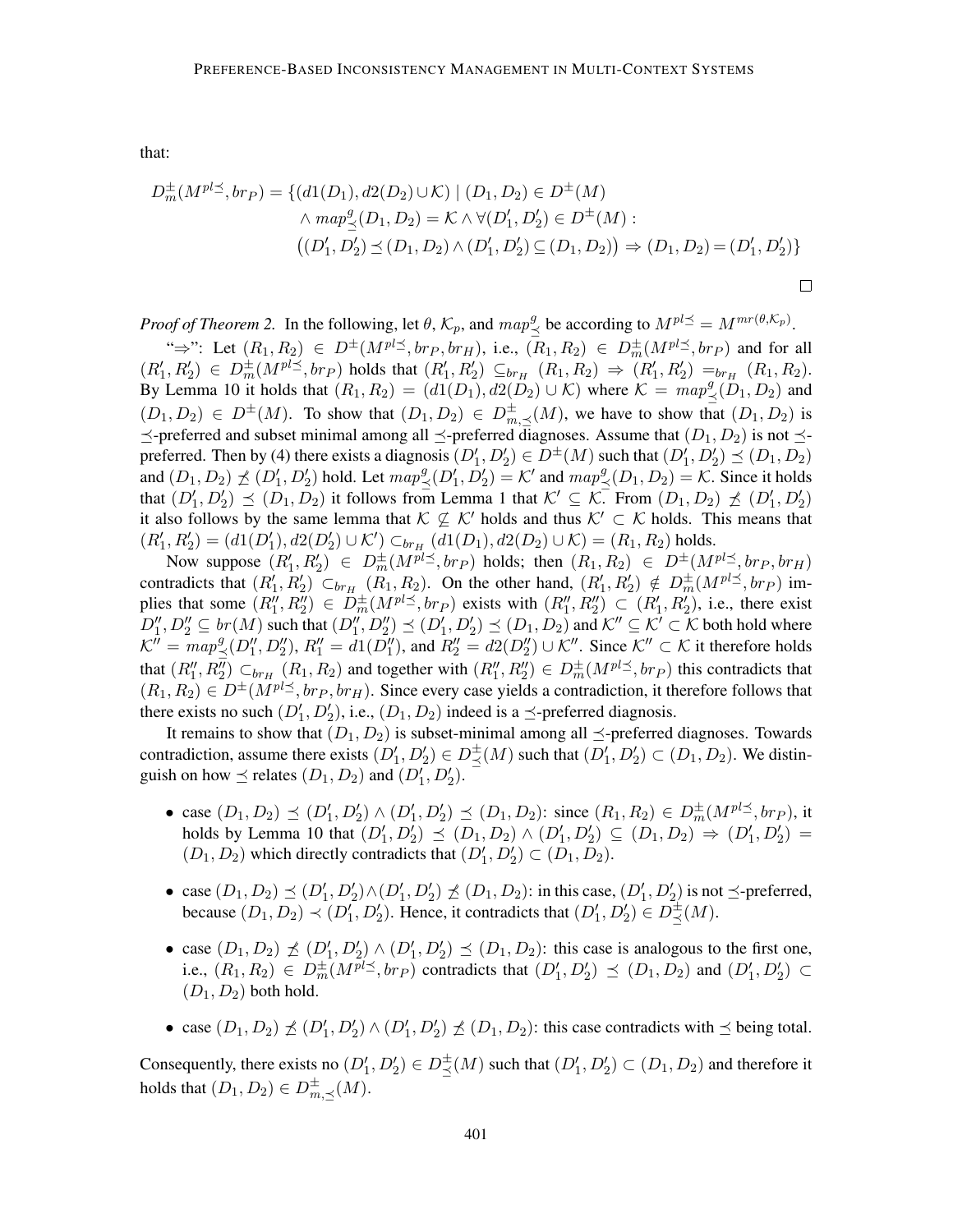that:

$$
D_m^{\pm}(M^{pl\preceq},br_P) = \{ (d1(D_1), d2(D_2) \cup \mathcal{K}) \mid (D_1, D_2) \in D^{\pm}(M) \land map_{\preceq}^q(D_1, D_2) = \mathcal{K} \land \forall (D'_1, D'_2) \in D^{\pm}(M) : ((D'_1, D'_2) \preceq (D_1, D_2) \land (D'_1, D'_2) \subseteq (D_1, D_2)) \Rightarrow (D_1, D_2) = (D'_1, D'_2) \}
$$

*Proof of Theorem 2.* In the following, let  $\theta$ ,  $\mathcal{K}_p$ , and  $map^g$ .  $\frac{g}{\leq}$  be according to  $M^{pl} \leq M^{mr(\theta,\mathcal{K}_p)}$ .

"⇒": Let  $(R_1, R_2)$  ∈  $D^{\pm}(M^{pl} \leq, br_P, br_H)$ , i.e.,  $(R_1, R_2)$  ∈  $D^{\pm}_m(M^{pl} \leq, br_P)$  and for all  $(R'_1, R'_2) \in D_m^{\pm}(M^{pl} \leq, br_P)$  holds that  $(R'_1, R'_2) \subseteq_{br_H} (R_1, R_2) \Rightarrow (R'_1, R'_2) =_{br_H} (R_1, R_2)$ . By Lemma 10 it holds that  $(R_1, R_2) = (d_1(D_1), d_2(D_2) \cup \mathcal{K})$  where  $\mathcal{K} = map_2^0$  $\stackrel{g}{\preceq}(D_1, D_2)$  and  $(D_1, D_2) \in D^{\pm}(M)$ . To show that  $(D_1, D_2) \in D^{\pm}_{m, \preceq}(M)$ , we have to show that  $(D_1, D_2)$  is  $\preceq$ -preferred and subset minimal among all  $\preceq$ -preferred diagnoses. Assume that  $(D_1, D_2)$  is not  $\preceq$ preferred. Then by (4) there exists a diagnosis  $(D'_1, D'_2) \in D^{\pm}(M)$  such that  $(D'_1, D'_2) \preceq (D_1, D_2)$ and  $(D_1, D_2) \npreceq (D'_1, D'_2)$  hold. Let  $map^g$  $\mathcal{L}_{\preceq}(D'_1, D'_2) = \mathcal{K}'$  and  $map^g_{\preceq}$  $\frac{g}{\preceq}(D_1, D_2) = \mathcal{K}$ . Since it holds that  $(D'_1, D'_2) \preceq (D_1, D_2)$  it follows from Lemma 1 that  $K' \subseteq K$ . From  $(D_1, D_2) \not\preceq (D'_1, D'_2)$ it also follows by the same lemma that  $K \not\subseteq K'$  holds and thus  $K' \subset K$  holds. This means that  $(R'_1, R'_2) = (d_1(D'_1), d_2(D'_2) \cup \mathcal{K}') \subset_{br_H} (d_1(D_1), d_2(D_2) \cup \mathcal{K}) = (R_1, R_2)$  holds.

Now suppose  $(R'_1, R'_2) \in D_m^{\pm}(M^{pl} \leq, br_P)$  holds; then  $(R_1, R_2) \in D^{\pm}(M^{pl} \leq, br_P, br_H)$ contradicts that  $(R'_1, R'_2) \subset_{br_H} (R_1, R_2)$ . On the other hand,  $(R'_1, R'_2) \notin D_m^{\pm}(M^{pl} \preceq, br_P)$  implies that some  $(R''_1, R''_2) \in D_m^{\pm}(M^{pl} \leq, br_P)$  exists with  $(R''_1, R''_2) \subset (R'_1, R'_2)$ , i.e., there exist  $D''_1, D''_2 \subseteq br(M)$  such that  $(D''_1, D''_2) \preceq (D'_1, D'_2) \preceq (D_1, D_2)$  and  $\mathcal{K}'' \subseteq \mathcal{K}' \subset \mathcal{K}$  both hold where  $\mathcal{K}^{\mu} = \text{map}^g$  $\mathcal{A}_{\preceq}^{g}(D_1'', D_2''), R_1'' = d1(D_1''),$  and  $R_2'' = d2(D_2'') \cup \mathcal{K}''$ . Since  $\mathcal{K}'' \subset \mathcal{K}$  it therefore holds that  $(R''_1, R''_2) \subset_{br_H} (R_1, R_2)$  and together with  $(R''_1, R''_2) \in D_m^{\pm}(M^{pl} \leq, br_P)$  this contradicts that  $(R_1, R_2) \in D^{\pm}(M^{pl} \leq, br_P, br_H)$ . Since every case yields a contradiction, it therefore follows that there exists no such  $(D'_1, D'_2)$ , i.e.,  $(D_1, D_2)$  indeed is a  $\preceq$ -preferred diagnosis.

It remains to show that  $(D_1, D_2)$  is subset-minimal among all  $\preceq$ -preferred diagnoses. Towards contradiction, assume there exists  $(D'_1, D'_2) \in D^{\pm}_\preceq(M)$  such that  $(D'_1, D'_2) \subset (D_1, D_2)$ . We distinguish on how  $\preceq$  relates  $(D_1, D_2)$  and  $(D'_1, D'_2)$ .

- case  $(D_1, D_2) \preceq (D'_1, D'_2) \wedge (D'_1, D'_2) \preceq (D_1, D_2)$ : since  $(R_1, R_2) \in D_m^{\pm}(M^{pl} \preceq, br_P)$ , it holds by Lemma 10 that  $(D'_1, D'_2) \preceq (D_1, D_2) \wedge (D'_1, D'_2) \subseteq (D_1, D_2) \Rightarrow (D'_1, D'_2) =$  $(D_1, D_2)$  which directly contradicts that  $(D'_1, D'_2) \subset (D_1, D_2)$ .
- case  $(D_1, D_2) \preceq (D'_1, D'_2) \wedge (D'_1, D'_2) \preceq (D_1, D_2)$ : in this case,  $(D'_1, D'_2)$  is not  $\preceq$ -preferred, because  $(D_1, D_2) \prec (D_1', D_2')$ . Hence, it contradicts that  $(D_1', D_2') \in D_{\preceq}^{\pm}(M)$ .
- case  $(D_1, D_2) \npreceq (D'_1, D'_2) \wedge (D'_1, D'_2) \preceq (D_1, D_2)$ : this case is analogous to the first one, i.e.,  $(R_1, R_2) \in D_m^{\pm}(M^{pl} \leq, br_P)$  contradicts that  $(D'_1, D'_2) \preceq (D_1, D_2)$  and  $(D'_1, D'_2) \subset$  $(D_1, D_2)$  both hold.
- case  $(D_1, D_2) \nleq (D'_1, D'_2) \wedge (D'_1, D'_2) \nleq (D_1, D_2)$ : this case contradicts with  $\preceq$  being total.

Consequently, there exists no  $(D'_1, D'_2) \in D^{\pm}_{\preceq}(M)$  such that  $(D'_1, D'_2) \subset (D_1, D_2)$  and therefore it holds that  $(D_1, D_2) \in D_{m, \preceq}^{\pm}(M)$ .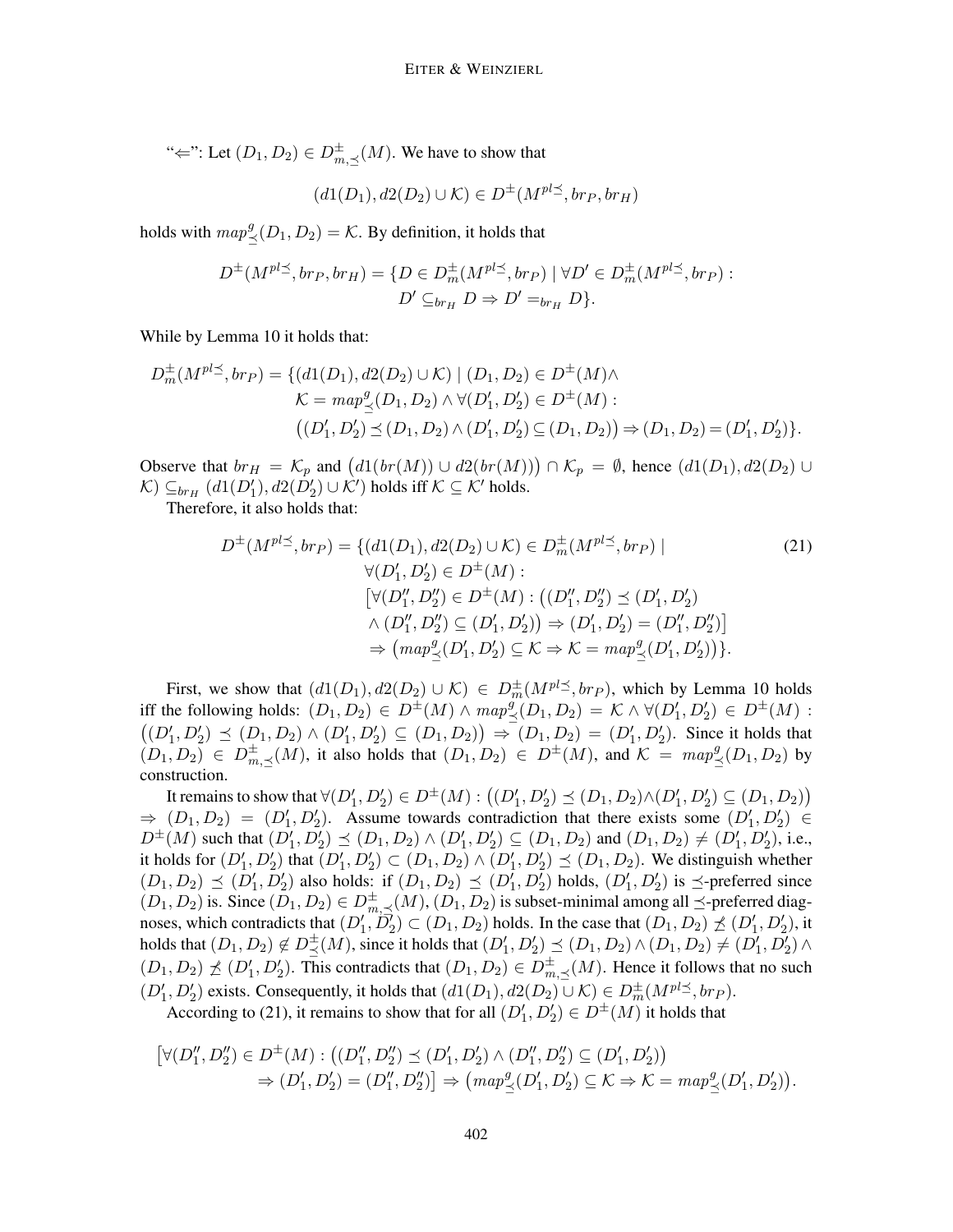" $\Leftarrow$ ": Let  $(D_1, D_2) \in D_{m, \preceq}^{\pm}(M)$ . We have to show that

$$
(d1(D_1), d2(D_2) \cup \mathcal{K}) \in D^{\pm}(M^{pl} \preceq, br_P, br_H)
$$

holds with  $map^g$ .  $\frac{g}{\leq}(D_1, D_2) = \mathcal{K}$ . By definition, it holds that

$$
D^{\pm}(M^{pl\preceq},br_P,br_H) = \{D \in D^{\pm}_m(M^{pl\preceq},br_P) \mid \forall D' \in D^{\pm}_m(M^{pl\preceq},br_P) :
$$

$$
D' \subseteq_{br_H} D \Rightarrow D' =_{br_H} D \}.
$$

While by Lemma 10 it holds that:

$$
D_m^{\pm}(M^{pl\preceq}, br_P) = \{ (d1(D_1), d2(D_2) \cup \mathcal{K}) \mid (D_1, D_2) \in D^{\pm}(M) \wedge \mathcal{K} = map_{\preceq}^q(D_1, D_2) \wedge \forall (D'_1, D'_2) \in D^{\pm}(M) : ((D'_1, D'_2) \preceq (D_1, D_2) \wedge (D'_1, D'_2) \subseteq (D_1, D_2)) \Rightarrow (D_1, D_2) = (D'_1, D'_2) \}.
$$

Observe that  $br_H = \mathcal{K}_p$  and  $(d1(br(M)) \cup d2(br(M)) \cap \mathcal{K}_p = \emptyset$ , hence  $(d1(D_1), d2(D_2) \cup$  $\mathcal{K})\subseteq_{br_H}(d1(D_1'),d2(D_2')\cup \mathcal{K}')$  holds iff  $\mathcal{K}\subseteq \mathcal{K}'$  holds.

Therefore, it also holds that:

$$
D^{\pm}(M^{pl\preceq},br_P) = \{(d1(D_1), d2(D_2) \cup \mathcal{K}) \in D_m^{\pm}(M^{pl\preceq},br_P) \mid \n\forall (D'_1, D'_2) \in D^{\pm}(M) : \n[\forall (D''_1, D''_2) \in D^{\pm}(M) : ((D''_1, D''_2) \preceq (D'_1, D'_2) \n\wedge (D''_1, D''_2) \subseteq (D'_1, D'_2)) \Rightarrow (D'_1, D'_2) = (D''_1, D''_2) \n\Rightarrow (map^d_{\preceq}(D'_1, D'_2) \subseteq \mathcal{K} \Rightarrow \mathcal{K} = map^g_{\preceq}(D'_1, D'_2) \}.
$$
\n(21)

First, we show that  $(d1(D_1), d2(D_2) \cup \mathcal{K}) \in D_m^{\pm}(M^{pl} \preceq, br_P)$ , which by Lemma 10 holds iff the following holds:  $(D_1, D_2) \in D^{\pm}(M) \wedge map_2^{\hat{g}}$  $\frac{g}{\preceq}(D_1, D_2) = \mathcal{K} \wedge \forall (D'_1, D'_2) \in D^{\pm}(M)$ :  $((D'_1, D'_2) \preceq (D_1, D_2) \wedge (D'_1, D'_2) \subseteq (D_1, D_2) \Rightarrow (D_1, D_2) = (D'_1, D'_2)$ . Since it holds that  $(D_1, D_2) \in D^{\pm}_{m, \preceq}(M)$ , it also holds that  $(D_1, D_2) \in D^{\pm}(M)$ , and  $\mathcal{K} = map_{\preceq}^g$  $\frac{g}{\preceq}(D_1,D_2)$  by construction.

It remains to show that  $\forall (D'_1, D'_2) \in D^{\pm}(M) : ((D'_1, D'_2) \preceq (D_1, D_2) \wedge (D'_1, D'_2) \subseteq (D_1, D_2))$  $\Rightarrow$   $(D_1, D_2) = (D'_1, D'_2)$ . Assume towards contradiction that there exists some  $(D'_1, D'_2) \in$  $D^{\pm}(M)$  such that  $(D'_1, D'_2) \preceq (D_1, D_2) \wedge (D'_1, D'_2) \subseteq (D_1, D_2)$  and  $(D_1, D_2) \neq (D'_1, D'_2)$ , i.e., it holds for  $(D'_1, D'_2)$  that  $(D'_1, D'_2) \subset (D_1, D_2) \wedge (D'_1, D'_2) \preceq (D_1, D_2)$ . We distinguish whether  $(D_1, D_2) \preceq (D'_1, D'_2)$  also holds: if  $(D_1, D_2) \preceq (D'_1, D'_2)$  holds,  $(D'_1, D'_2)$  is  $\preceq$ -preferred since  $(D_1, D_2)$  is. Since  $(D_1, D_2) \in D^{\pm}_{m, \preceq}(M)$ ,  $(D_1, D_2)$  is subset-minimal among all  $\preceq$ -preferred diagnoses, which contradicts that  $(D'_1, \overline{D'_2}) \subset (D_1, D_2)$  holds. In the case that  $(D_1, D_2) \not\preceq (D'_1, D'_2)$ , it holds that  $(D_1, D_2) \notin D^{\pm}_\preceq(M)$ , since it holds that  $(D'_1, D'_2) \preceq (D_1, D_2) \wedge (D_1, D_2) \neq (D'_1, D'_2) \wedge$  $(D_1, D_2) \npreceq (D'_1, D'_2)$ . This contradicts that  $(D_1, D_2) \in D^{\pm}_{m, \preceq}(M)$ . Hence it follows that no such  $(D'_1, D'_2)$  exists. Consequently, it holds that  $(d1(D_1), d2(D_2) \cup \mathcal{K}) \in D_m^{\pm}(M^{pl} \leq, br_P)$ .

According to (21), it remains to show that for all  $(D'_1, D'_2) \in D^{\pm}(M)$  it holds that

$$
\begin{aligned} \big[\forall (D''_1, D''_2) \in D^{\pm}(M) : \big( (D''_1, D''_2) \preceq (D'_1, D'_2) \wedge (D''_1, D''_2) \subseteq (D'_1, D'_2) \big) \\ \Rightarrow (D'_1, D'_2) = (D''_1, D''_2) \big] \Rightarrow \big( \text{map}_{\preceq}^g(D'_1, D'_2) \subseteq \mathcal{K} \Rightarrow \mathcal{K} = \text{map}_{\preceq}^g(D'_1, D'_2) \big). \end{aligned}
$$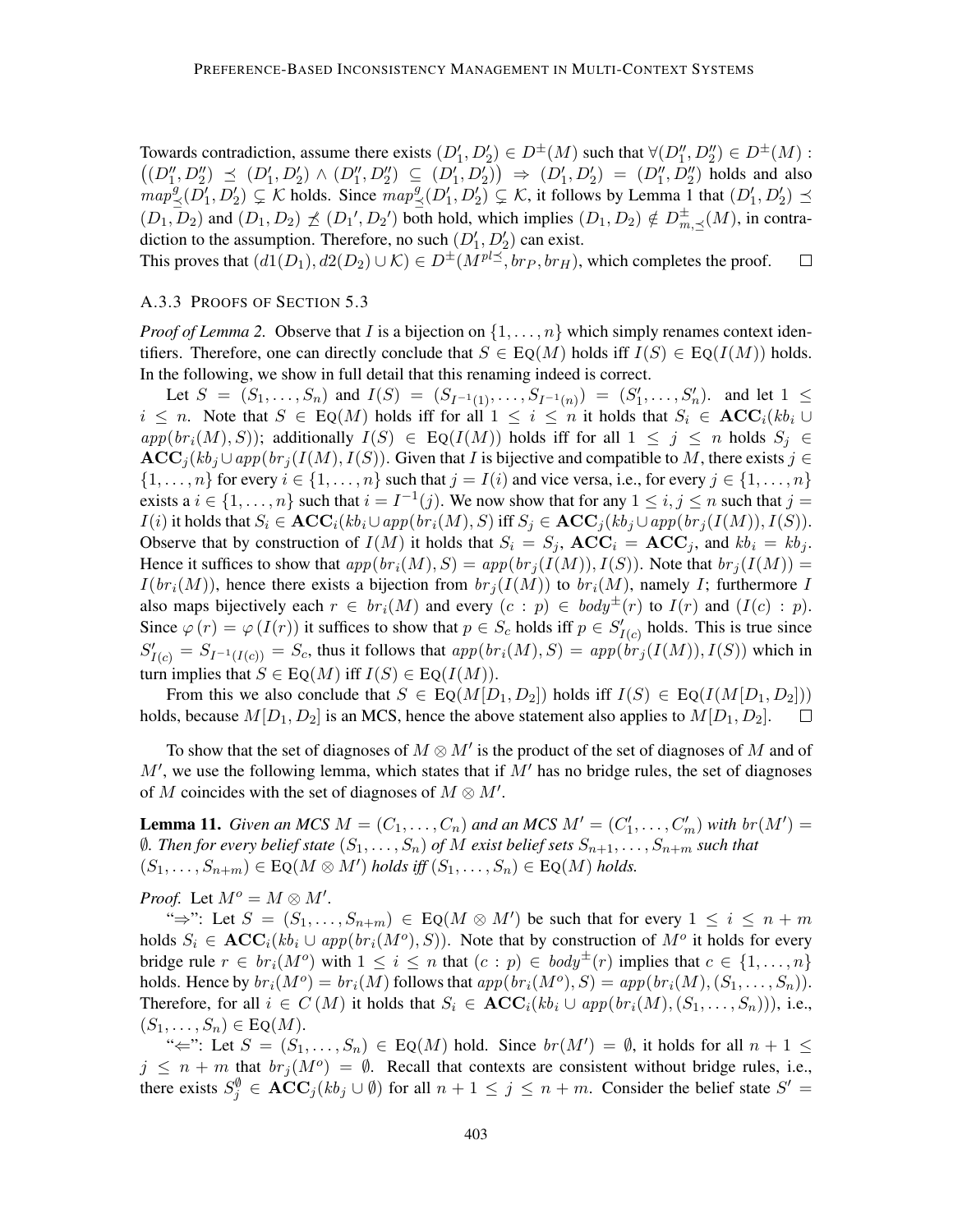Towards contradiction, assume there exists  $(D'_1, D'_2) \in D^{\pm}(M)$  such that  $\forall (D''_1, D''_2) \in D^{\pm}(M)$ :  $((D''_1, D''_2) \preceq (D'_1, D'_2) \wedge (D''_1, D''_2) \subseteq (D'_1, D'_2) \Rightarrow (D'_1, D'_2) = (D''_1, D''_2)$  holds and also  $map^g$  $(\overline{D_1}, D_2') \subsetneq \mathcal{K}$  holds. Since  $map_{\preceq}^g$  $\leq^g (D'_1, D'_2) \subsetneq \mathcal{K}$ , it follows by Lemma 1 that  $(D'_1, D'_2) \preceq$  $(D_1, D_2)$  and  $(D_1, D_2) \npreceq (D_1', D_2')$  both hold, which implies  $(D_1, D_2) \notin D^{\pm}_{m, \preceq}(M)$ , in contradiction to the assumption. Therefore, no such  $(D'_1, D'_2)$  can exist.

This proves that  $(d1(D_1), d2(D_2) \cup \mathcal{K}) \in D^{\pm}(M^{pl} \leq, br_p, br_H)$ , which completes the proof.  $\Box$ 

### A.3.3 PROOFS OF SECTION 5.3

*Proof of Lemma 2.* Observe that I is a bijection on  $\{1, \ldots, n\}$  which simply renames context identifiers. Therefore, one can directly conclude that  $S \in EO(M)$  holds iff  $I(S) \in EO(I(M))$  holds. In the following, we show in full detail that this renaming indeed is correct.

Let  $S = (S_1, \ldots, S_n)$  and  $I(S) = (S_{I^{-1}(1)}, \ldots, S_{I^{-1}(n)}) = (S'_1, \ldots, S'_n)$  and let  $1 \leq$  $i \leq n$ . Note that  $S \in \text{Eq}(M)$  holds iff for all  $1 \leq i \leq n$  it holds that  $S_i \in \text{ACC}_i(kb_i \cup$  $app(br_i(M), S)$ ; additionally  $I(S) \in Eq(I(M))$  holds iff for all  $1 \leq j \leq n$  holds  $S_j \in$  $\mathbf{ACC}_i(kb_i \cup app(br_i(I(M), I(S))$ . Given that I is bijective and compatible to M, there exists  $j \in$  $\{1,\ldots,n\}$  for every  $i \in \{1,\ldots,n\}$  such that  $j = I(i)$  and vice versa, i.e., for every  $j \in \{1,\ldots,n\}$ exists a  $i \in \{1, ..., n\}$  such that  $i = I^{-1}(j)$ . We now show that for any  $1 \le i, j \le n$  such that  $j =$  $I(i)$  it holds that  $S_i \in \text{ACC}_i(kb_i \cup app(br_i(M), S)$  iff  $S_i \in \text{ACC}_i(kb_i \cup app(br_i(I(M)), I(S)).$ Observe that by construction of  $I(M)$  it holds that  $S_i = S_j$ ,  $ACC_i = ACC_j$ , and  $kb_i = kb_j$ . Hence it suffices to show that  $app(br_i(M), S) = app(br_j(I(M)), I(S)$ . Note that  $br_j(I(M)) =$  $I(br_i(M))$ , hence there exists a bijection from  $br_i(I(M))$  to  $br_i(M)$ , namely I; furthermore I also maps bijectively each  $r \in br_i(M)$  and every  $(c : p) \in body^{\pm}(r)$  to  $I(r)$  and  $(I(c) : p)$ . Since  $\varphi(r) = \varphi(I(r))$  it suffices to show that  $p \in S_c$  holds iff  $p \in S'_{I(c)}$  holds. This is true since  $S'_{I(c)} = S_{I^{-1}(I(c))} = S_c$ , thus it follows that  $app(br_i(M), S) = app(br_j(I(M)), I(S))$  which in turn implies that  $S \in \text{Eq}(M)$  iff  $I(S) \in \text{Eq}(I(M))$ .

From this we also conclude that  $S \in Eq(M[D_1, D_2])$  holds iff  $I(S) \in Eq(I(M[D_1, D_2]))$ holds, because  $M[D_1, D_2]$  is an MCS, hence the above statement also applies to  $M[D_1, D_2]$ .  $\Box$ 

To show that the set of diagnoses of  $M \otimes M'$  is the product of the set of diagnoses of M and of  $M'$ , we use the following lemma, which states that if  $M'$  has no bridge rules, the set of diagnoses of M coincides with the set of diagnoses of  $M \otimes M'$ .

**Lemma 11.** *Given an MCS*  $M = (C_1, \ldots, C_n)$  *and an MCS*  $M' = (C'_1, \ldots, C'_m)$  *with*  $br(M') =$  $\emptyset$ . Then for every belief state  $(S_1, \ldots, S_n)$  of  $M$  exist belief sets  $S_{n+1}, \ldots, S_{n+m}$  such that  $(S_1, \ldots, S_{n+m}) \in \mathrm{Eq}(M \otimes M')$  *holds iff*  $(S_1, \ldots, S_n) \in \mathrm{Eq}(M)$  *holds.* 

*Proof.* Let  $M^o = M \otimes M'$ .

" $\Rightarrow$ ": Let  $S = (S_1, \ldots, S_{n+m}) \in EQ(M \otimes M')$  be such that for every  $1 \leq i \leq n+m$ holds  $S_i \in \text{ACC}_i(kb_i \cup app(br_i(M^o), S))$ . Note that by construction of  $M^o$  it holds for every bridge rule  $r \in br_i(M^o)$  with  $1 \leq i \leq n$  that  $(c : p) \in body^{\pm}(r)$  implies that  $c \in \{1, ..., n\}$ holds. Hence by  $br_i(M^o) = br_i(M)$  follows that  $app(br_i(M^o), S) = app(br_i(M), (S_1, \ldots, S_n)).$ Therefore, for all  $i \in C(M)$  it holds that  $S_i \in \mathbf{ACC}_i(kb_i \cup app(br_i(M), (S_1, \ldots, S_n)))$ , i.e.,  $(S_1, \ldots, S_n) \in \mathrm{Eq}(M).$ 

" $\Leftarrow$ ": Let  $S = (S_1, \ldots, S_n) \in \text{Eq}(M)$  hold. Since  $br(M') = \emptyset$ , it holds for all  $n + 1 \leq$  $j \leq n+m$  that  $br_j(M^o) = \emptyset$ . Recall that contexts are consistent without bridge rules, i.e., there exists  $S_j^{\emptyset} \in \mathbf{ACC}_j(kb_j \cup \emptyset)$  for all  $n+1 \leq j \leq n+m$ . Consider the belief state  $S' =$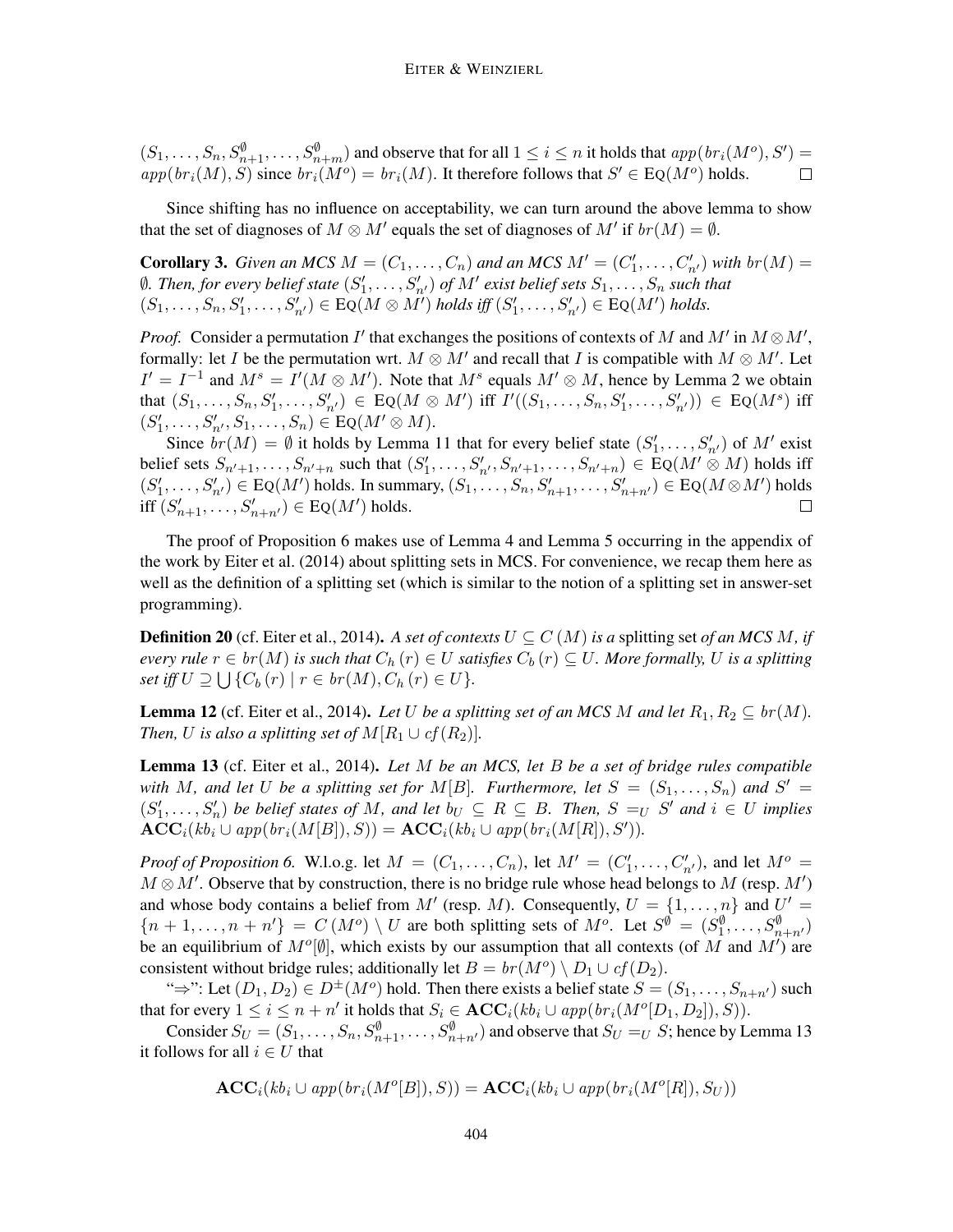$(S_1,\ldots,S_n,S_{n+1}^{\emptyset},\ldots,S_{n+m}^{\emptyset})$  and observe that for all  $1\leq i\leq n$  it holds that  $app(br_i(M^o),S')=0$  $app(br_i(M), S)$  since  $br_i(M^o) = br_i(M)$ . It therefore follows that  $S' \in Eq(M^o)$  holds.  $\Box$ 

Since shifting has no influence on acceptability, we can turn around the above lemma to show that the set of diagnoses of  $M \otimes M'$  equals the set of diagnoses of  $M'$  if  $br(M) = \emptyset$ .

**Corollary 3.** *Given an MCS*  $M = (C_1, \ldots, C_n)$  *and an MCS*  $M' = (C'_1, \ldots, C'_{n'})$  *with*  $br(M) =$  $\emptyset$ . Then, for every belief state  $(S'_1, \ldots, S'_{n'})$  of  $M'$  exist belief sets  $S_1, \ldots, S_n$  such that  $(S_1,\ldots,S_n,S'_1,\ldots,S'_{n'})\in \text{Eq}(M\otimes M')$  holds iff  $(S'_1,\ldots,S'_{n'})\in \text{Eq}(M')$  holds.

*Proof.* Consider a permutation  $I'$  that exchanges the positions of contexts of M and  $M'$  in  $M \otimes M'$ , formally: let I be the permutation wrt.  $M \otimes M'$  and recall that I is compatible with  $M \otimes M'$ . Let  $I' = I^{-1}$  and  $M^s = I'(M \otimes M')$ . Note that  $M^s$  equals  $M' \otimes M$ , hence by Lemma 2 we obtain that  $(S_1, ..., S_n, S'_1, ..., S'_{n'}) \in EQ(M \otimes M')$  iff  $I'((S_1, ..., S_n, S'_1, ..., S'_{n'})) \in EQ(M^s)$  iff  $(S'_1, \ldots, S'_{n'}, S_1, \ldots, S_n) \in \text{Eq}(M' \otimes M).$ 

Since  $br(M) = \emptyset$  it holds by Lemma 11 that for every belief state  $(S'_1, \ldots, S'_{n'})$  of M' exist belief sets  $S_{n'+1}, \ldots, S_{n'+n}$  such that  $(S'_1, \ldots, S'_{n'}, S_{n'+1}, \ldots, S_{n'+n}) \in \text{Eq}(M' \otimes M)$  holds iff  $(S'_1, \ldots, S'_{n'}) \in \mathrm{Eq}(M')$  holds. In summary,  $(S_1, \ldots, S_n, S'_{n+1}, \ldots, S'_{n+n'}) \in \mathrm{Eq}(M \otimes M')$  holds iff  $(S'_{n+1}, \ldots, S'_{n+n'}) \in \text{Eq}(M')$  holds. П

The proof of Proposition 6 makes use of Lemma 4 and Lemma 5 occurring in the appendix of the work by Eiter et al. (2014) about splitting sets in MCS. For convenience, we recap them here as well as the definition of a splitting set (which is similar to the notion of a splitting set in answer-set programming).

**Definition 20** (cf. Eiter et al., 2014). A set of contexts  $U \subseteq C(M)$  is a splitting set of an MCS M, if *every rule*  $r \in br(M)$  *is such that*  $C_h(r) \in U$  *satisfies*  $C_b(r) \subseteq U$ *. More formally, U is a splitting*  $\text{set iff } U \supseteq \bigcup \{ C_b(r) \mid r \in \text{br}(M), C_h(r) \in U \}.$ 

**Lemma 12** (cf. Eiter et al., 2014). *Let* U *be a splitting set of an MCS M and let*  $R_1, R_2 \subseteq br(M)$ *. Then, U is also a splitting set of*  $M[R_1 \cup cf(R_2)]$ *.* 

Lemma 13 (cf. Eiter et al., 2014). *Let* M *be an MCS, let* B *be a set of bridge rules compatible* with M, and let U be a splitting set for  $M[B]$ . Furthermore, let  $S = (S_1, \ldots, S_n)$  and  $S' =$  $(S'_1, \ldots, S'_n)$  be belief states of M, and let  $b_U \subseteq R \subseteq B$ . Then,  $S =_U S'$  and  $i \in U$  implies  $\mathbf{ACC}_i(kb_i \cup app(br_i(M[B]), S)) = \mathbf{ACC}_i(kb_i \cup app(br_i(M[B]), S')).$ 

*Proof of Proposition 6.* W.l.o.g. let  $M = (C_1, \ldots, C_n)$ , let  $M' = (C'_1, \ldots, C'_{n'})$ , and let  $M^o =$  $M \otimes M'$ . Observe that by construction, there is no bridge rule whose head belongs to M (resp. M') and whose body contains a belief from M' (resp. M). Consequently,  $U = \{1, \ldots, n\}$  and  $U' =$  $\{n+1,\ldots,n+n'\}=C(M^o)\setminus U$  are both splitting sets of  $M^o$ . Let  $S^{\emptyset}=(S_1^{\emptyset},\ldots,S_{n+n'}^{\emptyset})$ be an equilibrium of  $M^o[\emptyset]$ , which exists by our assumption that all contexts (of M and M') are consistent without bridge rules; additionally let  $B = br(M^o) \setminus D_1 \cup cf(D_2)$ .

" $\Rightarrow$ ": Let  $(D_1, D_2) \in D^{\pm}(M^o)$  hold. Then there exists a belief state  $S = (S_1, \ldots, S_{n+n'})$  such that for every  $1 \le i \le n + n'$  it holds that  $S_i \in \mathbf{ACC}_i(kb_i \cup app(br_i(M^o[D_1, D_2]), S)).$ 

Consider  $S_U = (S_1, \ldots, S_n, S_{n+1}^{\emptyset}, \ldots, S_{n+n'}^{\emptyset})$  and observe that  $S_U =_U S$ ; hence by Lemma 13 it follows for all  $i \in U$  that

$$
\mathbf{ACC}_i(kb_i \cup app(br_i(M^o[B]), S)) = \mathbf{ACC}_i(kb_i \cup app(br_i(M^o[B]), S_U))
$$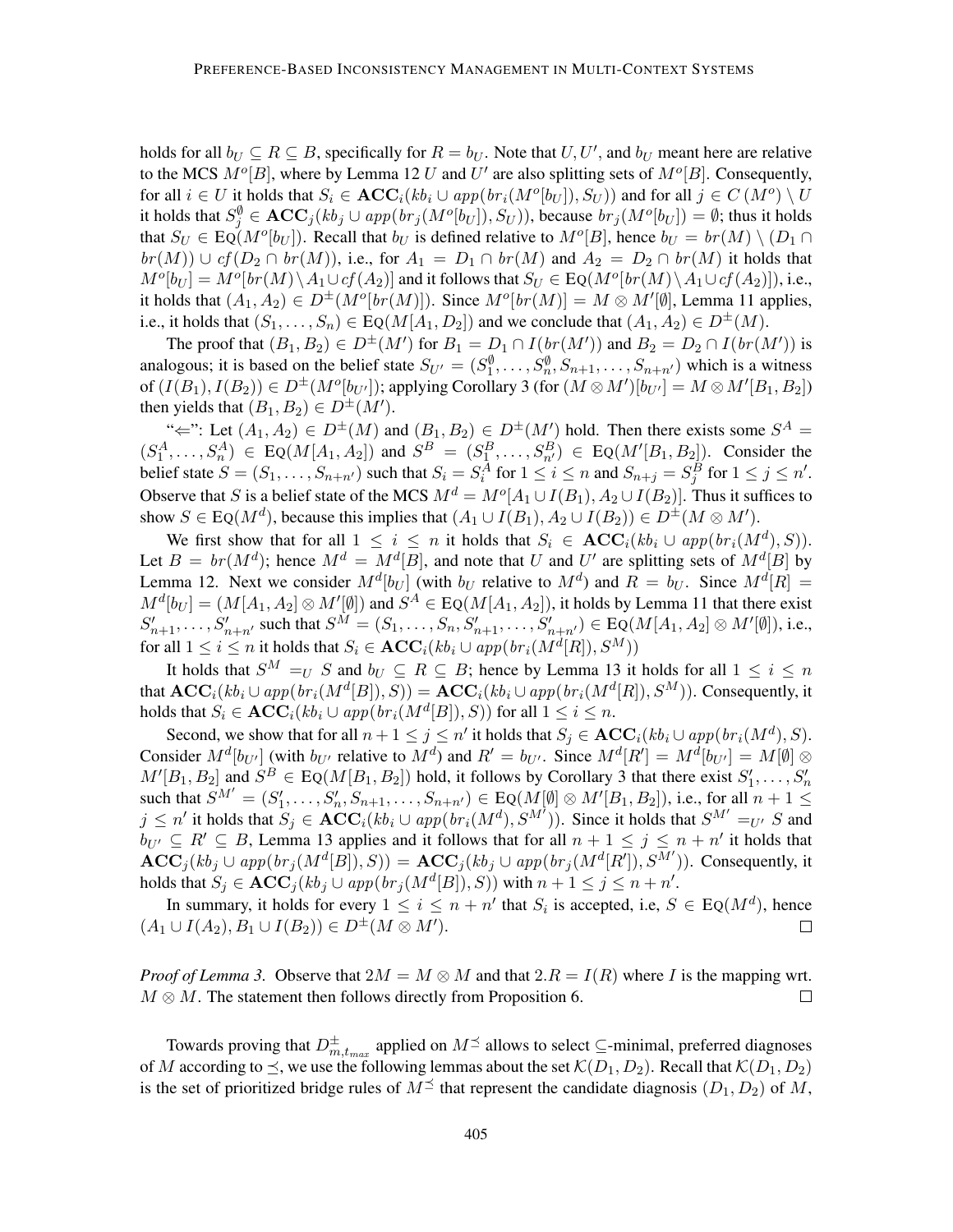holds for all  $b_U \subseteq R \subseteq B$ , specifically for  $R = b_U$ . Note that  $U, U'$ , and  $b_U$  meant here are relative to the MCS  $M^o[B]$ , where by Lemma 12 U and U' are also splitting sets of  $M^o[B]$ . Consequently, for all  $i \in U$  it holds that  $S_i \in \text{ACC}_i(kb_i \cup app(br_i(M^o[b_U]), S_U))$  and for all  $j \in C(M^o) \setminus U$ it holds that  $S_j^{\emptyset} \in \mathbf{ACC}_j(kb_j \cup app(br_j(M^o[b_U]), S_U))$ , because  $br_j(M^o[b_U]) = \emptyset$ ; thus it holds that  $S_U \in \text{Eq}(M^o[b_U])$ . Recall that  $b_U$  is defined relative to  $M^o[B]$ , hence  $b_U = br(M) \setminus (D_1 \cap D_2)$  $br(M)) \cup cf(D_2 \cap br(M))$ , i.e., for  $A_1 = D_1 \cap br(M)$  and  $A_2 = D_2 \cap br(M)$  it holds that  $M^o[b_U] = M^o[br(M) \setminus A_1 \cup cf(A_2)]$  and it follows that  $S_U \in \text{Eq}(M^o[br(M) \setminus A_1 \cup cf(A_2)]$ ), i.e., it holds that  $(A_1, A_2) \in D^{\pm}(M^o[br(M)])$ . Since  $M^o[br(M)] = M \otimes M'[0]$ , Lemma 11 applies, i.e., it holds that  $(S_1, \ldots, S_n) \in \text{Eq}(M[A_1, D_2])$  and we conclude that  $(A_1, A_2) \in D^{\pm}(M)$ .

The proof that  $(B_1, B_2) \in D^{\pm}(M')$  for  $B_1 = D_1 \cap I(br(M'))$  and  $B_2 = D_2 \cap I(br(M'))$  is analogous; it is based on the belief state  $S_{U'} = (S_1^{\emptyset}, \ldots, S_n^{\emptyset}, S_{n+1}, \ldots, S_{n+n'})$  which is a witness of  $(I(B_1), I(B_2)) \in D^{\pm}(M^o[b_{U'}])$ ; applying Corollary 3 (for  $(M \otimes M')[b_{U'}] = M \otimes M'[B_1, B_2])$ then yields that  $(B_1, B_2) \in D^{\pm}(M')$ .

" $\Leftarrow$ ": Let  $(A_1, A_2) \in D^{\pm}(M)$  and  $(B_1, B_2) \in D^{\pm}(M')$  hold. Then there exists some  $S^A$  =  $(S_1^A, \ldots, S_n^A) \in \text{Eq}(M[A_1, A_2])$  and  $S^B = (S_1^B, \ldots, S_{n'}^B) \in \text{Eq}(M'[B_1, B_2])$ . Consider the belief state  $S = (S_1, \ldots, S_{n+n'})$  such that  $S_i = S_i^A$  for  $1 \le i \le n$  and  $S_{n+j} = S_j^B$  for  $1 \le j \le n'$ . Observe that S is a belief state of the MCS  $M^d = M^o[A_1 \cup I(B_1), A_2 \cup I(B_2)]$ . Thus it suffices to show  $S \in \text{Eq}(M^d)$ , because this implies that  $(A_1 \cup I(B_1), A_2 \cup I(B_2)) \in D^{\pm}(M \otimes M')$ .

We first show that for all  $1 \leq i \leq n$  it holds that  $S_i \in \mathbf{ACC}_i(kb_i \cup app(br_i(M^d), S)).$ Let  $B = br(M^d)$ ; hence  $M^d = M^d[B]$ , and note that U and U' are splitting sets of  $M^d[B]$  by Lemma 12. Next we consider  $M^{d}[b_{U}]$  (with  $b_{U}$  relative to  $M^{d}$ ) and  $R = b_{U}$ . Since  $M^{d}[R] =$  $M^{d}[b_{U}] = (M[A_1, A_2] \otimes M'[\emptyset])$  and  $S^{A} \in \text{Eq}(M[A_1, A_2])$ , it holds by Lemma 11 that there exist  $S'_{n+1}, \ldots, S'_{n+n'}$  such that  $S^M = (S_1, \ldots, S_n, S'_{n+1}, \ldots, S'_{n+n'}) \in \text{Eq}(M[A_1, A_2] \otimes M'[\emptyset])$ , i.e., for all  $1 \leq i \leq n$  it holds that  $S_i \in \mathbf{ACC}_i(kb_i \cup app(br_i(M^d[R]), S^M))$ 

It holds that  $S^M = U S$  and  $b_U \subset R \subset B$ ; hence by Lemma 13 it holds for all  $1 \le i \le n$ that  $\mathbf{ACC}_i(kb_i \cup app(br_i(M^d[B]), S)) = \mathbf{ACC}_i(kb_i \cup app(br_i(M^d[B]), S^M)).$  Consequently, it holds that  $S_i \in \mathbf{ACC}_i(kb_i \cup app(br_i(M^d[B]), S))$  for all  $1 \leq i \leq n$ .

Second, we show that for all  $n + 1 \leq j \leq n'$  it holds that  $S_j \in \mathbf{ACC}_i(kb_i \cup app(br_i(M^d), S)$ . Consider  $M^d[b_{U'}]$  (with  $b_{U'}$  relative to  $M^d$ ) and  $R' = b_{U'}$ . Since  $M^d[R'] = M^d[b_{U'}] = M[\emptyset] \otimes$  $M'[B_1, B_2]$  and  $S^B \in \text{Eq}(M[B_1, B_2])$  hold, it follows by Corollary 3 that there exist  $S'_1, \ldots, S'_n$ such that  $S^{M'} = (S'_1, \ldots, S'_n, S_{n+1}, \ldots, S_{n+n'}) \in \text{Eq}(M[\emptyset] \otimes M'[B_1, B_2])$ , i.e., for all  $n+1 \leq$  $j \leq n'$  it holds that  $S_j \in \text{ACC}_i(kb_i \cup app(br_i(M^d), S^{M^t}))$ . Since it holds that  $S^{M'} =_{U'} S$  and  $b_{U'} \subseteq R' \subseteq B$ , Lemma 13 applies and it follows that for all  $n + 1 \le j \le n + n'$  it holds that  $\mathbf{ACC}_j(kb_j \cup app(br_j(M^d[B]), S)) = \mathbf{ACC}_j(kb_j \cup app(br_j(M^d[B]), S^{M'}))$ . Consequently, it holds that  $S_j \in \mathbf{ACC}_j(kb_j \cup app(br_j(M^d[B]), S))$  with  $n+1 \leq j \leq n+n'.$ 

In summary, it holds for every  $1 \le i \le n + n'$  that  $S_i$  is accepted, i.e,  $S \in \text{Eq}(M^d)$ , hence  $(A_1 \cup I(A_2), B_1 \cup I(B_2)) \in D^{\pm}(M \otimes M').$  $\Box$ 

*Proof of Lemma 3.* Observe that  $2M = M \otimes M$  and that  $2.R = I(R)$  where I is the mapping wrt.  $M \otimes M$ . The statement then follows directly from Proposition 6.  $\Box$ 

Towards proving that  $D^{\pm}_{m,t_{max}}$  applied on  $M^{\preceq}$  allows to select ⊆-minimal, preferred diagnoses of M according to  $\leq$ , we use the following lemmas about the set  $\mathcal{K}(D_1, D_2)$ . Recall that  $\mathcal{K}(D_1, D_2)$ is the set of prioritized bridge rules of  $M^{\preceq}$  that represent the candidate diagnosis  $(D_1, D_2)$  of M,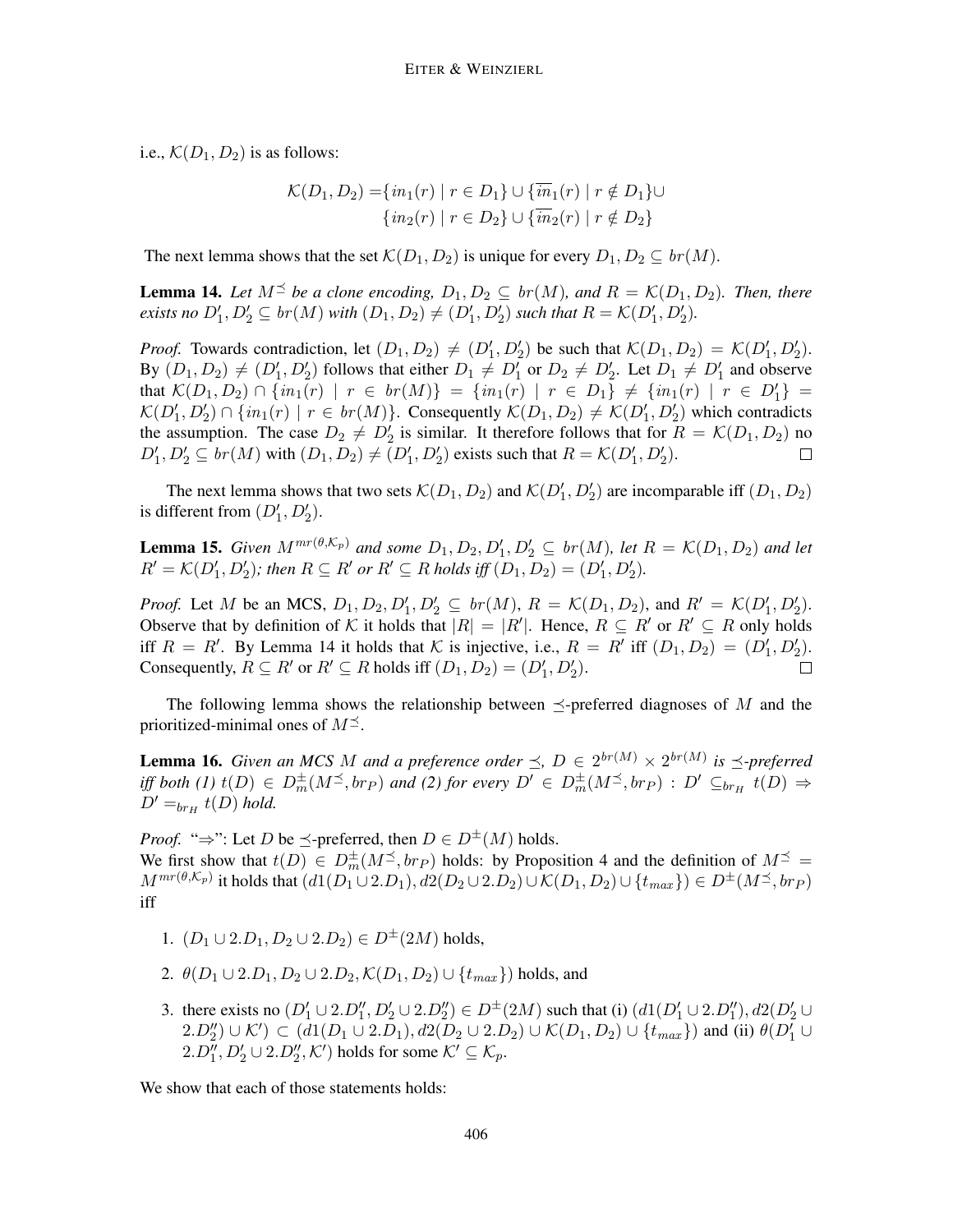i.e.,  $\mathcal{K}(D_1, D_2)$  is as follows:

$$
\mathcal{K}(D_1, D_2) = \{ in_1(r) \mid r \in D_1 \} \cup \{ \overline{in}_1(r) \mid r \notin D_1 \} \cup \{ \overline{in}_2(r) \mid r \in D_2 \} \cup \{ \overline{in}_2(r) \mid r \notin D_2 \}
$$

The next lemma shows that the set  $\mathcal{K}(D_1, D_2)$  is unique for every  $D_1, D_2 \subseteq br(M)$ .

**Lemma 14.** Let  $M^{\leq}$  be a clone encoding,  $D_1, D_2 \subseteq br(M)$ , and  $R = \mathcal{K}(D_1, D_2)$ . Then, there *exists no*  $D'_1, D'_2 \subseteq br(M)$  *with*  $(D_1, D_2) \neq (D'_1, D'_2)$  *such that*  $R = \mathcal{K}(D'_1, D'_2)$ *.* 

*Proof.* Towards contradiction, let  $(D_1, D_2) \neq (D'_1, D'_2)$  be such that  $\mathcal{K}(D_1, D_2) = \mathcal{K}(D'_1, D'_2)$ . By  $(D_1, D_2) \neq (D'_1, D'_2)$  follows that either  $D_1 \neq D'_1$  or  $D_2 \neq D'_2$ . Let  $D_1 \neq D'_1$  and observe that  $\mathcal{K}(D_1, D_2) \cap \{in_1(r) \mid r \in br(M)\} = \{in_1(r) \mid r \in D_1\} \neq \{in_1(r) \mid r \in D_1'\} =$  $\mathcal{K}(D_1', D_2') \cap \{in_1(r) \mid r \in br(M)\}\$ . Consequently  $\mathcal{K}(D_1, D_2) \neq \mathcal{K}(D_1', D_2')$  which contradicts the assumption. The case  $D_2 \neq D_2'$  is similar. It therefore follows that for  $R = \mathcal{K}(D_1, D_2)$  no  $D'_1, D'_2 \subseteq br(M)$  with  $(D_1, D_2) \neq (D'_1, D'_2)$  exists such that  $R = \mathcal{K}(D'_1, D'_2)$ .  $\Box$ 

The next lemma shows that two sets  $\mathcal{K}(D_1, D_2)$  and  $\mathcal{K}(D'_1, D'_2)$  are incomparable iff  $(D_1, D_2)$ is different from  $(D'_1, D'_2)$ .

**Lemma 15.** *Given*  $M^{mr(\theta,\mathcal{K}_p)}$  *and some*  $D_1, D_2, D'_1, D'_2 \subseteq br(M)$ *, let*  $R = \mathcal{K}(D_1, D_2)$  *and let*  $R' = \mathcal{K}(D'_1, D'_2)$ ; then  $R \subseteq R'$  or  $R' \subseteq R$  holds iff  $(D_1, D_2) = (D'_1, D'_2)$ .

*Proof.* Let M be an MCS,  $D_1, D_2, D'_1, D'_2 \subseteq br(M), R = K(D_1, D_2)$ , and  $R' = K(D'_1, D'_2)$ . Observe that by definition of K it holds that  $|R| = |R'|$ . Hence,  $R \subseteq R'$  or  $R' \subseteq R$  only holds iff  $R = R'$ . By Lemma 14 it holds that K is injective, i.e.,  $R = R'$  iff  $(D_1, D_2) = (D'_1, D'_2)$ . Consequently,  $R \subseteq R'$  or  $R' \subseteq R$  holds iff  $(D_1, D_2) = (D'_1, D'_2)$ .

The following lemma shows the relationship between  $\prec$ -preferred diagnoses of M and the prioritized-minimal ones of  $M^{\preceq}$ .

**Lemma 16.** Given an MCS M and a preference order  $\preceq$ ,  $D \in 2^{br(M)} \times 2^{br(M)}$  is  $\preceq$ -preferred *iff both* (1)  $t(D) \in D_m^{\pm}(M^{\preceq}, br_P)$  and (2) for every  $D' \in D_m^{\pm}(M^{\preceq}, br_P)$  :  $D' \subseteq_{br_H} t(D) \Rightarrow$  $D' =_{br_H} t(D)$  *hold.* 

*Proof.* " $\Rightarrow$ ": Let D be  $\preceq$ -preferred, then  $D \in D^{\pm}(M)$  holds. We first show that  $t(D) \in D_m^{\pm}(M^{\leq}, br_P)$  holds: by Proposition 4 and the definition of  $M^{\leq}$  $M^{mr(\theta,\mathcal{K}_{p})}$  it holds that  $(d1(D_1\cup2.D_1),d2(D_2\cup2.D_2)\cup\mathcal{K}(D_1,D_2)\cup\{t_{max}\})\in D^{\pm}(M^{\preceq},br_P)$ iff

- 1.  $(D_1 \cup 2.D_1, D_2 \cup 2.D_2) \in D^{\pm}(2M)$  holds,
- 2.  $\theta(D_1 \cup 2.D_1, D_2 \cup 2.D_2, \mathcal{K}(D_1, D_2) \cup \{t_{max}\}\)$  holds, and
- 3. there exists no  $(D'_1 \cup 2.D''_1, D'_2 \cup 2.D''_2) \in D^{\pm}(2M)$  such that (i)  $(d1(D'_1 \cup 2.D''_1), d2(D'_2 \cup$  $(2.D''_2) \cup \mathcal{K}'$   $\subset (d_1(D_1 \cup 2.D_1), d_2(D_2 \cup 2.D_2) \cup \mathcal{K}(D_1, D_2) \cup \{t_{max}\})$  and (ii)  $\theta(D'_1 \cup$  $2.D''_1, D'_2 \cup 2.D''_2, \mathcal{K}'$  holds for some  $\mathcal{K}' \subseteq \mathcal{K}_p$ .

We show that each of those statements holds: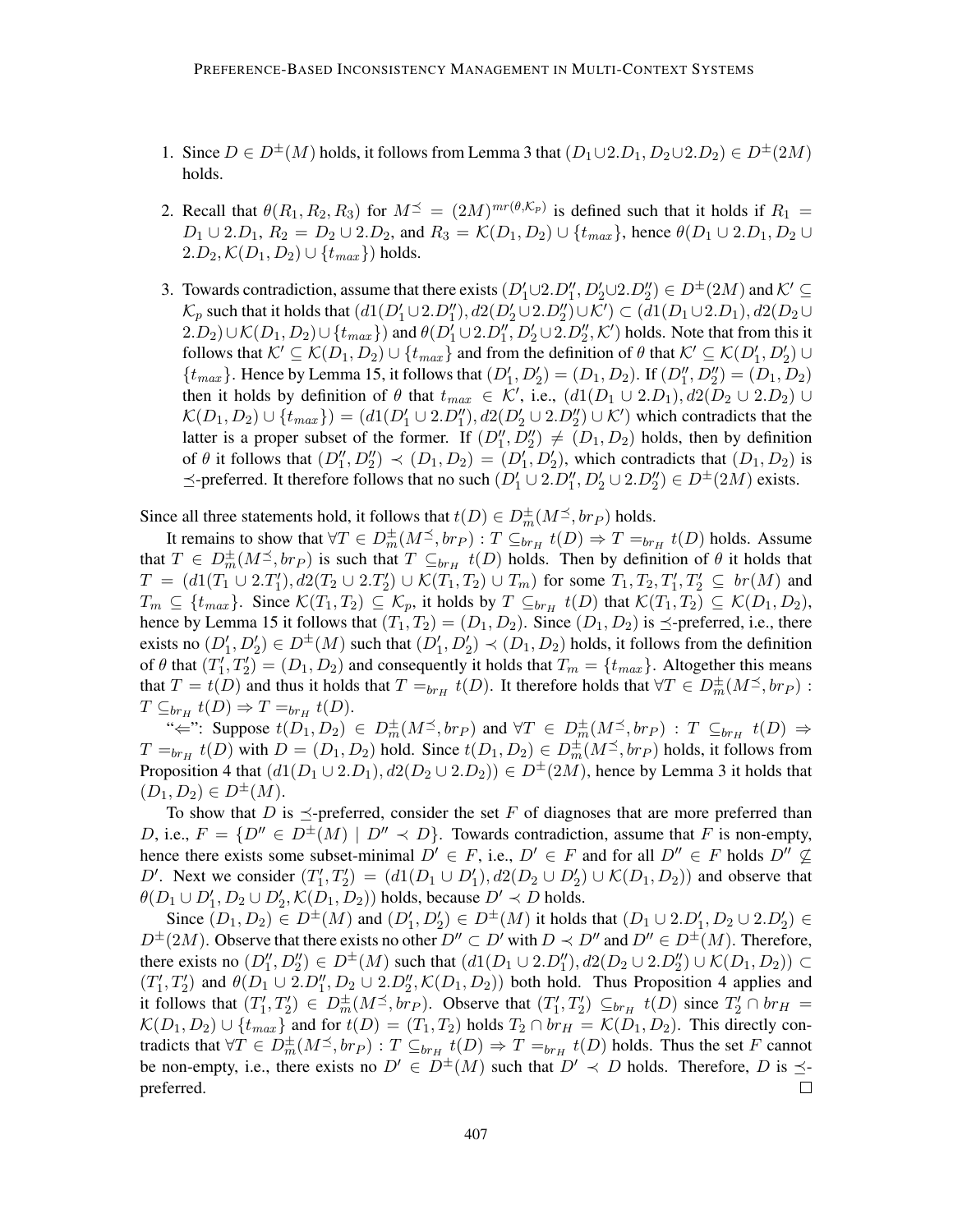- 1. Since  $D \in D^{\pm}(M)$  holds, it follows from Lemma 3 that  $(D_1 \cup 2D_1, D_2 \cup 2D_2) \in D^{\pm}(2M)$ holds.
- 2. Recall that  $\theta(R_1, R_2, R_3)$  for  $M \preceq (2M)^{mr(\theta, \mathcal{K}_p)}$  is defined such that it holds if  $R_1 =$  $D_1 \cup 2.D_1$ ,  $R_2 = D_2 \cup 2.D_2$ , and  $R_3 = \mathcal{K}(D_1, D_2) \cup \{t_{max}\}$ , hence  $\theta(D_1 \cup 2.D_1, D_2 \cup$  $2.D_2, \mathcal{K}(D_1, D_2) \cup \{t_{max}\}\$  holds.
- 3. Towards contradiction, assume that there exists  $(D'_1 \cup 2.D''_1, D'_2 \cup 2.D''_2) \in D^{\pm}(2M)$  and  $\mathcal{K}' \subseteq$  $\mathcal{K}_p$  such that it holds that  $(d_1(D_1' \cup 2.D_1''), d_2(D_2' \cup 2.D_2'') \cup \mathcal{K}') \subset (d_1(D_1 \cup 2.D_1), d_2(D_2 \cup$  $(2.D_2)\cup \mathcal{K}(D_1, D_2)\cup \{t_{max}\}\)$  and  $\theta(D_1'\cup 2.D_1'', D_2'\cup 2.D_2'', \mathcal{K}')$  holds. Note that from this it follows that  $K' \subseteq K(D_1, D_2) \cup \{t_{max}\}\$  and from the definition of  $\theta$  that  $K' \subseteq K(D'_1, D'_2) \cup K(D'_1, D'_2)$  $\{t_{max}\}.$  Hence by Lemma 15, it follows that  $(D'_1, D'_2) = (D_1, D_2).$  If  $(D''_1, D''_2) = (D_1, D_2)$ then it holds by definition of  $\theta$  that  $t_{max} \in \mathcal{K}'$ , i.e.,  $(d_1(D_1 \cup 2.D_1), d_2(D_2 \cup 2.D_2) \cup$  $\mathcal{K}(D_1, D_2) \cup \{t_{max}\}\ = (d1(D'_1 \cup 2.D''_1), d2(D'_2 \cup 2.D''_2) \cup \mathcal{K}')$  which contradicts that the latter is a proper subset of the former. If  $(D''_1, D''_2) \neq (D_1, D_2)$  holds, then by definition of  $\theta$  it follows that  $(D''_1, D''_2) \prec (D_1, D_2) = (D'_1, D'_2)$ , which contradicts that  $(D_1, D_2)$  is  $\preceq$ -preferred. It therefore follows that no such  $(D'_1 \cup 2.D''_1, D'_2 \cup 2.D''_2) \in D^{\pm}(2M)$  exists.

Since all three statements hold, it follows that  $t(D) \in D_m^{\pm}(M^{\leq}, br_P)$  holds.

It remains to show that  $\forall T \in D_m^{\pm}(M^{\preceq}, br_P) : T \subseteq_{br_H} t(D) \Rightarrow T =_{br_H} t(D)$  holds. Assume that  $T \in D_m^{\pm}(M^{\leq}, br_P)$  is such that  $T \subseteq_{br_H} t(D)$  holds. Then by definition of  $\theta$  it holds that  $T = (d1(T_1 \cup 2.T_1'), d2(T_2 \cup 2.T_2') \cup \mathcal{K}(T_1, T_2) \cup T_m)$  for some  $T_1, T_2, T_1', T_2' \subseteq br(M)$  and  $T_m \subseteq \{t_{max}\}$ . Since  $\mathcal{K}(T_1, T_2) \subseteq \mathcal{K}_p$ , it holds by  $T \subseteq_{br_H} t(D)$  that  $\mathcal{K}(T_1, T_2) \subseteq \mathcal{K}(D_1, D_2)$ , hence by Lemma 15 it follows that  $(T_1, T_2) = (D_1, D_2)$ . Since  $(D_1, D_2)$  is  $\preceq$ -preferred, i.e., there exists no  $(D'_1, D'_2) \in D^{\pm}(M)$  such that  $(D'_1, D'_2) \prec (D_1, D_2)$  holds, it follows from the definition of  $\theta$  that  $(T_1', T_2') = (D_1, D_2)$  and consequently it holds that  $T_m = \{t_{max}\}\$ . Altogether this means that  $T = t(D)$  and thus it holds that  $T =_{br_H} t(D)$ . It therefore holds that  $\forall T \in D_m^{\pm}(M^{\preceq}, br_P)$ :  $T \subseteq_{br_H} t(D) \Rightarrow T =_{br_H} t(D).$ 

" $\Leftarrow$ ": Suppose  $t(D_1, D_2) \in D_m^{\pm}(M^{\preceq}, br_P)$  and  $\forall T \in D_m^{\pm}(M^{\preceq}, br_P) : T \subseteq_{br_H} t(D) \Rightarrow$  $T=_{br_H} t(D)$  with  $D=(D_1, D_2)$  hold. Since  $t(D_1, D_2) \in D_m^{\pm}(M^{\preceq}, br_P)$  holds, it follows from Proposition 4 that  $(d1(D_1 \cup 2.D_1), d2(D_2 \cup 2.D_2)) \in D^{\pm}(2M)$ , hence by Lemma 3 it holds that  $(D_1, D_2) \in D^{\pm}(M)$ .

To show that D is  $\preceq$ -preferred, consider the set F of diagnoses that are more preferred than D, i.e.,  $F = \{D'' \in D^{\pm}(M) \mid D'' \prec D\}$ . Towards contradiction, assume that F is non-empty, hence there exists some subset-minimal  $D' \in F$ , i.e.,  $D' \in F$  and for all  $D'' \in F$  holds  $D'' \nsubseteq$ D'. Next we consider  $(T_1', T_2') = (d_1(D_1 \cup D_1'), d_2(D_2 \cup D_2') \cup \mathcal{K}(D_1, D_2))$  and observe that  $\theta(D_1 \cup D_1', D_2 \cup D_2', \mathcal{K}(D_1, D_2))$  holds, because  $D' \prec D$  holds.

Since  $(D_1, D_2) \in D^{\pm}(M)$  and  $(D'_1, D'_2) \in D^{\pm}(M)$  it holds that  $(D_1 \cup 2.D'_1, D_2 \cup 2.D'_2) \in$  $D^{\pm}(2M)$ . Observe that there exists no other  $D'' \subset D'$  with  $D \prec D''$  and  $D'' \in D^{\pm}(M)$ . Therefore, there exists no  $(D''_1, D''_2) \in D^{\pm}(M)$  such that  $(d1(D_1 \cup 2.D''_1), d2(D_2 \cup 2.D''_2) \cup \mathcal{K}(D_1, D_2)) \subset$  $(T'_1, T'_2)$  and  $\theta(D_1 \cup 2.D''_1, D_2 \cup 2.D''_2, \mathcal{K}(D_1, D_2))$  both hold. Thus Proposition 4 applies and it follows that  $(T_1', T_2') \in D_m^{\pm}(M^{\preceq}, br_P)$ . Observe that  $(T_1', T_2') \subseteq_{br_H} t(D)$  since  $T_2' \cap br_H =$  $\mathcal{K}(D_1, D_2) \cup \{t_{max}\}\$ and for  $t(D) = (T_1, T_2)$  holds  $T_2 \cap br_H = \mathcal{K}(D_1, D_2)$ . This directly contradicts that  $\forall T \in D_m^{\pm}(M^{\preceq}, br_P) : T \subseteq_{br_H} t(D) \Rightarrow T =_{br_H} t(D)$  holds. Thus the set F cannot be non-empty, i.e., there exists no  $D' \in D^{\pm}(M)$  such that  $D' \prec D$  holds. Therefore, D is  $\preceq$ preferred.  $\Box$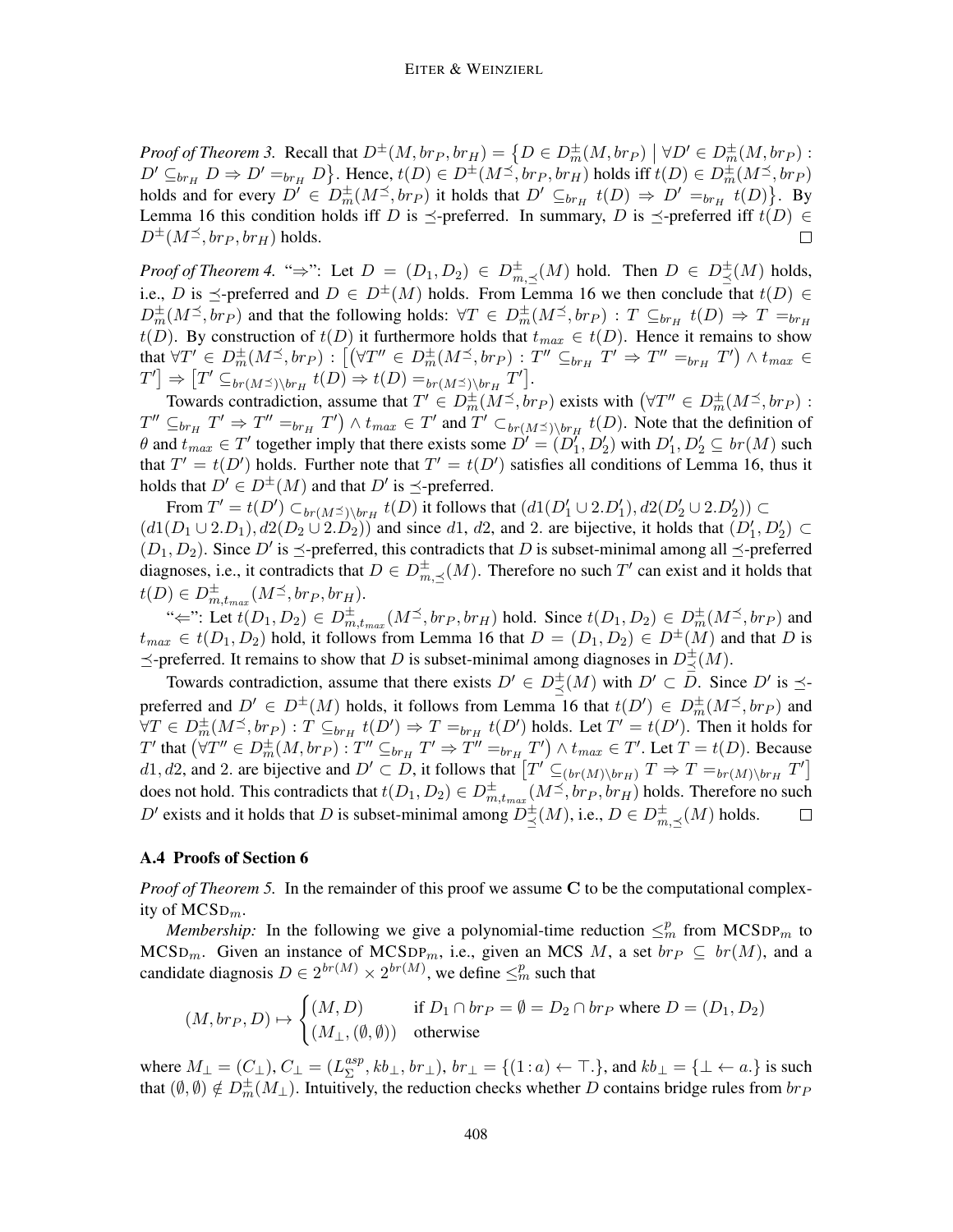*Proof of Theorem 3.* Recall that  $D^{\pm}(M, brp, brp) = \left\{ D \in D^{\pm}_m(M, brp) \mid \forall D' \in D^{\pm}_m(M, brp) : D^{\pm}_m(M, brp) \right\}$  $D' \subseteq_{br_H} D \Rightarrow D' =_{br_H} D$ . Hence,  $t(D) \in D^{\pm}(M^{\preceq}, br_P, br_H)$  holds iff  $t(D) \in D^{\pm}_m(M^{\preceq}, br_P)$ holds and for every  $D' \in D_m^{\pm}(M^{\leq}, br_P)$  it holds that  $D' \subseteq_{br_H} t(D) \Rightarrow D' =_{br_H} t(D)$ . By Lemma 16 this condition holds iff D is  $\preceq$ -preferred. In summary, D is  $\preceq$ -preferred iff  $t(D) \in$  $D^{\pm}(M^{\preceq}, br_P, br_H)$  holds.  $\Box$ 

*Proof of Theorem 4.* " $\Rightarrow$ ": Let  $D = (D_1, D_2) \in D^{\pm}_{m, \preceq}(M)$  hold. Then  $D \in D^{\pm}_{\preceq}(M)$  holds, i.e., D is  $\preceq$ -preferred and  $D \in D^{\pm}(M)$  holds. From Lemma 16 we then conclude that  $t(D) \in$  $D_m^{\pm}(M^{\preceq}, br_P)$  and that the following holds:  $\forall T \in D_m^{\pm}(M^{\preceq}, br_P)$ :  $T \subseteq_{br_H} t(D) \Rightarrow T =_{br_H} t(D)$  $t(D)$ . By construction of  $t(D)$  it furthermore holds that  $t_{max} \in t(D)$ . Hence it remains to show that  $\forall T' \in D_m^{\pm}(M^{\preceq},br_P)$  :  $\big[ (\forall T'' \in D_m^{\pm}(M^{\preceq},br_P) : T'' \subseteq_{br_H} T' \Rightarrow T'' =_{br_H} T' \big) \wedge t_{max} \in$  $T'$ ]  $\Rightarrow$   $[T' \subseteq_{br(M \preceq) \setminus br_H} t(D) \Rightarrow t(D) =_{br(M \preceq) \setminus br_H} T'$ .

Towards contradiction, assume that  $T' \in D_m^{\pm}(M^{\preceq}, br_P)$  exists with  $(\forall T'' \in D_m^{\pm}(M^{\preceq}, br_P)$ :  $T'' \subseteq_{b r_H} T' \Rightarrow T'' =_{b r_H} T'$   $\wedge t_{max} \in T'$  and  $T' \subset_{b r(M \preceq) \setminus b r_H} t(D)$ . Note that the definition of  $\theta$  and  $t_{max} \in T'$  together imply that there exists some  $D' = (D_1', D_2')$  with  $D_1', D_2' \subseteq br(M)$  such that  $T' = t(D')$  holds. Further note that  $T' = t(D')$  satisfies all conditions of Lemma 16, thus it holds that  $D' \in D^{\pm}(M)$  and that  $D'$  is  $\preceq$ -preferred.

From  $T' = t(D') \subset_{br(M \preceq) \setminus br_H} t(D)$  it follows that  $(d1(D'_1 \cup 2.D'_1), d2(D'_2 \cup 2.D'_2)) \subset$  $(d1(D_1 \cup 2.D_1), d2(D_2 \cup 2.D_2))$  and since d1, d2, and 2. are bijective, it holds that  $(D'_1, D'_2) \subset$  $(D_1, D_2)$ . Since D' is  $\preceq$ -preferred, this contradicts that D is subset-minimal among all  $\preceq$ -preferred diagnoses, i.e., it contradicts that  $D \in D^{\pm}_{m,\preceq}(M)$ . Therefore no such  $T'$  can exist and it holds that  $t(D) \in D^{\pm}_{m,t_{max}}(M^{\preceq},br_P,br_H).$ 

" $\Leftarrow$ ": Let  $t(D_1, D_2) \in D^{\pm}_{m,t_{max}}(M^{\preceq}, br_P, br_H)$  hold. Since  $t(D_1, D_2) \in D^{\pm}_m(M^{\preceq}, br_P)$  and  $t_{max} \in t(D_1, D_2)$  hold, it follows from Lemma 16 that  $D = (D_1, D_2) \in D^{\pm}(M)$  and that D is  $\preceq$ -preferred. It remains to show that D is subset-minimal among diagnoses in  $D^{\pm}_{\preceq}(M)$ .

Towards contradiction, assume that there exists  $D' \in D^{\pm}(\mathcal{M})$  with  $D' \subset \overline{D}$ . Since  $D'$  is  $\preceq$ preferred and  $D' \in D^{\pm}(M)$  holds, it follows from Lemma 16 that  $t(D') \in D^{\pm}_m(M^{\preceq}, br_P)$  and  $\forall T \in D_m^{\pm}(M^{\preceq}, br_P): T \subseteq_{br_H} t(D') \Rightarrow T =_{br_H} t(D')$  holds. Let  $T' = t(D')$ . Then it holds for T' that  $(\forall T'' \in D_m^{\pm}(M, b_{TP}) : T'' \subseteq_{b_{TH}} T' \Rightarrow T'' =_{b_{TH}} T' ) \wedge t_{max} \in T'.$  Let  $T = t(D)$ . Because d1, d2, and 2. are bijective and  $D' \subset D$ , it follows that  $[T' \subseteq_{(br(M) \setminus br_H)} T \Rightarrow T =_{br(M) \setminus br_H} T'$ does not hold. This contradicts that  $t(D_1, D_2) \in D^{\pm}_{m, t_{max}}(M^{\preceq}, br_P, br_H)$  holds. Therefore no such D' exists and it holds that D is subset-minimal among  $D^{\pm}_{\preceq}(M)$ , i.e.,  $D \in D^{\pm}_{m,\preceq}(M)$  holds.  $\Box$ 

#### A.4 Proofs of Section 6

*Proof of Theorem 5.* In the remainder of this proof we assume C to be the computational complexity of MCSDm.

*Membership*: In the following we give a polynomial-time reduction  $\leq^p_m$  from MCSDP<sub>m</sub> to MCSD<sub>m</sub>. Given an instance of MCSDP<sub>m</sub>, i.e., given an MCS M, a set  $br_P \subseteq br(M)$ , and a candidate diagnosis  $D \in 2^{br(M)} \times 2^{br(M)}$ , we define  $\leq^p_m$  such that

$$
(M,br_P, D) \mapsto \begin{cases} (M, D) & \text{if } D_1 \cap br_P = \emptyset = D_2 \cap br_P \text{ where } D = (D_1, D_2) \\ (M_\perp, (\emptyset, \emptyset)) & \text{otherwise} \end{cases}
$$

where  $M_{\perp} = (C_{\perp}), C_{\perp} = (L_{\Sigma}^{asp})$  $\mathcal{L}^{asp}_{\Sigma}, kb_{\bot}, br_{\bot}$ ,  $br_{\bot} = \{(1 : a) \leftarrow \top.\}$ , and  $kb_{\bot} = \{\bot \leftarrow a.\}$  is such that  $(\emptyset, \emptyset) \notin D_m^{\pm}(M_{\perp})$ . Intuitively, the reduction checks whether D contains bridge rules from  $br_P$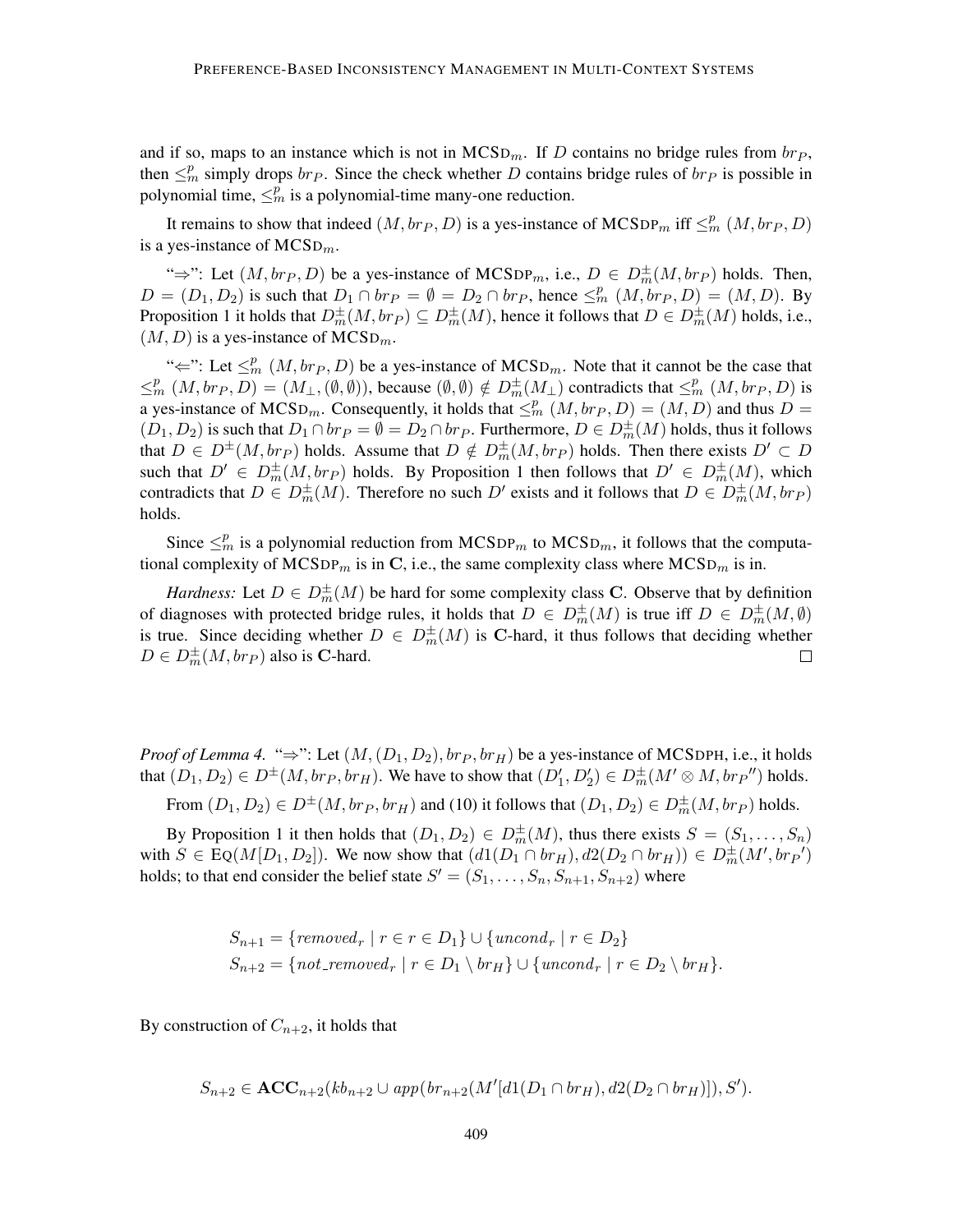and if so, maps to an instance which is not in  $MCSD_m$ . If D contains no bridge rules from  $br_P$ , then  $\leq^p_m$  simply drops  $br_p$ . Since the check whether D contains bridge rules of  $br_p$  is possible in polynomial time,  $\leq^{\tilde{p}}_m$  is a polynomial-time many-one reduction.

It remains to show that indeed  $(M, br_P, D)$  is a yes-instance of MCSDP<sub>m</sub> iff  $\leq^p_m (M, br_P, D)$ is a yes-instance of  $MCSD_m$ .

"⇒": Let  $(M, br_P, D)$  be a yes-instance of MCSDP<sub>m</sub>, i.e.,  $D \in D_m^{\pm}(M, br_P)$  holds. Then,  $D = (D_1, D_2)$  is such that  $D_1 \cap br_P = \emptyset = D_2 \cap br_P$ , hence  $\leq^p_m (M, br_P, D) = (M, D)$ . By Proposition 1 it holds that  $D_m^{\pm}(M, br_P) \subseteq D_m^{\pm}(M)$ , hence it follows that  $D \in D_m^{\pm}(M)$  holds, i.e.,  $(M, D)$  is a yes-instance of MCSD<sub>m</sub>.

" $\Leftarrow$ ": Let  $\leq^p_m (M, br_P, D)$  be a yes-instance of MCSD<sub>m</sub>. Note that it cannot be the case that  $\leq^p_m (M, br_P, D) = (M_\perp, (\emptyset, \emptyset))$ , because  $(\emptyset, \emptyset) \notin D_m^{\pm}(M_\perp)$  contradicts that  $\leq^p_m (M, br_P, D)$  is a yes-instance of MCSD<sub>m</sub>. Consequently, it holds that  $\leq^p_m (M, br_P, D) = (M, D)$  and thus  $D =$  $(D_1, D_2)$  is such that  $D_1 \cap br_P = \emptyset = D_2 \cap br_P$ . Furthermore,  $D \in D_m^{\pm}(M)$  holds, thus it follows that  $D \in D^{\pm}(M, b_{P})$  holds. Assume that  $D \notin D^{\pm}_{m}(M, b_{P})$  holds. Then there exists  $D' \subset D$ such that  $D' \in D_m^{\pm}(M, br_P)$  holds. By Proposition 1 then follows that  $D' \in D_m^{\pm}(M)$ , which contradicts that  $D \in D_m^{\pm}(M)$ . Therefore no such  $D'$  exists and it follows that  $D \in D_m^{\pm}(M, br_P)$ holds.

Since  $\leq_m^p$  is a polynomial reduction from MCSDP<sub>m</sub> to MCSD<sub>m</sub>, it follows that the computational complexity of MCSDP<sub>m</sub> is in C, i.e., the same complexity class where MCSD<sub>m</sub> is in.

*Hardness:* Let  $D \in D_m^{\pm}(M)$  be hard for some complexity class C. Observe that by definition of diagnoses with protected bridge rules, it holds that  $D \in D_m^{\pm}(M)$  is true iff  $D \in D_m^{\pm}(M, \emptyset)$ is true. Since deciding whether  $D \in D_m^{\pm}(M)$  is C-hard, it thus follows that deciding whether  $D \in D_m^{\pm}(M, b r_P)$  also is **C**-hard.  $\Box$ 

*Proof of Lemma 4.* " $\Rightarrow$ ": Let  $(M,(D_1,D_2), br_P, br_H)$  be a yes-instance of MCSDPH, i.e., it holds that  $(D_1, D_2) \in D^{\pm}(M, br_P, br_H)$ . We have to show that  $(D'_1, D'_2) \in D^{\pm}_m(M' \otimes M, br_P'')$  holds.

From  $(D_1, D_2) \in D^{\pm}(M, br_P, br_H)$  and (10) it follows that  $(D_1, D_2) \in D^{\pm}_m(M, br_P)$  holds.

By Proposition 1 it then holds that  $(D_1, D_2) \in D_m^{\pm}(M)$ , thus there exists  $S = (S_1, \ldots, S_n)$ with  $S \in \text{Eq}(M[D_1, D_2])$ . We now show that  $(d1(D_1 \cap br_H), d2(D_2 \cap br_H)) \in D_m^{\pm}(M', br_P')$ holds; to that end consider the belief state  $S' = (S_1, \ldots, S_n, S_{n+1}, S_{n+2})$  where

$$
S_{n+1} = \{removed_r \mid r \in r \in D_1\} \cup \{uncond_r \mid r \in D_2\}
$$
  
\n
$$
S_{n+2} = \{ not_{.removed_r} \mid r \in D_1 \setminus br_H\} \cup \{uncond_r \mid r \in D_2 \setminus br_H\}.
$$

By construction of  $C_{n+2}$ , it holds that

$$
S_{n+2} \in \text{ACC}_{n+2}(kb_{n+2} \cup app(br_{n+2}(M'[d1(D_1 \cap br_H), d2(D_2 \cap br_H)]), S').
$$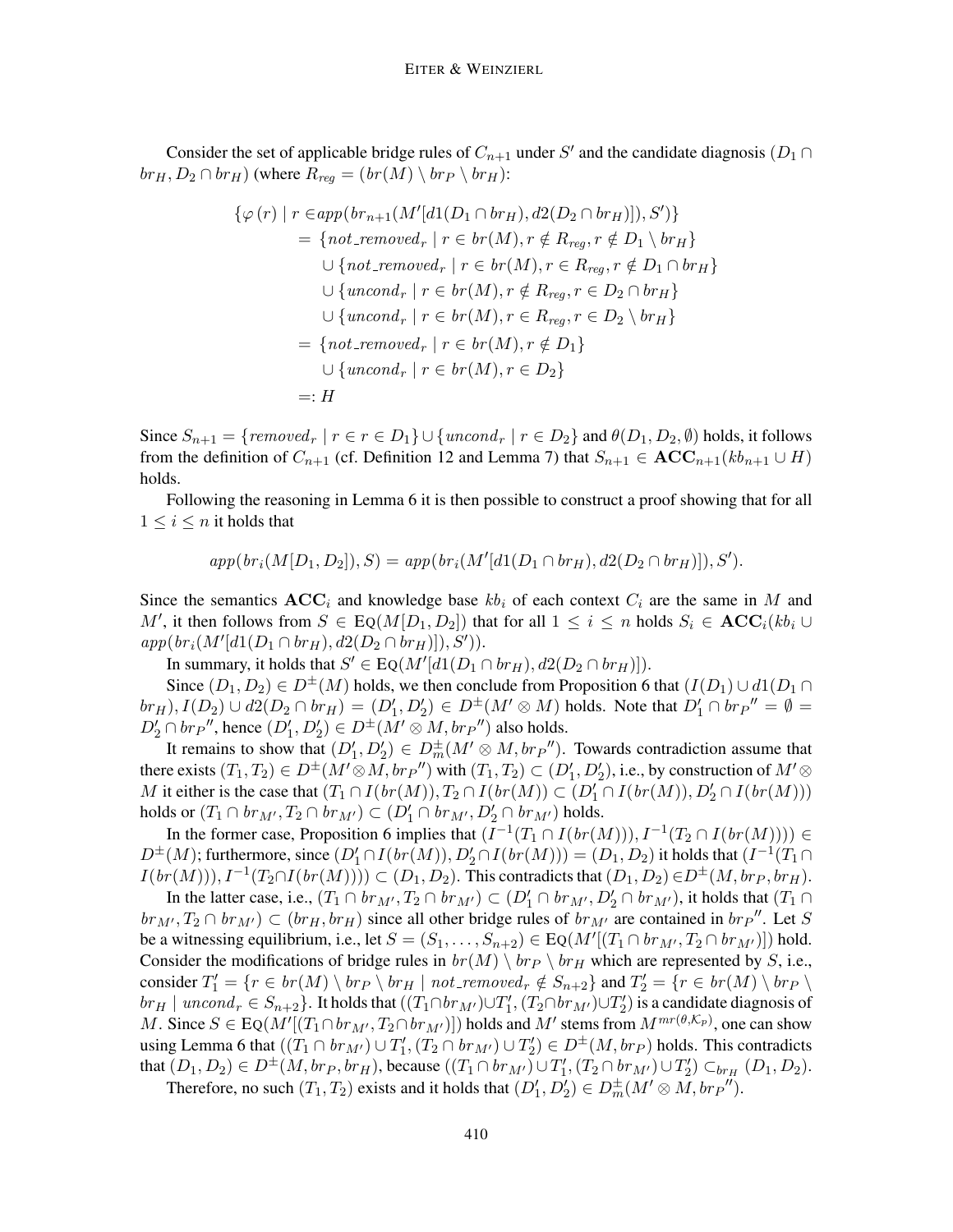Consider the set of applicable bridge rules of  $C_{n+1}$  under S' and the candidate diagnosis  $(D_1 \cap D_2)$  $br_H, D_2 \cap br_H$ ) (where  $R_{req} = (br(M) \setminus br_P \setminus br_H)$ :

$$
\{\varphi(r) \mid r \in app(br_{n+1}(M'[d1(D_1 \cap br_H), d2(D_2 \cap br_H)]), S')\}
$$
\n
$$
= \{not_{\text{removed}} r \mid r \in br(M), r \notin R_{reg}, r \notin D_1 \setminus br_H\}
$$
\n
$$
\cup \{not_{\text{removed}} r \mid r \in br(M), r \in R_{reg}, r \notin D_1 \cap br_H\}
$$
\n
$$
\cup \{uncond_r \mid r \in br(M), r \notin R_{reg}, r \in D_2 \cap br_H\}
$$
\n
$$
\cup \{uncond_r \mid r \in br(M), r \in R_{reg}, r \in D_2 \setminus br_H\}
$$
\n
$$
= \{not_{\text{removed}} r \mid r \in br(M), r \notin D_1\}
$$
\n
$$
\cup \{uncond_r \mid r \in br(M), r \in D_2\}
$$
\n
$$
=: H
$$

Since  $S_{n+1} = \{removed_r \mid r \in r \in D_1 \} \cup \{uncond_r \mid r \in D_2 \}$  and  $\theta(D_1, D_2, \emptyset)$  holds, it follows from the definition of  $C_{n+1}$  (cf. Definition 12 and Lemma 7) that  $S_{n+1} \in \text{ACC}_{n+1}(kb_{n+1} \cup H)$ holds.

Following the reasoning in Lemma 6 it is then possible to construct a proof showing that for all  $1 \leq i \leq n$  it holds that

 $app(br_i(M[D_1, D_2]), S) = app(br_i(M'[d1(D_1 \cap br_H), d2(D_2 \cap br_H)]), S').$ 

Since the semantics  $\mathbf{ACC}_i$  and knowledge base  $kb_i$  of each context  $C_i$  are the same in M and M', it then follows from  $S \in \text{Eq}(M[D_1, D_2])$  that for all  $1 \leq i \leq n$  holds  $S_i \in \text{ACC}_i(kb_i \cup$  $app(br_i(M'[d1(D_1 \cap br_H), d2(D_2 \cap br_H)]), S')).$ 

In summary, it holds that  $S' \in \text{Eq}(M'[d1(D_1 \cap br_H), d2(D_2 \cap br_H)]).$ 

Since  $(D_1, D_2) \in D^{\pm}(M)$  holds, we then conclude from Proposition 6 that  $(I(D_1) \cup d1(D_1 \cap$  $br_H$ ),  $I(D_2) \cup d2(D_2 \cap br_H) = (D'_1, D'_2) \in D^{\pm}(M' \otimes M)$  holds. Note that  $D'_1 \cap br_P'' = \emptyset$  $D'_2 \cap \text{brp}''$ , hence  $(D'_1, D'_2) \in D^{\pm}(M' \otimes M, \text{brp}'')$  also holds.

It remains to show that  $(D'_1, D'_2) \in D_m^{\pm}(M' \otimes M, brP'')$ . Towards contradiction assume that there exists  $(T_1,T_2)\in D^{\pm}(M'\otimes M,br_{P}'')$  with  $(T_1,T_2)\subset (D_1',D_2'),$  i.e., by construction of  $M'\otimes$ M it either is the case that  $(T_1 \cap I(br(M)), T_2 \cap I(br(M)) \subset (D'_1 \cap I(br(M)), D'_2 \cap I(br(M)))$ holds or  $(T_1 \cap br_{M'}, T_2 \cap br_{M'}) \subset (D'_1 \cap br_{M'}, D'_2 \cap br_{M'})$  holds.

In the former case, Proposition 6 implies that  $(I^{-1}(T_1 \cap I(br(M))), I^{-1}(T_2 \cap I(br(M)))) \in$  $D^{\pm}(M)$ ; furthermore, since  $(D'_1 \cap I(br(M)), D'_2 \cap I(br(M))) = (D_1, D_2)$  it holds that  $(I^{-1}(T_1 \cap$  $I(br(M))), I^{-1}(T_2\cap I(br(M)))) \subset (D_1, D_2)$ . This contradicts that  $(D_1, D_2) \in D^{\pm}(M, br_P, br_H)$ . In the latter case, i.e.,  $(T_1 \cap br_{M'}, T_2 \cap br_{M'}) \subset (D'_1 \cap br_{M'}, D'_2 \cap br_{M'})$ , it holds that  $(T_1 \cap$  $br_{M'}$ ,  $T_2 \cap br_{M'}$ )  $\subset (br_H, br_H)$  since all other bridge rules of  $br_{M'}$  are contained in  $br_P''$ . Let S be a witnessing equilibrium, i.e., let  $S = (S_1, \ldots, S_{n+2}) \in \text{Eq}(M'[(T_1 \cap br_{M'}, T_2 \cap br_{M'})])$  hold. Consider the modifications of bridge rules in  $br(M) \setminus br_P \setminus br_H$  which are represented by S, i.e., consider  $T'_1 = \{r \in br(M) \setminus br_H \mid not\_removed_r \notin S_{n+2}\}$  and  $T'_2 = \{r \in br(M) \setminus br_P \setminus br_H \mid not\_removed_r \notin S_{n+2}\}$  $br_H \mid uncond_r \in S_{n+2}$ . It holds that  $((T_1 \cap br_{M'}) \cup T'_1, (T_2 \cap br_{M'}) \cup T'_2)$  is a candidate diagnosis of M. Since  $S \in \text{EQ}(M'[(T_1 \cap br_{M'}, T_2 \cap br_{M'})])$  holds and  $M'$  stems from  $M^{mr(\theta,\mathcal{K}_p)}$ , one can show using Lemma 6 that  $((T_1 \cap br_{M'}) \cup T_1', (T_2 \cap br_{M'}) \cup T_2') \in D^{\pm}(M, br_P)$  holds. This contradicts that  $(D_1, D_2) \in D^{\pm}(M, br_P, br_H)$ , because  $((T_1 \cap br_{M'}) \cup T_1', (T_2 \cap br_{M'}) \cup T_2') \subset_{br_H} (D_1, D_2)$ .

Therefore, no such  $(T_1, T_2)$  exists and it holds that  $(D'_1, D'_2) \in D_m^{\pm}(M' \otimes M, brp'')$ .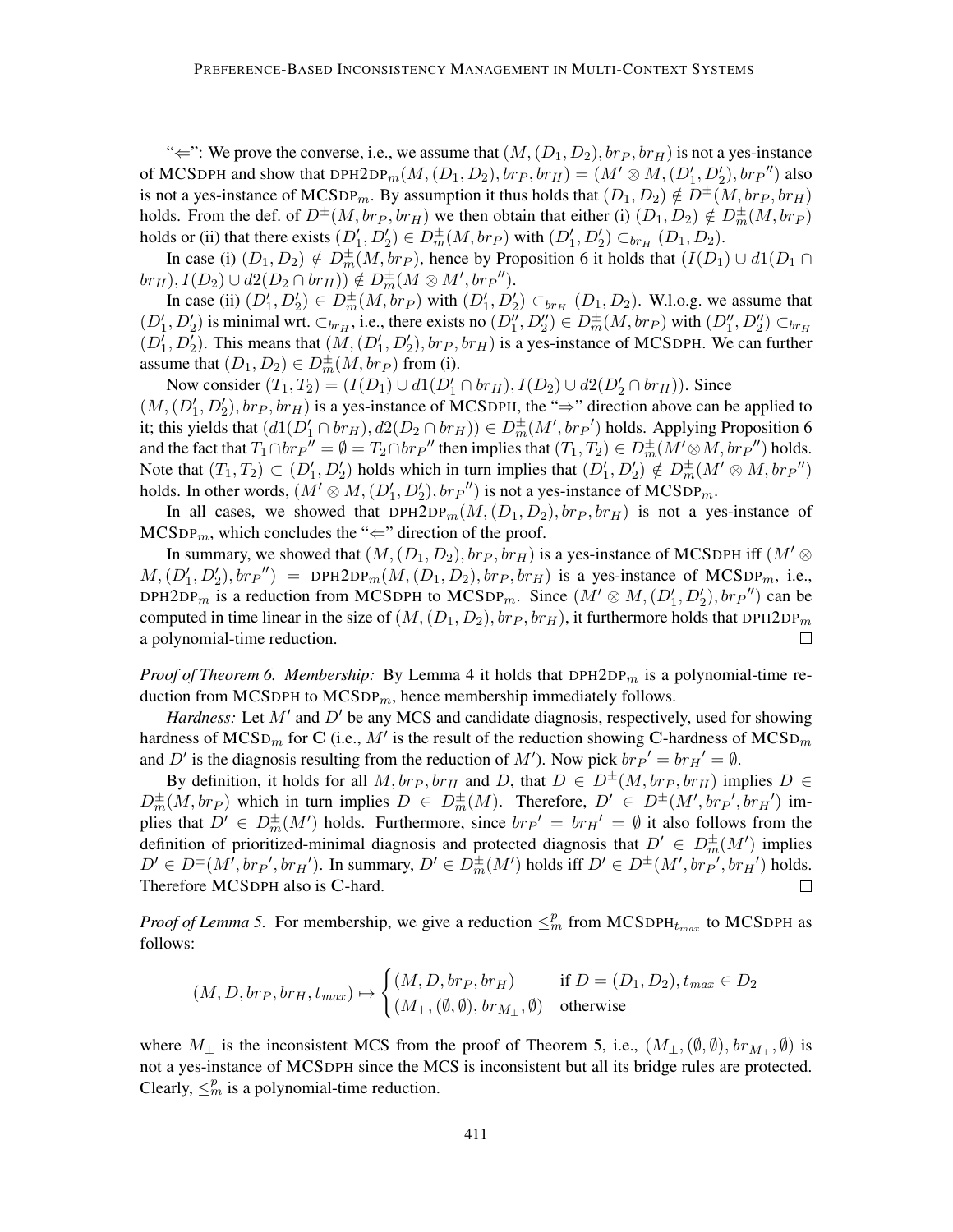" $\iff$ ": We prove the converse, i.e., we assume that  $(M,(D_1,D_2), br_P, br_H)$  is not a yes-instance of MCSDPH and show that DPH2DP<sub>m</sub> $(M,(D_1,D_2),br_P,br_H) = (M' \otimes M,(D'_1,D'_2),br_P'')$  also is not a yes-instance of MCSDP<sub>m</sub>. By assumption it thus holds that  $(D_1, D_2) \notin D^{\pm}(M, br_P, br_H)$ holds. From the def. of  $D^{\pm}(M, b_{P}, b_{H})$  we then obtain that either (i)  $(D_1, D_2) \notin D_m^{\pm}(M, b_{P})$ holds or (ii) that there exists  $(D'_1, D'_2) \in D_m^{\pm}(M, b_{TP})$  with  $(D'_1, D'_2) \subset_{b_{TH}} (D_1, D_2)$ .

In case (i)  $(D_1, D_2) \notin D_m^{\pm}(M, br_P)$ , hence by Proposition 6 it holds that  $(I(D_1) \cup d1(D_1 \cap$  $br_H$ ),  $I(D_2) \cup d2(D_2 \cap br_H)) \notin D_m^{\pm}(M \otimes M', br_{P''}).$ 

In case (ii)  $(D'_1, D'_2) \in D_m^{\pm}(M, br_P)$  with  $(D'_1, D'_2) \subset_{br_H} (D_1, D_2)$ . W.l.o.g. we assume that  $(D'_1, D'_2)$  is minimal wrt.  $\subset_{br_H}$ , i.e., there exists no  $(D''_1, D''_2) \in D_m^{\pm}(M, br_P)$  with  $(D''_1, D''_2) \subset_{br_H}$  $(D'_1, D'_2)$ . This means that  $(M, (D'_1, D'_2), br_P, br_H)$  is a yes-instance of MCSDPH. We can further assume that  $(D_1, D_2) \in D_m^{\pm}(M, br_P)$  from (i).

Now consider  $(T_1, T_2) = (I(D_1) \cup d1(D'_1 \cap br_H), I(D_2) \cup d2(D'_2 \cap br_H))$ . Since  $(M, (D'_1, D'_2), br_P, br_H)$  is a yes-instance of MCSDPH, the "⇒" direction above can be applied to it; this yields that  $(d1(D'_1 \cap br_H), d2(D_2 \cap br_H)) \in D_m^{\pm}(M', br_{P'})$  holds. Applying Proposition 6 and the fact that  $T_1 \cap brP'' = \emptyset = T_2 \cap brP''$  then implies that  $(T_1, T_2) \in D_m^{\pm}(M' \otimes M, brP'')$  holds. Note that  $(T_1, T_2) \subset (D'_1, D'_2)$  holds which in turn implies that  $(D'_1, D'_2) \notin D_m^{\pm}(M' \otimes M, br_P'')$ holds. In other words,  $(M' \otimes M, (D'_1, D'_2), brP'')$  is not a yes-instance of MCSDP<sub>m</sub>.

In all cases, we showed that  $DPH2DP_m(M,(D_1, D_2), br_P, br_H)$  is not a yes-instance of  $MCSDP_m$ , which concludes the " $\Leftarrow$ " direction of the proof.

In summary, we showed that  $(M,(D_1, D_2), br_P, br_H)$  is a yes-instance of MCSDPH iff  $(M' \otimes$  $M,(D'_1, D'_2), brp'')$  = DPH2DP<sub>m</sub>( $M,(D_1, D_2), brp, br_H$ ) is a yes-instance of MCSDP<sub>m</sub>, i.e., DPH2DP<sub>m</sub> is a reduction from MCSDPH to MCSDP<sub>m</sub>. Since  $(M' \otimes M, (D'_1, D'_2), brP'')$  can be computed in time linear in the size of  $(M,(D_1, D_2), br_p, br_H)$ , it furthermore holds that DPH2DP<sub>m</sub> a polynomial-time reduction. П

*Proof of Theorem 6. Membership:* By Lemma 4 it holds that  $DPH2DP_m$  is a polynomial-time reduction from MCSDPH to  $MCSDP_m$ , hence membership immediately follows.

*Hardness:* Let  $M'$  and  $D'$  be any MCS and candidate diagnosis, respectively, used for showing hardness of MCSD<sub>m</sub> for C (i.e., M' is the result of the reduction showing C-hardness of MCSD<sub>m</sub> and D' is the diagnosis resulting from the reduction of M'). Now pick  $br_P' = br_H' = \emptyset$ .

By definition, it holds for all M,  $br_P$ ,  $br_H$  and D, that  $D \in D^{\pm}(M, br_P, br_H)$  implies  $D \in$  $D_m^{\pm}(M, br_P)$  which in turn implies  $D \in D_m^{\pm}(M)$ . Therefore,  $D' \in D^{\pm}(M', br_P', br_H')$  implies that  $D' \in D_m^{\pm}(M')$  holds. Furthermore, since  $br_p' = br_{H'} = \emptyset$  it also follows from the definition of prioritized-minimal diagnosis and protected diagnosis that  $D' \in D_m^{\pm}(M')$  implies  $D' \in D^{\pm}(M', br_{P'}, br_{H'})$ . In summary,  $D' \in D^{\pm}_m(M')$  holds iff  $D' \in D^{\pm}(M', br_{P'}, br_{H'})$  holds. Therefore MCSDPH also is C-hard.  $\Box$ 

*Proof of Lemma 5.* For membership, we give a reduction  $\leq_m^p$  from MCSDPH<sub>tmax</sub> to MCSDPH as follows:

$$
(M, D, br_P, br_H, t_{max}) \mapsto \begin{cases} (M, D, br_P, br_H) & \text{if } D = (D_1, D_2), t_{max} \in D_2 \\ (M_\perp, (\emptyset, \emptyset), br_{M_\perp}, \emptyset) & \text{otherwise} \end{cases}
$$

where  $M_{\perp}$  is the inconsistent MCS from the proof of Theorem 5, i.e.,  $(M_{\perp},(\emptyset,\emptyset), br_{M_{\perp}},\emptyset)$  is not a yes-instance of MCSDPH since the MCS is inconsistent but all its bridge rules are protected. Clearly,  $\leq^p_m$  is a polynomial-time reduction.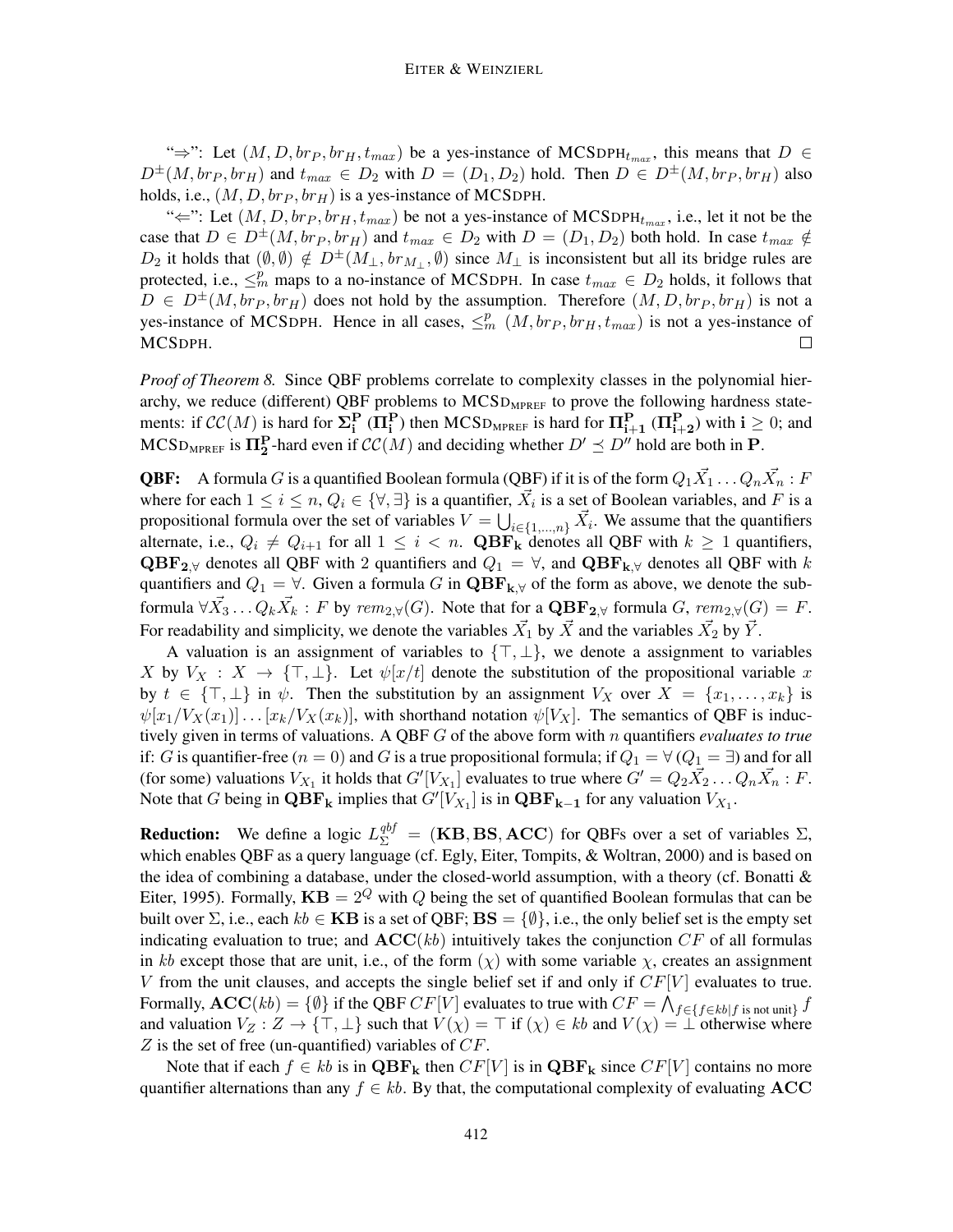" $\Rightarrow$ ": Let  $(M, D, br_P, br_H, t_{max})$  be a yes-instance of MCSDPH<sub>tmax</sub>, this means that  $D \in$  $D^{\pm}(M, br_P, br_H)$  and  $t_{max} \in D_2$  with  $D = (D_1, D_2)$  hold. Then  $D \in D^{\pm}(M, br_P, br_H)$  also holds, i.e.,  $(M, D, br_P, br_H)$  is a yes-instance of MCSDPH.

" $\Leftarrow$ ": Let  $(M, D, br_P, br_H, t_{max})$  be not a yes-instance of MCSDPH<sub>tmax</sub>, i.e., let it not be the case that  $D \in D^{\pm}(M, br_P, br_H)$  and  $t_{max} \in D_2$  with  $D = (D_1, D_2)$  both hold. In case  $t_{max} \notin$  $D_2$  it holds that  $(\emptyset, \emptyset) \notin D^{\pm}(M_+, br_{M_+}, \emptyset)$  since  $M_{\perp}$  is inconsistent but all its bridge rules are protected, i.e.,  $\leq_m^p$  maps to a no-instance of MCSDPH. In case  $t_{max} \in D_2$  holds, it follows that  $D \in D^{\pm}(M, br, br_H)$  does not hold by the assumption. Therefore  $(M, D, br, br_H)$  is not a yes-instance of MCSDPH. Hence in all cases,  $\leq_m^p$   $(M, br_P, br_H, t_{max})$  is not a yes-instance of MCSDPH.  $\Box$ 

*Proof of Theorem 8.* Since QBF problems correlate to complexity classes in the polynomial hierarchy, we reduce (different) QBF problems to MCSD<sub>MPREF</sub> to prove the following hardness statements: if  $\mathcal{CC}(M)$  is hard for  $\Sigma_i^{\mathbf{P}}(\Pi_i^{\mathbf{P}})$  then MCSD<sub>MPREF</sub> is hard for  $\Pi_{i+1}^{\mathbf{P}}(\Pi_{i+2}^{\mathbf{P}})$  with  $i \geq 0$ ; and  $MCSD_{MPREF}$  is  $\Pi_2^P$ -hard even if  $\mathcal{CC}(M)$  and deciding whether  $D' \preceq D''$  hold are both in  $P$ .

**QBF:** A formula G is a quantified Boolean formula (QBF) if it is of the form  $Q_1 \vec{X_1} \ldots Q_n \vec{X_n}$  : F where for each  $1 \leq i \leq n$ ,  $Q_i \in \{\forall, \exists\}$  is a quantifier,  $\vec{X}_i$  is a set of Boolean variables, and F is a propositional formula over the set of variables  $V = \bigcup_{i \in \{1,...,n\}} \vec{X_i}$ . We assume that the quantifiers alternate, i.e.,  $Q_i \neq Q_{i+1}$  for all  $1 \leq i < n$ .  $\mathbf{QBF_k}$  denotes all QBF with  $k \geq 1$  quantifiers,  $QBF_{2,\forall}$  denotes all QBF with 2 quantifiers and  $Q_1 = \forall$ , and  $QBF_{k,\forall}$  denotes all QBF with k quantifiers and  $Q_1 = \forall$ . Given a formula G in  $\mathbf{QBF_{k}}$  of the form as above, we denote the subformula  $\forall \vec{X_3} \ldots Q_k \vec{X_k}$  : F by  $rem_{2,\forall}(G)$ . Note that for a  $\mathbf{QBF_{2,\forall}}$  formula  $G,$   $rem_{2,\forall}(G) = F.$ For readability and simplicity, we denote the variables  $\vec{X_1}$  by  $\vec{X}$  and the variables  $\vec{X_2}$  by  $\vec{Y}$ .

A valuation is an assignment of variables to  $\{\top, \bot\}$ , we denote a assignment to variables X by  $V_X : X \to {\{\top, \bot\}}$ . Let  $\psi[x/t]$  denote the substitution of the propositional variable x by  $t \in \{\top, \bot\}$  in  $\psi$ . Then the substitution by an assignment  $V_X$  over  $X = \{x_1, \ldots, x_k\}$  is  $\psi[x_1/V_X(x_1)] \dots [x_k/V_X(x_k)]$ , with shorthand notation  $\psi[V_X]$ . The semantics of QBF is inductively given in terms of valuations. A QBF G of the above form with n quantifiers *evaluates to true* if: G is quantifier-free ( $n = 0$ ) and G is a true propositional formula; if  $Q_1 = \forall (Q_1 = \exists)$  and for all (for some) valuations  $V_{X_1}$  it holds that  $G'[V_{X_1}]$  evaluates to true where  $G' = Q_2 \vec{X_2} \dots Q_n \vec{X_n}$ : F. Note that G being in  $\mathbf{QBF_k}$  implies that  $G'[V_{X_1}]$  is in  $\mathbf{QBF_{k-1}}$  for any valuation  $V_{X_1}$ .

**Reduction:** We define a logic  $L_{\Sigma}^{qbf} = (\mathbf{KB}, \mathbf{BS}, \mathbf{ACC})$  for QBFs over a set of variables  $\Sigma$ , which enables QBF as a query language (cf. Egly, Eiter, Tompits, & Woltran, 2000) and is based on the idea of combining a database, under the closed-world assumption, with a theory (cf. Bonatti  $\&$ Eiter, 1995). Formally,  $KB = 2^Q$  with Q being the set of quantified Boolean formulas that can be built over  $\Sigma$ , i.e., each  $kb \in \mathbf{KB}$  is a set of QBF;  $\mathbf{BS} = \{\emptyset\}$ , i.e., the only belief set is the empty set indicating evaluation to true; and  $\mathbf{ACC}(kb)$  intuitively takes the conjunction CF of all formulas in kb except those that are unit, i.e., of the form  $(\chi)$  with some variable  $\chi$ , creates an assignment V from the unit clauses, and accepts the single belief set if and only if  $CF[V]$  evaluates to true. Formally,  $\mathbf{ACC}(kb) = \{\emptyset\}$  if the QBF  $CF[V]$  evaluates to true with  $CF = \bigwedge_{f \in \{f \in kb | f \text{ is not unit}\}} f$ and valuation  $V_Z : Z \to \{\top, \bot\}$  such that  $V(\chi) = \top$  if  $(\chi) \in kb$  and  $V(\chi) = \bot$  otherwise where Z is the set of free (un-quantified) variables of  $CF$ .

Note that if each  $f \in kb$  is in  $\mathbf{QBF_k}$  then  $CF[V]$  is in  $\mathbf{QBF_k}$  since  $CF[V]$  contains no more quantifier alternations than any  $f \in kb$ . By that, the computational complexity of evaluating ACC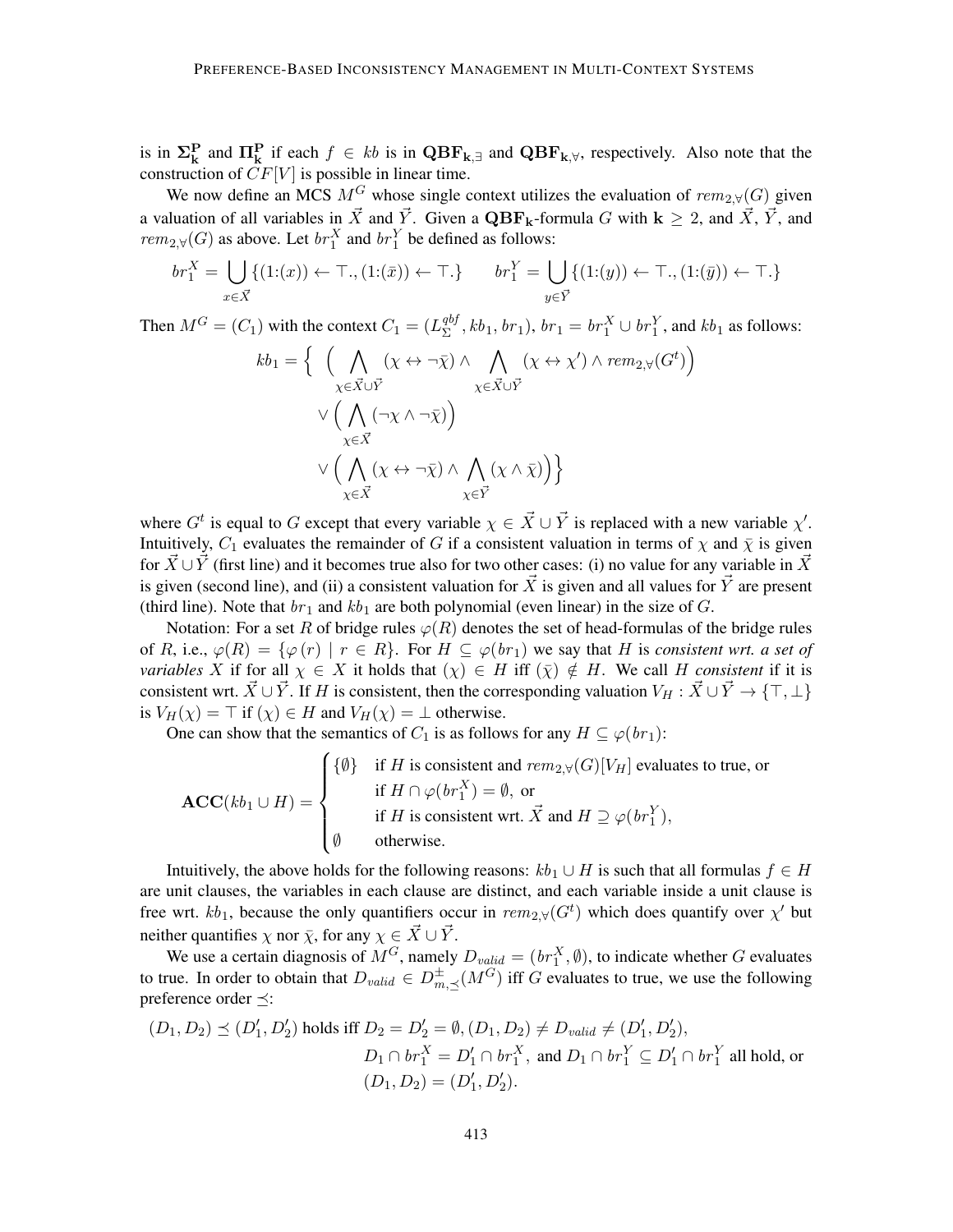is in  $\Sigma_k^P$  and  $\Pi_k^P$  if each  $f \in kb$  is in  $QBF_{k,\exists}$  and  $QBF_{k,\forall}$ , respectively. Also note that the construction of  $CF[V]$  is possible in linear time.

We now define an MCS  $M^G$  whose single context utilizes the evaluation of  $rem_{2,y}(G)$  given a valuation of all variables in  $\vec{X}$  and  $\vec{Y}$ . Given a  $\bf{QBF_k}$ -formula G with  $k \geq 2$ , and  $\vec{X}$ ,  $\vec{Y}$ , and  $rem_{2,\forall}(G)$  as above. Let  $br_1^X$  and  $br_1^Y$  be defined as follows:

$$
br_1^X = \bigcup_{x \in \vec{X}} \{ (1:(x)) \leftarrow \top, (1:(\bar{x})) \leftarrow \top \} \qquad br_1^Y = \bigcup_{y \in \vec{Y}} \{ (1:(y)) \leftarrow \top, (1:(\bar{y})) \leftarrow \top \}
$$

Then  $M^G = (C_1)$  with the context  $C_1 = (L_{\Sigma}^{qbf})$  ${}_{\Sigma}^{qbf}, kb_1, br_1), br_1 = br_1^X \cup br_1^Y$ , and  $kb_1$  as follows:

$$
kb_1 = \Big\{ \left( \bigwedge_{\substack{\chi \in \vec{X} \cup \vec{Y} \\ \chi \in \vec{X}}} (\chi \leftrightarrow \neg \bar{\chi}) \land \bigwedge_{\chi \in \vec{X} \cup \vec{Y}} (\chi \leftrightarrow \chi') \land rem_{2, \forall} (G^t) \right) \vee \left( \bigwedge_{\chi \in \vec{X}} (\neg \chi \land \neg \bar{\chi}) \right) \vee \left( \bigwedge_{\chi \in \vec{X}} (\chi \leftrightarrow \neg \bar{\chi}) \land \bigwedge_{\chi \in \vec{Y}} (\chi \land \bar{\chi}) \right) \Big\}
$$

where  $G^t$  is equal to G except that every variable  $\chi \in \vec{X} \cup \vec{Y}$  is replaced with a new variable  $\chi'$ . Intuitively,  $C_1$  evaluates the remainder of G if a consistent valuation in terms of  $\chi$  and  $\bar{\chi}$  is given for  $\vec{X} \cup \vec{Y}$  (first line) and it becomes true also for two other cases: (i) no value for any variable in  $\vec{X}$ is given (second line), and (ii) a consistent valuation for  $\vec{X}$  is given and all values for  $\vec{Y}$  are present (third line). Note that  $br_1$  and  $kb_1$  are both polynomial (even linear) in the size of G.

Notation: For a set R of bridge rules  $\varphi(R)$  denotes the set of head-formulas of the bridge rules of R, i.e.,  $\varphi(R) = {\varphi(r) | r \in R}$ . For  $H \subseteq \varphi(br_1)$  we say that H is *consistent wrt. a set of variables* X if for all  $\chi \in X$  it holds that  $(\chi) \in H$  iff  $(\bar{\chi}) \notin H$ . We call H *consistent* if it is consistent wrt.  $\vec{X} \cup \vec{Y}$ . If H is consistent, then the corresponding valuation  $V_H : \vec{X} \cup \vec{Y} \to {\top, \bot}$ is  $V_H(\chi) = \top$  if  $(\chi) \in H$  and  $V_H(\chi) = \bot$  otherwise.

One can show that the semantics of  $C_1$  is as follows for any  $H \subseteq \varphi(br_1)$ :

$$
\mathbf{ACC}(kb_1 \cup H) = \begin{cases} \{\emptyset\} & \text{if } H \text{ is consistent and } rem_{2,\forall}(G)[V_H] \text{ evaluates to true, or} \\ & \text{if } H \cap \varphi(br_1^X) = \emptyset, \text{ or} \\ & \text{if } H \text{ is consistent wrt. } \vec{X} \text{ and } H \supseteq \varphi(br_1^Y), \\ \emptyset & \text{otherwise.} \end{cases}
$$

Intuitively, the above holds for the following reasons:  $kb_1 \cup H$  is such that all formulas  $f \in H$ are unit clauses, the variables in each clause are distinct, and each variable inside a unit clause is free wrt.  $kb_1$ , because the only quantifiers occur in  $rem_{2,\forall}(G^t)$  which does quantify over  $\chi'$  but neither quantifies  $\chi$  nor  $\bar{\chi}$ , for any  $\chi \in \vec{X} \cup \vec{Y}$ .

We use a certain diagnosis of  $M^G$ , namely  $D_{valid} = (br_1^X, \emptyset)$ , to indicate whether G evaluates to true. In order to obtain that  $D_{valid} \in D^{\pm}_{m,\preceq}(M^G)$  iff G evaluates to true, we use the following preference order  $\preceq$ :

$$
(D_1, D_2) \preceq (D'_1, D'_2)
$$
 holds iff  $D_2 = D'_2 = \emptyset$ ,  $(D_1, D_2) \neq D_{valid} \neq (D'_1, D'_2)$ ,  
\n $D_1 \cap br_1^X = D'_1 \cap br_1^X$ , and  $D_1 \cap br_1^Y \subseteq D'_1 \cap br_1^Y$  all hold, or  
\n $(D_1, D_2) = (D'_1, D'_2)$ .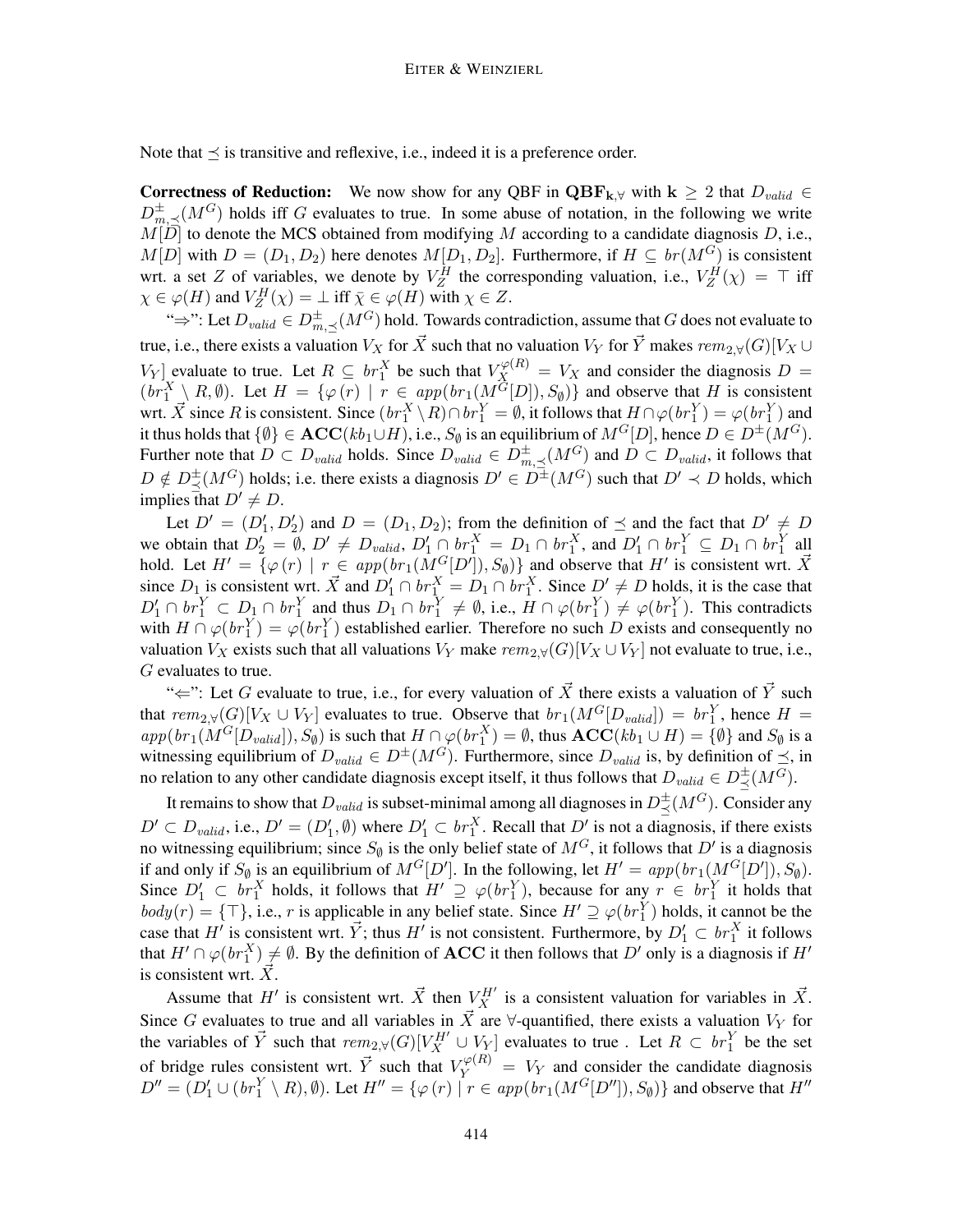Note that  $\preceq$  is transitive and reflexive, i.e., indeed it is a preference order.

**Correctness of Reduction:** We now show for any QBF in  $\mathbf{QBF_{k}}$  with  $k \geq 2$  that  $D_{valid} \in$  $D_{m,\preceq}^{\pm}(M^G)$  holds iff G evaluates to true. In some abuse of notation, in the following we write  $M[\overline{D}]$  to denote the MCS obtained from modifying M according to a candidate diagnosis D, i.e.,  $M[D]$  with  $D = (D_1, D_2)$  here denotes  $M[D_1, D_2]$ . Furthermore, if  $H \subseteq br(M^G)$  is consistent wrt. a set Z of variables, we denote by  $V_Z^H$  the corresponding valuation, i.e.,  $V_Z^H(\chi) = \top$  iff  $\chi \in \varphi(H)$  and  $V_Z^H(\chi) = \perp$  iff  $\bar{\chi} \in \varphi(H)$  with  $\chi \in Z$ .

"⇒": Let  $D_{valid} \in D^{\pm}_{m,\preceq}(M^G)$  hold. Towards contradiction, assume that  $G$  does not evaluate to true, i.e., there exists a valuation  $V_X$  for  $\vec{X}$  such that no valuation  $V_Y$  for  $\vec{Y}$  makes  $rem_{2,\forall}(G)[V_X \cup$  $V_Y$  evaluate to true. Let  $R \subseteq br_1^X$  be such that  $V_X^{\varphi(R)} = V_X$  and consider the diagnosis  $D =$  $(br_1^X \setminus R, \emptyset)$ . Let  $H = \{ \varphi(r) \mid r \in app(br_1(M^{\widehat{G}}[D]), S_{\emptyset}) \}$  and observe that H is consistent wrt.  $\vec{X}$  since R is consistent. Since  $(br_1^X \setminus R) \cap br_1^Y = \emptyset$ , it follows that  $H \cap \varphi(br_1^Y) = \varphi(br_1^Y)$  and it thus holds that  $\{\emptyset\}\in \mathbf{ACC}(kb_1\cup H),$  i.e.,  $S_{\emptyset}$  is an equilibrium of  $M^G[D],$  hence  $D\in D^{\pm}(M^G).$ Further note that  $D \subset D_{valid}$  holds. Since  $D_{valid} \in D_{m,\preceq}^{\pm}(M^G)$  and  $D \subset D_{valid}$ , it follows that  $D \notin D \to \infty$  holds; i.e. there exists a diagnosis  $D' \in D^{\pm}(M^G)$  such that  $D' \prec D$  holds, which implies that  $D' \neq D$ .

Let  $D' = (D'_1, D'_2)$  and  $D = (D_1, D_2)$ ; from the definition of  $\preceq$  and the fact that  $D' \neq D$ we obtain that  $D'_2 = \emptyset$ ,  $D' \neq D_{valid}$ ,  $D'_1 \cap br_1^X = D_1 \cap br_1^X$ , and  $D'_1 \cap br_1^Y \subseteq D_1 \cap br_1^Y$  all hold. Let  $H' = \{ \varphi(r) \mid r \in app(br_1(M^G[D]), S_0) \}$  and observe that H' is consistent wrt.  $\vec{X}$ since  $D_1$  is consistent wrt.  $\vec{X}$  and  $D'_1 \cap br_1^X = D_1 \cap br_1^X$ . Since  $D' \neq D$  holds, it is the case that  $D'_1 \cap br_1^Y \subset D_1 \cap br_1^Y$  and thus  $D_1 \cap br_1^Y \neq \emptyset$ , i.e.,  $H \cap \varphi(br_1^Y) \neq \varphi(br_1^Y$ . This contradicts with  $H \cap \varphi(br_1^Y) = \varphi(br_1^Y)$  established earlier. Therefore no such D exists and consequently no valuation  $V_X$  exists such that all valuations  $V_Y$  make  $rem_{2,\forall}(G)[V_X \cup V_Y]$  not evaluate to true, i.e., G evaluates to true.

" $\Leftarrow$ ": Let G evaluate to true, i.e., for every valuation of  $\vec{X}$  there exists a valuation of  $\vec{Y}$  such that  $rem_{2,\forall}(G)[V_X \cup V_Y]$  evaluates to true. Observe that  $br_1(M^G[D_{valid}]) = br_1^Y$ , hence  $H =$  $app(br_1(M^G[D_{valid}]), S_{\emptyset})$  is such that  $H \cap \varphi(br_1^X) = \emptyset$ , thus  $\mathbf{ACC}(kb_1 \cup H) = \{\emptyset\}$  and  $S_{\emptyset}$  is a witnessing equilibrium of  $D_{valid} \in D^{\pm}(M^G)$ . Furthermore, since  $D_{valid}$  is, by definition of  $\preceq$ , in no relation to any other candidate diagnosis except itself, it thus follows that  $D_{valid} \in D^{\pm}_{\preceq}(M^G)$ .

It remains to show that  $D_{valid}$  is subset-minimal among all diagnoses in  $D^{\pm}_{\preceq}(M^G)$ . Consider any  $D' \subset D_{valid}$ , i.e.,  $D' = (D'_1, \emptyset)$  where  $D'_1 \subset br_1^X$ . Recall that  $D'$  is not a diagnosis, if there exists no witnessing equilibrium; since  $S_{\emptyset}$  is the only belief state of  $M^G$ , it follows that  $D'$  is a diagnosis if and only if  $S_{\emptyset}$  is an equilibrium of  $M^G[D']$ . In the following, let  $H' = app(br_1(M^G[D']) , S_{\emptyset})$ . Since  $D'_1 \subset br_1^X$  holds, it follows that  $H' \supseteq \varphi(br_1^Y)$ , because for any  $r \in br_1^Y$  it holds that  $body(r) = {\{\top\}, \text{i.e., } r \text{ is applicable in any belief state. Since } H' \supseteq \varphi(br_1^Y) \text{ holds, it cannot be the$ case that H<sup>t</sup> is consistent wrt.  $\vec{Y}$ ; thus H<sup>t</sup> is not consistent. Furthermore, by  $D'_1 \subset br_1^X$  it follows that  $H' \cap \varphi(br_1^X) \neq \emptyset$ . By the definition of **ACC** it then follows that D' only is a diagnosis if  $H'$ is consistent wrt.  $\overrightarrow{X}$ .

Assume that H' is consistent wrt.  $\vec{X}$  then  $V_X^{H'}$  is a consistent valuation for variables in  $\vec{X}$ . Since G evaluates to true and all variables in  $\vec{X}$  are  $\forall$ -quantified, there exists a valuation  $V_Y$  for the variables of  $\vec{Y}$  such that  $rem_{2,\forall}(G)[V_X^{H'} \cup V_Y]$  evaluates to true. Let  $R \subset br_1^Y$  be the set of bridge rules consistent wrt.  $\vec{Y}$  such that  $V_Y^{\varphi(R)} = V_Y$  and consider the candidate diagnosis  $D'' = (D'_1 \cup (br_1^Y \setminus R), \emptyset)$ . Let  $H'' = \{ \varphi(r) \mid r \in app(br_1(M^G[D'')), S_{\emptyset) \}$  and observe that  $H''$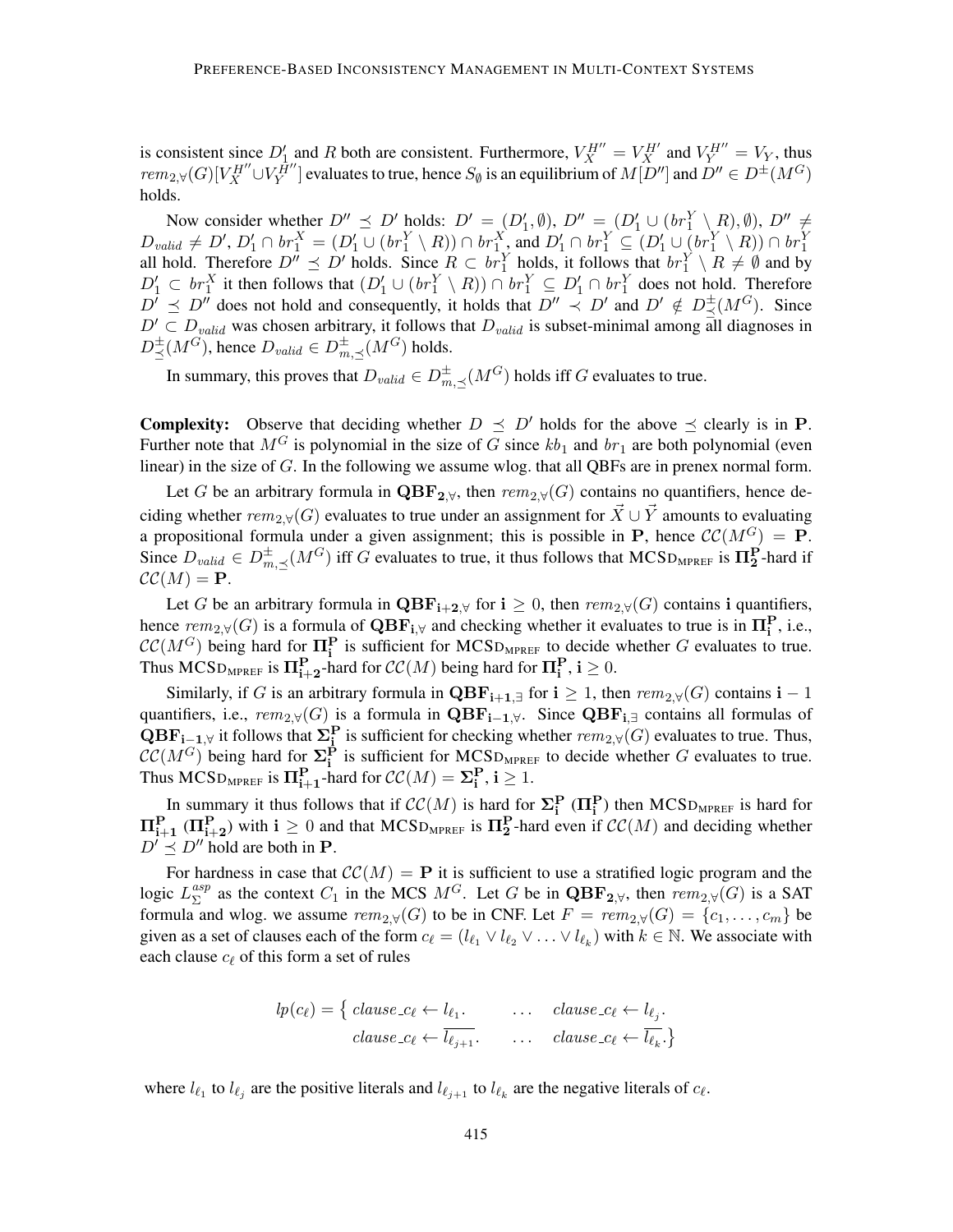is consistent since  $D'_1$  and R both are consistent. Furthermore,  $V_X^{H''} = V_X^{H'}$  and  $V_Y^{H''} = V_Y$ , thus  $rem_{2,\forall}(G)[V_X^{H''} \cup V_Y^{\hat{H}''}]$  evaluates to true, hence  $S_\emptyset$  is an equilibrium of  $M[D'']$  and  $D'' \in D^{\pm}(M^G)$ holds.

Now consider whether  $D'' \preceq D'$  holds:  $D' = (D'_1, \emptyset), D'' = (D'_1 \cup (br_1^Y \setminus R), \emptyset), D'' \neq$  $D_{valid} \neq D', D'_1 \cap br_1^X = (D'_1 \cup (br_1^Y \setminus R)) \cap br_1^X$ , and  $D'_1 \cap br_1^Y \subseteq (D'_1 \cup (br_1^Y \setminus R)) \cap br_1^Y$  all hold. Therefore  $D'' \preceq D'$  holds. Since  $R \subset br_1^Y$  holds, it follows that  $br_1^Y \setminus R \neq \emptyset$  and by  $D'_1 \subset br_1^X$  it then follows that  $(D'_1 \cup (br_1^Y \setminus R)) \cap br_1^Y \subseteq D'_1 \cap br_1^Y$  does not hold. Therefore  $D^{\dagger} \preceq D^{\prime\prime}$  does not hold and consequently, it holds that  $D^{\prime\prime} \prec D^{\prime}$  and  $D^{\prime} \notin D^{\pm}_{\preceq}(M^G)$ . Since  $D' \subset D_{valid}$  was chosen arbitrary, it follows that  $D_{valid}$  is subset-minimal among all diagnoses in  $D^{\pm}_{\preceq}(M^G)$ , hence  $D_{valid} \in D^{\pm}_{m,\preceq}(M^G)$  holds.

In summary, this proves that  $D_{valid} \in D^{\pm}_{m,\preceq}(M^G)$  holds iff  $G$  evaluates to true.

**Complexity:** Observe that deciding whether  $D \preceq D'$  holds for the above  $\preceq$  clearly is in P. Further note that  $M<sup>G</sup>$  is polynomial in the size of G since  $kb<sub>1</sub>$  and  $br<sub>1</sub>$  are both polynomial (even linear) in the size of G. In the following we assume wlog. that all QBFs are in prenex normal form.

Let G be an arbitrary formula in  $\mathbf{QBF}_{2,\forall}$ , then  $rem_{2,\forall}(G)$  contains no quantifiers, hence deciding whether  $rem_{2}y(G)$  evaluates to true under an assignment for  $\vec{X} \cup \vec{Y}$  amounts to evaluating a propositional formula under a given assignment; this is possible in P, hence  $\mathcal{CC}(M^G) = P$ . Since  $D_{valid} \in D_{m,\preceq}^{\pm}(M^G)$  iff G evaluates to true, it thus follows that MCSD<sub>MPREF</sub> is  $\Pi_2^P$ -hard if  $\mathcal{CC}(M) = P$ .

Let G be an arbitrary formula in  $\mathbf{QBF_{i+2}}$  for  $i \geq 0$ , then  $rem_{2,\forall}(G)$  contains i quantifiers, hence  $rem_{2,\forall}(G)$  is a formula of  $\mathbf{QBF}_{i,\forall}$  and checking whether it evaluates to true is in  $\Pi_i^{\mathbf{P}}$ , i.e.,  $\mathcal{CC}(M^G)$  being hard for  $\Pi_i^P$  is sufficient for MCSD<sub>MPREF</sub> to decide whether G evaluates to true. Thus MCSD<sub>MPREF</sub> is  $\mathbf{\Pi}_{i+2}^{\mathbf{P}}$ -hard for  $\mathcal{CC}(M)$  being hard for  $\mathbf{\Pi}_{i}^{\mathbf{P}},$   $i \geq 0$ .

Similarly, if G is an arbitrary formula in  $\mathbf{QBF}_{i+1,exists}$  for  $i \geq 1$ , then  $rem_{2,\forall}(G)$  contains  $i-1$ quantifiers, i.e.,  $rem_{2,\forall}(G)$  is a formula in  $QBF_{i-1,\forall}$ . Since  $QBF_{i,\exists}$  contains all formulas of  $QBF_{i-1,\forall}$  it follows that  $\Sigma_i^P$  is sufficient for checking whether  $rem_{2,\forall}(G)$  evaluates to true. Thus,  $\mathcal{CC}(M^G)$  being hard for  $\Sigma_i^P$  is sufficient for MCSD<sub>MPREF</sub> to decide whether G evaluates to true. Thus  $MCSD_{MPREF}$  is  $\Pi_{i+1}^{\mathbf{P}}$ -hard for  $\mathcal{CC}(M) = \Sigma_i^{\mathbf{P}}, i \geq 1$ .

In summary it thus follows that if  $\mathcal{CC}(M)$  is hard for  $\Sigma_i^{\mathbf{P}}(\Pi_i^{\mathbf{P}})$  then  $MCSD_{MPREF}$  is hard for  $\Pi_{i+1}^{\mathbf{P}}(\Pi_{i+2}^{\mathbf{P}})$  with  $i \geq 0$  and that MCSD<sub>MPREF</sub> is  $\Pi_2^{\mathbf{P}}$ -hard even if  $\mathcal{CC}(M)$  and deciding whether  $D' \prec D''$  hold are both in **P**.

For hardness in case that  $\mathcal{CC}(M) = \mathbf{P}$  it is sufficient to use a stratified logic program and the logic  $L_{\Sigma}^{asp}$  ${}^{asp}_{\Sigma}$  as the context  $C_1$  in the MCS  $M^G$ . Let G be in  $\mathbf{QBF}_{2,\forall}$ , then  $rem_{2,\forall}(G)$  is a SAT formula and wlog. we assume  $rem_{2,\forall}(G)$  to be in CNF. Let  $F = rem_{2,\forall}(G) = \{c_1, \ldots, c_m\}$  be given as a set of clauses each of the form  $c_\ell = (l_{\ell_1} \vee l_{\ell_2} \vee \ldots \vee l_{\ell_k})$  with  $k \in \mathbb{N}$ . We associate with each clause  $c_{\ell}$  of this form a set of rules

$$
lp(c_{\ell}) = \left\{ \begin{array}{ll} clause_{\ell} \leftarrow l_{\ell_1}. & \dots & clause_{\ell} \leftarrow l_{\ell_j}. \\ clause_{\ell} \leftarrow l_{\ell_{j+1}}. & \dots & clause_{\ell} \leftarrow l_{\ell_k}. \end{array} \right\}
$$

where  $l_{\ell_1}$  to  $l_{\ell_j}$  are the positive literals and  $l_{\ell_{j+1}}$  to  $l_{\ell_k}$  are the negative literals of  $c_{\ell}$ .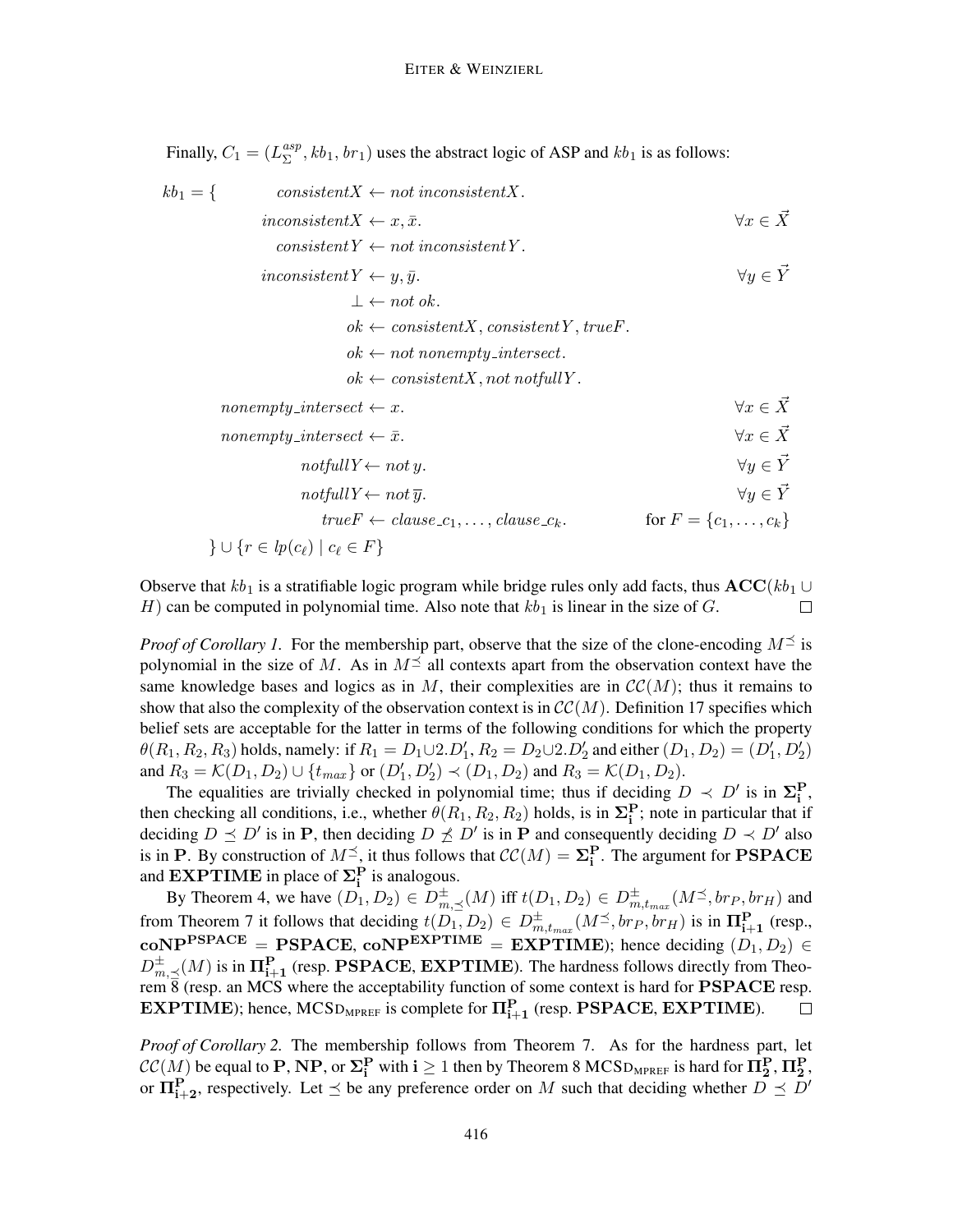Finally,  $C_1 = (L_{\Sigma}^{asp})$  $\sum_{\Sigma}^{asp}$ ,  $kb_1$ ,  $br_1$ ) uses the abstract logic of ASP and  $kb_1$  is as follows:

$$
kb_1 = \{ \qquad \text{consistent}X \leftarrow \text{not inconsistent}X. \\ \text{inconsistent}X \leftarrow x, \bar{x}. \\ \text{consistent}Y \leftarrow \text{not inconsistent}Y. \\ \text{inconsistent}Y \leftarrow y, \bar{y}. \\ \qquad \qquad \forall y \in \vec{Y} \\ \text{inconsistent}Y \leftarrow y, \bar{y}. \\ \qquad \qquad \downarrow \leftarrow \text{not ok.} \\ \text{ok} \leftarrow \text{consistent}X, \text{consistent}Y, \text{true}F. \\ \text{ok} \leftarrow \text{not nonempty\_intersect.} \\ \text{ok} \leftarrow \text{consistent}X, \text{not notfull}Y. \\ \text{nonempty\_intersect} \leftarrow x. \\ \qquad \qquad \forall x \in \vec{X} \\ \text{nonempty\_intersect} \leftarrow \bar{x}. \\ \qquad \qquad \forall x \in \vec{X} \\ \text{notfull}Y \leftarrow \text{not } y. \\ \qquad \qquad \forall y \in \vec{Y} \\ \qquad \qquad \forall y \in \vec{Y} \\ \qquad \qquad \forall y \in \vec{Y} \\ \qquad \qquad \forall y \in \vec{Y} \\ \qquad \qquad \forall y \in \vec{Y} \\ \qquad \qquad \forall y \in \vec{Y} \\ \qquad \qquad \forall y \in \vec{Y} \\ \qquad \qquad \forall y \in \vec{Y} \\ \qquad \qquad \forall y \in \vec{Y} \\ \qquad \qquad \forall y \in \vec{Y} \\ \qquad \qquad \forall y \in \vec{Y} \\ \qquad \qquad \forall y \in \vec{Y} \\ \qquad \qquad \forall y \in \vec{Y} \\ \qquad \qquad \forall y \in \vec{Y} \\ \qquad \qquad \forall y \in \vec{Y} \\ \qquad \qquad \forall y \in \vec{Y} \\ \qquad \qquad \forall y \in \vec{Y} \\ \qquad \qquad \forall y \in \vec{Y} \\ \qquad \qquad \forall y \in \vec{Y} \\ \qquad \qquad \forall y \in \vec{Y} \\ \qquad \qquad \forall y \in \vec{Y} \\ \qquad \qquad \forall y \in \vec{Y} \\ \qquad \qquad \forall y \in \vec{Y} \\ \qquad \qquad \forall y \in \vec{Y} \\ \qquad \qquad \forall y \in \vec{Y} \\ \qquad \qquad \forall y \in \vec{Y} \\ \qquad \qquad \forall y \in \vec{Y} \\ \qquad \qquad \forall y
$$

Observe that kb<sub>1</sub> is a stratifiable logic program while bridge rules only add facts, thus  $\mathbf{ACC}(kb_1 \cup$ H) can be computed in polynomial time. Also note that  $kb_1$  is linear in the size of G.  $\Box$ 

*Proof of Corollary 1.* For the membership part, observe that the size of the clone-encoding  $M^{\leq}$  is polynomial in the size of M. As in  $M^{\preceq}$  all contexts apart from the observation context have the same knowledge bases and logics as in M, their complexities are in  $\mathcal{CC}(M)$ ; thus it remains to show that also the complexity of the observation context is in  $\mathcal{CC}(M)$ . Definition 17 specifies which belief sets are acceptable for the latter in terms of the following conditions for which the property  $\theta(R_1, R_2, R_3)$  holds, namely: if  $R_1 = D_1 \cup 2.D'_1$ ,  $R_2 = D_2 \cup 2.D'_2$  and either  $(D_1, D_2) = (D'_1, D'_2)$ and  $R_3 = \mathcal{K}(D_1, D_2) \cup \{t_{max}\}$  or  $(D'_1, D'_2) \prec (D_1, D_2)$  and  $R_3 = \mathcal{K}(D_1, D_2)$ .

The equalities are trivially checked in polynomial time; thus if deciding  $D \prec D'$  is in  $\Sigma_i^P$ , then checking all conditions, i.e., whether  $\theta(R_1, R_2, R_2)$  holds, is in  $\Sigma_i^P$ ; note in particular that if deciding  $D \preceq D'$  is in P, then deciding  $D \npreceq D'$  is in P and consequently deciding  $D \prec D'$  also is in P. By construction of  $M^{\preceq}$ , it thus follows that  $\mathcal{CC}(M) = \Sigma_{\mathbf{i}}^{\mathbf{P}}$ . The argument for PSPACE and **EXPTIME** in place of  $\Sigma_i^P$  is analogous.

By Theorem 4, we have  $(D_1, D_2) \in D^{\pm}_{m, \leq}(M)$  iff  $t(D_1, D_2) \in D^{\pm}_{m, t_{max}}(M^{\leq}, br_P, br_H)$  and from Theorem 7 it follows that deciding  $t(D_1, D_2) \in D^{\pm}_{m, t_{max}}(M^{\preceq}, br_P, br_H)$  is in  $\mathbf{\Pi}^{\mathbf{P}}_{i+1}$  (resp.,  $\text{coNP}^{\text{PSPACE}} = \text{PSPACE}, \text{coNP}^{\text{EXPTIME}} = \text{EXPTIME}$ ; hence deciding  $(D_1, D_2) \in$  $D_{m,\preceq}^{\pm}(M)$  is in  $\Pi_{i+1}^{\mathbf{P}}$  (resp. PSPACE, EXPTIME). The hardness follows directly from Theorem  $\bar{8}$  (resp. an MCS where the acceptability function of some context is hard for PSPACE resp.  $\text{EXPTIME}$ ); hence, MCSD<sub>MPREF</sub> is complete for  $\Pi_{i+1}^{\text{P}}$  (resp. PSPACE, EXPTIME).  $\Box$ 

*Proof of Corollary 2.* The membership follows from Theorem 7. As for the hardness part, let  $\mathcal{CC}(M)$  be equal to P, NP, or  $\Sigma_i^P$  with  $i \geq 1$  then by Theorem 8 MCSD<sub>MPREF</sub> is hard for  $\Pi_2^P$ ,  $\Pi_2^P$ , or  $\Pi_{i+2}^{\mathbf{P}}$ , respectively. Let  $\preceq$  be any preference order on M such that deciding whether  $D \preceq D'$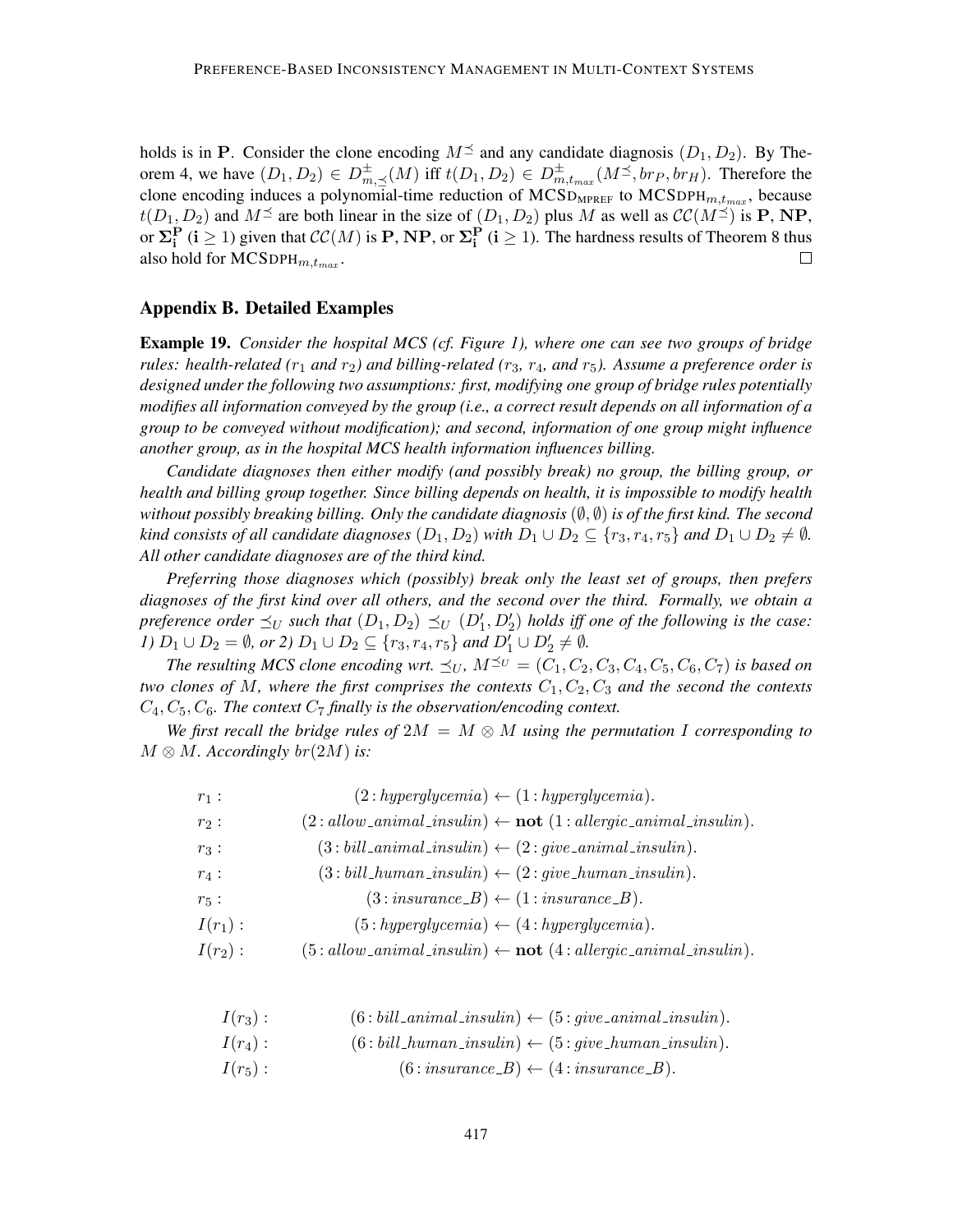holds is in P. Consider the clone encoding  $M^{\preceq}$  and any candidate diagnosis  $(D_1, D_2)$ . By Theorem 4, we have  $(D_1, D_2) \in D^{\pm}_{m, \preceq}(M)$  iff  $t(D_1, D_2) \in D^{\pm}_{m, t_{max}}(M^{\preceq}, br_P, br_H)$ . Therefore the clone encoding induces a polynomial-time reduction of  $MCSD_{MPREF}$  to  $MCSDPH_{m,t_{max}}$ , because  $t(D_1, D_2)$  and  $M^{\preceq}$  are both linear in the size of  $(D_1, D_2)$  plus M as well as  $\mathcal{CC}(M^{\preceq})$  is **P**, NP, or  $\Sigma_i^{\mathbf{P}}$  ( $i \geq 1$ ) given that  $\mathcal{CC}(M)$  is  $\mathbf{P}, \mathbf{NP},$  or  $\Sigma_i^{\mathbf{P}}$  ( $i \geq 1$ ). The hardness results of Theorem 8 thus also hold for  $MCSDPH_{m,t_{max}}$ .  $\Box$ 

# Appendix B. Detailed Examples

Example 19. *Consider the hospital MCS (cf. Figure 1), where one can see two groups of bridge rules: health-related (*r<sup>1</sup> *and* r2*) and billing-related (*r3*,* r4*, and* r5*). Assume a preference order is designed under the following two assumptions: first, modifying one group of bridge rules potentially modifies all information conveyed by the group (i.e., a correct result depends on all information of a group to be conveyed without modification); and second, information of one group might influence another group, as in the hospital MCS health information influences billing.*

*Candidate diagnoses then either modify (and possibly break) no group, the billing group, or health and billing group together. Since billing depends on health, it is impossible to modify health without possibly breaking billing. Only the candidate diagnosis* (∅, ∅) *is of the first kind. The second kind consists of all candidate diagnoses*  $(D_1, D_2)$  *with*  $D_1 \cup D_2 \subseteq \{r_3, r_4, r_5\}$  *and*  $D_1 \cup D_2 \neq \emptyset$ *. All other candidate diagnoses are of the third kind.*

*Preferring those diagnoses which (possibly) break only the least set of groups, then prefers diagnoses of the first kind over all others, and the second over the third. Formally, we obtain a* preference order  $\preceq_U$  such that  $(D_1, D_2) \preceq_U (D'_1, D'_2)$  holds iff one of the following is the case: *1)*  $D_1 \cup D_2 = \emptyset$ , or 2)  $D_1 \cup D_2 \subseteq \{r_3, r_4, r_5\}$  and  $D'_1 \cup D'_2 \neq \emptyset$ .

*The resulting MCS clone encoding wrt.*  $\preceq_U$ ,  $M^{\preceq_U} = (C_1, C_2, C_3, C_4, C_5, C_6, C_7)$  *is based on two clones of* M, where the first comprises the contexts  $C_1, C_2, C_3$  and the second the contexts  $C_4, C_5, C_6$ . The context  $C_7$  finally is the observation/encoding context.

*We first recall the bridge rules of*  $2M = M \otimes M$  *using the permutation* I *corresponding to*  $M \otimes M$ *. Accordingly*  $br(2M)$  *is:* 

- $r_1$ :  $(2: hyperglycemia) \leftarrow (1: hyperglycemia).$  $r_2$ :  $(2: allow\_animal\_insulin) \leftarrow \textbf{not} (1: allergic\_animal\_insulin).$  $r_3$ :  $(3: bill\_animal\_insulin) \leftarrow (2: give\_animal\_insulin).$  $r_4$ :  $(3: bill_human_insulin) \leftarrow (2: give_human_insulin).$  $r_5$ :  $(3: insurance\_B) \leftarrow (1: insurance\_B).$
- $I(r_1)$ :  $(5: hyperglycemia) \leftarrow (4: hyperglycemia).$
- $I(r_2)$ :  $(5: allow\_animal\_insulin) \leftarrow \textbf{not} (4: allergic\_animal\_insulin).$ 
	- $I(r_3)$ :  $(6: bill{\_}animal{\_}insulin) \leftarrow (5: give{\_}animal{\_}insulin).$
	- $I(r_4)$ :  $(6: bill_human_insulin) \leftarrow (5: give_human_insulin).$
	- $I(r_5)$ :  $(6: insurance_B) \leftarrow (4: insurance_B).$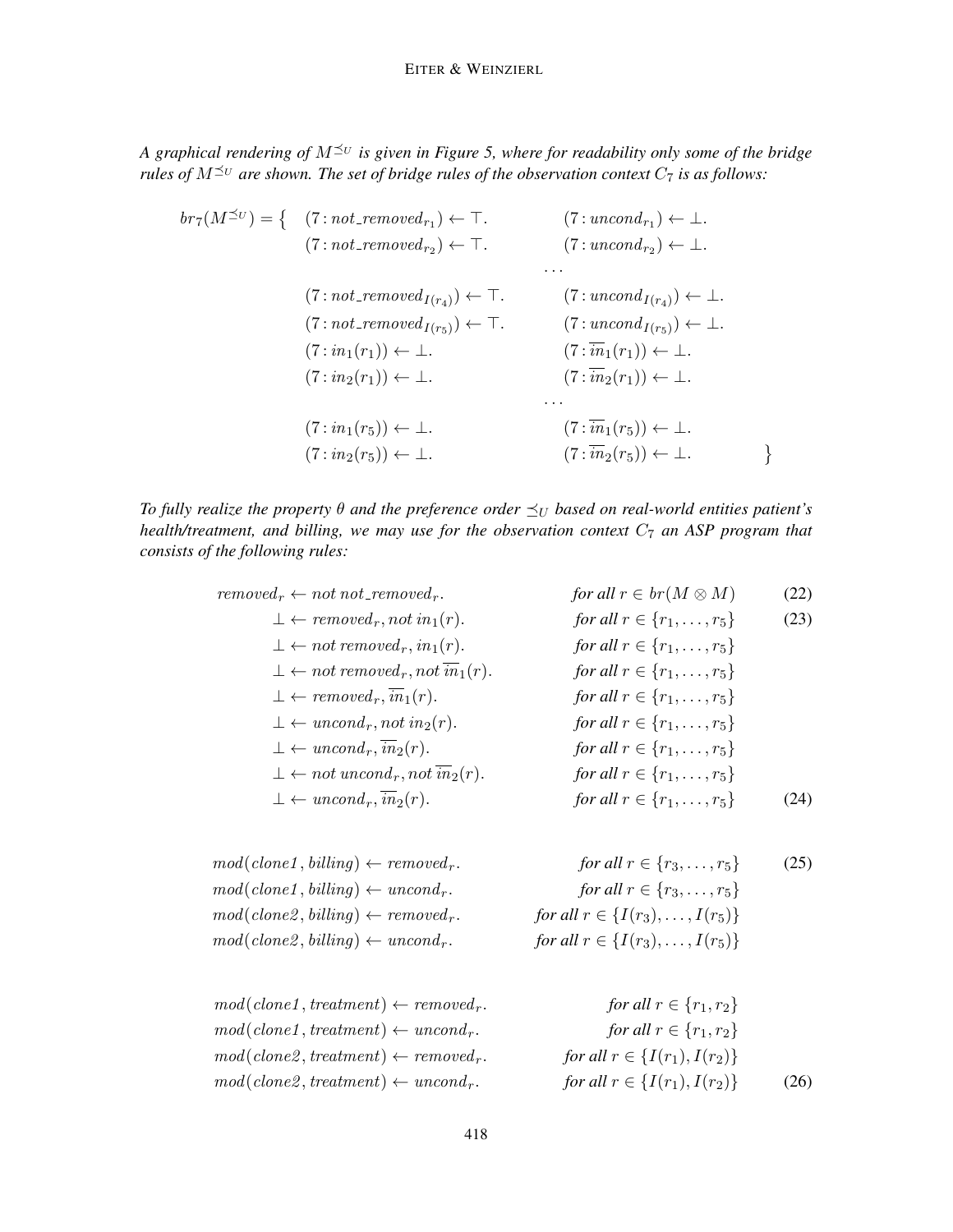*A graphical rendering of*  $M^{\leq U}$  *is given in Figure 5, where for readability only some of the bridge rules of*  $M^{\leq U}$  are shown. The set of bridge rules of the observation context  $C_7$  is as follows:

$$
br_7(M^{\preceq_U}) = \left\{ \begin{array}{ll} (7: not\_removed_{r_1}) \leftarrow \top. & (7: uncond_{r_1}) \leftarrow \bot. \\ (7: not\_removed_{r_2}) \leftarrow \top. & (7: uncond_{r_2}) \leftarrow \bot. \\ & \cdots \right. \\ & \cdots \right. \\ & \cdots \right. \\ & \cdots \left. (7: not\_removed_{I(r_4)}) \leftarrow \top. & (7: uncond_{I(r_4)}) \leftarrow \bot. \\ & \cdots \right. & (7: uncond_{I(r_5)}) \leftarrow \bot. \\ & \cdots \right. & (7: uncond_{I(r_5)}) \leftarrow \bot. \\ & \cdots \right. & (7: in_1(r_1)) \leftarrow \bot. & (7: in_1(r_1)) \leftarrow \bot. \\ & \cdots \right. \\ & \cdots \right. \\ & \cdots \left. (7: in_2(r_1)) \leftarrow \bot. & (7: in_2(r_1)) \leftarrow \bot. \\ & \cdots \right. \\ & \cdots \right. \\ & \cdots \left. (7: in_1(r_5)) \leftarrow \bot. & (7: in_2(r_5)) \leftarrow \bot. \right. \right\} \end{array} \right\}
$$

*To fully realize the property*  $\theta$  *and the preference order*  $\preceq_U$  *based on real-world entities patient's health/treatment, and billing, we may use for the observation context*  $C_7$  *an ASP program that consists of the following rules:*

| $removed_r \leftarrow not not\_removed_r.$                              | for all $r \in br(M \otimes M)$      | (22) |
|-------------------------------------------------------------------------|--------------------------------------|------|
| $\bot \leftarrow removed_r, not in_1(r).$                               | for all $r \in \{r_1, \ldots, r_5\}$ | (23) |
| $\bot \leftarrow not removed_r, in_1(r).$                               | for all $r \in \{r_1, \ldots, r_5\}$ |      |
| $\bot \leftarrow not$ removed <sub>r</sub> , not $\overline{in}_1(r)$ . | for all $r \in \{r_1, \ldots, r_5\}$ |      |
| $\bot \leftarrow removed_r$ , $\overline{in}_1(r)$ .                    | for all $r \in \{r_1, \ldots, r_5\}$ |      |
| $\bot \leftarrow uncond_r, not in_2(r).$                                | for all $r \in \{r_1, \ldots, r_5\}$ |      |
| $\bot \leftarrow uncond_r, \overline{in}_2(r).$                         | for all $r \in \{r_1, \ldots, r_5\}$ |      |
| $\bot \leftarrow not\,uncond_r, not\,\overline{in}_2(r).$               | for all $r \in \{r_1, \ldots, r_5\}$ |      |
| $\bot \leftarrow uncond_r, \overline{in}_2(r).$                         | for all $r \in \{r_1, \ldots, r_5\}$ | (24) |
|                                                                         |                                      |      |

 $mod(clone1, billing) \leftarrow removed_r.$  *for all*  $r \in \{r_3, \ldots, r_5\}$  (25)  $mod(clone1, billing) \leftarrow uncond_r.$  *for all*  $r \in \{r_3, \ldots, r_5\}$  $mod(clone2, billing) \leftarrow removed_r.$  *for all*  $r \in \{I(r_3), \ldots, I(r_5)\}$  $mod(clone2, billing) \leftarrow uncond_r.$  *for all*  $r \in \{I(r_3), \ldots, I(r_5)\}$ 

| $mod(clone1, treatment) \leftarrow removed_r.$ | for all $r \in \{r_1, r_2\}$        |      |
|------------------------------------------------|-------------------------------------|------|
| $mod(clone1, treatment) \leftarrow uncond_r.$  | for all $r \in \{r_1, r_2\}$        |      |
| $mod(clone2, treatment) \leftarrow removed_r.$ | for all $r \in \{I(r_1), I(r_2)\}\$ |      |
| $mod(clone2, treatment) \leftarrow uncond_r.$  | for all $r \in \{I(r_1), I(r_2)\}\$ | (26) |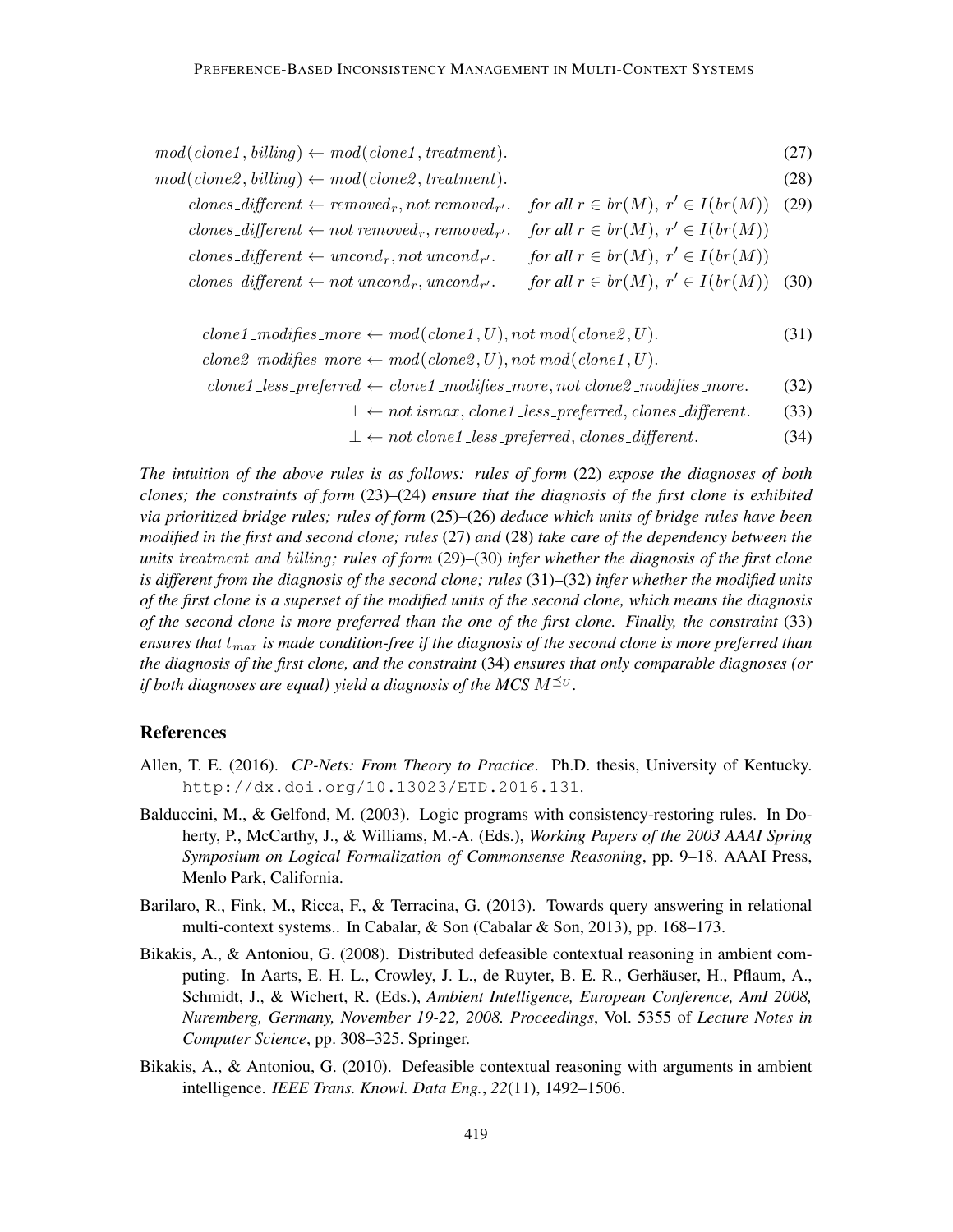$$
mod(clone1, billing) \leftarrow mod(clone1, treatment).
$$
\n(27)  
\n
$$
mod(clone2, billing) \leftarrow mod(clone2, treatment).
$$
\n(28)  
\n
$$
clones\_different \leftarrow removed_r, not removed_{r'}.
$$
\nfor all  $r \in br(M), r' \in I(br(M))$  (29)  
\n
$$
clones\_different \leftarrow not removed_r, removed_{r'}.
$$
\nfor all  $r \in br(M), r' \in I(br(M))$   
\n
$$
clones\_different \leftarrow uncond_r, not uncond_{r'}.
$$
\nfor all  $r \in br(M), r' \in I(br(M))$   
\n
$$
clones\_different \leftarrow not uncond_r, uncond_{r'}.
$$
\nfor all  $r \in br(M), r' \in I(br(M))$  (30)

- $\text{clone1}_{\text{model}}(i) = \left( \text{none1}_{\text{model}}(i), \text{not} \text{mod}(\text{clone2}_{\text{model}}(i)), \right)$  (31)
- $clone2$ -modifies-more  $\leftarrow mod(clone2, U)$ , not mod $(clone1, U)$ .

 $clone1\_less\_ preferred \leftarrow clone1\_modifies\_more, not clone2\_modifies\_more.$  (32)

- $\perp \leftarrow not\ ismax, clone1\_less\_preferred, clones\_different.$  (33)
- $\perp \leftarrow not \; clone1 \; less\_preferred, \; clones\_different.$  (34)

*The intuition of the above rules is as follows: rules of form* (22) *expose the diagnoses of both clones; the constraints of form* (23)*–*(24) *ensure that the diagnosis of the first clone is exhibited via prioritized bridge rules; rules of form* (25)*–*(26) *deduce which units of bridge rules have been modified in the first and second clone; rules* (27) *and* (28) *take care of the dependency between the units* treatment *and* billing*; rules of form* (29)*–*(30) *infer whether the diagnosis of the first clone is different from the diagnosis of the second clone; rules* (31)*–*(32) *infer whether the modified units of the first clone is a superset of the modified units of the second clone, which means the diagnosis of the second clone is more preferred than the one of the first clone. Finally, the constraint* (33) *ensures that*  $t_{max}$  *is made condition-free if the diagnosis of the second clone is more preferred than the diagnosis of the first clone, and the constraint* (34) *ensures that only comparable diagnoses (or if both diagnoses are equal) yield a diagnosis of the MCS*  $M^{\leq U}$ *.* 

## References

- Allen, T. E. (2016). *CP-Nets: From Theory to Practice*. Ph.D. thesis, University of Kentucky. http://dx.doi.org/10.13023/ETD.2016.131.
- Balduccini, M., & Gelfond, M. (2003). Logic programs with consistency-restoring rules. In Doherty, P., McCarthy, J., & Williams, M.-A. (Eds.), *Working Papers of the 2003 AAAI Spring Symposium on Logical Formalization of Commonsense Reasoning*, pp. 9–18. AAAI Press, Menlo Park, California.
- Barilaro, R., Fink, M., Ricca, F., & Terracina, G. (2013). Towards query answering in relational multi-context systems.. In Cabalar, & Son (Cabalar & Son, 2013), pp. 168–173.
- Bikakis, A., & Antoniou, G. (2008). Distributed defeasible contextual reasoning in ambient computing. In Aarts, E. H. L., Crowley, J. L., de Ruyter, B. E. R., Gerhäuser, H., Pflaum, A., Schmidt, J., & Wichert, R. (Eds.), *Ambient Intelligence, European Conference, AmI 2008, Nuremberg, Germany, November 19-22, 2008. Proceedings*, Vol. 5355 of *Lecture Notes in Computer Science*, pp. 308–325. Springer.
- Bikakis, A., & Antoniou, G. (2010). Defeasible contextual reasoning with arguments in ambient intelligence. *IEEE Trans. Knowl. Data Eng.*, *22*(11), 1492–1506.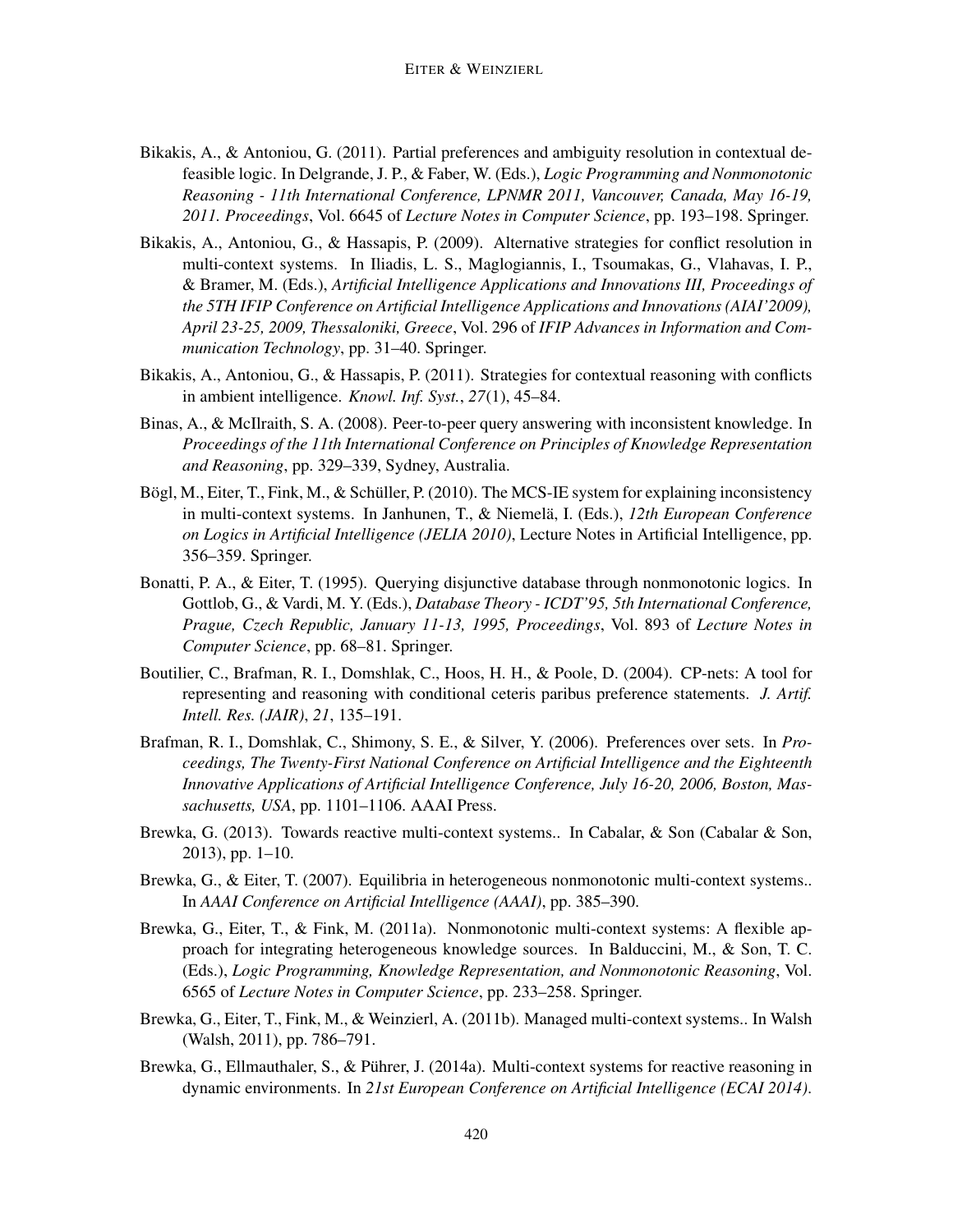- Bikakis, A., & Antoniou, G. (2011). Partial preferences and ambiguity resolution in contextual defeasible logic. In Delgrande, J. P., & Faber, W. (Eds.), *Logic Programming and Nonmonotonic Reasoning - 11th International Conference, LPNMR 2011, Vancouver, Canada, May 16-19, 2011. Proceedings*, Vol. 6645 of *Lecture Notes in Computer Science*, pp. 193–198. Springer.
- Bikakis, A., Antoniou, G., & Hassapis, P. (2009). Alternative strategies for conflict resolution in multi-context systems. In Iliadis, L. S., Maglogiannis, I., Tsoumakas, G., Vlahavas, I. P., & Bramer, M. (Eds.), *Artificial Intelligence Applications and Innovations III, Proceedings of the 5TH IFIP Conference on Artificial Intelligence Applications and Innovations (AIAI'2009), April 23-25, 2009, Thessaloniki, Greece*, Vol. 296 of *IFIP Advances in Information and Communication Technology*, pp. 31–40. Springer.
- Bikakis, A., Antoniou, G., & Hassapis, P. (2011). Strategies for contextual reasoning with conflicts in ambient intelligence. *Knowl. Inf. Syst.*, *27*(1), 45–84.
- Binas, A., & McIlraith, S. A. (2008). Peer-to-peer query answering with inconsistent knowledge. In *Proceedings of the 11th International Conference on Principles of Knowledge Representation and Reasoning*, pp. 329–339, Sydney, Australia.
- Bögl, M., Eiter, T., Fink, M., & Schüller, P. (2010). The MCS-IE system for explaining inconsistency in multi-context systems. In Janhunen, T., & Niemelä, I. (Eds.), 12th European Conference *on Logics in Artificial Intelligence (JELIA 2010)*, Lecture Notes in Artificial Intelligence, pp. 356–359. Springer.
- Bonatti, P. A., & Eiter, T. (1995). Querying disjunctive database through nonmonotonic logics. In Gottlob, G., & Vardi, M. Y. (Eds.), *Database Theory - ICDT'95, 5th International Conference, Prague, Czech Republic, January 11-13, 1995, Proceedings*, Vol. 893 of *Lecture Notes in Computer Science*, pp. 68–81. Springer.
- Boutilier, C., Brafman, R. I., Domshlak, C., Hoos, H. H., & Poole, D. (2004). CP-nets: A tool for representing and reasoning with conditional ceteris paribus preference statements. *J. Artif. Intell. Res. (JAIR)*, *21*, 135–191.
- Brafman, R. I., Domshlak, C., Shimony, S. E., & Silver, Y. (2006). Preferences over sets. In *Proceedings, The Twenty-First National Conference on Artificial Intelligence and the Eighteenth Innovative Applications of Artificial Intelligence Conference, July 16-20, 2006, Boston, Massachusetts, USA*, pp. 1101–1106. AAAI Press.
- Brewka, G. (2013). Towards reactive multi-context systems.. In Cabalar, & Son (Cabalar & Son, 2013), pp. 1–10.
- Brewka, G., & Eiter, T. (2007). Equilibria in heterogeneous nonmonotonic multi-context systems.. In *AAAI Conference on Artificial Intelligence (AAAI)*, pp. 385–390.
- Brewka, G., Eiter, T., & Fink, M. (2011a). Nonmonotonic multi-context systems: A flexible approach for integrating heterogeneous knowledge sources. In Balduccini, M., & Son, T. C. (Eds.), *Logic Programming, Knowledge Representation, and Nonmonotonic Reasoning*, Vol. 6565 of *Lecture Notes in Computer Science*, pp. 233–258. Springer.
- Brewka, G., Eiter, T., Fink, M., & Weinzierl, A. (2011b). Managed multi-context systems.. In Walsh (Walsh, 2011), pp. 786–791.
- Brewka, G., Ellmauthaler, S., & Pührer, J. (2014a). Multi-context systems for reactive reasoning in dynamic environments. In *21st European Conference on Artificial Intelligence (ECAI 2014)*.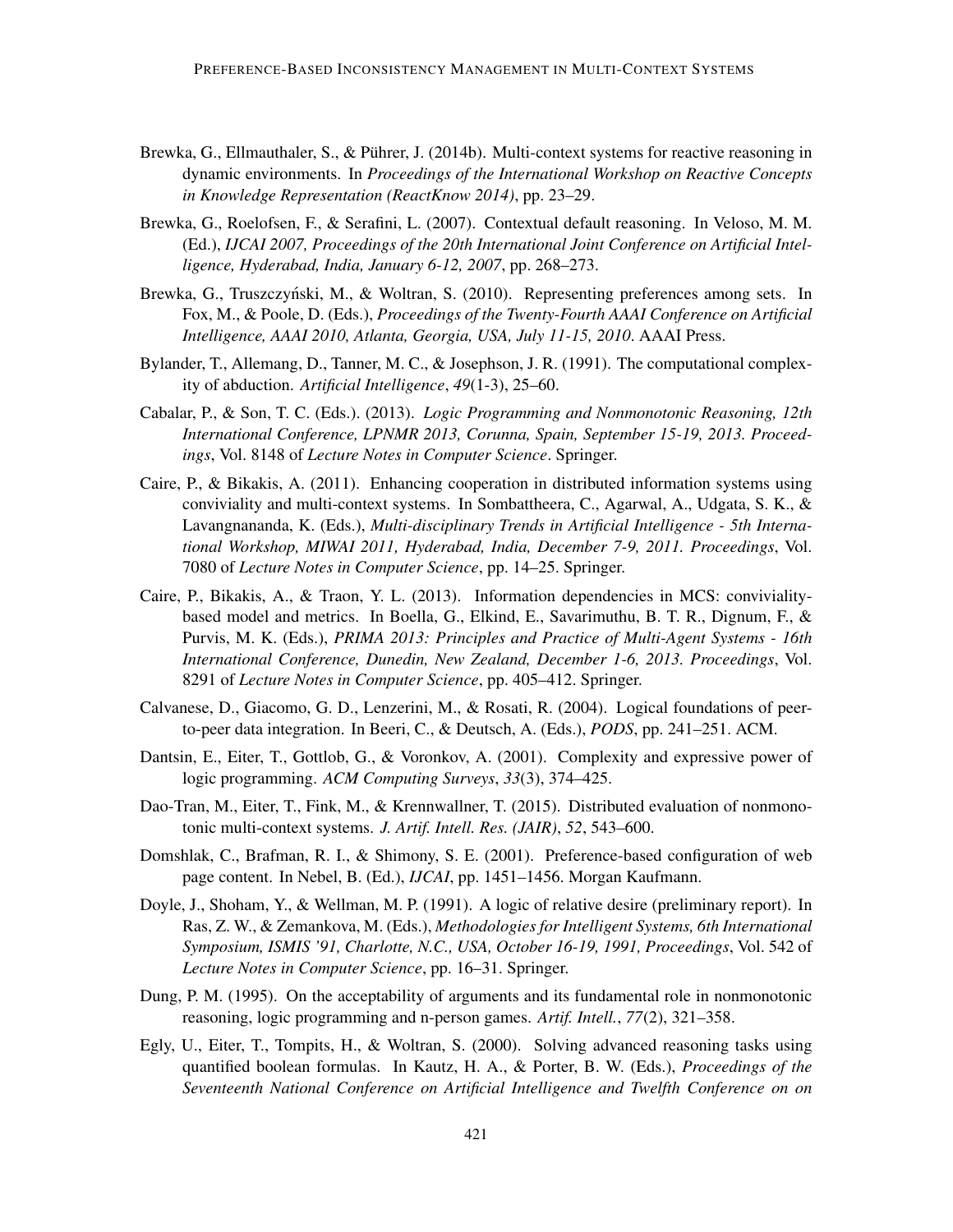- Brewka, G., Ellmauthaler, S., & Pührer, J. (2014b). Multi-context systems for reactive reasoning in dynamic environments. In *Proceedings of the International Workshop on Reactive Concepts in Knowledge Representation (ReactKnow 2014)*, pp. 23–29.
- Brewka, G., Roelofsen, F., & Serafini, L. (2007). Contextual default reasoning. In Veloso, M. M. (Ed.), *IJCAI 2007, Proceedings of the 20th International Joint Conference on Artificial Intelligence, Hyderabad, India, January 6-12, 2007*, pp. 268–273.
- Brewka, G., Truszczyński, M., & Woltran, S. (2010). Representing preferences among sets. In Fox, M., & Poole, D. (Eds.), *Proceedings of the Twenty-Fourth AAAI Conference on Artificial Intelligence, AAAI 2010, Atlanta, Georgia, USA, July 11-15, 2010*. AAAI Press.
- Bylander, T., Allemang, D., Tanner, M. C., & Josephson, J. R. (1991). The computational complexity of abduction. *Artificial Intelligence*, *49*(1-3), 25–60.
- Cabalar, P., & Son, T. C. (Eds.). (2013). *Logic Programming and Nonmonotonic Reasoning, 12th International Conference, LPNMR 2013, Corunna, Spain, September 15-19, 2013. Proceedings*, Vol. 8148 of *Lecture Notes in Computer Science*. Springer.
- Caire, P., & Bikakis, A. (2011). Enhancing cooperation in distributed information systems using conviviality and multi-context systems. In Sombattheera, C., Agarwal, A., Udgata, S. K., & Lavangnananda, K. (Eds.), *Multi-disciplinary Trends in Artificial Intelligence - 5th International Workshop, MIWAI 2011, Hyderabad, India, December 7-9, 2011. Proceedings*, Vol. 7080 of *Lecture Notes in Computer Science*, pp. 14–25. Springer.
- Caire, P., Bikakis, A., & Traon, Y. L. (2013). Information dependencies in MCS: convivialitybased model and metrics. In Boella, G., Elkind, E., Savarimuthu, B. T. R., Dignum, F., & Purvis, M. K. (Eds.), *PRIMA 2013: Principles and Practice of Multi-Agent Systems - 16th International Conference, Dunedin, New Zealand, December 1-6, 2013. Proceedings*, Vol. 8291 of *Lecture Notes in Computer Science*, pp. 405–412. Springer.
- Calvanese, D., Giacomo, G. D., Lenzerini, M., & Rosati, R. (2004). Logical foundations of peerto-peer data integration. In Beeri, C., & Deutsch, A. (Eds.), *PODS*, pp. 241–251. ACM.
- Dantsin, E., Eiter, T., Gottlob, G., & Voronkov, A. (2001). Complexity and expressive power of logic programming. *ACM Computing Surveys*, *33*(3), 374–425.
- Dao-Tran, M., Eiter, T., Fink, M., & Krennwallner, T. (2015). Distributed evaluation of nonmonotonic multi-context systems. *J. Artif. Intell. Res. (JAIR)*, *52*, 543–600.
- Domshlak, C., Brafman, R. I., & Shimony, S. E. (2001). Preference-based configuration of web page content. In Nebel, B. (Ed.), *IJCAI*, pp. 1451–1456. Morgan Kaufmann.
- Doyle, J., Shoham, Y., & Wellman, M. P. (1991). A logic of relative desire (preliminary report). In Ras, Z. W., & Zemankova, M. (Eds.), *Methodologies for Intelligent Systems, 6th International Symposium, ISMIS '91, Charlotte, N.C., USA, October 16-19, 1991, Proceedings*, Vol. 542 of *Lecture Notes in Computer Science*, pp. 16–31. Springer.
- Dung, P. M. (1995). On the acceptability of arguments and its fundamental role in nonmonotonic reasoning, logic programming and n-person games. *Artif. Intell.*, *77*(2), 321–358.
- Egly, U., Eiter, T., Tompits, H., & Woltran, S. (2000). Solving advanced reasoning tasks using quantified boolean formulas. In Kautz, H. A., & Porter, B. W. (Eds.), *Proceedings of the Seventeenth National Conference on Artificial Intelligence and Twelfth Conference on on*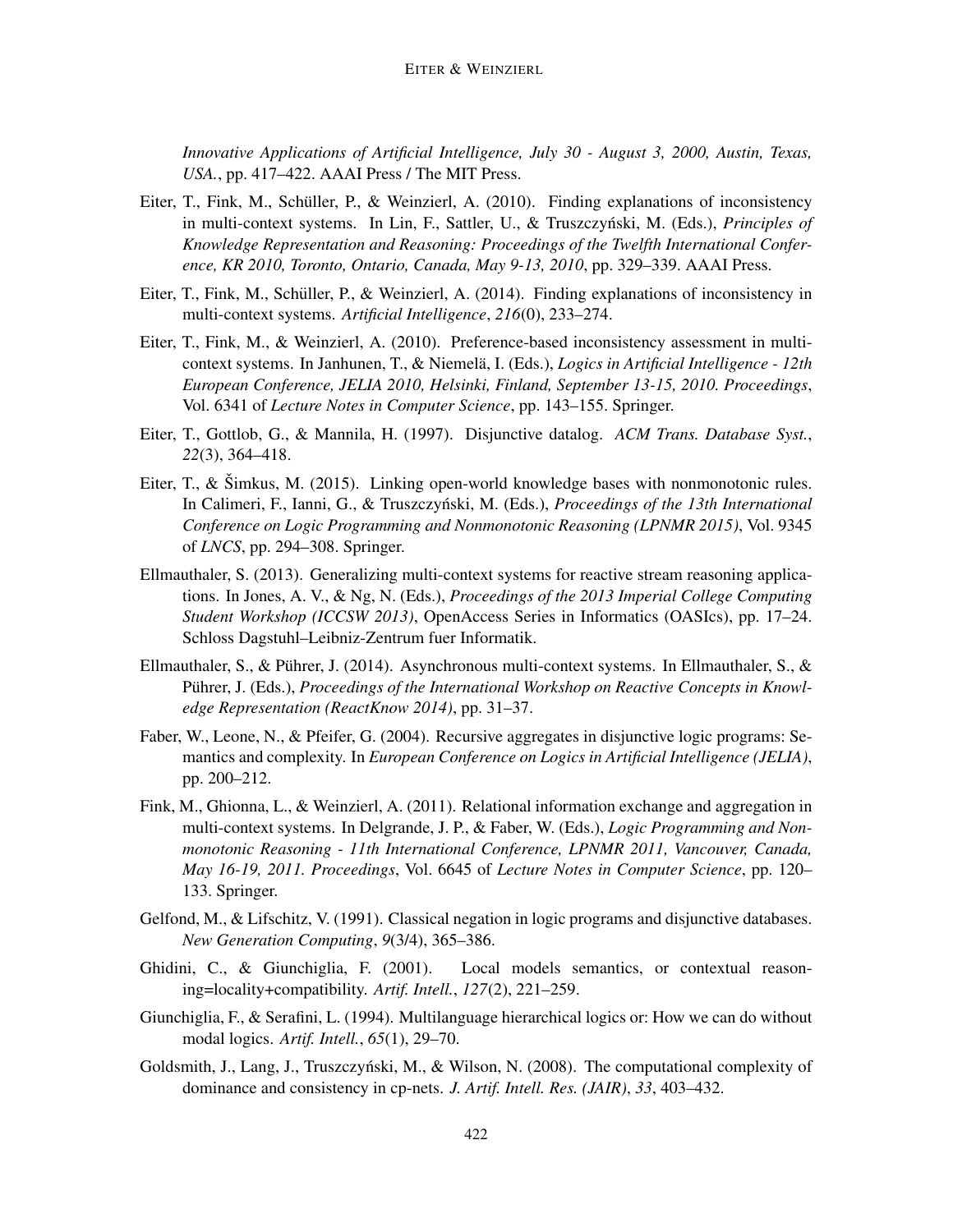*Innovative Applications of Artificial Intelligence, July 30 - August 3, 2000, Austin, Texas, USA.*, pp. 417–422. AAAI Press / The MIT Press.

- Eiter, T., Fink, M., Schüller, P., & Weinzierl, A.  $(2010)$ . Finding explanations of inconsistency in multi-context systems. In Lin, F., Sattler, U., & Truszczyński, M. (Eds.), Principles of *Knowledge Representation and Reasoning: Proceedings of the Twelfth International Conference, KR 2010, Toronto, Ontario, Canada, May 9-13, 2010*, pp. 329–339. AAAI Press.
- Eiter, T., Fink, M., Schüller, P., & Weinzierl, A.  $(2014)$ . Finding explanations of inconsistency in multi-context systems. *Artificial Intelligence*, *216*(0), 233–274.
- Eiter, T., Fink, M., & Weinzierl, A. (2010). Preference-based inconsistency assessment in multicontext systems. In Janhunen, T., & Niemelä, I. (Eds.), *Logics in Artificial Intelligence - 12th European Conference, JELIA 2010, Helsinki, Finland, September 13-15, 2010. Proceedings*, Vol. 6341 of *Lecture Notes in Computer Science*, pp. 143–155. Springer.
- Eiter, T., Gottlob, G., & Mannila, H. (1997). Disjunctive datalog. *ACM Trans. Database Syst.*, *22*(3), 364–418.
- Eiter, T., & Simkus, M. (2015). Linking open-world knowledge bases with nonmonotonic rules. In Calimeri, F., Ianni, G., & Truszczyński, M. (Eds.), Proceedings of the 13th International *Conference on Logic Programming and Nonmonotonic Reasoning (LPNMR 2015)*, Vol. 9345 of *LNCS*, pp. 294–308. Springer.
- Ellmauthaler, S. (2013). Generalizing multi-context systems for reactive stream reasoning applications. In Jones, A. V., & Ng, N. (Eds.), *Proceedings of the 2013 Imperial College Computing Student Workshop (ICCSW 2013)*, OpenAccess Series in Informatics (OASIcs), pp. 17–24. Schloss Dagstuhl–Leibniz-Zentrum fuer Informatik.
- Ellmauthaler, S., & Pührer, J. (2014). Asynchronous multi-context systems. In Ellmauthaler, S., & Pührer, J. (Eds.), *Proceedings of the International Workshop on Reactive Concepts in Knowledge Representation (ReactKnow 2014)*, pp. 31–37.
- Faber, W., Leone, N., & Pfeifer, G. (2004). Recursive aggregates in disjunctive logic programs: Semantics and complexity. In *European Conference on Logics in Artificial Intelligence (JELIA)*, pp. 200–212.
- Fink, M., Ghionna, L., & Weinzierl, A. (2011). Relational information exchange and aggregation in multi-context systems. In Delgrande, J. P., & Faber, W. (Eds.), *Logic Programming and Nonmonotonic Reasoning - 11th International Conference, LPNMR 2011, Vancouver, Canada, May 16-19, 2011. Proceedings*, Vol. 6645 of *Lecture Notes in Computer Science*, pp. 120– 133. Springer.
- Gelfond, M., & Lifschitz, V. (1991). Classical negation in logic programs and disjunctive databases. *New Generation Computing*, *9*(3/4), 365–386.
- Ghidini, C., & Giunchiglia, F. (2001). Local models semantics, or contextual reasoning=locality+compatibility. *Artif. Intell.*, *127*(2), 221–259.
- Giunchiglia, F., & Serafini, L. (1994). Multilanguage hierarchical logics or: How we can do without modal logics. *Artif. Intell.*, *65*(1), 29–70.
- Goldsmith, J., Lang, J., Truszczyński, M., & Wilson, N. (2008). The computational complexity of dominance and consistency in cp-nets. *J. Artif. Intell. Res. (JAIR)*, *33*, 403–432.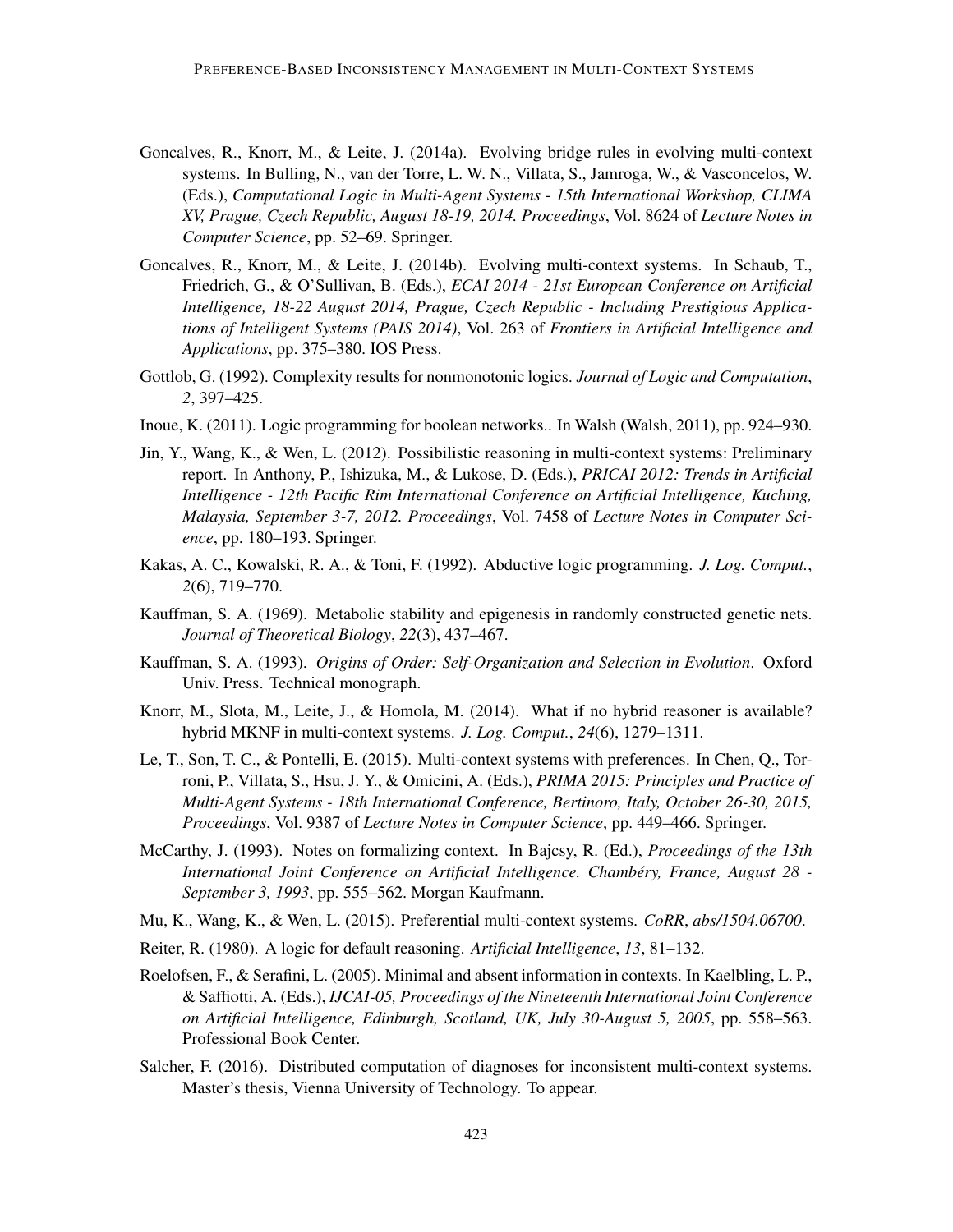- Goncalves, R., Knorr, M., & Leite, J. (2014a). Evolving bridge rules in evolving multi-context systems. In Bulling, N., van der Torre, L. W. N., Villata, S., Jamroga, W., & Vasconcelos, W. (Eds.), *Computational Logic in Multi-Agent Systems - 15th International Workshop, CLIMA XV, Prague, Czech Republic, August 18-19, 2014. Proceedings*, Vol. 8624 of *Lecture Notes in Computer Science*, pp. 52–69. Springer.
- Goncalves, R., Knorr, M., & Leite, J. (2014b). Evolving multi-context systems. In Schaub, T., Friedrich, G., & O'Sullivan, B. (Eds.), *ECAI 2014 - 21st European Conference on Artificial Intelligence, 18-22 August 2014, Prague, Czech Republic - Including Prestigious Applications of Intelligent Systems (PAIS 2014)*, Vol. 263 of *Frontiers in Artificial Intelligence and Applications*, pp. 375–380. IOS Press.
- Gottlob, G. (1992). Complexity results for nonmonotonic logics. *Journal of Logic and Computation*, *2*, 397–425.
- Inoue, K. (2011). Logic programming for boolean networks.. In Walsh (Walsh, 2011), pp. 924–930.
- Jin, Y., Wang, K., & Wen, L. (2012). Possibilistic reasoning in multi-context systems: Preliminary report. In Anthony, P., Ishizuka, M., & Lukose, D. (Eds.), *PRICAI 2012: Trends in Artificial Intelligence - 12th Pacific Rim International Conference on Artificial Intelligence, Kuching, Malaysia, September 3-7, 2012. Proceedings*, Vol. 7458 of *Lecture Notes in Computer Science*, pp. 180–193. Springer.
- Kakas, A. C., Kowalski, R. A., & Toni, F. (1992). Abductive logic programming. *J. Log. Comput.*, *2*(6), 719–770.
- Kauffman, S. A. (1969). Metabolic stability and epigenesis in randomly constructed genetic nets. *Journal of Theoretical Biology*, *22*(3), 437–467.
- Kauffman, S. A. (1993). *Origins of Order: Self-Organization and Selection in Evolution*. Oxford Univ. Press. Technical monograph.
- Knorr, M., Slota, M., Leite, J., & Homola, M. (2014). What if no hybrid reasoner is available? hybrid MKNF in multi-context systems. *J. Log. Comput.*, *24*(6), 1279–1311.
- Le, T., Son, T. C., & Pontelli, E. (2015). Multi-context systems with preferences. In Chen, Q., Torroni, P., Villata, S., Hsu, J. Y., & Omicini, A. (Eds.), *PRIMA 2015: Principles and Practice of Multi-Agent Systems - 18th International Conference, Bertinoro, Italy, October 26-30, 2015, Proceedings*, Vol. 9387 of *Lecture Notes in Computer Science*, pp. 449–466. Springer.
- McCarthy, J. (1993). Notes on formalizing context. In Bajcsy, R. (Ed.), *Proceedings of the 13th International Joint Conference on Artificial Intelligence. Chambery, France, August 28 - ´ September 3, 1993*, pp. 555–562. Morgan Kaufmann.
- Mu, K., Wang, K., & Wen, L. (2015). Preferential multi-context systems. *CoRR*, *abs/1504.06700*.
- Reiter, R. (1980). A logic for default reasoning. *Artificial Intelligence*, *13*, 81–132.
- Roelofsen, F., & Serafini, L. (2005). Minimal and absent information in contexts. In Kaelbling, L. P., & Saffiotti, A. (Eds.), *IJCAI-05, Proceedings of the Nineteenth International Joint Conference on Artificial Intelligence, Edinburgh, Scotland, UK, July 30-August 5, 2005*, pp. 558–563. Professional Book Center.
- Salcher, F. (2016). Distributed computation of diagnoses for inconsistent multi-context systems. Master's thesis, Vienna University of Technology. To appear.